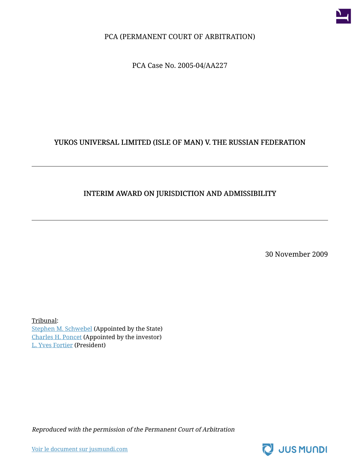

PCA (PERMANENT COURT OF ARBITRATION)

PCA Case No. 2005-04/AA227

#### YUKOS UNIVERSAL LIMITED (ISLE OF MAN) V. THE RUSSIAN FEDERATION

#### INTERIM AWARD ON JURISDICTION AND ADMISSIBILITY

30 November 2009

Tribunal: [Stephen M. Schwebel](https://jusmundi.com/p/stephen-m-schwebel) (Appointed by the State) [Charles H. Poncet](https://jusmundi.com/p/charles-poncet) (Appointed by the investor) [L. Yves Fortier](https://jusmundi.com/p/l-yves-fortier) (President)

Reproduced with the permission of the Permanent Court of Arbitration

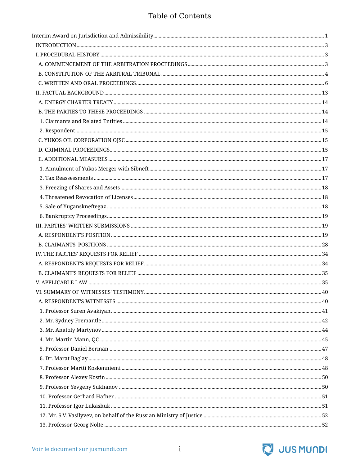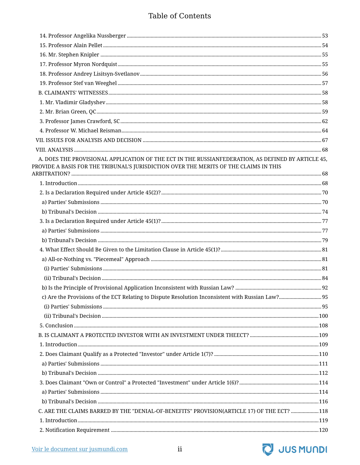| A. DOES THE PROVISIONAL APPLICATION OF THE ECT IN THE RUSSIANFEDERATION, AS DEFINED BY ARTICLE 45,<br>PROVIDE A BASIS FOR THE TRIBUNAL'S JURISDICTION OVER THE MERITS OF THE CLAIMS IN THIS |  |
|---------------------------------------------------------------------------------------------------------------------------------------------------------------------------------------------|--|
|                                                                                                                                                                                             |  |
|                                                                                                                                                                                             |  |
|                                                                                                                                                                                             |  |
|                                                                                                                                                                                             |  |
|                                                                                                                                                                                             |  |
|                                                                                                                                                                                             |  |
|                                                                                                                                                                                             |  |
|                                                                                                                                                                                             |  |
|                                                                                                                                                                                             |  |
|                                                                                                                                                                                             |  |
|                                                                                                                                                                                             |  |
|                                                                                                                                                                                             |  |
|                                                                                                                                                                                             |  |
|                                                                                                                                                                                             |  |
|                                                                                                                                                                                             |  |
|                                                                                                                                                                                             |  |
|                                                                                                                                                                                             |  |
|                                                                                                                                                                                             |  |
|                                                                                                                                                                                             |  |
|                                                                                                                                                                                             |  |
|                                                                                                                                                                                             |  |
|                                                                                                                                                                                             |  |
|                                                                                                                                                                                             |  |
|                                                                                                                                                                                             |  |
|                                                                                                                                                                                             |  |
| C. ARE THE CLAIMS BARRED BY THE "DENIAL-OF-BENEFITS" PROVISION(ARTICLE 17) OF THE ECT? 118                                                                                                  |  |
|                                                                                                                                                                                             |  |
|                                                                                                                                                                                             |  |

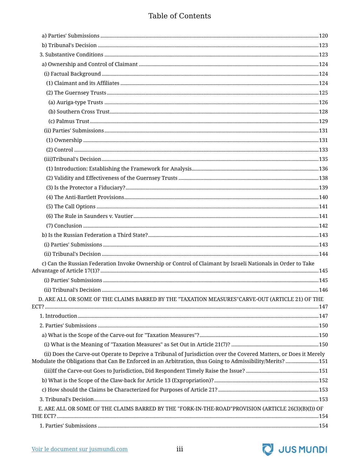| c) Can the Russian Federation Invoke Ownership or Control of Claimant by Israeli Nationals in Order to Take       |  |
|-------------------------------------------------------------------------------------------------------------------|--|
|                                                                                                                   |  |
|                                                                                                                   |  |
| D. ARE ALL OR SOME OF THE CLAIMS BARRED BY THE "TAXATION MEASURES"CARVE-OUT (ARTICLE 21) OF THE                   |  |
|                                                                                                                   |  |
|                                                                                                                   |  |
|                                                                                                                   |  |
|                                                                                                                   |  |
|                                                                                                                   |  |
| (ii) Does the Carve-out Operate to Deprive a Tribunal of Jurisdiction over the Covered Matters, or Does it Merely |  |
|                                                                                                                   |  |
|                                                                                                                   |  |
|                                                                                                                   |  |
|                                                                                                                   |  |
| E. ARE ALL OR SOME OF THE CLAIMS BARRED BY THE "FORK-IN-THE-ROAD"PROVISION (ARTICLE 26(3)(B)(I)) OF               |  |
|                                                                                                                   |  |
|                                                                                                                   |  |

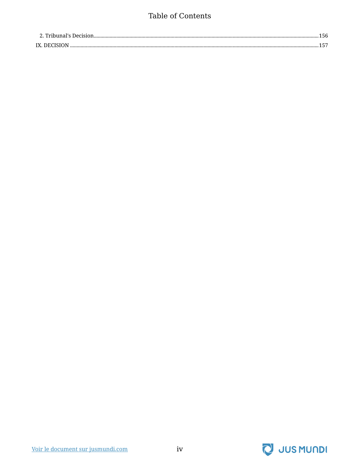| TY |  |
|----|--|

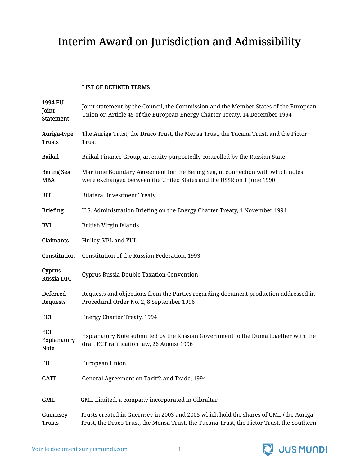# <span id="page-5-0"></span>Interim Award on Jurisdiction and Admissibility

#### LIST OF DEFINED TERMS

| 1994 EU<br>Joint<br><b>Statement</b>     | Joint statement by the Council, the Commission and the Member States of the European<br>Union on Article 45 of the European Energy Charter Treaty, 14 December 1994               |
|------------------------------------------|-----------------------------------------------------------------------------------------------------------------------------------------------------------------------------------|
| Auriga-type<br><b>Trusts</b>             | The Auriga Trust, the Draco Trust, the Mensa Trust, the Tucana Trust, and the Pictor<br>Trust                                                                                     |
| <b>Baikal</b>                            | Baikal Finance Group, an entity purportedly controlled by the Russian State                                                                                                       |
| <b>Bering Sea</b><br><b>MBA</b>          | Maritime Boundary Agreement for the Bering Sea, in connection with which notes<br>were exchanged between the United States and the USSR on 1 June 1990                            |
| <b>BIT</b>                               | <b>Bilateral Investment Treaty</b>                                                                                                                                                |
| <b>Briefing</b>                          | U.S. Administration Briefing on the Energy Charter Treaty, 1 November 1994                                                                                                        |
| <b>BVI</b>                               | British Virgin Islands                                                                                                                                                            |
| Claimants                                | Hulley, VPL and YUL                                                                                                                                                               |
| Constitution                             | Constitution of the Russian Federation, 1993                                                                                                                                      |
| Cyprus-<br>Russia DTC                    | Cyprus-Russia Double Taxation Convention                                                                                                                                          |
| Deferred<br><b>Requests</b>              | Requests and objections from the Parties regarding document production addressed in<br>Procedural Order No. 2, 8 September 1996                                                   |
| <b>ECT</b>                               | Energy Charter Treaty, 1994                                                                                                                                                       |
| <b>ECT</b><br>Explanatory<br><b>Note</b> | Explanatory Note submitted by the Russian Government to the Duma together with the<br>draft ECT ratification law, 26 August 1996                                                  |
| EU                                       | European Union                                                                                                                                                                    |
| <b>GATT</b>                              | General Agreement on Tariffs and Trade, 1994                                                                                                                                      |
| <b>GML</b>                               | GML Limited, a company incorporated in Gibraltar                                                                                                                                  |
| Guernsey<br><b>Trusts</b>                | Trusts created in Guernsey in 2003 and 2005 which hold the shares of GML (the Auriga<br>Trust, the Draco Trust, the Mensa Trust, the Tucana Trust, the Pictor Trust, the Southern |

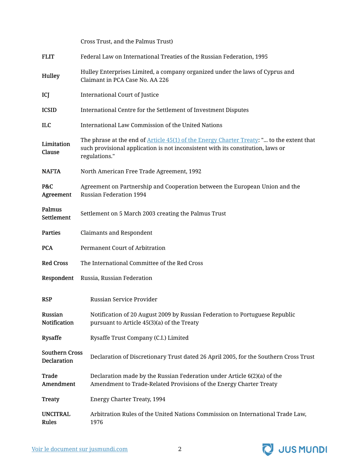|                                      | Cross Trust, and the Palmus Trust)                                                                                                                                                            |
|--------------------------------------|-----------------------------------------------------------------------------------------------------------------------------------------------------------------------------------------------|
| <b>FLIT</b>                          | Federal Law on International Treaties of the Russian Federation, 1995                                                                                                                         |
| Hulley                               | Hulley Enterprises Limited, a company organized under the laws of Cyprus and<br>Claimant in PCA Case No. AA 226                                                                               |
| ICJ                                  | International Court of Justice                                                                                                                                                                |
| <b>ICSID</b>                         | International Centre for the Settlement of Investment Disputes                                                                                                                                |
| <b>ILC</b>                           | International Law Commission of the United Nations                                                                                                                                            |
| Limitation<br>Clause                 | The phrase at the end of Article 45(1) of the Energy Charter Treaty: " to the extent that<br>such provisional application is not inconsistent with its constitution, laws or<br>regulations." |
| <b>NAFTA</b>                         | North American Free Trade Agreement, 1992                                                                                                                                                     |
| P&C<br>Agreement                     | Agreement on Partnership and Cooperation between the European Union and the<br><b>Russian Federation 1994</b>                                                                                 |
| Palmus<br>Settlement                 | Settlement on 5 March 2003 creating the Palmus Trust                                                                                                                                          |
| Parties                              | <b>Claimants and Respondent</b>                                                                                                                                                               |
| <b>PCA</b>                           | Permanent Court of Arbitration                                                                                                                                                                |
| <b>Red Cross</b>                     | The International Committee of the Red Cross                                                                                                                                                  |
| Respondent                           | Russia, Russian Federation                                                                                                                                                                    |
| <b>RSP</b>                           | Russian Service Provider                                                                                                                                                                      |
| Russian<br>Notification              | Notification of 20 August 2009 by Russian Federation to Portuguese Republic<br>pursuant to Article 45(3)(a) of the Treaty                                                                     |
| <b>Rysaffe</b>                       | Rysaffe Trust Company (C.I.) Limited                                                                                                                                                          |
| <b>Southern Cross</b><br>Declaration | Declaration of Discretionary Trust dated 26 April 2005, for the Southern Cross Trust                                                                                                          |
| <b>Trade</b><br>Amendment            | Declaration made by the Russian Federation under Article 6(2)(a) of the<br>Amendment to Trade-Related Provisions of the Energy Charter Treaty                                                 |
| <b>Treaty</b>                        | <b>Energy Charter Treaty, 1994</b>                                                                                                                                                            |
| <b>UNCITRAL</b><br>Rules             | Arbitration Rules of the United Nations Commission on International Trade Law,<br>1976                                                                                                        |

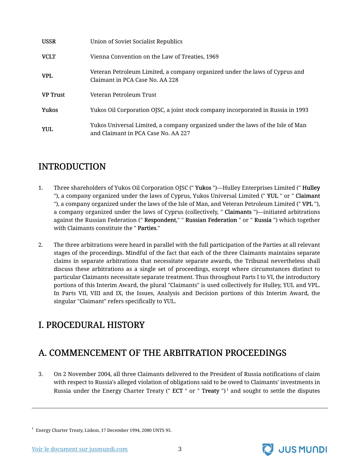| <b>USSR</b>     | Union of Soviet Socialist Republics                                                                                   |
|-----------------|-----------------------------------------------------------------------------------------------------------------------|
| <b>VCLT</b>     | Vienna Convention on the Law of Treaties, 1969                                                                        |
| <b>VPL</b>      | Veteran Petroleum Limited, a company organized under the laws of Cyprus and<br>Claimant in PCA Case No. AA 228        |
| <b>VP Trust</b> | Veteran Petroleum Trust                                                                                               |
| Yukos           | Yukos Oil Corporation OJSC, a joint stock company incorporated in Russia in 1993                                      |
| YUL             | Yukos Universal Limited, a company organized under the laws of the Isle of Man<br>and Claimant in PCA Case No. AA 227 |

### <span id="page-7-0"></span>INTRODUCTION

- 1. Three shareholders of Yukos Oil Corporation OJSC (" Yukos ")—Hulley Enterprises Limited (" Hulley "), a company organized under the laws of Cyprus, Yukos Universal Limited (" YUL " or " Claimant "), a company organized under the laws of the Isle of Man, and Veteran Petroleum Limited (" VPL "), a company organized under the laws of Cyprus (collectively, " Claimants ")—initiated arbitrations against the Russian Federation (" Respondent," " Russian Federation " or " Russia ") which together with Claimants constitute the " Parties."
- 2. The three arbitrations were heard in parallel with the full participation of the Parties at all relevant stages of the proceedings. Mindful of the fact that each of the three Claimants maintains separate claims in separate arbitrations that necessitate separate awards, the Tribunal nevertheless shall discuss these arbitrations as a single set of proceedings, except where circumstances distinct to particular Claimants necessitate separate treatment. Thus throughout Parts I to VI, the introductory portions of this Interim Award, the plural "Claimants" is used collectively for Hulley, YUL and VPL. In Parts VII, VIII and IX, the Issues, Analysis and Decision portions of this Interim Award, the singular "Claimant" refers specifically to YUL.

# <span id="page-7-1"></span>I. PROCEDURAL HISTORY

# <span id="page-7-2"></span>A. COMMENCEMENT OF THE ARBITRATION PROCEEDINGS

3. On 2 November 2004, all three Claimants delivered to the President of Russia notifications of claim with respect to Russia's alleged violation of obligations said to be owed to Claimants' investments in Russia under the Energy Charter Treaty (" ECT " or " Treaty ")<sup>1</sup> and sought to settle the disputes



 $^{\rm 1}$  Energy Charter Treaty, Lisbon, 17 December 1994, 2080 UNTS 95.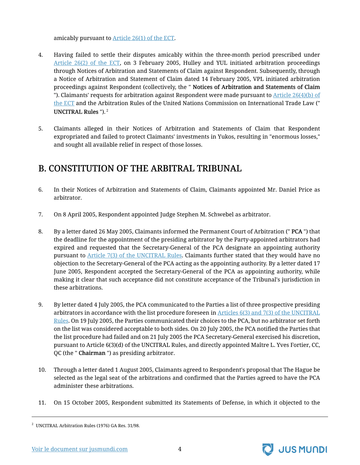amicably pursuant to [Article 26\(1\) of the ECT.](https://jusmundi.com/en/document/h/clljWVJHbGxISEg0VUZMdWNJazE2TnJ3Mmxwb2NlQ1R3cmNjQXR1UDFhaUg5bDhhczBqUjlmYmVtWWhITFNjK3dCV0JaSFlDK3BFbFIyL0xvSHhiR2sxdnZtV2R3TDJsQUR2Q0hoUUhPeWlwUFRXK0ZmSTJDNUVyTytCd1RRNTNJRVl1SUhwZG5jeEpYTHVXWjR0eCtnPT0=)

- 4. Having failed to settle their disputes amicably within the three-month period prescribed under [Article 26\(2\) of the ECT,](https://jusmundi.com/en/document/h/clljWVJHbGxISEg0VUZMdWNJazE2TnJ3Mmxwb2NlQ1R3cmNjQXR1UDFhaUg5bDhhczBqUjlmYmVtWWhITFNjK3dCV0JaSFlDK3BFbFIyL0xvSHhiR2sxdnZtV2R3TDJsQUR2Q0hoUUhPeWlwUFRXK0ZmSTJDNUVyTytCd1RRNTNlM01sK2JwU2VPZlRmZklxcDhGcUlnPT0=) on 3 February 2005, Hulley and YUL initiated arbitration proceedings through Notices of Arbitration and Statements of Claim against Respondent. Subsequently, through a Notice of Arbitration and Statement of Claim dated 14 February 2005, VPL initiated arbitration proceedings against Respondent (collectively, the " Notices of Arbitration and Statements of Claim "). Claimants' requests for arbitration against Respondent were made pursuant to  $\text{Article }26(4)(b)$  of [the ECT](https://jusmundi.com/en/document/h/clljWVJHbGxISEg0VUZMdWNJazE2TnJ3Mmxwb2NlQ1R3cmNjQXR1UDFhaUg5bDhhczBqUjlmYmVtWWhITFNjK3dCV0JaSFlDK3BFbFIyL0xvSHhiR2sxdnZtV2R3TDJsQUR2Q0hoUUhPeWlwUFRXK0ZmSTJDNUVyTytCd1RRNTM0akRLZ3lCYWp4dDcybmFrWjhMdXVRPT0=) and the Arbitration Rules of the United Nations Commission on International Trade Law (" UNCITRAL Rules "). <sup>2</sup>
- 5. Claimants alleged in their Notices of Arbitration and Statements of Claim that Respondent expropriated and failed to protect Claimants' investments in Yukos, resulting in "enormous losses," and sought all available relief in respect of those losses.

## <span id="page-8-0"></span>B. CONSTITUTION OF THE ARBITRAL TRIBUNAL

- 6. In their Notices of Arbitration and Statements of Claim, Claimants appointed Mr. Daniel Price as arbitrator.
- 7. On 8 April 2005, Respondent appointed Judge Stephen M. Schwebel as arbitrator.
- 8. By a letter dated 26 May 2005, Claimants informed the Permanent Court of Arbitration (" PCA ") that the deadline for the appointment of the presiding arbitrator by the Party-appointed arbitrators had expired and requested that the Secretary-General of the PCA designate an appointing authority pursuant to [Article 7\(3\) of the UNCITRAL Rules](https://jusmundi.com/en/document/h/K3c3WHBLTUlqbG80TVZ5dlN0TWIyT1BOMVlIY3VQdXZSYUtDM1ZKZkkxaVlid1lJcUFSVHR1VHNrQ2dYZzdVNGk3VHlybFpHc0JZMlJjNEFtNHZGdnREU3ZNaHJUZXpWRW9pRDlKT2lDK1ZqdWg4YWgycmJpMVU0Yjg1bDA0RVo=). Claimants further stated that they would have no objection to the Secretary-General of the PCA acting as the appointing authority. By a letter dated 17 June 2005, Respondent accepted the Secretary-General of the PCA as appointing authority, while making it clear that such acceptance did not constitute acceptance of the Tribunal's jurisdiction in these arbitrations.
- 9. By letter dated 4 July 2005, the PCA communicated to the Parties a list of three prospective presiding arbitrators in accordance with the list procedure foreseen in [Articles 6\(3\) and 7\(3\) of the UNCITRAL](https://jusmundi.com/en/document/h/K3c3WHBLTUlqbG80TVZ5dlN0TWIyT1BOMVlIY3VQdXZSYUtDM1ZKZkkxaVlid1lJcUFSVHR1VHNrQ2dYZzdVNGk3VHlybFpHc0JZMlJjNEFtNHZGdmlVYnUrUjhxam5ZQXZxVTgzVHMvb2pxcWlob0lZWDJKamx2dTFnN3V5QTI=) [Rules](https://jusmundi.com/en/document/h/K3c3WHBLTUlqbG80TVZ5dlN0TWIyT1BOMVlIY3VQdXZSYUtDM1ZKZkkxaVlid1lJcUFSVHR1VHNrQ2dYZzdVNGk3VHlybFpHc0JZMlJjNEFtNHZGdmlVYnUrUjhxam5ZQXZxVTgzVHMvb2pxcWlob0lZWDJKamx2dTFnN3V5QTI=). On 19 July 2005, the Parties communicated their choices to the PCA, but no arbitrator set forth on the list was considered acceptable to both sides. On 20 July 2005, the PCA notified the Parties that the list procedure had failed and on 21 July 2005 the PCA Secretary-General exercised his discretion, pursuant to Article 6(3)(d) of the UNCITRAL Rules, and directly appointed Maître L. Yves Fortier, CC, QC (the " Chairman ") as presiding arbitrator.
- 10. Through a letter dated 1 August 2005, Claimants agreed to Respondent's proposal that The Hague be selected as the legal seat of the arbitrations and confirmed that the Parties agreed to have the PCA administer these arbitrations.
- 11. On 15 October 2005, Respondent submitted its Statements of Defense, in which it objected to the



<sup>2</sup> UNCITRAL Arbitration Rules (1976) GA Res. 31/98.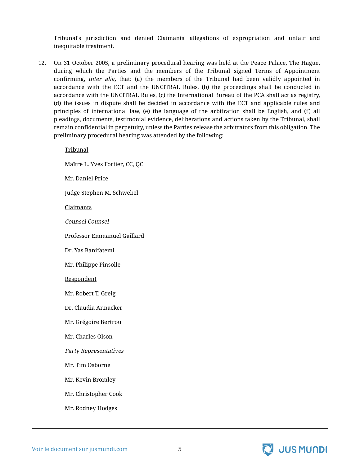Tribunal's jurisdiction and denied Claimants' allegations of expropriation and unfair and inequitable treatment.

12. On 31 October 2005, a preliminary procedural hearing was held at the Peace Palace, The Hague, during which the Parties and the members of the Tribunal signed Terms of Appointment confirming, inter alia, that: (a) the members of the Tribunal had been validly appointed in accordance with the ECT and the UNCITRAL Rules, (b) the proceedings shall be conducted in accordance with the UNCITRAL Rules, (c) the International Bureau of the PCA shall act as registry, (d) the issues in dispute shall be decided in accordance with the ECT and applicable rules and principles of international law, (e) the language of the arbitration shall be English, and (f) all pleadings, documents, testimonial evidence, deliberations and actions taken by the Tribunal, shall remain confidential in perpetuity, unless the Parties release the arbitrators from this obligation. The preliminary procedural hearing was attended by the following:

Tribunal Maître L. Yves Fortier, CC, QC Mr. Daniel Price Judge Stephen M. Schwebel Claimants Counsel Counsel Professor Emmanuel Gaillard Dr. Yas Banifatemi Mr. Philippe Pinsolle Respondent Mr. Robert T. Greig Dr. Claudia Annacker Mr. Grégoire Bertrou Mr. Charles Olson Party Representatives Mr. Tim Osborne Mr. Kevin Bromley Mr. Christopher Cook Mr. Rodney Hodges

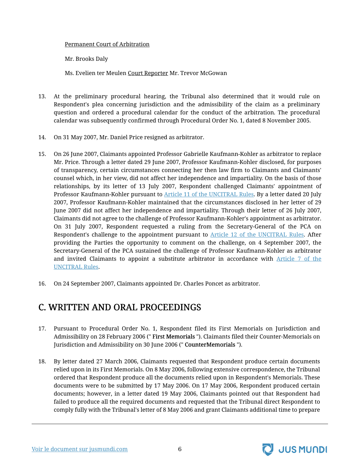#### Permanent Court of Arbitration

Mr. Brooks Daly

Ms. Evelien ter Meulen Court Reporter Mr. Trevor McGowan

- 13. At the preliminary procedural hearing, the Tribunal also determined that it would rule on Respondent's plea concerning jurisdiction and the admissibility of the claim as a preliminary question and ordered a procedural calendar for the conduct of the arbitration. The procedural calendar was subsequently confirmed through Procedural Order No. 1, dated 8 November 2005.
- 14. On 31 May 2007, Mr. Daniel Price resigned as arbitrator.
- 15. On 26 June 2007, Claimants appointed Professor Gabrielle Kaufmann-Kohler as arbitrator to replace Mr. Price. Through a letter dated 29 June 2007, Professor Kaufmann-Kohler disclosed, for purposes of transparency, certain circumstances connecting her then law firm to Claimants and Claimants' counsel which, in her view, did not affect her independence and impartiality. On the basis of those relationships, by its letter of 13 July 2007, Respondent challenged Claimants' appointment of Professor Kaufmann-Kohler pursuant to [Article 11 of the UNCITRAL Rules.](https://jusmundi.com/en/document/h/K3c3WHBLTUlqbG80TVZ5dlN0TWIyT1BOMVlIY3VQdXZSYUtDM1ZKZkkxaVlid1lJcUFSVHR1VHNrQ2dYZzdVNGk3VHlybFpHc0JZMlJjNEFtNHZGdmxQQ3ZaTFpwdE5PRXFwR1lndDRuNzQ9) By a letter dated 20 July 2007, Professor Kaufmann-Kohler maintained that the circumstances disclosed in her letter of 29 June 2007 did not affect her independence and impartiality. Through their letter of 26 July 2007, Claimants did not agree to the challenge of Professor Kaufmann-Kohler's appointment as arbitrator. On 31 July 2007, Respondent requested a ruling from the Secretary-General of the PCA on Respondent's challenge to the appointment pursuant to [Article 12 of the UNCITRAL Rules.](https://jusmundi.com/en/document/h/K3c3WHBLTUlqbG80TVZ5dlN0TWIyT1BOMVlIY3VQdXZSYUtDM1ZKZkkxaVlid1lJcUFSVHR1VHNrQ2dYZzdVNGk3VHlybFpHc0JZMlJjNEFtNHZGdmxQQ3ZaTFpwdE5PRXFwR1lndDRuNzQ9) After providing the Parties the opportunity to comment on the challenge, on 4 September 2007, the Secretary-General of the PCA sustained the challenge of Professor Kaufmann-Kohler as arbitrator and invited Claimants to appoint a substitute arbitrator in accordance with [Article 7 of the](https://jusmundi.com/en/document/h/K3c3WHBLTUlqbG80TVZ5dlN0TWIyT1BOMVlIY3VQdXZSYUtDM1ZKZkkxaVlid1lJcUFSVHR1VHNrQ2dYZzdVNGk3VHlybFpHc0JZMlJjNEFtNHZGdmxQQ3ZaTFpwdE5PRXFwR1lndDRuNzQ9) [UNCITRAL Rules](https://jusmundi.com/en/document/h/K3c3WHBLTUlqbG80TVZ5dlN0TWIyT1BOMVlIY3VQdXZSYUtDM1ZKZkkxaVlid1lJcUFSVHR1VHNrQ2dYZzdVNGk3VHlybFpHc0JZMlJjNEFtNHZGdmxQQ3ZaTFpwdE5PRXFwR1lndDRuNzQ9).
- 16. On 24 September 2007, Claimants appointed Dr. Charles Poncet as arbitrator.

# <span id="page-10-0"></span>C. WRITTEN AND ORAL PROCEEDINGS

- 17. Pursuant to Procedural Order No. 1, Respondent filed its First Memorials on Jurisdiction and Admissibility on 28 February 2006 (" First Memorials "). Claimants filed their Counter-Memorials on Jurisdiction and Admissibility on 30 June 2006 (" CounterMemorials ").
- 18. By letter dated 27 March 2006, Claimants requested that Respondent produce certain documents relied upon in its First Memorials. On 8 May 2006, following extensive correspondence, the Tribunal ordered that Respondent produce all the documents relied upon in Respondent's Memorials. These documents were to be submitted by 17 May 2006. On 17 May 2006, Respondent produced certain documents; however, in a letter dated 19 May 2006, Claimants pointed out that Respondent had failed to produce all the required documents and requested that the Tribunal direct Respondent to comply fully with the Tribunal's letter of 8 May 2006 and grant Claimants additional time to prepare



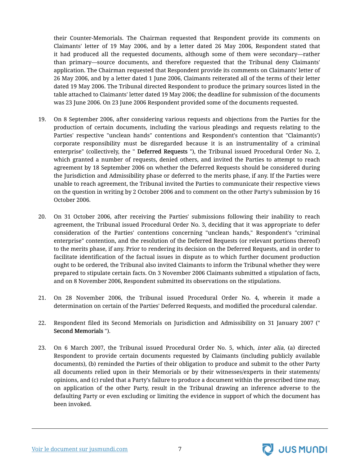their Counter-Memorials. The Chairman requested that Respondent provide its comments on Claimants' letter of 19 May 2006, and by a letter dated 26 May 2006, Respondent stated that it had produced all the requested documents, although some of them were secondary—rather than primary—source documents, and therefore requested that the Tribunal deny Claimants' application. The Chairman requested that Respondent provide its comments on Claimants' letter of 26 May 2006, and by a letter dated 1 June 2006, Claimants reiterated all of the terms of their letter dated 19 May 2006. The Tribunal directed Respondent to produce the primary sources listed in the table attached to Claimants' letter dated 19 May 2006; the deadline for submission of the documents was 23 June 2006. On 23 June 2006 Respondent provided some of the documents requested.

- 19. On 8 September 2006, after considering various requests and objections from the Parties for the production of certain documents, including the various pleadings and requests relating to the Parties' respective "unclean hands" contentions and Respondent's contention that "Claimant(s') corporate responsibility must be disregarded because it is an instrumentality of a criminal enterprise" (collectively, the " Deferred Requests "), the Tribunal issued Procedural Order No. 2, which granted a number of requests, denied others, and invited the Parties to attempt to reach agreement by 18 September 2006 on whether the Deferred Requests should be considered during the Jurisdiction and Admissibility phase or deferred to the merits phase, if any. If the Parties were unable to reach agreement, the Tribunal invited the Parties to communicate their respective views on the question in writing by 2 October 2006 and to comment on the other Party's submission by 16 October 2006.
- 20. On 31 October 2006, after receiving the Parties' submissions following their inability to reach agreement, the Tribunal issued Procedural Order No. 3, deciding that it was appropriate to defer consideration of the Parties' contentions concerning "unclean hands," Respondent's "criminal enterprise" contention, and the resolution of the Deferred Requests (or relevant portions thereof) to the merits phase, if any. Prior to rendering its decision on the Deferred Requests, and in order to facilitate identification of the factual issues in dispute as to which further document production ought to be ordered, the Tribunal also invited Claimants to inform the Tribunal whether they were prepared to stipulate certain facts. On 3 November 2006 Claimants submitted a stipulation of facts, and on 8 November 2006, Respondent submitted its observations on the stipulations.
- 21. On 28 November 2006, the Tribunal issued Procedural Order No. 4, wherein it made a determination on certain of the Parties' Deferred Requests, and modified the procedural calendar.
- 22. Respondent filed its Second Memorials on Jurisdiction and Admissibility on 31 January 2007 (" Second Memorials ").
- 23. On 6 March 2007, the Tribunal issued Procedural Order No. 5, which, inter alia, (a) directed Respondent to provide certain documents requested by Claimants (including publicly available documents), (b) reminded the Parties of their obligation to produce and submit to the other Party all documents relied upon in their Memorials or by their witnesses/experts in their statements/ opinions, and (c) ruled that a Party's failure to produce a document within the prescribed time may, on application of the other Party, result in the Tribunal drawing an inference adverse to the defaulting Party or even excluding or limiting the evidence in support of which the document has been invoked.



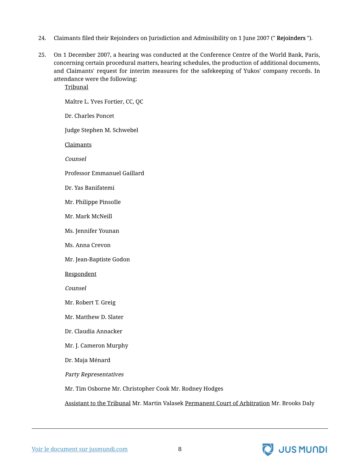- 24. Claimants filed their Rejoinders on Jurisdiction and Admissibility on 1 June 2007 (" Rejoinders ").
- 25. On 1 December 2007, a hearing was conducted at the Conference Centre of the World Bank, Paris, concerning certain procedural matters, hearing schedules, the production of additional documents, and Claimants' request for interim measures for the safekeeping of Yukos' company records. In attendance were the following:

Tribunal Maître L. Yves Fortier, CC, QC Dr. Charles Poncet Judge Stephen M. Schwebel **Claimants** Counsel Professor Emmanuel Gaillard Dr. Yas Banifatemi Mr. Philippe PinsoIle Mr. Mark McNeill Ms. Jennifer Younan Ms. Anna Crevon Mr. Jean-Baptiste Godon **Respondent** Counsel Mr. Robert T. Greig Mr. Matthew D. Slater Dr. Claudia Annacker Mr. J. Cameron Murphy Dr. Maja Ménard Party Representatives Mr. Tim Osborne Mr. Christopher Cook Mr. Rodney Hodges

Assistant to the Tribunal Mr. Martin Valasek Permanent Court of Arbitration Mr. Brooks Daly



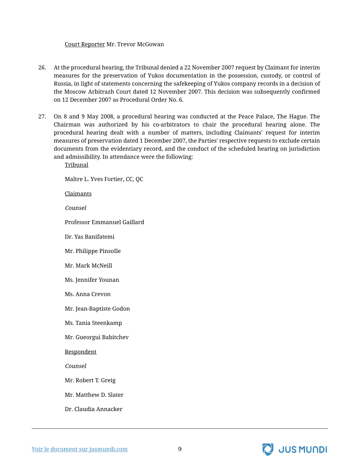#### Court Reporter Mr. Trevor McGowan

- 26. At the procedural hearing, the Tribunal denied a 22 November 2007 request by Claimant for interim measures for the preservation of Yukos documentation in the possession, custody, or control of Russia, in light of statements concerning the safekeeping of Yukos company records in a decision of the Moscow Arbitrazh Court dated 12 November 2007. This decision was subsequently confirmed on 12 December 2007 as Procedural Order No. 6.
- 27. On 8 and 9 May 2008, a procedural hearing was conducted at the Peace Palace, The Hague. The Chairman was authorized by his co-arbitrators to chair the procedural hearing alone. The procedural hearing dealt with a number of matters, including Claimants' request for interim measures of preservation dated 1 December 2007, the Parties' respective requests to exclude certain documents from the evidentiary record, and the conduct of the scheduled hearing on jurisdiction and admissibility. In attendance were the following:

# Tribunal

Maître L. Yves Fortier, CC, QC

Claimants

Counsel

Professor Emmanuel Gaillard

Dr. Yas Banifatemi

Mr. Philippe PinsoIle

Mr. Mark McNeill

Ms. Jennifer Younan

Ms. Anna Crevon

Mr. Jean-Baptiste Godon

Ms. Tania Steenkamp

Mr. Gueorgui Babitchev

Respondent

Counsel

Mr. Robert T. Greig

Mr. Matthew D. Slater

Dr. Claudia Annacker

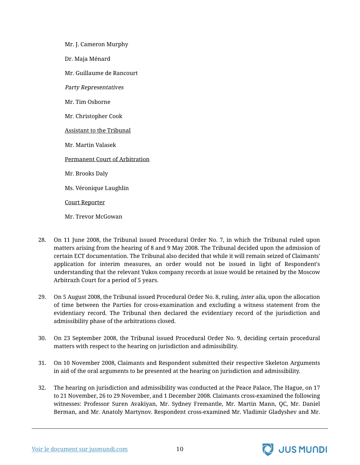Mr. J. Cameron Murphy

Dr. Maja Ménard

Mr. Guillaume de Rancourt

Party Representatives

Mr. Tim Osborne

Mr. Christopher Cook

Assistant to the Tribunal

Mr. Martin Valasek

Permanent Court of Arbitration

Mr. Brooks Daly

Ms. Véronique Laughlin

Court Reporter

Mr. Trevor McGowan

- 28. On 11 June 2008, the Tribunal issued Procedural Order No. 7, in which the Tribunal ruled upon matters arising from the hearing of 8 and 9 May 2008. The Tribunal decided upon the admission of certain ECT documentation. The Tribunal also decided that while it will remain seized of Claimants' application for interim measures, an order would not be issued in light of Respondent's understanding that the relevant Yukos company records at issue would be retained by the Moscow Arbitrazh Court for a period of 5 years.
- 29. On 5 August 2008, the Tribunal issued Procedural Order No. 8, ruling, *inter alia*, upon the allocation of time between the Parties for cross-examination and excluding a witness statement from the evidentiary record. The Tribunal then declared the evidentiary record of the jurisdiction and admissibility phase of the arbitrations closed.
- 30. On 23 September 2008, the Tribunal issued Procedural Order No. 9, deciding certain procedural matters with respect to the hearing on jurisdiction and admissibility.
- 31. On 10 November 2008, Claimants and Respondent submitted their respective Skeleton Arguments in aid of the oral arguments to be presented at the hearing on jurisdiction and admissibility.
- 32. The hearing on jurisdiction and admissibility was conducted at the Peace Palace, The Hague, on 17 to 21 November, 26 to 29 November, and 1 December 2008. Claimants cross-examined the following witnesses: Professor Suren Avakiyan, Mr. Sydney Fremantle, Mr. Martin Mann, QC, Mr. Daniel Berman, and Mr. Anatoly Martynov. Respondent cross-examined Mr. Vladimir Gladyshev and Mr.



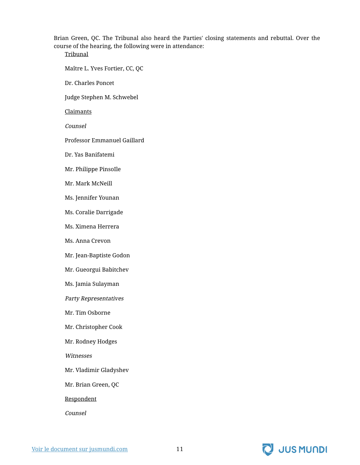Brian Green, QC. The Tribunal also heard the Parties' closing statements and rebuttal. Over the course of the hearing, the following were in attendance:

Tribunal

Maître L. Yves Fortier, CC, QC

Dr. Charles Poncet

Judge Stephen M. Schwebel

Claimants

Counsel

Professor Emmanuel Gaillard

Dr. Yas Banifatemi

Mr. Philippe PinsoIle

Mr. Mark McNeill

Ms. Jennifer Younan

Ms. Coralie Darrigade

Ms. Ximena Herrera

Ms. Anna Crevon

Mr. Jean-Baptiste Godon

Mr. Gueorgui Babitchev

Ms. Jamia Sulayman

Party Representatives

Mr. Tim Osborne

Mr. Christopher Cook

Mr. Rodney Hodges

Witnesses

Mr. Vladimir Gladyshev

Mr. Brian Green, QC

**Respondent** 

Counsel

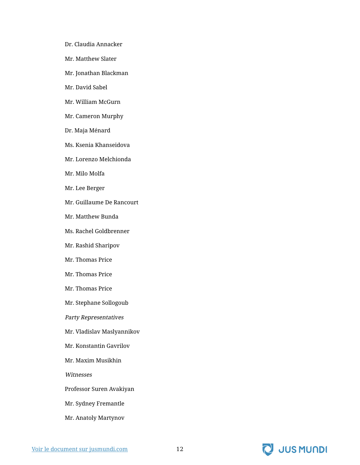- Dr. Claudia Annacker
- Mr. Matthew Slater
- Mr. Jonathan Blackman
- Mr. David Sabel
- Mr. William McGurn
- Mr. Cameron Murphy
- Dr. Maja Ménard
- Ms. Ksenia Khanseidova
- Mr. Lorenzo Melchionda
- Mr. Milo Molfa
- Mr. Lee Berger
- Mr. Guillaume De Rancourt
- Mr. Matthew Bunda
- Ms. Rachel Goldbrenner
- Mr. Rashid Sharipov
- Mr. Thomas Price
- Mr. Thomas Price
- Mr. Thomas Price
- Mr. Stephane Sollogoub
- Party Representatives
- Mr. Vladislav Maslyannikov
- Mr. Konstantin Gavrilov
- Mr. Maxim Musikhin
- Witnesses
- Professor Suren Avakiyan
- Mr. Sydney Fremantle
- Mr. Anatoly Martynov

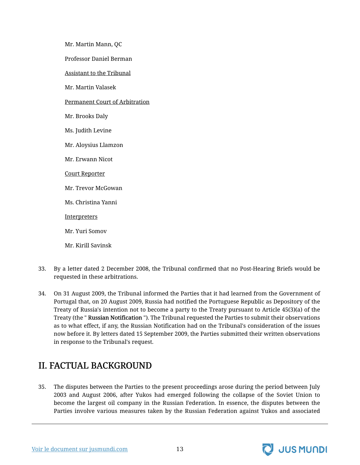Mr. Martin Mann, QC

Professor Daniel Berman

Assistant to the Tribunal

Mr. Martin Valasek

Permanent Court of Arbitration

Mr. Brooks Daly

- Ms. Judith Levine
- Mr. Aloysius Llamzon
- Mr. Erwann Nicot

Court Reporter

- Mr. Trevor McGowan
- Ms. Christina Yanni

**Interpreters** 

Mr. Yuri Somov

Mr. Kirill Savinsk

- 33. By a letter dated 2 December 2008, the Tribunal confirmed that no Post-Hearing Briefs would be requested in these arbitrations.
- 34. On 31 August 2009, the Tribunal informed the Parties that it had learned from the Government of Portugal that, on 20 August 2009, Russia had notified the Portuguese Republic as Depository of the Treaty of Russia's intention not to become a party to the Treaty pursuant to Article 45(3)(a) of the Treaty (the " Russian Notification "). The Tribunal requested the Parties to submit their observations as to what effect, if any, the Russian Notification had on the Tribunal's consideration of the issues now before it. By letters dated 15 September 2009, the Parties submitted their written observations in response to the Tribunal's request.

# <span id="page-17-0"></span>II. FACTUAL BACKGROUND

35. The disputes between the Parties to the present proceedings arose during the period between July 2003 and August 2006, after Yukos had emerged following the collapse of the Soviet Union to become the largest oil company in the Russian Federation. In essence, the disputes between the Parties involve various measures taken by the Russian Federation against Yukos and associated



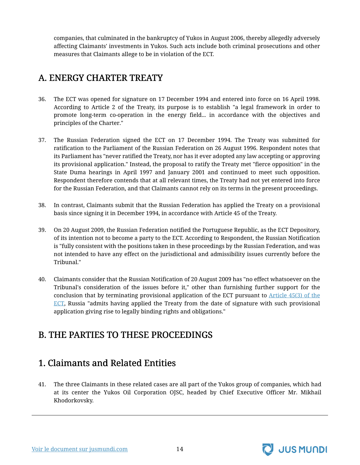companies, that culminated in the bankruptcy of Yukos in August 2006, thereby allegedly adversely affecting Claimants' investments in Yukos. Such acts include both criminal prosecutions and other measures that Claimants allege to be in violation of the ECT.

# <span id="page-18-0"></span>A. ENERGY CHARTER TREATY

- 36. The ECT was opened for signature on 17 December 1994 and entered into force on 16 April 1998. According to Article 2 of the Treaty, its purpose is to establish "a legal framework in order to promote long-term co-operation in the energy field... in accordance with the objectives and principles of the Charter."
- 37. The Russian Federation signed the ECT on 17 December 1994. The Treaty was submitted for ratification to the Parliament of the Russian Federation on 26 August 1996. Respondent notes that its Parliament has "never ratified the Treaty, nor has it ever adopted any law accepting or approving its provisional application." Instead, the proposal to ratify the Treaty met "fierce opposition" in the State Duma hearings in April 1997 and January 2001 and continued to meet such opposition. Respondent therefore contends that at all relevant times, the Treaty had not yet entered into force for the Russian Federation, and that Claimants cannot rely on its terms in the present proceedings.
- 38. In contrast, Claimants submit that the Russian Federation has applied the Treaty on a provisional basis since signing it in December 1994, in accordance with Article 45 of the Treaty.
- 39. On 20 August 2009, the Russian Federation notified the Portuguese Republic, as the ECT Depository, of its intention not to become a party to the ECT. According to Respondent, the Russian Notification is "fully consistent with the positions taken in these proceedings by the Russian Federation, and was not intended to have any effect on the jurisdictional and admissibility issues currently before the Tribunal."
- 40. Claimants consider that the Russian Notification of 20 August 2009 has "no effect whatsoever on the Tribunal's consideration of the issues before it," other than furnishing further support for the conclusion that by terminating provisional application of the ECT pursuant to  $\triangle$ rticle 45(3) of the [ECT](https://jusmundi.com/en/document/h/clljWVJHbGxISEg0VUZMdWNJazE2TnJ3Mmxwb2NlQ1R3cmNjQXR1UDFhaUg5bDhhczBqUjlmYmVtWWhITFNjK3dCV0JaSFlDK3BFbFIyL0xvSHhiR2sxdnZtV2R3TDJsQUR2Q0hoUUhPeWlwUFRXK0ZmSTJDNUVyTytCd1RRNTN0c09saGRCTjZKUWxVTi9IOS9PWDdBPT0=), Russia "admits having applied the Treaty from the date of signature with such provisional application giving rise to legally binding rights and obligations."

### <span id="page-18-1"></span>B. THE PARTIES TO THESE PROCEEDINGS

### <span id="page-18-2"></span>1. Claimants and Related Entities

41. The three Claimants in these related cases are all part of the Yukos group of companies, which had at its center the Yukos Oil Corporation OJSC, headed by Chief Executive Officer Mr. Mikhail Khodorkovsky.



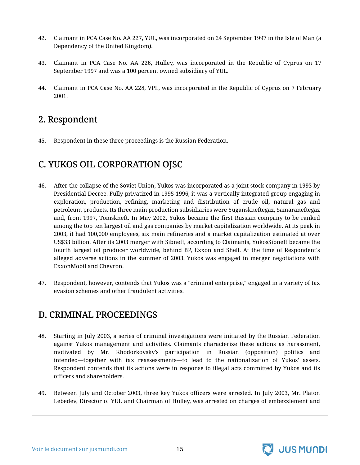- 42. Claimant in PCA Case No. AA 227, YUL, was incorporated on 24 September 1997 in the Isle of Man (a Dependency of the United Kingdom).
- 43. Claimant in PCA Case No. AA 226, Hulley, was incorporated in the Republic of Cyprus on 17 September 1997 and was a 100 percent owned subsidiary of YUL.
- 44. Claimant in PCA Case No. AA 228, VPL, was incorporated in the Republic of Cyprus on 7 February 2001.

## <span id="page-19-0"></span>2. Respondent

45. Respondent in these three proceedings is the Russian Federation.

# <span id="page-19-1"></span>C. YUKOS OIL CORPORATION OJSC

- 46. After the collapse of the Soviet Union, Yukos was incorporated as a joint stock company in 1993 by Presidential Decree. Fully privatized in 1995-1996, it was a vertically integrated group engaging in exploration, production, refining, marketing and distribution of crude oil, natural gas and petroleum products. Its three main production subsidiaries were Yuganskneftegaz, Samaraneftegaz and, from 1997, Tomskneft. In May 2002, Yukos became the first Russian company to be ranked among the top ten largest oil and gas companies by market capitalization worldwide. At its peak in 2003, it had 100,000 employees, six main refineries and a market capitalization estimated at over US\$33 billion. After its 2003 merger with Sibneft, according to Claimants, YukosSibneft became the fourth largest oil producer worldwide, behind BP, Exxon and Shell. At the time of Respondent's alleged adverse actions in the summer of 2003, Yukos was engaged in merger negotiations with ExxonMobil and Chevron.
- 47. Respondent, however, contends that Yukos was a "criminal enterprise," engaged in a variety of tax evasion schemes and other fraudulent activities.

### <span id="page-19-2"></span>D. CRIMINAL PROCEEDINGS

- 48. Starting in July 2003, a series of criminal investigations were initiated by the Russian Federation against Yukos management and activities. Claimants characterize these actions as harassment, motivated by Mr. Khodorkovsky's participation in Russian (opposition) politics and intended—together with tax reassessments—to lead to the nationalization of Yukos' assets. Respondent contends that its actions were in response to illegal acts committed by Yukos and its officers and shareholders.
- 49. Between July and October 2003, three key Yukos officers were arrested. In July 2003, Mr. Platon Lebedev, Director of YUL and Chairman of Hulley, was arrested on charges of embezzlement and

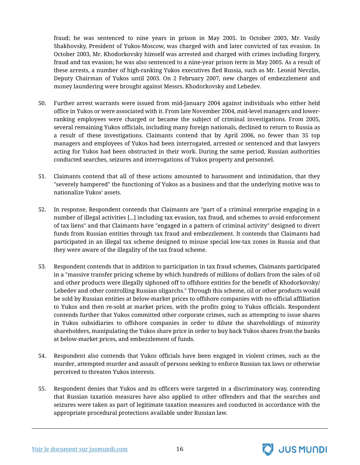fraud; he was sentenced to nine years in prison in May 2005. In October 2003, Mr. Vasily Shakhovsky, President of Yukos-Moscow, was charged with and later convicted of tax evasion. In October 2003, Mr. Khodorkovsky himself was arrested and charged with crimes including forgery, fraud and tax evasion; he was also sentenced to a nine-year prison term in May 2005. As a result of these arrests, a number of high-ranking Yukos executives fled Russia, such as Mr. Leonid Nevzlin, Deputy Chairman of Yukos until 2003. On 2 February 2007, new charges of embezzlement and money laundering were brought against Messrs. Khodorkovsky and Lebedev.

- 50. Further arrest warrants were issued from mid-January 2004 against individuals who either held office in Yukos or were associated with it. From late November 2004, mid-level managers and lowerranking employees were charged or became the subject of criminal investigations. From 2005, several remaining Yukos officials, including many foreign nationals, declined to return to Russia as a result of these investigations. Claimants contend that by April 2006, no fewer than 35 top managers and employees of Yukos had been interrogated, arrested or sentenced and that lawyers acting for Yukos had been obstructed in their work. During the same period, Russian authorities conducted searches, seizures and interrogations of Yukos property and personnel.
- 51. Claimants contend that all of these actions amounted to harassment and intimidation, that they "severely hampered" the functioning of Yukos as a business and that the underlying motive was to nationalize Yukos' assets.
- 52. In response, Respondent contends that Claimants are "part of a criminal enterprise engaging in a number of illegal activities [...] including tax evasion, tax fraud, and schemes to avoid enforcement of tax liens" and that Claimants have "engaged in a pattern of criminal activity" designed to divert funds from Russian entities through tax fraud and embezzlement. It contends that Claimants had participated in an illegal tax scheme designed to misuse special low-tax zones in Russia and that they were aware of the illegality of the tax fraud scheme.
- 53. Respondent contends that in addition to participation in tax fraud schemes, Claimants participated in a "massive transfer pricing scheme by which hundreds of millions of dollars from the sales of oil and other products were illegally siphoned off to offshore entities for the benefit of Khodorkovsky/ Lebedev and other controlling Russian oligarchs." Through this scheme, oil or other products would be sold by Russian entities at below-market prices to offshore companies with no official affiliation to Yukos and then re-sold at market prices, with the profits going to Yukos officials. Respondent contends further that Yukos committed other corporate crimes, such as attempting to issue shares in Yukos subsidiaries to offshore companies in order to dilute the shareholdings of minority shareholders, manipulating the Yukos share price in order to buy back Yukos shares from the banks at below-market prices, and embezzlement of funds.
- 54. Respondent also contends that Yukos officials have been engaged in violent crimes, such as the murder, attempted murder and assault of persons seeking to enforce Russian tax laws or otherwise perceived to threaten Yukos interests.
- 55. Respondent denies that Yukos and its officers were targeted in a discriminatory way, contending that Russian taxation measures have also applied to other offenders and that the searches and seizures were taken as part of legitimate taxation measures and conducted in accordance with the appropriate procedural protections available under Russian law.



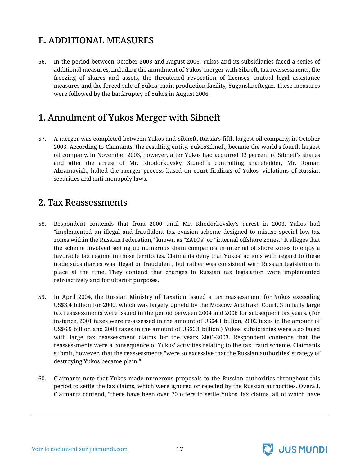# <span id="page-21-0"></span>E. ADDITIONAL MEASURES

56. In the period between October 2003 and August 2006, Yukos and its subsidiaries faced a series of additional measures, including the annulment of Yukos' merger with Sibneft, tax reassessments, the freezing of shares and assets, the threatened revocation of licenses, mutual legal assistance measures and the forced sale of Yukos' main production facility, Yuganskneftegaz. These measures were followed by the bankruptcy of Yukos in August 2006.

#### <span id="page-21-1"></span>1. Annulment of Yukos Merger with Sibneft

57. A merger was completed between Yukos and Sibneft, Russia's fifth largest oil company, in October 2003. According to Claimants, the resulting entity, YukosSibneft, became the world's fourth largest oil company. In November 2003, however, after Yukos had acquired 92 percent of Sibneft's shares and after the arrest of Mr. Khodorkovsky, Sibneft's controlling shareholder, Mr. Roman Abramovich, halted the merger process based on court findings of Yukos' violations of Russian securities and anti-monopoly laws.

#### <span id="page-21-2"></span>2. Tax Reassessments

- 58. Respondent contends that from 2000 until Mr. Khodorkovsky's arrest in 2003, Yukos had "implemented an illegal and fraudulent tax evasion scheme designed to misuse special low-tax zones within the Russian Federation," known as "ZATOs" or "internal offshore zones." It alleges that the scheme involved setting up numerous sham companies in internal offshore zones to enjoy a favorable tax regime in those territories. Claimants deny that Yukos' actions with regard to these trade subsidiaries was illegal or fraudulent, but rather was consistent with Russian legislation in place at the time. They contend that changes to Russian tax legislation were implemented retroactively and for ulterior purposes.
- 59. In April 2004, the Russian Ministry of Taxation issued a tax reassessment for Yukos exceeding US\$3.4 billion for 2000, which was largely upheld by the Moscow Arbitrazh Court. Similarly large tax reassessments were issued in the period between 2004 and 2006 for subsequent tax years. (For instance, 2001 taxes were re-assessed in the amount of US\$4.1 billion, 2002 taxes in the amount of US\$6.9 billion and 2004 taxes in the amount of US\$6.1 billion.) Yukos' subsidiaries were also faced with large tax reassessment claims for the years 2001-2003. Respondent contends that the reassessments were a consequence of Yukos' activities relating to the tax fraud scheme. Claimants submit, however, that the reassessments "were so excessive that the Russian authorities' strategy of destroying Yukos became plain."
- 60. Claimants note that Yukos made numerous proposals to the Russian authorities throughout this period to settle the tax claims, which were ignored or rejected by the Russian authorities. Overall, Claimants contend, "there have been over 70 offers to settle Yukos' tax claims, all of which have

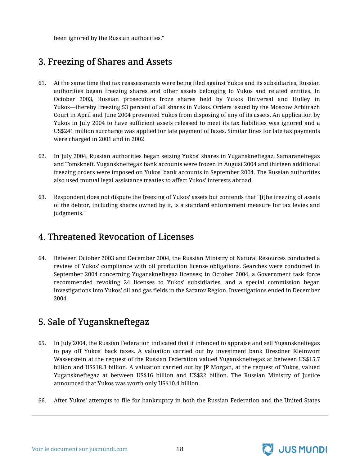been ignored by the Russian authorities."

# <span id="page-22-0"></span>3. Freezing of Shares and Assets

- 61. At the same time that tax reassessments were being filed against Yukos and its subsidiaries, Russian authorities began freezing shares and other assets belonging to Yukos and related entities. In October 2003, Russian prosecutors froze shares held by Yukos Universal and Hulley in Yukos—thereby freezing 53 percent of all shares in Yukos. Orders issued by the Moscow Arbitrazh Court in April and June 2004 prevented Yukos from disposing of any of its assets. An application by Yukos in July 2004 to have sufficient assets released to meet its tax liabilities was ignored and a US\$241 million surcharge was applied for late payment of taxes. Similar fines for late tax payments were charged in 2001 and in 2002.
- 62. In July 2004, Russian authorities began seizing Yukos' shares in Yuganskneftegaz, Samaraneftegaz and Tomskneft. Yuganskneftegaz bank accounts were frozen in August 2004 and thirteen additional freezing orders were imposed on Yukos' bank accounts in September 2004. The Russian authorities also used mutual legal assistance treaties to affect Yukos' interests abroad.
- 63. Respondent does not dispute the freezing of Yukos' assets but contends that "[t]he freezing of assets of the debtor, including shares owned by it, is a standard enforcement measure for tax levies and judgments."

### <span id="page-22-1"></span>4. Threatened Revocation of Licenses

64. Between October 2003 and December 2004, the Russian Ministry of Natural Resources conducted a review of Yukos' compliance with oil production license obligations. Searches were conducted in September 2004 concerning Yuganskneftegaz licenses; in October 2004, a Government task force recommended revoking 24 licenses to Yukos' subsidiaries, and a special commission began investigations into Yukos' oil and gas fields in the Saratov Region. Investigations ended in December 2004.

# <span id="page-22-2"></span>5. Sale of Yuganskneftegaz

- 65. In July 2004, the Russian Federation indicated that it intended to appraise and sell Yuganskneftegaz to pay off Yukos' back taxes. A valuation carried out by investment bank Dresdner Kleinwort Wasserstein at the request of the Russian Federation valued Yuganskneftegaz at between US\$15.7 billion and US\$18.3 billion. A valuation carried out by JP Morgan, at the request of Yukos, valued Yuganskneftegaz at between US\$16 billion and US\$22 billion. The Russian Ministry of Justice announced that Yukos was worth only US\$10.4 billion.
- 66. After Yukos' attempts to file for bankruptcy in both the Russian Federation and the United States

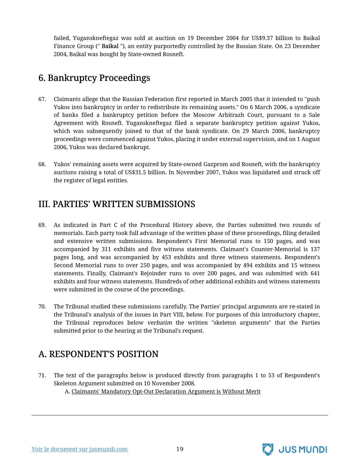failed, Yuganskneftegaz was sold at auction on 19 December 2004 for US\$9.37 billion to Baikal Finance Group (" Baikal "), an entity purportedly controlled by the Russian State. On 23 December 2004, Baikal was bought by State-owned Rosneft.

# <span id="page-23-0"></span>6. Bankruptcy Proceedings

- 67. Claimants allege that the Russian Federation first reported in March 2005 that it intended to "push Yukos into bankruptcy in order to redistribute its remaining assets." On 6 March 2006, a syndicate of banks filed a bankruptcy petition before the Moscow Arbitrazh Court, pursuant to a Sale Agreement with Rosneft. Yuganskneftegaz filed a separate bankruptcy petition against Yukos, which was subsequently joined to that of the bank syndicate. On 29 March 2006, bankruptcy proceedings were commenced against Yukos, placing it under external supervision, and on 1 August 2006, Yukos was declared bankrupt.
- 68. Yukos' remaining assets were acquired by State-owned Gazprom and Rosneft, with the bankruptcy auctions raising a total of US\$31.5 billion. In November 2007, Yukos was liquidated and struck off the register of legal entities.

#### <span id="page-23-1"></span>III. PARTIES' WRITTEN SUBMISSIONS

- 69. As indicated in Part C of the Procedural History above, the Parties submitted two rounds of memorials. Each party took full advantage of the written phase of these proceedings, filing detailed and extensive written submissions. Respondent's First Memorial runs to 150 pages, and was accompanied by 311 exhibits and five witness statements. Claimant's Counter-Memorial is 137 pages long, and was accompanied by 453 exhibits and three witness statements. Respondent's Second Memorial runs to over 250 pages, and was accompanied by 494 exhibits and 15 witness statements. Finally, Claimant's Rejoinder runs to over 200 pages, and was submitted with 641 exhibits and four witness statements. Hundreds of other additional exhibits and witness statements were submitted in the course of the proceedings.
- 70. The Tribunal studied these submissions carefully. The Parties' principal arguments are re-stated in the Tribunal's analysis of the issues in Part VIII, below. For purposes of this introductory chapter, the Tribunal reproduces below verbatim the written "skeleton arguments" that the Parties submitted prior to the hearing at the Tribunal's request.

# <span id="page-23-2"></span>A. RESPONDENT'S POSITION

71. The text of the paragraphs below is produced directly from paragraphs 1 to 53 of Respondent's Skeleton Argument submitted on 10 November 2008. A. Claimants' Mandatory Opt-Out Declaration Argument is Without Merit



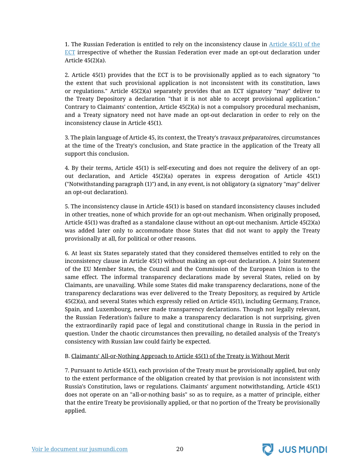1. The Russian Federation is entitled to rely on the inconsistency clause in  $Article 45(1) of the$ [ECT](https://jusmundi.com/en/document/h/clljWVJHbGxISEg0VUZMdWNJazE2TnJ3Mmxwb2NlQ1R3cmNjQXR1UDFhaUg5bDhhczBqUjlmYmVtWWhITFNjK3dCV0JaSFlDK3BFbFIyL0xvSHhiR2sxdnZtV2R3TDJsQUR2Q0hoUUhPeWlwUFRXK0ZmSTJDNUVyTytCd1RRNTNjZ05Tdy9FMGVhb3p3Ky9uOE9DSXdBPT0=) irrespective of whether the Russian Federation ever made an opt-out declaration under Article 45(2)(a).

2. Article 45(1) provides that the ECT is to be provisionally applied as to each signatory "to the extent that such provisional application is not inconsistent with its constitution, laws or regulations." Article 45(2)(a) separately provides that an ECT signatory "may" deliver to the Treaty Depository a declaration "that it is not able to accept provisional application." Contrary to Claimants' contention, Article 45(2)(a) is not a compulsory procedural mechanism, and a Treaty signatory need not have made an opt-out declaration in order to rely on the inconsistency clause in Article 45(1).

3. The plain language of Article 45, its context, the Treaty's travaux préparatoires, circumstances at the time of the Treaty's conclusion, and State practice in the application of the Treaty all support this conclusion.

4. By their terms, Article 45(1) is self-executing and does not require the delivery of an optout declaration, and Article 45(2)(a) operates in express derogation of Article 45(1) ("Notwithstanding paragraph (1)") and, in any event, is not obligatory (a signatory "may" deliver an opt-out declaration).

5. The inconsistency clause in Article 45(1) is based on standard inconsistency clauses included in other treaties, none of which provide for an opt-out mechanism. When originally proposed, Article 45(1) was drafted as a standalone clause without an opt-out mechanism. Article 45(2)(a) was added later only to accommodate those States that did not want to apply the Treaty provisionally at all, for political or other reasons.

6. At least six States separately stated that they considered themselves entitled to rely on the inconsistency clause in Article 45(1) without making an opt-out declaration. A Joint Statement of the EU Member States, the Council and the Commission of the European Union is to the same effect. The informal transparency declarations made by several States, relied on by Claimants, are unavailing. While some States did make transparency declarations, none of the transparency declarations was ever delivered to the Treaty Depository, as required by Article 45(2)(a), and several States which expressly relied on Article 45(1), including Germany, France, Spain, and Luxembourg, never made transparency declarations. Though not legally relevant, the Russian Federation's failure to make a transparency declaration is not surprising, given the extraordinarily rapid pace of legal and constitutional change in Russia in the period in question. Under the chaotic circumstances then prevailing, no detailed analysis of the Treaty's consistency with Russian law could fairly be expected.

#### B. Claimants' All-or-Nothing Approach to Article 45(1) of the Treaty is Without Merit

7. Pursuant to Article 45(1), each provision of the Treaty must be provisionally applied, but only to the extent performance of the obligation created by that provision is not inconsistent with Russia's Constitution, laws or regulations. Claimants' argument notwithstanding, Article 45(1) does not operate on an "all-or-nothing basis" so as to require, as a matter of principle, either that the entire Treaty be provisionally applied, or that no portion of the Treaty be provisionally applied.

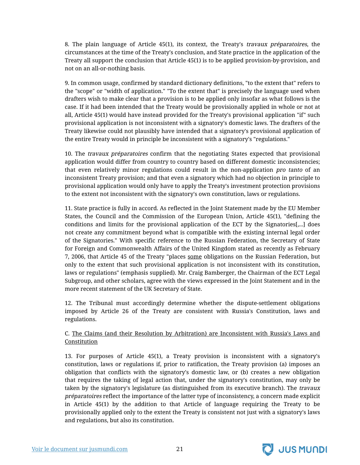8. The plain language of Article 45(1), its context, the Treaty's travaux préparatoires, the circumstances at the time of the Treaty's conclusion, and State practice in the application of the Treaty all support the conclusion that Article 45(1) is to be applied provision-by-provision, and not on an all-or-nothing basis.

9. In common usage, confirmed by standard dictionary definitions, "to the extent that" refers to the "scope" or "width of application." "To the extent that" is precisely the language used when drafters wish to make clear that a provision is to be applied only insofar as what follows is the case. If it had been intended that the Treaty would be provisionally applied in whole or not at all, Article 45(1) would have instead provided for the Treaty's provisional application "if" such provisional application is not inconsistent with a signatory's domestic laws. The drafters of the Treaty likewise could not plausibly have intended that a signatory's provisional application of the entire Treaty would in principle be inconsistent with a signatory's "regulations."

10. The travaux préparatoires confirm that the negotiating States expected that provisional application would differ from country to country based on different domestic inconsistencies; that even relatively minor regulations could result in the non-application *pro tanto* of an inconsistent Treaty provision; and that even a signatory which had no objection in principle to provisional application would only have to apply the Treaty's investment protection provisions to the extent not inconsistent with the signatory's own constitution, laws or regulations.

11. State practice is fully in accord. As reflected in the Joint Statement made by the EU Member States, the Council and the Commission of the European Union, Article 45(1), "defining the conditions and limits for the provisional application of the ECT by the Signatories[,...] does not create any commitment beyond what is compatible with the existing internal legal order of the Signatories." With specific reference to the Russian Federation, the Secretary of State for Foreign and Commonwealth Affairs of the United Kingdom stated as recently as February 7, 2006, that Article 45 of the Treaty "places some obligations on the Russian Federation, but only to the extent that such provisional application is not inconsistent with its constitution, laws or regulations" (emphasis supplied). Mr. Craig Bamberger, the Chairman of the ECT Legal Subgroup, and other scholars, agree with the views expressed in the Joint Statement and in the more recent statement of the UK Secretary of State.

12. The Tribunal must accordingly determine whether the dispute-settlement obligations imposed by Article 26 of the Treaty are consistent with Russia's Constitution, laws and regulations.

#### C. The Claims (and their Resolution by Arbitration) are Inconsistent with Russia's Laws and **Constitution**

13. For purposes of Article 45(1), a Treaty provision is inconsistent with a signatory's constitution, laws or regulations if, prior to ratification, the Treaty provision (a) imposes an obligation that conflicts with the signatory's domestic law, or (b) creates a new obligation that requires the taking of legal action that, under the signatory's constitution, may only be taken by the signatory's legislature (as distinguished from its executive branch). The *travaux* préparatoires reflect the importance of the latter type of inconsistency, a concern made explicit in Article 45(1) by the addition to that Article of language requiring the Treaty to be provisionally applied only to the extent the Treaty is consistent not just with a signatory's laws and regulations, but also its constitution.



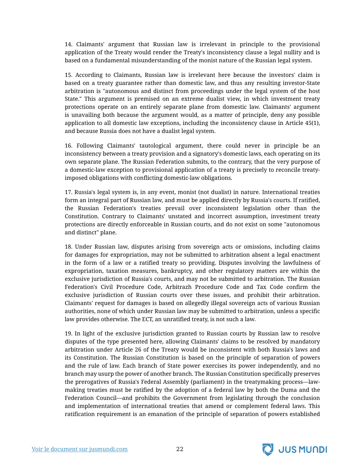14. Claimants' argument that Russian law is irrelevant in principle to the provisional application of the Treaty would render the Treaty's inconsistency clause a legal nullity and is based on a fundamental misunderstanding of the monist nature of the Russian legal system.

15. According to Claimants, Russian law is irrelevant here because the investors' claim is based on a treaty guarantee rather than domestic law, and thus any resulting investor-State arbitration is "autonomous and distinct from proceedings under the legal system of the host State." This argument is premised on an extreme dualist view, in which investment treaty protections operate on an entirely separate plane from domestic law. Claimants' argument is unavailing both because the argument would, as a matter of principle, deny any possible application to all domestic law exceptions, including the inconsistency clause in Article 45(1), and because Russia does not have a dualist legal system.

16. Following Claimants' tautological argument, there could never in principle be an inconsistency between a treaty provision and a signatory's domestic laws, each operating on its own separate plane. The Russian Federation submits, to the contrary, that the very purpose of a domestic-law exception to provisional application of a treaty is precisely to reconcile treatyimposed obligations with conflicting domestic-law obligations.

17. Russia's legal system is, in any event, monist (not dualist) in nature. International treaties form an integral part of Russian law, and must be applied directly by Russia's courts. If ratified, the Russian Federation's treaties prevail over inconsistent legislation other than the Constitution. Contrary to Claimants' unstated and incorrect assumption, investment treaty protections are directly enforceable in Russian courts, and do not exist on some "autonomous and distinct" plane.

18. Under Russian law, disputes arising from sovereign acts or omissions, including claims for damages for expropriation, may not be submitted to arbitration absent a legal enactment in the form of a law or a ratified treaty so providing. Disputes involving the lawfulness of expropriation, taxation measures, bankruptcy, and other regulatory matters are within the exclusive jurisdiction of Russia's courts, and may not be submitted to arbitration. The Russian Federation's Civil Procedure Code, Arbitrazh Procedure Code and Tax Code confirm the exclusive jurisdiction of Russian courts over these issues, and prohibit their arbitration. Claimants' request for damages is based on allegedly illegal sovereign acts of various Russian authorities, none of which under Russian law may be submitted to arbitration, unless a specific law provides otherwise. The ECT, an unratified treaty, is not such a law.

19. In light of the exclusive jurisdiction granted to Russian courts by Russian law to resolve disputes of the type presented here, allowing Claimants' claims to be resolved by mandatory arbitration under Article 26 of the Treaty would be inconsistent with both Russia's laws and its Constitution. The Russian Constitution is based on the principle of separation of powers and the rule of law. Each branch of State power exercises its power independently, and no branch may usurp the power of another branch. The Russian Constitution specifically preserves the prerogatives of Russia's Federal Assembly (parliament) in the treatymaking process—lawmaking treaties must be ratified by the adoption of a federal law by both the Duma and the Federation Council—and prohibits the Government from legislating through the conclusion and implementation of international treaties that amend or complement federal laws. This ratification requirement is an emanation of the principle of separation of powers established

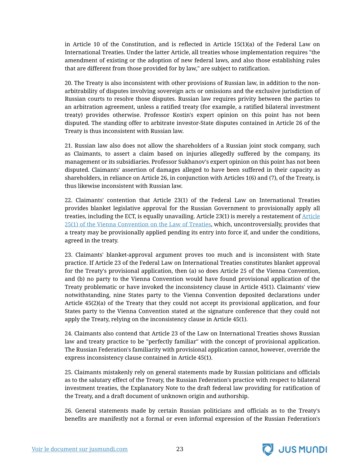in Article 10 of the Constitution, and is reflected in Article 15(1)(a) of the Federal Law on International Treaties. Under the latter Article, all treaties whose implementation requires "the amendment of existing or the adoption of new federal laws, and also those establishing rules that are different from those provided for by law," are subject to ratification.

20. The Treaty is also inconsistent with other provisions of Russian law, in addition to the nonarbitrability of disputes involving sovereign acts or omissions and the exclusive jurisdiction of Russian courts to resolve those disputes. Russian law requires privity between the parties to an arbitration agreement, unless a ratified treaty (for example, a ratified bilateral investment treaty) provides otherwise. Professor Kostin's expert opinion on this point has not been disputed. The standing offer to arbitrate investor-State disputes contained in Article 26 of the Treaty is thus inconsistent with Russian law.

21. Russian law also does not allow the shareholders of a Russian joint stock company, such as Claimants, to assert a claim based on injuries allegedly suffered by the company, its management or its subsidiaries. Professor Sukhanov's expert opinion on this point has not been disputed. Claimants' assertion of damages alleged to have been suffered in their capacity as shareholders, in reliance on Article 26, in conjunction with Articles 1(6) and (7), of the Treaty, is thus likewise inconsistent with Russian law.

22. Claimants' contention that Article 23(1) of the Federal Law on International Treaties provides blanket legislative approval for the Russian Government to provisionally apply all treaties, including the ECT, is equally unavailing. [Article](https://jusmundi.com/en/document/h/NVFwR2lWbkFqaXdJRmhJT3hnNFo0NEhoLzFzTjdSbU9icGpNYlQ0N3hXUjByQUw3dW1hT1I5OW90REYzWjlFYW1iQm0xR2ZxcmE5MFIwL3EyeU1DWUVRbENBMnU5S3g1dERqLzZnTWNMRHc3U0YwLzlEK2VYZ1FOT1ZFUEszei8yM25adnZnUXlFS0VUZE44K1VxYnNMb0xRMTJBbHF1Z1dEd3NJVmEyYXhRPQ==) 23(1) is merely a restatement of Article [25\(1\) of the Vienna Convention on the Law of Treaties,](https://jusmundi.com/en/document/h/NVFwR2lWbkFqaXdJRmhJT3hnNFo0NEhoLzFzTjdSbU9icGpNYlQ0N3hXUjByQUw3dW1hT1I5OW90REYzWjlFYW1iQm0xR2ZxcmE5MFIwL3EyeU1DWUVRbENBMnU5S3g1dERqLzZnTWNMRHc3U0YwLzlEK2VYZ1FOT1ZFUEszei8yM25adnZnUXlFS0VUZE44K1VxYnNMb0xRMTJBbHF1Z1dEd3NJVmEyYXhRPQ==) which, uncontroversially, provides that a treaty may be provisionally applied pending its entry into force if, and under the conditions, agreed in the treaty.

23. Claimants' blanket-approval argument proves too much and is inconsistent with State practice. If Article 23 of the Federal Law on International Treaties constitutes blanket approval for the Treaty's provisional application, then (a) so does Article 25 of the Vienna Convention, and (b) no party to the Vienna Convention would have found provisional application of the Treaty problematic or have invoked the inconsistency clause in Article 45(1). Claimants' view notwithstanding, nine States party to the Vienna Convention deposited declarations under Article 45(2)(a) of the Treaty that they could not accept its provisional application, and four States party to the Vienna Convention stated at the signature conference that they could not apply the Treaty, relying on the inconsistency clause in Article 45(1).

24. Claimants also contend that Article 23 of the Law on International Treaties shows Russian law and treaty practice to be "perfectly familiar" with the concept of provisional application. The Russian Federation's familiarity with provisional application cannot, however, override the express inconsistency clause contained in Article 45(1).

25. Claimants mistakenly rely on general statements made by Russian politicians and officials as to the salutary effect of the Treaty, the Russian Federation's practice with respect to bilateral investment treaties, the Explanatory Note to the draft federal law providing for ratification of the Treaty, and a draft document of unknown origin and authorship.

26. General statements made by certain Russian politicians and officials as to the Treaty's benefits are manifestly not a formal or even informal expression of the Russian Federation's

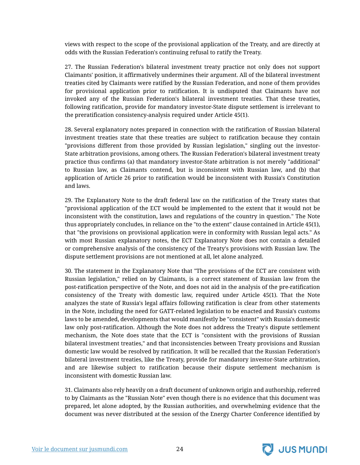views with respect to the scope of the provisional application of the Treaty, and are directly at odds with the Russian Federation's continuing refusal to ratify the Treaty.

27. The Russian Federation's bilateral investment treaty practice not only does not support Claimants' position, it affirmatively undermines their argument. All of the bilateral investment treaties cited by Claimants were ratified by the Russian Federation, and none of them provides for provisional application prior to ratification. It is undisputed that Claimants have not invoked any of the Russian Federation's bilateral investment treaties. That these treaties, following ratification, provide for mandatory investor-State dispute settlement is irrelevant to the preratification consistency-analysis required under Article 45(1).

28. Several explanatory notes prepared in connection with the ratification of Russian bilateral investment treaties state that these treaties are subject to ratification because they contain "provisions different from those provided by Russian legislation," singling out the investor-State arbitration provisions, among others. The Russian Federation's bilateral investment treaty practice thus confirms (a) that mandatory investor-State arbitration is not merely "additional" to Russian law, as Claimants contend, but is inconsistent with Russian law, and (b) that application of Article 26 prior to ratification would be inconsistent with Russia's Constitution and laws.

29. The Explanatory Note to the draft federal law on the ratification of the Treaty states that "provisional application of the ECT would be implemented to the extent that it would not be inconsistent with the constitution, laws and regulations of the country in question." The Note thus appropriately concludes, in reliance on the "to the extent" clause contained in Article 45(1), that "the provisions on provisional application were in conformity with Russian legal acts." As with most Russian explanatory notes, the ECT Explanatory Note does not contain a detailed or comprehensive analysis of the consistency of the Treaty's provisions with Russian law. The dispute settlement provisions are not mentioned at all, let alone analyzed.

30. The statement in the Explanatory Note that "The provisions of the ECT are consistent with Russian legislation," relied on by Claimants, is a correct statement of Russian law from the post-ratification perspective of the Note, and does not aid in the analysis of the pre-ratification consistency of the Treaty with domestic law, required under Article 45(1). That the Note analyzes the state of Russia's legal affairs following ratification is clear from other statements in the Note, including the need for GATT-related legislation to be enacted and Russia's customs laws to be amended, developments that would manifestly be "consistent" with Russia's domestic law only post-ratification. Although the Note does not address the Treaty's dispute settlement mechanism, the Note does state that the ECT is "consistent with the provisions of Russian bilateral investment treaties," and that inconsistencies between Treaty provisions and Russian domestic law would be resolved by ratification. It will be recalled that the Russian Federation's bilateral investment treaties, like the Treaty, provide for mandatory investor-State arbitration, and are likewise subject to ratification because their dispute settlement mechanism is inconsistent with domestic Russian law.

31. Claimants also rely heavily on a draft document of unknown origin and authorship, referred to by Claimants as the "Russian Note" even though there is no evidence that this document was prepared, let alone adopted, by the Russian authorities, and overwhelming evidence that the document was never distributed at the session of the Energy Charter Conference identified by

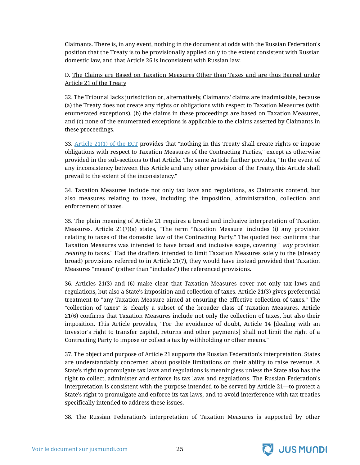Claimants. There is, in any event, nothing in the document at odds with the Russian Federation's position that the Treaty is to be provisionally applied only to the extent consistent with Russian domestic law, and that Article 26 is inconsistent with Russian law.

D. The Claims are Based on Taxation Measures Other than Taxes and are thus Barred under Article 21 of the Treaty

32. The Tribunal lacks jurisdiction or, alternatively, Claimants' claims are inadmissible, because (a) the Treaty does not create any rights or obligations with respect to Taxation Measures (with enumerated exceptions), (b) the claims in these proceedings are based on Taxation Measures, and (c) none of the enumerated exceptions is applicable to the claims asserted by Claimants in these proceedings.

33. Article  $21(1)$  of the ECT provides that "nothing in this Treaty shall create rights or impose obligations with respect to Taxation Measures of the Contracting Parties," except as otherwise provided in the sub-sections to that Article. The same Article further provides, "In the event of any inconsistency between this Article and any other provision of the Treaty, this Article shall prevail to the extent of the inconsistency."

34. Taxation Measures include not only tax laws and regulations, as Claimants contend, but also measures relating to taxes, including the imposition, administration, collection and enforcement of taxes.

35. The plain meaning of Article 21 requires a broad and inclusive interpretation of Taxation Measures. Article 21(7)(a) states, "The term 'Taxation Measure' includes (i) any provision relating to taxes of the domestic law of the Contracting Party." The quoted text confirms that Taxation Measures was intended to have broad and inclusive scope, covering " any provision relating to taxes." Had the drafters intended to limit Taxation Measures solely to the (already broad) provisions referred to in Article 21(7), they would have instead provided that Taxation Measures "means" (rather than "includes") the referenced provisions.

36. Articles 21(3) and (6) make clear that Taxation Measures cover not only tax laws and regulations, but also a State's imposition and collection of taxes. Article 21(3) gives preferential treatment to "any Taxation Measure aimed at ensuring the effective collection of taxes." The "collection of taxes" is clearly a subset of the broader class of Taxation Measures. Article 21(6) confirms that Taxation Measures include not only the collection of taxes, but also their imposition. This Article provides, "For the avoidance of doubt, Article 14 [dealing with an Investor's right to transfer capital, returns and other payments] shall not limit the right of a Contracting Party to impose or collect a tax by withholding or other means."

37. The object and purpose of Article 21 supports the Russian Federation's interpretation. States are understandably concerned about possible limitations on their ability to raise revenue. A State's right to promulgate tax laws and regulations is meaningless unless the State also has the right to collect, administer and enforce its tax laws and regulations. The Russian Federation's interpretation is consistent with the purpose intended to be served by Article 21—to protect a State's right to promulgate and enforce its tax laws, and to avoid interference with tax treaties specifically intended to address these issues.

38. The Russian Federation's interpretation of Taxation Measures is supported by other

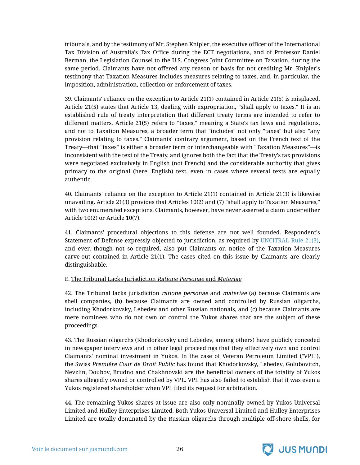tribunals, and by the testimony of Mr. Stephen Knipler, the executive officer of the International Tax Division of Australia's Tax Office during the ECT negotiations, and of Professor Daniel Berman, the Legislation Counsel to the U.S. Congress Joint Committee on Taxation, during the same period. Claimants have not offered any reason or basis for not crediting Mr. Knipler's testimony that Taxation Measures includes measures relating to taxes, and, in particular, the imposition, administration, collection or enforcement of taxes.

39. Claimants' reliance on the exception to Article 21(1) contained in Article 21(5) is misplaced. Article 21(5) states that Article 13, dealing with expropriation, "shall apply to taxes." It is an established rule of treaty interpretation that different treaty terms are intended to refer to different matters. Article 21(5) refers to "taxes," meaning a State's tax laws and regulations, and not to Taxation Measures, a broader term that "includes" not only "taxes" but also "any provision relating to taxes." Claimants' contrary argument, based on the French text of the Treaty—that "taxes" is either a broader term or interchangeable with "Taxation Measures"—is inconsistent with the text of the Treaty, and ignores both the fact that the Treaty's tax provisions were negotiated exclusively in English (not French) and the considerable authority that gives primacy to the original (here, English) text, even in cases where several texts are equally authentic.

40. Claimants' reliance on the exception to Article 21(1) contained in Article 21(3) is likewise unavailing. Article 21(3) provides that Articles 10(2) and (7) "shall apply to Taxation Measures," with two enumerated exceptions. Claimants, however, have never asserted a claim under either Article 10(2) or Article 10(7).

41. Claimants' procedural objections to this defense are not well founded. Respondent's Statement of Defense expressly objected to jurisdiction, as required by [UNCITRAL Rule 21\(3\)](https://jusmundi.com/en/document/h/K3c3WHBLTUlqbG80TVZ5dlN0TWIyT1BOMVlIY3VQdXZSYUtDM1ZKZkkxaVlid1lJcUFSVHR1VHNrQ2dYZzdVNGk3VHlybFpHc0JZMlJjNEFtNHZGdmwvakJ2R3hFc2JseWlhR3pDZzRKY2tRaWRQWVlrOWJCUndIWmJ6VnRxaUk=), and even though not so required, also put Claimants on notice of the Taxation Measures carve-out contained in Article 21(1). The cases cited on this issue by Claimants are clearly distinguishable.

#### E. The Tribunal Lacks Jurisdiction Ratione Personae and Materiae

42. The Tribunal lacks jurisdiction ratione personae and materiae (a) because Claimants are shell companies, (b) because Claimants are owned and controlled by Russian oligarchs, including Khodorkovsky, Lebedev and other Russian nationals, and (c) because Claimants are mere nominees who do not own or control the Yukos shares that are the subject of these proceedings.

43. The Russian oligarchs (Khodorkovsky and Lebedev, among others) have publicly conceded in newspaper interviews and in other legal proceedings that they effectively own and control Claimants' nominal investment in Yukos. In the case of Veteran Petroleum Limited ("VPL"), the Swiss Première Cour de Droit Public has found that Khodorkovsky, Lebedev, Golubovitch, Nevzlin, Doubov, Brudno and Chakhnovski are the beneficial owners of the totality of Yukos shares allegedly owned or controlled by VPL. VPL has also failed to establish that it was even a Yukos registered shareholder when VPL filed its request for arbitration.

44. The remaining Yukos shares at issue are also only nominally owned by Yukos Universal Limited and Hulley Enterprises Limited. Both Yukos Universal Limited and Hulley Enterprises Limited are totally dominated by the Russian oligarchs through multiple off-shore shells, for

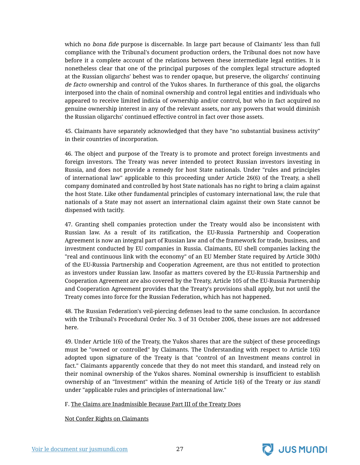which no *bona fide* purpose is discernable. In large part because of Claimants' less than full compliance with the Tribunal's document production orders, the Tribunal does not now have before it a complete account of the relations between these intermediate legal entities. It is nonetheless clear that one of the principal purposes of the complex legal structure adopted at the Russian oligarchs' behest was to render opaque, but preserve, the oligarchs' continuing de facto ownership and control of the Yukos shares. In furtherance of this goal, the oligarchs interposed into the chain of nominal ownership and control legal entities and individuals who appeared to receive limited indicia of ownership and/or control, but who in fact acquired no genuine ownership interest in any of the relevant assets, nor any powers that would diminish the Russian oligarchs' continued effective control in fact over those assets.

45. Claimants have separately acknowledged that they have "no substantial business activity" in their countries of incorporation.

46. The object and purpose of the Treaty is to promote and protect foreign investments and foreign investors. The Treaty was never intended to protect Russian investors investing in Russia, and does not provide a remedy for host State nationals. Under "rules and principles of international law" applicable to this proceeding under Article 26(6) of the Treaty, a shell company dominated and controlled by host State nationals has no right to bring a claim against the host State. Like other fundamental principles of customary international law, the rule that nationals of a State may not assert an international claim against their own State cannot be dispensed with tacitly.

47. Granting shell companies protection under the Treaty would also be inconsistent with Russian law. As a result of its ratification, the EU-Russia Partnership and Cooperation Agreement is now an integral part of Russian law and of the framework for trade, business, and investment conducted by EU companies in Russia. Claimants, EU shell companies lacking the "real and continuous link with the economy" of an EU Member State required by Article 30(h) of the EU-Russia Partnership and Cooperation Agreement, are thus not entitled to protection as investors under Russian law. Insofar as matters covered by the EU-Russia Partnership and Cooperation Agreement are also covered by the Treaty, Article 105 of the EU-Russia Partnership and Cooperation Agreement provides that the Treaty's provisions shall apply, but not until the Treaty comes into force for the Russian Federation, which has not happened.

48. The Russian Federation's veil-piercing defenses lead to the same conclusion. In accordance with the Tribunal's Procedural Order No. 3 of 31 October 2006, these issues are not addressed here.

49. Under Article 1(6) of the Treaty, the Yukos shares that are the subject of these proceedings must be "owned or controlled" by Claimants. The Understanding with respect to Article 1(6) adopted upon signature of the Treaty is that "control of an Investment means control in fact." Claimants apparently concede that they do not meet this standard, and instead rely on their nominal ownership of the Yukos shares. Nominal ownership is insufficient to establish ownership of an "Investment" within the meaning of Article 1(6) of the Treaty or ius standi under "applicable rules and principles of international law."

F. The Claims are Inadmissible Because Part III of the Treaty Does

Not Confer Rights on Claimants

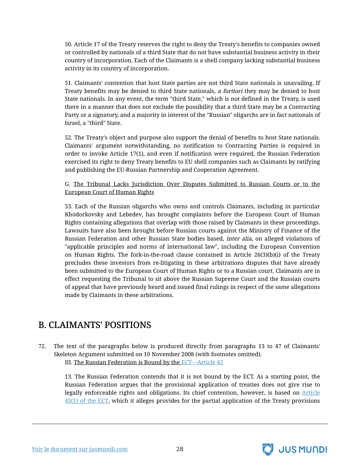50. Article 17 of the Treaty reserves the right to deny the Treaty's benefits to companies owned or controlled by nationals of a third State that do not have substantial business activity in their country of incorporation. Each of the Claimants is a shell company lacking substantial business activity in its country of incorporation.

51. Claimants' contention that host State parties are not third State nationals is unavailing. If Treaty benefits may be denied to third State nationals, a fortiori they may be denied to host State nationals. In any event, the term "third State," which is not defined in the Treaty, is used there in a manner that does not exclude the possibility that a third State may be a Contracting Party or a signatory, and a majority in interest of the "Russian" oligarchs are in fact nationals of Israel, a "third" State.

52. The Treaty's object and purpose also support the denial of benefits to host State nationals. Claimants' argument notwithstanding, no notification to Contracting Parties is required in order to invoke Article 17(1), and even if notification were required, the Russian Federation exercised its right to deny Treaty benefits to EU shell companies such as Claimants by ratifying and publishing the EU-Russian Partnership and Cooperation Agreement.

G. The Tribunal Lacks Jurisdiction Over Disputes Submitted to Russian Courts or to the European Court of Human Rights

53. Each of the Russian oligarchs who owns and controls Claimants, including in particular Khodorkovsky and Lebedev, has brought complaints before the European Court of Human Rights containing allegations that overlap with those raised by Claimants in these proceedings. Lawsuits have also been brought before Russian courts against the Ministry of Finance of the Russian Federation and other Russian State bodies based, inter alia, on alleged violations of "applicable principles and norms of international law", including the European Convention on Human Rights. The fork-in-the-road clause contained in Article 26(3)(b)(i) of the Treaty precludes these investors from re-litigating in these arbitrations disputes that have already been submitted to the European Court of Human Rights or to a Russian court. Claimants are in effect requesting the Tribunal to sit above the Russian Supreme Court and the Russian courts of appeal that have previously heard and issued final rulings in respect of the same allegations made by Claimants in these arbitrations.

#### <span id="page-32-0"></span>B. CLAIMANTS' POSITIONS

72. The text of the paragraphs below is produced directly from paragraphs 13 to 47 of Claimants' Skeleton Argument submitted on 10 November 2008 (with footnotes omitted). III. The Russian Federation is Bound by the [ECT—Article 45](https://jusmundi.com/en/document/h/clljWVJHbGxISEg0VUZMdWNJazE2TnJ3Mmxwb2NlQ1R3cmNjQXR1UDFhaUg5bDhhczBqUjlmYmVtWWhITFNjK3dCV0JaSFlDK3BFbFIyL0xvSHhiR2sxdnZtV2R3TDJsQUR2Q0hoUUhPeWlwUFRXK0ZmSTJDNUVyTytCd1RRNTNDQlhsK0drWUMvN3BMdmptc29leFJBPT0=)

13. The Russian Federation contends that it is not bound by the ECT. As a starting point, the Russian Federation argues that the provisional application of treaties does not give rise to legally enforceable rights and obligations. Its chief contention, however, is based on [Article](https://jusmundi.com/en/document/h/clljWVJHbGxISEg0VUZMdWNJazE2TnJ3Mmxwb2NlQ1R3cmNjQXR1UDFhaUg5bDhhczBqUjlmYmVtWWhITFNjK3dCV0JaSFlDK3BFbFIyL0xvSHhiR2sxdnZtV2R3TDJsQUR2Q0hoUUhPeWlwUFRXK0ZmSTJDNUVyTytCd1RRNTNjZ05Tdy9FMGVhb3p3Ky9uOE9DSXdBPT0=) [45\(1\) of the ECT](https://jusmundi.com/en/document/h/clljWVJHbGxISEg0VUZMdWNJazE2TnJ3Mmxwb2NlQ1R3cmNjQXR1UDFhaUg5bDhhczBqUjlmYmVtWWhITFNjK3dCV0JaSFlDK3BFbFIyL0xvSHhiR2sxdnZtV2R3TDJsQUR2Q0hoUUhPeWlwUFRXK0ZmSTJDNUVyTytCd1RRNTNjZ05Tdy9FMGVhb3p3Ky9uOE9DSXdBPT0=), which it alleges provides for the partial application of the Treaty provisions



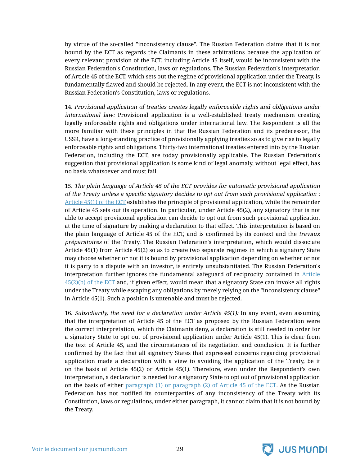by virtue of the so-called "inconsistency clause". The Russian Federation claims that it is not bound by the ECT as regards the Claimants in these arbitrations because the application of every relevant provision of the ECT, including Article 45 itself, would be inconsistent with the Russian Federation's Constitution, laws or regulations. The Russian Federation's interpretation of Article 45 of the ECT, which sets out the regime of provisional application under the Treaty, is fundamentally flawed and should be rejected. In any event, the ECT is not inconsistent with the Russian Federation's Constitution, laws or regulations.

14. Provisional application of treaties creates legally enforceable rights and obligations under international law: Provisional application is a well-established treaty mechanism creating legally enforceable rights and obligations under international law. The Respondent is all the more familiar with these principles in that the Russian Federation and its predecessor, the USSR, have a long-standing practice of provisionally applying treaties so as to give rise to legally enforceable rights and obligations. Thirty-two international treaties entered into by the Russian Federation, including the ECT, are today provisionally applicable. The Russian Federation's suggestion that provisional application is some kind of legal anomaly, without legal effect, has no basis whatsoever and must fail.

15. The plain language of Article 45 of the ECT provides for automatic provisional application of the Treaty unless <sup>a</sup> specific signatory decides to opt out from such provisional application : [Article 45\(1\) of the ECT](https://jusmundi.com/en/document/h/clljWVJHbGxISEg0VUZMdWNJazE2TnJ3Mmxwb2NlQ1R3cmNjQXR1UDFhaUg5bDhhczBqUjlmYmVtWWhITFNjK3dCV0JaSFlDK3BFbFIyL0xvSHhiR2sxdnZtV2R3TDJsQUR2Q0hoUUhPeWlwUFRXK0ZmSTJDNUVyTytCd1RRNTNjZ05Tdy9FMGVhb3p3Ky9uOE9DSXdBPT0=) establishes the principle of provisional application, while the remainder of Article 45 sets out its operation. In particular, under Article 45(2), any signatory that is not able to accept provisional application can decide to opt out from such provisional application at the time of signature by making a declaration to that effect. This interpretation is based on the plain language of Article 45 of the ECT, and is confirmed by its context and the *travaux* préparatoires of the Treaty. The Russian Federation's interpretation, which would dissociate Article 45(1) from Article 45(2) so as to create two separate regimes in which a signatory State may choose whether or not it is bound by provisional application depending on whether or not it is party to a dispute with an investor, is entirely unsubstantiated. The Russian Federation's interpretation further ignores the fundamental safeguard of reciprocity contained in [Article](https://jusmundi.com/en/document/h/clljWVJHbGxISEg0VUZMdWNJazE2TnJ3Mmxwb2NlQ1R3cmNjQXR1UDFhaUg5bDhhczBqUjlmYmVtWWhITFNjK3dCV0JaSFlDK3BFbFIyL0xvSHhiR2sxdnZtV2R3TDJsQUR2Q0hoUUhPeWlwUFRXK0ZmSTJDNUVyTytCd1RRNTNnc3JWdDBXcXU2TEZDVWJPdlZSa0dRPT0=)  $45(2)$ (b) of the ECT and, if given effect, would mean that a signatory State can invoke all rights under the Treaty while escaping any obligations by merely relying on the "inconsistency clause" in Article 45(1). Such a position is untenable and must be rejected.

16. Subsidiarily, the need for a declaration under Article  $45(1)$ : In any event, even assuming that the interpretation of Article 45 of the ECT as proposed by the Russian Federation were the correct interpretation, which the Claimants deny, a declaration is still needed in order for a signatory State to opt out of provisional application under Article 45(1). This is clear from the text of Article 45, and the circumstances of its negotiation and conclusion. It is further confirmed by the fact that all signatory States that expressed concerns regarding provisional application made a declaration with a view to avoiding the application of the Treaty, be it on the basis of Article 45(2) or Article 45(1). Therefore, even under the Respondent's own interpretation, a declaration is needed for a signatory State to opt out of provisional application on the basis of either [paragraph \(1\) or paragraph \(2\) of Article 45 of the ECT](https://jusmundi.com/en/document/h/clljWVJHbGxISEg0VUZMdWNJazE2TnJ3Mmxwb2NlQ1R3cmNjQXR1UDFhaUg5bDhhczBqUjlmYmVtWWhITFNjK3dCV0JaSFlDK3BFbFIyL0xvSHhiR2sxdnZtV2R3TDJsQUR2Q0hoUUhPeWlwUFRXK0ZmSTJDNUVyTytCd1RRNTNaV01PRVE2MWdBV0Z5aXV5WnRpbktRPT0=). As the Russian Federation has not notified its counterparties of any inconsistency of the Treaty with its Constitution, laws or regulations, under either paragraph, it cannot claim that it is not bound by the Treaty.



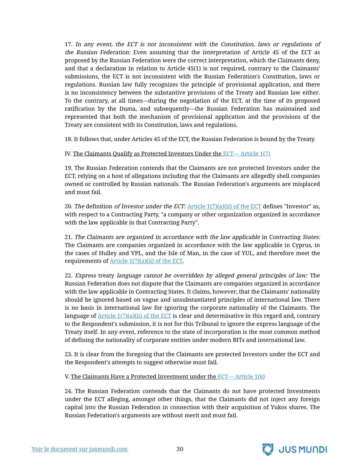17. In any event, the ECT is not inconsistent with the Constitution, laws or regulations of the Russian Federation: Even assuming that the interpretation of Article 45 of the ECT as proposed by the Russian Federation were the correct interpretation, which the Claimants deny, and that a declaration in relation to Article 45(1) is not required, contrary to the Claimants' submissions, the ECT is not inconsistent with the Russian Federation's Constitution, laws or regulations. Russian law fully recognizes the principle of provisional application, and there is no inconsistency between the substantive provisions of the Treaty and Russian law either. To the contrary, at all times—during the negotiation of the ECT, at the time of its proposed ratification by the Duma, and subsequently—the Russian Federation has maintained and represented that both the mechanism of provisional application and the provisions of the Treaty are consistent with its Constitution, laws and regulations.

18. It follows that, under Articles 45 of the ECT, the Russian Federation is bound by the Treaty.

IV. The Claimants Qualify as Protected Investors Under the [ECT— Article 1\(7\)](https://jusmundi.com/en/document/h/clljWVJHbGxISEg0VUZMdWNJazE2TnJ3Mmxwb2NlQ1R3cmNjQXR1UDFhaUg5bDhhczBqUjlmYmVtWWhITFNjK3dCV0JaSFlDK3BFbFIyL0xvSHhiR2sxdnZtV2R3TDJsQUR2Q0hoUUhPeWlwUFRXK0ZmSTJDNUVyTytCd1RRNTNQNGpLcDFlN0gyZ2tjejBrbVBPMGp3PT0=)

19. The Russian Federation contends that the Claimants are not protected Investors under the ECT, relying on a host of allegations including that the Claimants are allegedly shell companies owned or controlled by Russian nationals. The Russian Federation's arguments are misplaced and must fail.

20. The definition of Investor under the ECT: Article  $1(7)(a)(ii)$  of the ECT defines "Investor" as, with respect to a Contracting Party, "a company or other organization organized in accordance with the law applicable in that Contracting Party".

21. The Claimants are organized in accordance with the law applicable in Contracting States: The Claimants are companies organized in accordance with the law applicable in Cyprus, in the cases of Hulley and VPL, and the Isle of Man, in the case of YUL, and therefore meet the requirements of **Article 1(7)(a)(ii)** of the ECT.

22. Express treaty language cannot be overridden by alleged general principles of law: The Russian Federation does not dispute that the Claimants are companies organized in accordance with the law applicable in Contracting States. It claims, however, that the Claimants' nationality should be ignored based on vague and unsubstantiated principles of international law. There is no basis in international law for ignoring the corporate nationality of the Claimants. The language of  $Article 1(7)(a)(ii)$  of the ECT is clear and determinative in this regard and, contrary to the Respondent's submission, it is not for this Tribunal to ignore the express language of the Treaty itself. In any event, reference to the state of incorporation is the most common method of defining the nationality of corporate entities under modern BITs and international law.

23. It is clear from the foregoing that the Claimants are protected Investors under the ECT and the Respondent's attempts to suggest otherwise must fail.

V. The Claimants Have a Protected Investment under the [ECT— Article 1\(6\)](https://jusmundi.com/en/document/h/clljWVJHbGxISEg0VUZMdWNJazE2TnJ3Mmxwb2NlQ1R3cmNjQXR1UDFhaUg5bDhhczBqUjlmYmVtWWhITFNjK3dCV0JaSFlDK3BFbFIyL0xvSHhiR2sxdnZtV2R3TDJsQUR2Q0hoUUhPeWlwUFRXK0ZmSTJDNUVyTytCd1RRNTNwN01Gb3dPWkZkKy8zeWpwclM0RlZBPT0=)

24. The Russian Federation contends that the Claimants do not have protected Investments under the ECT alleging, amongst other things, that the Claimants did not inject any foreign capital into the Russian Federation in connection with their acquisition of Yukos shares. The Russian Federation's arguments are without merit and must fail.

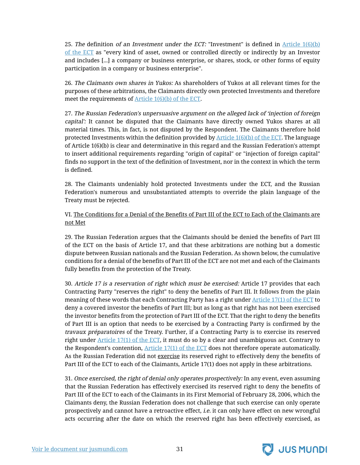25. The definition of an Investment under the ECT: "Investment" is defined in  $Article 1(6)(b)$ [of the ECT](https://jusmundi.com/en/document/h/clljWVJHbGxISEg0VUZMdWNJazE2TnJ3Mmxwb2NlQ1R3cmNjQXR1UDFhaUg5bDhhczBqUjlmYmVtWWhITFNjK3dCV0JaSFlDK3BFbFIyL0xvSHhiR2sxdnZtV2R3TDJsQUR2Q0hoUUhPeWlwUFRXK0ZmSTJDNUVyTytCd1RRNTNvYWxyMVZna0oxVFZNaHlFaWROMzl3PT0=) as "every kind of asset, owned or controlled directly or indirectly by an Investor and includes [...] a company or business enterprise, or shares, stock, or other forms of equity participation in a company or business enterprise".

26. The Claimants own shares in Yukos: As shareholders of Yukos at all relevant times for the purposes of these arbitrations, the Claimants directly own protected Investments and therefore meet the requirements of [Article 1\(6\)\(b\) of the ECT](https://jusmundi.com/en/document/h/clljWVJHbGxISEg0VUZMdWNJazE2TnJ3Mmxwb2NlQ1R3cmNjQXR1UDFhaUg5bDhhczBqUjlmYmVtWWhITFNjK3dCV0JaSFlDK3BFbFIyL0xvSHhiR2sxdnZtV2R3TDJsQUR2Q0hoUUhPeWlwUFRXK0ZmSTJDNUVyTytCd1RRNTNvYWxyMVZna0oxVFZNaHlFaWROMzl3PT0=).

27. The Russian Federation's unpersuasive argument on the alleged lack of 'injection of foreign capital': It cannot be disputed that the Claimants have directly owned Yukos shares at all material times. This, in fact, is not disputed by the Respondent. The Claimants therefore hold protected Investments within the definition provided by [Article 1\(6\)\(b\) of the ECT.](https://jusmundi.com/en/document/h/clljWVJHbGxISEg0VUZMdWNJazE2TnJ3Mmxwb2NlQ1R3cmNjQXR1UDFhaUg5bDhhczBqUjlmYmVtWWhITFNjK3dCV0JaSFlDK3BFbFIyL0xvSHhiR2sxdnZtV2R3TDJsQUR2Q0hoUUhPeWlwUFRXK0ZmSTJDNUVyTytCd1RRNTNvYWxyMVZna0oxVFZNaHlFaWROMzl3PT0=) The language of Article 1(6)(b) is clear and determinative in this regard and the Russian Federation's attempt to insert additional requirements regarding "origin of capital" or "injection of foreign capital" finds no support in the text of the definition of Investment, nor in the context in which the term is defined.

28. The Claimants undeniably hold protected Investments under the ECT, and the Russian Federation's numerous and unsubstantiated attempts to override the plain language of the Treaty must be rejected.

VI. The Conditions for a Denial of the Benefits of Part III of the ECT to Each of the Claimants are not Met

29. The Russian Federation argues that the Claimants should be denied the benefits of Part III of the ECT on the basis of Article 17, and that these arbitrations are nothing but a domestic dispute between Russian nationals and the Russian Federation. As shown below, the cumulative conditions for a denial of the benefits of Part III of the ECT are not met and each of the Claimants fully benefits from the protection of the Treaty.

30. Article 17 is <sup>a</sup> reservation of right which must be exercised: Article 17 provides that each Contracting Party "reserves the right" to deny the benefits of Part III. It follows from the plain meaning of these words that each Contracting Party has a right under [Article 17\(1\) of the ECT](https://jusmundi.com/en/document/h/clljWVJHbGxISEg0VUZMdWNJazE2TnJ3Mmxwb2NlQ1R3cmNjQXR1UDFhaUg5bDhhczBqUjlmYmVtWWhITFNjK3dCV0JaSFlDK3BFbFIyL0xvSHhiR2sxdnZtV2R3TDJsQUR2Q0hoUUhPeWlwUFRXK0ZmSTJDNUVyTytCd1RRNTNFT3ZRTEIvWGZYTzN2MXBkV2NBc0t3PT0=) to deny a covered investor the benefits of Part III; but as long as that right has not been exercised the investor benefits from the protection of Part III of the ECT. That the right to deny the benefits of Part III is an option that needs to be exercised by a Contracting Party is confirmed by the travaux préparatoires of the Treaty. Further, if a Contracting Party is to exercise its reserved right under [Article 17\(1\) of the ECT](https://jusmundi.com/en/document/h/clljWVJHbGxISEg0VUZMdWNJazE2TnJ3Mmxwb2NlQ1R3cmNjQXR1UDFhaUg5bDhhczBqUjlmYmVtWWhITFNjK3dCV0JaSFlDK3BFbFIyL0xvSHhiR2sxdnZtV2R3TDJsQUR2Q0hoUUhPeWlwUFRXK0ZmSTJDNUVyTytCd1RRNTNFT3ZRTEIvWGZYTzN2MXBkV2NBc0t3PT0=), it must do so by a clear and unambiguous act. Contrary to the Respondent's contention, [Article 17\(1\) of the ECT](https://jusmundi.com/en/document/h/clljWVJHbGxISEg0VUZMdWNJazE2TnJ3Mmxwb2NlQ1R3cmNjQXR1UDFhaUg5bDhhczBqUjlmYmVtWWhITFNjK3dCV0JaSFlDK3BFbFIyL0xvSHhiR2sxdnZtV2R3TDJsQUR2Q0hoUUhPeWlwUFRXK0ZmSTJDNUVyTytCd1RRNTNFT3ZRTEIvWGZYTzN2MXBkV2NBc0t3PT0=) does not therefore operate automatically. As the Russian Federation did not exercise its reserved right to effectively deny the benefits of Part III of the ECT to each of the Claimants, Article 17(1) does not apply in these arbitrations.

31. Once exercised, the right of denial only operates prospectively: In any event, even assuming that the Russian Federation has effectively exercised its reserved right to deny the benefits of Part III of the ECT to each of the Claimants in its First Memorial of February 28, 2006, which the Claimants deny, the Russian Federation does not challenge that such exercise can only operate prospectively and cannot have a retroactive effect, i.e. it can only have effect on new wrongful acts occurring after the date on which the reserved right has been effectively exercised, as

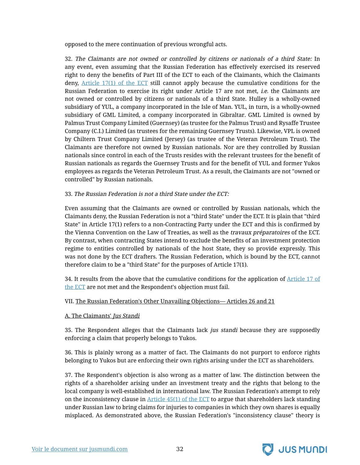opposed to the mere continuation of previous wrongful acts.

32. The Claimants are not owned or controlled by citizens or nationals of <sup>a</sup> third State: In any event, even assuming that the Russian Federation has effectively exercised its reserved right to deny the benefits of Part III of the ECT to each of the Claimants, which the Claimants deny, [Article 17\(1\) of the ECT](https://jusmundi.com/en/document/h/clljWVJHbGxISEg0VUZMdWNJazE2TnJ3Mmxwb2NlQ1R3cmNjQXR1UDFhaUg5bDhhczBqUjlmYmVtWWhITFNjK3dCV0JaSFlDK3BFbFIyL0xvSHhiR2sxdnZtV2R3TDJsQUR2Q0hoUUhPeWlwUFRXK0ZmSTJDNUVyTytCd1RRNTNFT3ZRTEIvWGZYTzN2MXBkV2NBc0t3PT0=) still cannot apply because the cumulative conditions for the Russian Federation to exercise its right under Article 17 are not met, i.e. the Claimants are not owned or controlled by citizens or nationals of a third State. Hulley is a wholly-owned subsidiary of YUL, a company incorporated in the Isle of Man. YUL, in turn, is a wholly-owned subsidiary of GML Limited, a company incorporated in Gibraltar. GML Limited is owned by Palmus Trust Company Limited (Guernsey) (as trustee for the Palmus Trust) and Rysaffe Trustee Company (C.I.) Limited (as trustees for the remaining Guernsey Trusts). Likewise, VPL is owned by Chiltern Trust Company Limited (Jersey) (as trustee of the Veteran Petroleum Trust). The Claimants are therefore not owned by Russian nationals. Nor are they controlled by Russian nationals since control in each of the Trusts resides with the relevant trustees for the benefit of Russian nationals as regards the Guernsey Trusts and for the benefit of YUL and former Yukos employees as regards the Veteran Petroleum Trust. As a result, the Claimants are not "owned or controlled" by Russian nationals.

#### 33. The Russian Federation is not a third State under the ECT:

Even assuming that the Claimants are owned or controlled by Russian nationals, which the Claimants deny, the Russian Federation is not a "third State" under the ECT. It is plain that "third State" in Article 17(1) refers to a non-Contracting Party under the ECT and this is confirmed by the Vienna Convention on the Law of Treaties, as well as the *travaux préparatoires* of the ECT. By contrast, when contracting States intend to exclude the benefits of an investment protection regime to entities controlled by nationals of the host State, they so provide expressly. This was not done by the ECT drafters. The Russian Federation, which is bound by the ECT, cannot therefore claim to be a "third State" for the purposes of Article 17(1).

34. It results from the above that the cumulative conditions for the application of [Article 17 of](https://jusmundi.com/en/document/h/clljWVJHbGxISEg0VUZMdWNJazE2TnJ3Mmxwb2NlQ1R3cmNjQXR1UDFhaUg5bDhhczBqUjlmYmVtWWhITFNjK3dCV0JaSFlDK3BFbFIyL0xvSHhiR2sxdnZtV2R3TDJsQUR2Q0hoUUhPeWlwUFRXK0ZmSTJDNUVyTytCd1RRNTNrTFNKdXRuc1d2YTVWckFIWE9rMld3PT0=) [the ECT](https://jusmundi.com/en/document/h/clljWVJHbGxISEg0VUZMdWNJazE2TnJ3Mmxwb2NlQ1R3cmNjQXR1UDFhaUg5bDhhczBqUjlmYmVtWWhITFNjK3dCV0JaSFlDK3BFbFIyL0xvSHhiR2sxdnZtV2R3TDJsQUR2Q0hoUUhPeWlwUFRXK0ZmSTJDNUVyTytCd1RRNTNrTFNKdXRuc1d2YTVWckFIWE9rMld3PT0=) are not met and the Respondent's objection must fail.

#### VII. The Russian Federation's Other Unavailing Objections— Articles 26 and 21

#### A. The Claimants' Jus Standi

35. The Respondent alleges that the Claimants lack jus standi because they are supposedly enforcing a claim that properly belongs to Yukos.

36. This is plainly wrong as a matter of fact. The Claimants do not purport to enforce rights belonging to Yukos but are enforcing their own rights arising under the ECT as shareholders.

37. The Respondent's objection is also wrong as a matter of law. The distinction between the rights of a shareholder arising under an investment treaty and the rights that belong to the local company is well-established in international law. The Russian Federation's attempt to rely on the inconsistency clause in [Article 45\(1\) of the ECT](https://jusmundi.com/en/document/h/clljWVJHbGxISEg0VUZMdWNJazE2TnJ3Mmxwb2NlQ1R3cmNjQXR1UDFhaUg5bDhhczBqUjlmYmVtWWhITFNjK3dCV0JaSFlDK3BFbFIyL0xvSHhiR2sxdnZtV2R3TDJsQUR2Q0hoUUhPeWlwUFRXK0ZmSTJDNUVyTytCd1RRNTNjZ05Tdy9FMGVhb3p3Ky9uOE9DSXdBPT0=) to argue that shareholders lack standing under Russian law to bring claims for injuries to companies in which they own shares is equally misplaced. As demonstrated above, the Russian Federation's "inconsistency clause" theory is

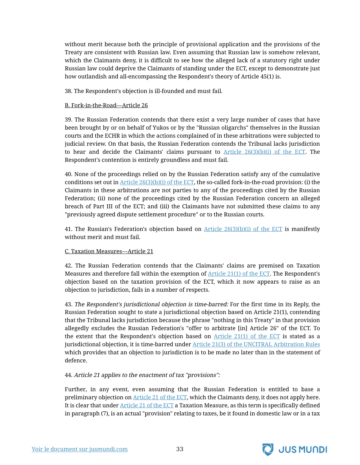without merit because both the principle of provisional application and the provisions of the Treaty are consistent with Russian law. Even assuming that Russian law is somehow relevant, which the Claimants deny, it is difficult to see how the alleged lack of a statutory right under Russian law could deprive the Claimants of standing under the ECT, except to demonstrate just how outlandish and all-encompassing the Respondent's theory of Article 45(1) is.

38. The Respondent's objection is ill-founded and must fail.

#### B. Fork-in-the-Road—Article 26

39. The Russian Federation contends that there exist a very large number of cases that have been brought by or on behalf of Yukos or by the "Russian oligarchs" themselves in the Russian courts and the ECHR in which the actions complained of in these arbitrations were subjected to judicial review. On that basis, the Russian Federation contends the Tribunal lacks jurisdiction to hear and decide the Claimants' claims pursuant to  $Article 26(3)(b)(i)$  of the ECT. The Respondent's contention is entirely groundless and must fail.

40. None of the proceedings relied on by the Russian Federation satisfy any of the cumulative conditions set out in  $Article\ 26(3)(b)(i)$  of the ECT, the so-called fork-in-the-road provision: (i) the Claimants in these arbitrations are not parties to any of the proceedings cited by the Russian Federation; (ii) none of the proceedings cited by the Russian Federation concern an alleged breach of Part III of the ECT; and (iii) the Claimants have not submitted these claims to any "previously agreed dispute settlement procedure" or to the Russian courts.

41. The Russian's Federation's objection based on  $\text{Article } 26(3)(b)(i)$  of the ECT is manifestly without merit and must fail.

#### C. Taxation Measures—Article 21

42. The Russian Federation contends that the Claimants' claims are premised on Taxation Measures and therefore fall within the exemption of  $\triangle$ rticle 21(1) of the ECT. The Respondent's objection based on the taxation provision of the ECT, which it now appears to raise as an objection to jurisdiction, fails in a number of respects.

43. The Respondent's jurisdictional objection is time-barred: For the first time in its Reply, the Russian Federation sought to state a jurisdictional objection based on Article 21(1), contending that the Tribunal lacks jurisdiction because the phrase "nothing in this Treaty" in that provision allegedly excludes the Russian Federation's "offer to arbitrate [in] Article 26" of the ECT. To the extent that the Respondent's objection based on Article  $21(1)$  of the ECT is stated as a jurisdictional objection, it is time-barred under [Article 21\(3\) of the UNCITRAL Arbitration Rules](https://jusmundi.com/en/document/h/K3c3WHBLTUlqbG80TVZ5dlN0TWIyT1BOMVlIY3VQdXZSYUtDM1ZKZkkxaVlid1lJcUFSVHR1VHNrQ2dYZzdVNGk3VHlybFpHc0JZMlJjNEFtNHZGdmwvakJ2R3hFc2JseWlhR3pDZzRKY2tRaWRQWVlrOWJCUndIWmJ6VnRxaUk=) which provides that an objection to jurisdiction is to be made no later than in the statement of defence.

#### 44. Article 21 applies to the enactment of tax "provisions":

Further, in any event, even assuming that the Russian Federation is entitled to base a preliminary objection on  $\triangle$ rticle 21 of the ECT, which the Claimants deny, it does not apply here. It is clear that under [Article 21 of the ECT](https://jusmundi.com/en/document/h/clljWVJHbGxISEg0VUZMdWNJazE2TnJ3Mmxwb2NlQ1R3cmNjQXR1UDFhaUg5bDhhczBqUjlmYmVtWWhITFNjK3dCV0JaSFlDK3BFbFIyL0xvSHhiR2sxdnZtV2R3TDJsQUR2Q0hoUUhPeWlwUFRXK0ZmSTJDNUVyTytCd1RRNTN1Q1N5b1ZkSFFxMjRaOGlnb2hPZHR3PT0=) a Taxation Measure, as this term is specifically defined in paragraph (7), is an actual "provision" relating to taxes, be it found in domestic law or in a tax

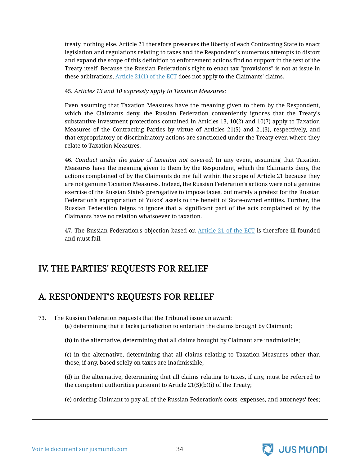treaty, nothing else. Article 21 therefore preserves the liberty of each Contracting State to enact legislation and regulations relating to taxes and the Respondent's numerous attempts to distort and expand the scope of this definition to enforcement actions find no support in the text of the Treaty itself. Because the Russian Federation's right to enact tax "provisions" is not at issue in these arbitrations, **Article 21(1)** of the ECT does not apply to the Claimants' claims.

#### 45. Articles 13 and 10 expressly apply to Taxation Measures:

Even assuming that Taxation Measures have the meaning given to them by the Respondent, which the Claimants deny, the Russian Federation conveniently ignores that the Treaty's substantive investment protections contained in Articles 13, 10(2) and 10(7) apply to Taxation Measures of the Contracting Parties by virtue of Articles 21(5) and 21(3), respectively, and that expropriatory or discriminatory actions are sanctioned under the Treaty even where they relate to Taxation Measures.

46. Conduct under the guise of taxation not covered: In any event, assuming that Taxation Measures have the meaning given to them by the Respondent, which the Claimants deny, the actions complained of by the Claimants do not fall within the scope of Article 21 because they are not genuine Taxation Measures. Indeed, the Russian Federation's actions were not a genuine exercise of the Russian State's prerogative to impose taxes, but merely a pretext for the Russian Federation's expropriation of Yukos' assets to the benefit of State-owned entities. Further, the Russian Federation feigns to ignore that a significant part of the acts complained of by the Claimants have no relation whatsoever to taxation.

47. The Russian Federation's objection based on [Article 21 of the ECT](https://jusmundi.com/en/document/h/clljWVJHbGxISEg0VUZMdWNJazE2TnJ3Mmxwb2NlQ1R3cmNjQXR1UDFhaUg5bDhhczBqUjlmYmVtWWhITFNjK3dCV0JaSFlDK3BFbFIyL0xvSHhiR2sxdnZtV2R3TDJsQUR2Q0hoUUhPeWlwUFRXK0ZmSTJDNUVyTytCd1RRNTN1Q1N5b1ZkSFFxMjRaOGlnb2hPZHR3PT0=) is therefore ill-founded and must fail.

### IV. THE PARTIES' REQUESTS FOR RELIEF

### A. RESPONDENT'S REQUESTS FOR RELIEF

73. The Russian Federation requests that the Tribunal issue an award: (a) determining that it lacks jurisdiction to entertain the claims brought by Claimant;

(b) in the alternative, determining that all claims brought by Claimant are inadmissible;

(c) in the alternative, determining that all claims relating to Taxation Measures other than those, if any, based solely on taxes are inadmissible;

(d) in the alternative, determining that all claims relating to taxes, if any, must be referred to the competent authorities pursuant to Article 21(5)(b)(i) of the Treaty;

(e) ordering Claimant to pay all of the Russian Federation's costs, expenses, and attorneys' fees;

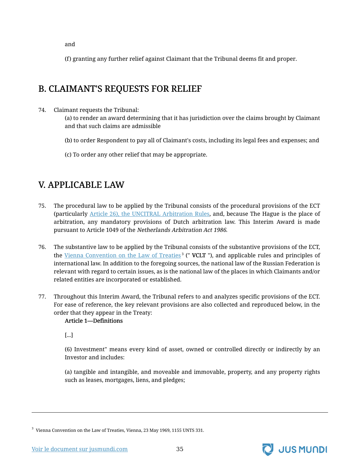and

(f) granting any further relief against Claimant that the Tribunal deems fit and proper.

## B. CLAIMANT'S REQUESTS FOR RELIEF

74. Claimant requests the Tribunal:

> (a) to render an award determining that it has jurisdiction over the claims brought by Claimant and that such claims are admissible

- (b) to order Respondent to pay all of Claimant's costs, including its legal fees and expenses; and
- (c) To order any other relief that may be appropriate.

## V. APPLICABLE LAW

- 75. The procedural law to be applied by the Tribunal consists of the procedural provisions of the ECT (particularly [Article 26\), the UNCITRAL Arbitration Rules](https://jusmundi.com/en/document/h/K3c3WHBLTUlqbG80TVZ5dlN0TWIyT1BOMVlIY3VQdXZSYUtDM1ZKZkkxaVlid1lJcUFSVHR1VHNrQ2dYZzdVNGk3VHlybFpHc0JZMlJjNEFtNHZGdmxQQ3ZaTFpwdE5PRXFwR1lndDRuNzQ9), and, because The Hague is the place of arbitration, any mandatory provisions of Dutch arbitration law. This Interim Award is made pursuant to Article 1049 of the Netherlands Arbitration Act 1986.
- 76. The substantive law to be applied by the Tribunal consists of the substantive provisions of the ECT, the <u>[Vienna Convention on the Law of Treaties](https://jusmundi.com/en/document/h/NVFwR2lWbkFqaXdJRmhJT3hnNFo0NEhoLzFzTjdSbU9icGpNYlQ0N3hXUjByQUw3dW1hT1I5OW90REYzWjlFYW1iQm0xR2ZxcmE5MFIwL3EyeU1DWUVRbENBMnU5S3g1dERqLzZnTWNMRHc3U0YwLzlEK2VYZ1FOT1ZFUEszei8yM25adnZnUXlFS0VUZE44K1VxYnNFSWthUlBsT2ZpNWh3eUE2MTVGaXpnPQ==)</u>  $^3$  (" **VCLT** "), and applicable rules and principles of international law. In addition to the foregoing sources, the national law of the Russian Federation is relevant with regard to certain issues, as is the national law of the places in which Claimants and/or related entities are incorporated or established.
- 77. Throughout this Interim Award, the Tribunal refers to and analyzes specific provisions of the ECT. For ease of reference, the key relevant provisions are also collected and reproduced below, in the order that they appear in the Treaty:

Article 1—Definitions

[...]

(6) Investment" means every kind of asset, owned or controlled directly or indirectly by an Investor and includes:

(a) tangible and intangible, and moveable and immovable, property, and any property rights such as leases, mortgages, liens, and pledges;



 $^3\,$  Vienna Convention on the Law of Treaties, Vienna, 23 May 1969, 1155 UNTS 331.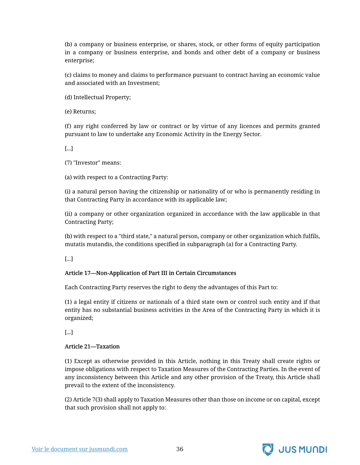(b) a company or business enterprise, or shares, stock, or other forms of equity participation in a company or business enterprise, and bonds and other debt of a company or business enterprise;

(c) claims to money and claims to performance pursuant to contract having an economic value and associated with an Investment;

(d) Intellectual Property;

(e) Returns;

(f) any right conferred by law or contract or by virtue of any licences and permits granted pursuant to law to undertake any Economic Activity in the Energy Sector.

[...]

(7) "Investor" means:

(a) with respect to a Contracting Party:

(i) a natural person having the citizenship or nationality of or who is permanently residing in that Contracting Party in accordance with its applicable law;

(ii) a company or other organization organized in accordance with the law applicable in that Contracting Party;

(b) with respect to a "third state," a natural person, company or other organization which fulfils, mutatis mutandis, the conditions specified in subparagraph (a) for a Contracting Party.

[...]

#### Article 17—Non-Application of Part III in Certain Circumstances

Each Contracting Party reserves the right to deny the advantages of this Part to:

(1) a legal entity if citizens or nationals of a third state own or control such entity and if that entity has no substantial business activities in the Area of the Contracting Party in which it is organized;

[...]

#### Article 21—Taxation

(1) Except as otherwise provided in this Article, nothing in this Treaty shall create rights or impose obligations with respect to Taxation Measures of the Contracting Parties. In the event of any inconsistency between this Article and any other provision of the Treaty, this Article shall prevail to the extent of the inconsistency.

(2) Article 7(3) shall apply to Taxation Measures other than those on income or on capital, except that such provision shall not apply to:

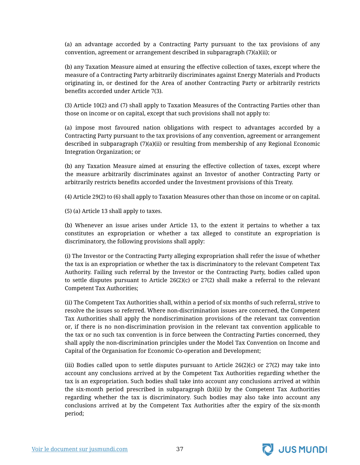(a) an advantage accorded by a Contracting Party pursuant to the tax provisions of any convention, agreement or arrangement described in subparagraph (7)(a)(ii); or

(b) any Taxation Measure aimed at ensuring the effective collection of taxes, except where the measure of a Contracting Party arbitrarily discriminates against Energy Materials and Products originating in, or destined for the Area of another Contracting Party or arbitrarily restricts benefits accorded under Article 7(3).

(3) Article 10(2) and (7) shall apply to Taxation Measures of the Contracting Parties other than those on income or on capital, except that such provisions shall not apply to:

(a) impose most favoured nation obligations with respect to advantages accorded by a Contracting Party pursuant to the tax provisions of any convention, agreement or arrangement described in subparagraph (7)(a)(ii) or resulting from membership of any Regional Economic Integration Organization; or

(b) any Taxation Measure aimed at ensuring the effective collection of taxes, except where the measure arbitrarily discriminates against an Investor of another Contracting Party or arbitrarily restricts benefits accorded under the Investment provisions of this Treaty.

(4) Article 29(2) to (6) shall apply to Taxation Measures other than those on income or on capital.

(5) (a) Article 13 shall apply to taxes.

(b) Whenever an issue arises under Article 13, to the extent it pertains to whether a tax constitutes an expropriation or whether a tax alleged to constitute an expropriation is discriminatory, the following provisions shall apply:

(i) The Investor or the Contracting Party alleging expropriation shall refer the issue of whether the tax is an expropriation or whether the tax is discriminatory to the relevant Competent Tax Authority. Failing such referral by the Investor or the Contracting Party, bodies called upon to settle disputes pursuant to Article 26(2)(c) or 27(2) shall make a referral to the relevant Competent Tax Authorities;

(ii) The Competent Tax Authorities shall, within a period of six months of such referral, strive to resolve the issues so referred. Where non-discrimination issues are concerned, the Competent Tax Authorities shall apply the nondiscrimination provisions of the relevant tax convention or, if there is no non-discrimination provision in the relevant tax convention applicable to the tax or no such tax convention is in force between the Contracting Parties concerned, they shall apply the non-discrimination principles under the Model Tax Convention on Income and Capital of the Organisation for Economic Co-operation and Development;

(iii) Bodies called upon to settle disputes pursuant to Article  $26(2)(c)$  or  $27(2)$  may take into account any conclusions arrived at by the Competent Tax Authorities regarding whether the tax is an expropriation. Such bodies shall take into account any conclusions arrived at within the six-month period prescribed in subparagraph (b)(ii) by the Competent Tax Authorities regarding whether the tax is discriminatory. Such bodies may also take into account any conclusions arrived at by the Competent Tax Authorities after the expiry of the six-month period;

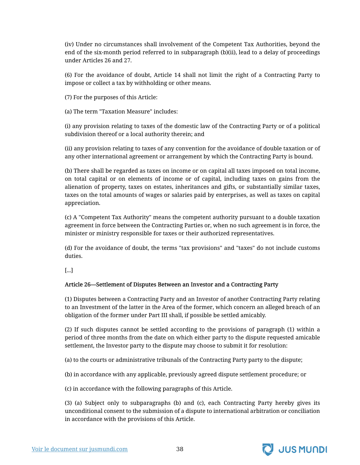(iv) Under no circumstances shall involvement of the Competent Tax Authorities, beyond the end of the six-month period referred to in subparagraph (b)(ii), lead to a delay of proceedings under Articles 26 and 27.

(6) For the avoidance of doubt, Article 14 shall not limit the right of a Contracting Party to impose or collect a tax by withholding or other means.

(7) For the purposes of this Article:

(a) The term "Taxation Measure" includes:

(i) any provision relating to taxes of the domestic law of the Contracting Party or of a political subdivision thereof or a local authority therein; and

(ii) any provision relating to taxes of any convention for the avoidance of double taxation or of any other international agreement or arrangement by which the Contracting Party is bound.

(b) There shall be regarded as taxes on income or on capital all taxes imposed on total income, on total capital or on elements of income or of capital, including taxes on gains from the alienation of property, taxes on estates, inheritances and gifts, or substantially similar taxes, taxes on the total amounts of wages or salaries paid by enterprises, as well as taxes on capital appreciation.

(c) A "Competent Tax Authority" means the competent authority pursuant to a double taxation agreement in force between the Contracting Parties or, when no such agreement is in force, the minister or ministry responsible for taxes or their authorized representatives.

(d) For the avoidance of doubt, the terms "tax provisions" and "taxes" do not include customs duties.

[...]

#### Article 26—Settlement of Disputes Between an Investor and a Contracting Party

(1) Disputes between a Contracting Party and an Investor of another Contracting Party relating to an Investment of the latter in the Area of the former, which concern an alleged breach of an obligation of the former under Part III shall, if possible be settled amicably.

(2) If such disputes cannot be settled according to the provisions of paragraph (1) within a period of three months from the date on which either party to the dispute requested amicable settlement, the Investor party to the dispute may choose to submit it for resolution:

(a) to the courts or administrative tribunals of the Contracting Party party to the dispute;

(b) in accordance with any applicable, previously agreed dispute settlement procedure; or

(c) in accordance with the following paragraphs of this Article.

(3) (a) Subject only to subparagraphs (b) and (c), each Contracting Party hereby gives its unconditional consent to the submission of a dispute to international arbitration or conciliation in accordance with the provisions of this Article.

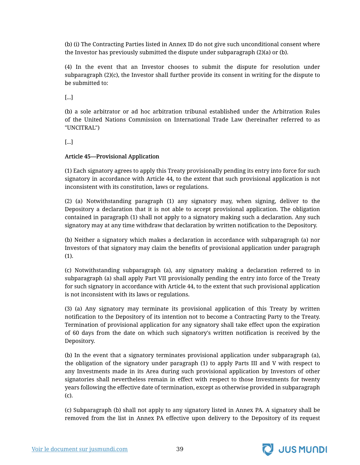(b) (i) The Contracting Parties listed in Annex ID do not give such unconditional consent where the Investor has previously submitted the dispute under subparagraph (2)(a) or (b).

(4) In the event that an Investor chooses to submit the dispute for resolution under subparagraph (2)(c), the Investor shall further provide its consent in writing for the dispute to be submitted to:

[...]

(b) a sole arbitrator or ad hoc arbitration tribunal established under the Arbitration Rules of the United Nations Commission on International Trade Law (hereinafter referred to as "UNCITRAL")

[...]

#### Article 45—Provisional Application

(1) Each signatory agrees to apply this Treaty provisionally pending its entry into force for such signatory in accordance with Article 44, to the extent that such provisional application is not inconsistent with its constitution, laws or regulations.

(2) (a) Notwithstanding paragraph (1) any signatory may, when signing, deliver to the Depository a declaration that it is not able to accept provisional application. The obligation contained in paragraph (1) shall not apply to a signatory making such a declaration. Any such signatory may at any time withdraw that declaration by written notification to the Depository.

(b) Neither a signatory which makes a declaration in accordance with subparagraph (a) nor Investors of that signatory may claim the benefits of provisional application under paragraph (1).

(c) Notwithstanding subparagraph (a), any signatory making a declaration referred to in subparagraph (a) shall apply Part VII provisionally pending the entry into force of the Treaty for such signatory in accordance with Article 44, to the extent that such provisional application is not inconsistent with its laws or regulations.

(3) (a) Any signatory may terminate its provisional application of this Treaty by written notification to the Depository of its intention not to become a Contracting Party to the Treaty. Termination of provisional application for any signatory shall take effect upon the expiration of 60 days from the date on which such signatory's written notification is received by the Depository.

(b) In the event that a signatory terminates provisional application under subparagraph (a), the obligation of the signatory under paragraph (1) to apply Parts III and V with respect to any Investments made in its Area during such provisional application by Investors of other signatories shall nevertheless remain in effect with respect to those Investments for twenty years following the effective date of termination, except as otherwise provided in subparagraph (c).

(c) Subparagraph (b) shall not apply to any signatory listed in Annex PA. A signatory shall be removed from the list in Annex PA effective upon delivery to the Depository of its request

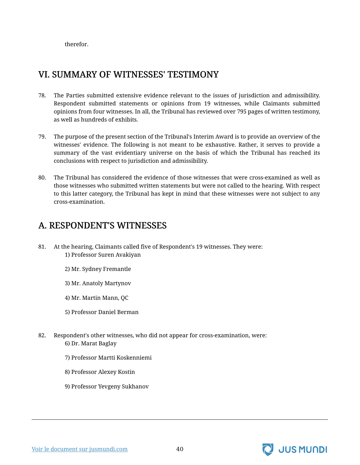therefor.

#### VI. SUMMARY OF WITNESSES' TESTIMONY

- 78. The Parties submitted extensive evidence relevant to the issues of jurisdiction and admissibility. Respondent submitted statements or opinions from 19 witnesses, while Claimants submitted opinions from four witnesses. In all, the Tribunal has reviewed over 795 pages of written testimony, as well as hundreds of exhibits.
- 79. The purpose of the present section of the Tribunal's Interim Award is to provide an overview of the witnesses' evidence. The following is not meant to be exhaustive. Rather, it serves to provide a summary of the vast evidentiary universe on the basis of which the Tribunal has reached its conclusions with respect to jurisdiction and admissibility.
- 80. The Tribunal has considered the evidence of those witnesses that were cross-examined as well as those witnesses who submitted written statements but were not called to the hearing. With respect to this latter category, the Tribunal has kept in mind that these witnesses were not subject to any cross-examination.

### A. RESPONDENT'S WITNESSES

- 81. At the hearing, Claimants called five of Respondent's 19 witnesses. They were: 1) Professor Suren Avakiyan
	- 2) Mr. Sydney Fremantle
	- 3) Mr. Anatoly Martynov
	- 4) Mr. Martin Mann, QC
	- 5) Professor Daniel Berman
- 82. Respondent's other witnesses, who did not appear for cross-examination, were: 6) Dr. Marat Baglay
	- 7) Professor Martti Koskenniemi
	- 8) Professor Alexey Kostin
	- 9) Professor Yevgeny Sukhanov

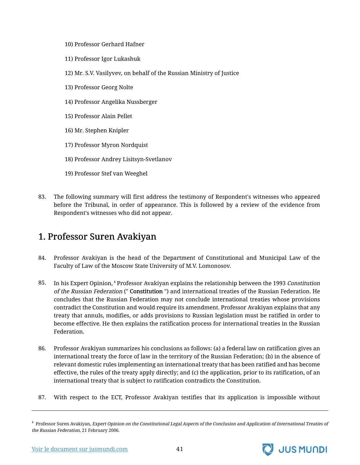- 10) Professor Gerhard Hafner
- 11) Professor Igor Lukashuk
- 12) Mr. S.V. Vasilyvev, on behalf of the Russian Ministry of Justice
- 13) Professor Georg Nolte
- 14) Professor Angelika Nussberger
- 15) Professor Alain Pellet
- 16) Mr. Stephen Knipler
- 17) Professor Myron Nordquist
- 18) Professor Andrey Lisitsyn-Svetlanov
- 19) Professor Stef van Weeghel
- 83. The following summary will first address the testimony of Respondent's witnesses who appeared before the Tribunal, in order of appearance. This is followed by a review of the evidence from Respondent's witnesses who did not appear.

#### 1. Professor Suren Avakiyan

- 84. Professor Avakiyan is the head of the Department of Constitutional and Municipal Law of the Faculty of Law of the Moscow State University of M.V. Lomonosov.
- 85. In his Expert Opinion, <sup>4</sup> Professor Avakiyan explains the relationship between the 1993 Constitution of the Russian Federation (" Constitution ") and international treaties of the Russian Federation. He concludes that the Russian Federation may not conclude international treaties whose provisions contradict the Constitution and would require its amendment. Professor Avakiyan explains that any treaty that annuls, modifies, or adds provisions to Russian legislation must be ratified in order to become effective. He then explains the ratification process for international treaties in the Russian Federation.
- 86. Professor Avakiyan summarizes his conclusions as follows: (a) a federal law on ratification gives an international treaty the force of law in the territory of the Russian Federation; (b) in the absence of relevant domestic rules implementing an international treaty that has been ratified and has become effective, the rules of the treaty apply directly; and (c) the application, prior to its ratification, of an international treaty that is subject to ratification contradicts the Constitution.
- 87. With respect to the ECT, Professor Avakiyan testifies that its application is impossible without



 $^4\,$  Professor Suren Avakiyan, Expert Opinion on the Constitutional Legal Aspects of the Conclusion and Application of International Treaties of the Russian Federation, 21 February 2006.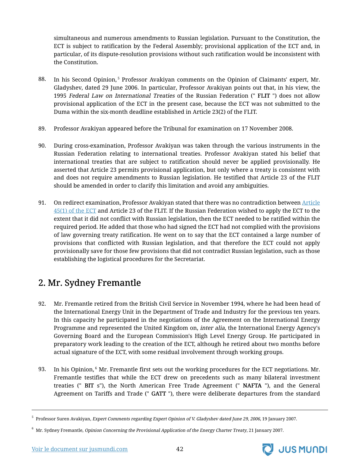simultaneous and numerous amendments to Russian legislation. Pursuant to the Constitution, the ECT is subject to ratification by the Federal Assembly; provisional application of the ECT and, in particular, of its dispute-resolution provisions without such ratification would be inconsistent with the Constitution.

- 88. In his Second Opinion,<sup>5</sup> Professor Avakiyan comments on the Opinion of Claimants' expert, Mr. Gladyshev, dated 29 June 2006. In particular, Professor Avakiyan points out that, in his view, the 1995 Federal Law on International Treaties of the Russian Federation ("FLIT ") does not allow provisional application of the ECT in the present case, because the ECT was not submitted to the Duma within the six-month deadline established in Article 23(2) of the FLIT.
- 89. Professor Avakiyan appeared before the Tribunal for examination on 17 November 2008.
- 90. During cross-examination, Professor Avakiyan was taken through the various instruments in the Russian Federation relating to international treaties. Professor Avakiyan stated his belief that international treaties that are subject to ratification should never be applied provisionally. He asserted that Article 23 permits provisional application, but only where a treaty is consistent with and does not require amendments to Russian legislation. He testified that Article 23 of the FLIT should be amended in order to clarify this limitation and avoid any ambiguities.
- 91. On redirect examination, Professor Avakiyan stated that there was no contradiction between <u>[Article](https://jusmundi.com/en/document/h/clljWVJHbGxISEg0VUZMdWNJazE2TnJ3Mmxwb2NlQ1R3cmNjQXR1UDFhaUg5bDhhczBqUjlmYmVtWWhITFNjK3dCV0JaSFlDK3BFbFIyL0xvSHhiR2sxdnZtV2R3TDJsQUR2Q0hoUUhPeWlwUFRXK0ZmSTJDNUVyTytCd1RRNTNjZ05Tdy9FMGVhb3p3Ky9uOE9DSXdBPT0=)</u> [45\(1\) of the ECT](https://jusmundi.com/en/document/h/clljWVJHbGxISEg0VUZMdWNJazE2TnJ3Mmxwb2NlQ1R3cmNjQXR1UDFhaUg5bDhhczBqUjlmYmVtWWhITFNjK3dCV0JaSFlDK3BFbFIyL0xvSHhiR2sxdnZtV2R3TDJsQUR2Q0hoUUhPeWlwUFRXK0ZmSTJDNUVyTytCd1RRNTNjZ05Tdy9FMGVhb3p3Ky9uOE9DSXdBPT0=) and Article 23 of the FLIT. If the Russian Federation wished to apply the ECT to the extent that it did not conflict with Russian legislation, then the ECT needed to be ratified within the required period. He added that those who had signed the ECT had not complied with the provisions of law governing treaty ratification. He went on to say that the ECT contained a large number of provisions that conflicted with Russian legislation, and that therefore the ECT could not apply provisionally save for those few provisions that did not contradict Russian legislation, such as those establishing the logistical procedures for the Secretariat.

# 2. Mr. Sydney Fremantle

- 92. Mr. Fremantle retired from the British Civil Service in November 1994, where he had been head of the International Energy Unit in the Department of Trade and Industry for the previous ten years. In this capacity he participated in the negotiations of the Agreement on the International Energy Programme and represented the United Kingdom on, *inter alia*, the International Energy Agency's Governing Board and the European Commission's High Level Energy Group. He participated in preparatory work leading to the creation of the ECT, although he retired about two months before actual signature of the ECT, with some residual involvement through working groups.
- $93.$  In his Opinion,  $^6$  Mr. Fremantle first sets out the working procedures for the ECT negotiations. Mr. Fremantle testifies that while the ECT drew on precedents such as many bilateral investment treaties (" BIT s"), the North American Free Trade Agreement (" NAFTA "), and the General Agreement on Tariffs and Trade (" GATT "), there were deliberate departures from the standard



<sup>5</sup> Professor Suren Avakiyan, Expert Comments regarding Expert Opinion of V. Gladyshev dated June 29, 2006, 19 January 2007.

<sup>6</sup> Mr. Sydney Fremantle, Opinion Concerning the Provisional Application of the Energy Charter Treaty, 21 January 2007.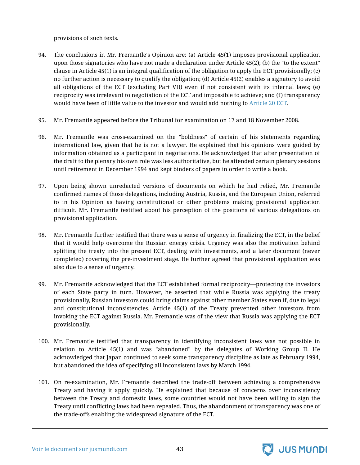provisions of such texts.

- 94. The conclusions in Mr. Fremantle's Opinion are: (a) Article 45(1) imposes provisional application upon those signatories who have not made a declaration under Article 45(2); (b) the "to the extent" clause in Article 45(1) is an integral qualification of the obligation to apply the ECT provisionally; (c) no further action is necessary to qualify the obligation; (d) Article 45(2) enables a signatory to avoid all obligations of the ECT (excluding Part VII) even if not consistent with its internal laws; (e) reciprocity was irrelevant to negotiation of the ECT and impossible to achieve; and (f) transparency would have been of little value to the investor and would add nothing to [Article 20 ECT](https://jusmundi.com/en/document/h/clljWVJHbGxISEg0VUZMdWNJazE2TnJ3Mmxwb2NlQ1R3cmNjQXR1UDFhaUg5bDhhczBqUjlmYmVtWWhITFNjK3dCV0JaSFlDK3BFbFIyL0xvSHhiR2sxdnZtV2R3TDJsQUR2Q0hoUUhPeWlwUFRXK0ZmSTJDNUVyTytCd1RRNTN0bmZvYmJnR3BWdWEvMzlxd3J0RnZBPT0=).
- 95. Mr. Fremantle appeared before the Tribunal for examination on 17 and 18 November 2008.
- 96. Mr. Fremantle was cross-examined on the "boldness" of certain of his statements regarding international law, given that he is not a lawyer. He explained that his opinions were guided by information obtained as a participant in negotiations. He acknowledged that after presentation of the draft to the plenary his own role was less authoritative, but he attended certain plenary sessions until retirement in December 1994 and kept binders of papers in order to write a book.
- 97. Upon being shown unredacted versions of documents on which he had relied, Mr. Fremantle confirmed names of those delegations, including Austria, Russia, and the European Union, referred to in his Opinion as having constitutional or other problems making provisional application difficult. Mr. Fremantle testified about his perception of the positions of various delegations on provisional application.
- 98. Mr. Fremantle further testified that there was a sense of urgency in finalizing the ECT, in the belief that it would help overcome the Russian energy crisis. Urgency was also the motivation behind splitting the treaty into the present ECT, dealing with investments, and a later document (never completed) covering the pre-investment stage. He further agreed that provisional application was also due to a sense of urgency.
- 99. Mr. Fremantle acknowledged that the ECT established formal reciprocity—protecting the investors of each State party in turn. However, he asserted that while Russia was applying the treaty provisionally, Russian investors could bring claims against other member States even if, due to legal and constitutional inconsistencies, Article 45(1) of the Treaty prevented other investors from invoking the ECT against Russia. Mr. Fremantle was of the view that Russia was applying the ECT provisionally.
- 100. Mr. Fremantle testified that transparency in identifying inconsistent laws was not possible in relation to Article 45(1) and was "abandoned" by the delegates of Working Group II. He acknowledged that Japan continued to seek some transparency discipline as late as February 1994, but abandoned the idea of specifying all inconsistent laws by March 1994.
- 101. On re-examination, Mr. Fremantle described the trade-off between achieving a comprehensive Treaty and having it apply quickly. He explained that because of concerns over inconsistency between the Treaty and domestic laws, some countries would not have been willing to sign the Treaty until conflicting laws had been repealed. Thus, the abandonment of transparency was one of the trade-offs enabling the widespread signature of the ECT.

[Voir le document sur jusmundi.com](https://jusmundi.com/fr/document/decision/en-yukos-universal-limited-isle-of-man-v-the-russian-federation-interim-award-on-jurisdiction-and-admissibility-monday-30th-november-2009) 43

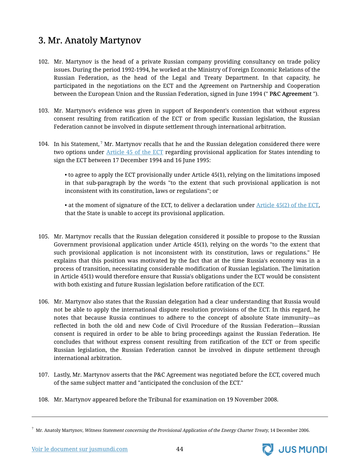# 3. Mr. Anatoly Martynov

- 102. Mr. Martynov is the head of a private Russian company providing consultancy on trade policy issues. During the period 1992-1994, he worked at the Ministry of Foreign Economic Relations of the Russian Federation, as the head of the Legal and Treaty Department. In that capacity, he participated in the negotiations on the ECT and the Agreement on Partnership and Cooperation between the European Union and the Russian Federation, signed in June 1994 (" P&C Agreement ").
- 103. Mr. Martynov's evidence was given in support of Respondent's contention that without express consent resulting from ratification of the ECT or from specific Russian legislation, the Russian Federation cannot be involved in dispute settlement through international arbitration.
- 104. In his Statement, $^7$  Mr. Martynov recalls that he and the Russian delegation considered there were two options under [Article 45 of the ECT](https://jusmundi.com/en/document/h/clljWVJHbGxISEg0VUZMdWNJazE2TnJ3Mmxwb2NlQ1R3cmNjQXR1UDFhaUg5bDhhczBqUjlmYmVtWWhITFNjK3dCV0JaSFlDK3BFbFIyL0xvSHhiR2sxdnZtV2R3TDJsQUR2Q0hoUUhPeWlwUFRXK0ZmSTJDNUVyTytCd1RRNTNDQlhsK0drWUMvN3BMdmptc29leFJBPT0=) regarding provisional application for States intending to sign the ECT between 17 December 1994 and 16 June 1995:

• to agree to apply the ECT provisionally under Article 45(1), relying on the limitations imposed in that sub-paragraph by the words "to the extent that such provisional application is not inconsistent with its constitution, laws or regulations"; or

• at the moment of signature of the ECT, to deliver a declaration under [Article 45\(2\) of the ECT](https://jusmundi.com/en/document/h/clljWVJHbGxISEg0VUZMdWNJazE2TnJ3Mmxwb2NlQ1R3cmNjQXR1UDFhaUg5bDhhczBqUjlmYmVtWWhITFNjK3dCV0JaSFlDK3BFbFIyL0xvSHhiR2sxdnZtV2R3TDJsQUR2Q0hoUUhPeWlwUFRXK0ZmSTJDNUVyTytCd1RRNTNaV01PRVE2MWdBV0Z5aXV5WnRpbktRPT0=), that the State is unable to accept its provisional application.

- 105. Mr. Martynov recalls that the Russian delegation considered it possible to propose to the Russian Government provisional application under Article 45(1), relying on the words "to the extent that such provisional application is not inconsistent with its constitution, laws or regulations." He explains that this position was motivated by the fact that at the time Russia's economy was in a process of transition, necessitating considerable modification of Russian legislation. The limitation in Article 45(1) would therefore ensure that Russia's obligations under the ECT would be consistent with both existing and future Russian legislation before ratification of the ECT.
- 106. Mr. Martynov also states that the Russian delegation had a clear understanding that Russia would not be able to apply the international dispute resolution provisions of the ECT. In this regard, he notes that because Russia continues to adhere to the concept of absolute State immunity—as reflected in both the old and new Code of Civil Procedure of the Russian Federation—Russian consent is required in order to be able to bring proceedings against the Russian Federation. He concludes that without express consent resulting from ratification of the ECT or from specific Russian legislation, the Russian Federation cannot be involved in dispute settlement through international arbitration.
- 107. Lastly, Mr. Martynov asserts that the P&C Agreement was negotiated before the ECT, covered much of the same subject matter and "anticipated the conclusion of the ECT."
- 108. Mr. Martynov appeared before the Tribunal for examination on 19 November 2008.

**O** JUS MUNDI

 $^7$  Mr. Anatoly Martynov, Witness Statement concerning the Provisional Application of the Energy Charter Treaty, 14 December 2006.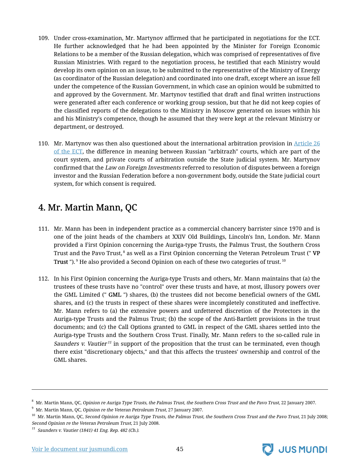- 109. Under cross-examination, Mr. Martynov affirmed that he participated in negotiations for the ECT. He further acknowledged that he had been appointed by the Minister for Foreign Economic Relations to be a member of the Russian delegation, which was comprised of representatives of five Russian Ministries. With regard to the negotiation process, he testified that each Ministry would develop its own opinion on an issue, to be submitted to the representative of the Ministry of Energy (as coordinator of the Russian delegation) and coordinated into one draft, except where an issue fell under the competence of the Russian Government, in which case an opinion would be submitted to and approved by the Government. Mr. Martynov testified that draft and final written instructions were generated after each conference or working group session, but that he did not keep copies of the classified reports of the delegations to the Ministry in Moscow generated on issues within his and his Ministry's competence, though he assumed that they were kept at the relevant Ministry or department, or destroyed.
- 110.  $\,$  Mr. Martynov was then also questioned about the international arbitration provision in  $\frac{\text{Article 26}}{}$  $\frac{\text{Article 26}}{}$  $\frac{\text{Article 26}}{}$ [of the ECT](https://jusmundi.com/en/document/h/clljWVJHbGxISEg0VUZMdWNJazE2TnJ3Mmxwb2NlQ1R3cmNjQXR1UDFhaUg5bDhhczBqUjlmYmVtWWhITFNjK3dCV0JaSFlDK3BFbFIyL0xvSHhiR2sxdnZtV2R3TDJsQUR2Q0hoUUhPeWlwUFRXK0ZmSTJDNUVyTytCd1RRNTNDQmJGNXZZVGpGLzhUODVQMzdWbEl3PT0=), the difference in meaning between Russian "arbitrazh" courts, which are part of the court system, and private courts of arbitration outside the State judicial system. Mr. Martynov confirmed that the Law on Foreign Investments referred to resolution of disputes between a foreign investor and the Russian Federation before a non-government body, outside the State judicial court system, for which consent is required.

### 4. Mr. Martin Mann, QC

- 111. Mr. Mann has been in independent practice as a commercial chancery barrister since 1970 and is one of the joint heads of the chambers at XXIV Old Buildings, Lincoln's Inn, London. Mr. Mann provided a First Opinion concerning the Auriga-type Trusts, the Palmus Trust, the Southern Cross Trust and the Pavo Trust, $<sup>8</sup>$  as well as a First Opinion concerning the Veteran Petroleum Trust (" $VP$ </sup> Trust "). $9$  He also provided a Second Opinion on each of these two categories of trust.  $10$
- 112. In his First Opinion concerning the Auriga-type Trusts and others, Mr. Mann maintains that (a) the trustees of these trusts have no "control" over these trusts and have, at most, illusory powers over the GML Limited (" GML ") shares, (b) the trustees did not become beneficial owners of the GML shares, and (c) the trusts in respect of these shares were incompletely constituted and ineffective. Mr. Mann refers to (a) the extensive powers and unfettered discretion of the Protectors in the Auriga-type Trusts and the Palmus Trust; (b) the scope of the Anti-Bartlett provisions in the trust documents; and (c) the Call Options granted to GML in respect of the GML shares settled into the Auriga-type Trusts and the Southern Cross Trust. Finally, Mr. Mann refers to the so-called rule in *Saunders v. Vautier* $^{\text{11}}$  in support of the proposition that the trust can be terminated, even though there exist "discretionary objects," and that this affects the trustees' ownership and control of the GML shares.



 $8\,$  Mr. Martin Mann, QC, Opinion re Auriga Type Trusts, the Palmus Trust, the Southern Cross Trust and the Pavo Trust, 22 January 2007.

 $9$  Mr. Martin Mann, QC, Opinion re the Veteran Petroleum Trust, 27 January 2007.

 $10$  Mr. Martin Mann, QC, Second Opinion re Auriga Type Trusts, the Palmus Trust, the Southern Cross Trust and the Pavo Trust, 21 July 2008; Second Opinion re the Veteran Petroleum Trust, 21 July 2008.

<sup>11</sup> Saunders v. Vautier (1841) 41 Eng. Rep. 482 (Ch.).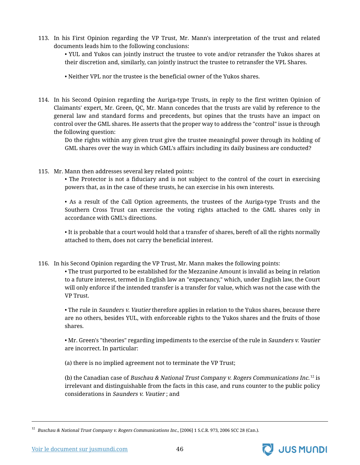113. In his First Opinion regarding the VP Trust, Mr. Mann's interpretation of the trust and related documents leads him to the following conclusions:

• YUL and Yukos can jointly instruct the trustee to vote and/or retransfer the Yukos shares at their discretion and, similarly, can jointly instruct the trustee to retransfer the VPL Shares.

- Neither VPL nor the trustee is the beneficial owner of the Yukos shares.
- 114. In his Second Opinion regarding the Auriga-type Trusts, in reply to the first written Opinion of Claimants' expert, Mr. Green, QC, Mr. Mann concedes that the trusts are valid by reference to the general law and standard forms and precedents, but opines that the trusts have an impact on control over the GML shares. He asserts that the proper way to address the "control" issue is through the following question:

Do the rights within any given trust give the trustee meaningful power through its holding of GML shares over the way in which GML's affairs including its daily business are conducted?

115. Mr. Mann then addresses several key related points:

• The Protector is not a fiduciary and is not subject to the control of the court in exercising powers that, as in the case of these trusts, he can exercise in his own interests.

• As a result of the Call Option agreements, the trustees of the Auriga-type Trusts and the Southern Cross Trust can exercise the voting rights attached to the GML shares only in accordance with GML's directions.

• It is probable that a court would hold that a transfer of shares, bereft of all the rights normally attached to them, does not carry the beneficial interest.

116. In his Second Opinion regarding the VP Trust, Mr. Mann makes the following points:

• The trust purported to be established for the Mezzanine Amount is invalid as being in relation to a future interest, termed in English law an "expectancy," which, under English law, the Court will only enforce if the intended transfer is a transfer for value, which was not the case with the VP Trust.

• The rule in Saunders v. Vautier therefore applies in relation to the Yukos shares, because there are no others, besides YUL, with enforceable rights to the Yukos shares and the fruits of those shares.

• Mr. Green's "theories" regarding impediments to the exercise of the rule in *Saunders v. Vautier* are incorrect. In particular:

(a) there is no implied agreement not to terminate the VP Trust;

(b) the Canadian case of *Buschau & National Trust Company v. Rogers Communications Inc.*  $^{12}$  is irrelevant and distinguishable from the facts in this case, and runs counter to the public policy considerations in Saunders v. Vautier ; and

<sup>12</sup> Buschau & National Trust Company v. Rogers Communications Inc., [2006] 1 S.C.R. 973, 2006 SCC 28 (Can.).

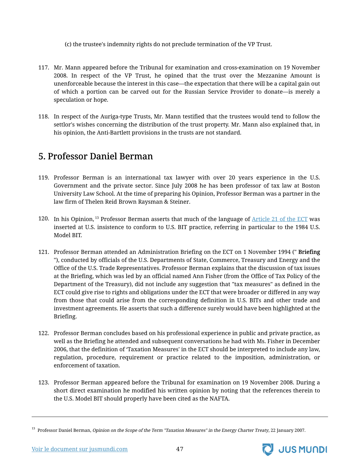(c) the trustee's indemnity rights do not preclude termination of the VP Trust.

- 117. Mr. Mann appeared before the Tribunal for examination and cross-examination on 19 November 2008. In respect of the VP Trust, he opined that the trust over the Mezzanine Amount is unenforceable because the interest in this case—the expectation that there will be a capital gain out of which a portion can be carved out for the Russian Service Provider to donate—is merely a speculation or hope.
- 118. In respect of the Auriga-type Trusts, Mr. Mann testified that the trustees would tend to follow the settlor's wishes concerning the distribution of the trust property. Mr. Mann also explained that, in his opinion, the Anti-Bartlett provisions in the trusts are not standard.

#### 5. Professor Daniel Berman

- 119. Professor Berman is an international tax lawyer with over 20 years experience in the U.S. Government and the private sector. Since July 2008 he has been professor of tax law at Boston University Law School. At the time of preparing his Opinion, Professor Berman was a partner in the law firm of Thelen Reid Brown Raysman & Steiner.
- 120. In his Opinion,  $^{\rm 13}$  Professor Berman asserts that much of the language of  $\rm Article$   $21$  of the ECT was inserted at U.S. insistence to conform to U.S. BIT practice, referring in particular to the 1984 U.S. Model BIT.
- 121. Professor Berman attended an Administration Briefing on the ECT on 1 November 1994 (" Briefing "), conducted by officials of the U.S. Departments of State, Commerce, Treasury and Energy and the Office of the U.S. Trade Representatives. Professor Berman explains that the discussion of tax issues at the Briefing, which was led by an official named Ann Fisher (from the Office of Tax Policy of the Department of the Treasury), did not include any suggestion that "tax measures" as defined in the ECT could give rise to rights and obligations under the ECT that were broader or differed in any way from those that could arise from the corresponding definition in U.S. BITs and other trade and investment agreements. He asserts that such a difference surely would have been highlighted at the Briefing.
- 122. Professor Berman concludes based on his professional experience in public and private practice, as well as the Briefing he attended and subsequent conversations he had with Ms. Fisher in December 2006, that the definition of 'Taxation Measures' in the ECT should be interpreted to include any law, regulation, procedure, requirement or practice related to the imposition, administration, or enforcement of taxation.
- 123. Professor Berman appeared before the Tribunal for examination on 19 November 2008. During a short direct examination he modified his written opinion by noting that the references therein to the U.S. Model BIT should properly have been cited as the NAFTA.

<sup>&</sup>lt;sup>13</sup> Professor Daniel Berman, Opinion on the Scope of the Term "Taxation Measures" in the Energy Charter Treaty, 22 January 2007.

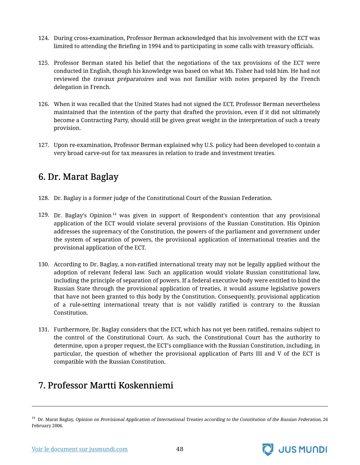- 124. During cross-examination, Professor Berman acknowledged that his involvement with the ECT was limited to attending the Briefing in 1994 and to participating in some calls with treasury officials.
- 125. Professor Berman stated his belief that the negotiations of the tax provisions of the ECT were conducted in English, though his knowledge was based on what Ms. Fisher had told him. He had not reviewed the *travaux préparatoires* and was not familiar with notes prepared by the French delegation in French.
- 126. When it was recalled that the United States had not signed the ECT, Professor Berman nevertheless maintained that the intention of the party that drafted the provision, even if it did not ultimately become a Contracting Party, should still be given great weight in the interpretation of such a treaty provision.
- 127. Upon re-examination, Professor Berman explained why U.S. policy had been developed to contain a very broad carve-out for tax measures in relation to trade and investment treaties.

## 6. Dr. Marat Baglay

- 128. Dr. Baglay is a former judge of the Constitutional Court of the Russian Federation.
- 129. Dr. Baglay's Opinion<sup>14</sup> was given in support of Respondent's contention that any provisional application of the ECT would violate several provisions of the Russian Constitution. His Opinion addresses the supremacy of the Constitution, the powers of the parliament and government under the system of separation of powers, the provisional application of international treaties and the provisional application of the ECT.
- 130. According to Dr. Baglay, a non-ratified international treaty may not be legally applied without the adoption of relevant federal law. Such an application would violate Russian constitutional law, including the principle of separation of powers. If a federal executive body were entitled to bind the Russian State through the provisional application of treaties, it would assume legislative powers that have not been granted to this body by the Constitution. Consequently, provisional application of a rule-setting international treaty that is not validly ratified is contrary to the Russian Constitution.
- 131. Furthermore, Dr. Baglay considers that the ECT, which has not yet been ratified, remains subject to the control of the Constitutional Court. As such, the Constitutional Court has the authority to determine, upon a proper request, the ECT's compliance with the Russian Constitution, including, in particular, the question of whether the provisional application of Parts III and V of the ECT is compatible with the Russian Constitution.

### 7. Professor Martti Koskenniemi

 $14$  Dr. Marat Baglay, Opinion on Provisional Application of International Treaties according to the Constitution of the Russian Federation, 26 February 2006.

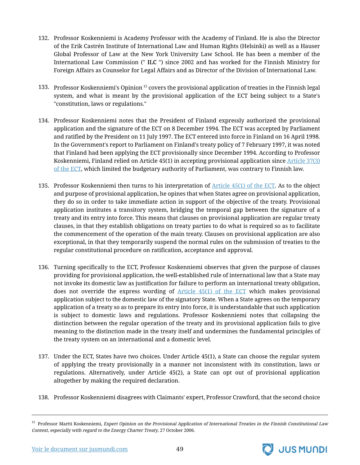- 132. Professor Koskenniemi is Academy Professor with the Academy of Finland. He is also the Director of the Erik Castrén Institute of International Law and Human Rights (Helsinki) as well as a Hauser Global Professor of Law at the New York University Law School. He has been a member of the International Law Commission (" ILC ") since 2002 and has worked for the Finnish Ministry for Foreign Affairs as Counselor for Legal Affairs and as Director of the Division of International Law.
- 133. Professor Koskenniemi's Opinion  $^{15}$  covers the provisional application of treaties in the Finnish legal system, and what is meant by the provisional application of the ECT being subject to a State's "constitution, laws or regulations."
- 134. Professor Koskenniemi notes that the President of Finland expressly authorized the provisional application and the signature of the ECT on 8 December 1994. The ECT was accepted by Parliament and ratified by the President on 11 July 1997. The ECT entered into force in Finland on 16 April 1998. In the Government's report to Parliament on Finland's treaty policy of 7 February 1997, it was noted that Finland had been applying the ECT provisionally since December 1994. According to Professor Koskenniemi, Finland relied on Article 45(1) in accepting provisional application since [Article 37\(3\)](https://jusmundi.com/en/document/h/clljWVJHbGxISEg0VUZMdWNJazE2TnJ3Mmxwb2NlQ1R3cmNjQXR1UDFhaUg5bDhhczBqUjlmYmVtWWhITFNjK3dCV0JaSFlDK3BFbFIyL0xvSHhiR2sxdnZtV2R3TDJsQUR2Q0hoUUhPeWlwUFRXK0ZmSTJDNUVyTytCd1RRNTNzdEFPQklnNzFqV3ZWQ1hEU2s1alVRPT0=) [of the ECT,](https://jusmundi.com/en/document/h/clljWVJHbGxISEg0VUZMdWNJazE2TnJ3Mmxwb2NlQ1R3cmNjQXR1UDFhaUg5bDhhczBqUjlmYmVtWWhITFNjK3dCV0JaSFlDK3BFbFIyL0xvSHhiR2sxdnZtV2R3TDJsQUR2Q0hoUUhPeWlwUFRXK0ZmSTJDNUVyTytCd1RRNTNzdEFPQklnNzFqV3ZWQ1hEU2s1alVRPT0=) which limited the budgetary authority of Parliament, was contrary to Finnish law.
- 135. Professor Koskenniemi then turns to his interpretation of <u>Article 45(1) of the ECT</u>. As to the object and purpose of provisional application, he opines that when States agree on provisional application, they do so in order to take immediate action in support of the objective of the treaty. Provisional application institutes a transitory system, bridging the temporal gap between the signature of a treaty and its entry into force. This means that clauses on provisional application are regular treaty clauses, in that they establish obligations on treaty parties to do what is required so as to facilitate the commencement of the operation of the main treaty. Clauses on provisional application are also exceptional, in that they temporarily suspend the normal rules on the submission of treaties to the regular constitutional procedure on ratification, acceptance and approval.
- 136. Turning specifically to the ECT, Professor Koskenniemi observes that given the purpose of clauses providing for provisional application, the well-established rule of international law that a State may not invoke its domestic law as justification for failure to perform an international treaty obligation, does not override the express wording of  $Article 45(1)$  of the ECT which makes provisional application subject to the domestic law of the signatory State. When a State agrees on the temporary application of a treaty so as to prepare its entry into force, it is understandable that such application is subject to domestic laws and regulations. Professor Koskenniemi notes that collapsing the distinction between the regular operation of the treaty and its provisional application fails to give meaning to the distinction made in the treaty itself and undermines the fundamental principles of the treaty system on an international and a domestic level.
- 137. Under the ECT, States have two choices. Under Article 45(1), a State can choose the regular system of applying the treaty provisionally in a manner not inconsistent with its constitution, laws or regulations. Alternatively, under Article 45(2), a State can opt out of provisional application altogether by making the required declaration.
- 138. Professor Koskenniemi disagrees with Claimants' expert, Professor Crawford, that the second choice



<sup>&</sup>lt;sup>15</sup> Professor Martti Koskenniemi, Expert Opinion on the Provisional Application of International Treaties in the Finnish Constitutional Law Context, especially with regard to the Energy Charter Treaty, 27 October 2006.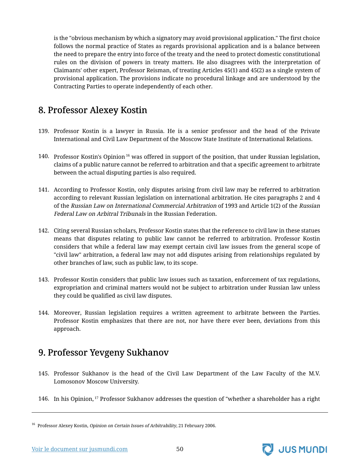is the "obvious mechanism by which a signatory may avoid provisional application." The first choice follows the normal practice of States as regards provisional application and is a balance between the need to prepare the entry into force of the treaty and the need to protect domestic constitutional rules on the division of powers in treaty matters. He also disagrees with the interpretation of Claimants' other expert, Professor Reisman, of treating Articles 45(1) and 45(2) as a single system of provisional application. The provisions indicate no procedural linkage and are understood by the Contracting Parties to operate independently of each other.

#### 8. Professor Alexey Kostin

- 139. Professor Kostin is a lawyer in Russia. He is a senior professor and the head of the Private International and Civil Law Department of the Moscow State Institute of International Relations.
- 140. Professor Kostin's Opinion  $^{16}$  was offered in support of the position, that under Russian legislation, claims of a public nature cannot be referred to arbitration and that a specific agreement to arbitrate between the actual disputing parties is also required.
- 141. According to Professor Kostin, only disputes arising from civil law may be referred to arbitration according to relevant Russian legislation on international arbitration. He cites paragraphs 2 and 4 of the Russian Law on International Commercial Arbitration of 1993 and Article 1(2) of the Russian Federal Law on Arbitral Tribunals in the Russian Federation.
- 142. Citing several Russian scholars, Professor Kostin states that the reference to civil law in these statues means that disputes relating to public law cannot be referred to arbitration. Professor Kostin considers that while a federal law may exempt certain civil law issues from the general scope of "civil law" arbitration, a federal law may not add disputes arising from relationships regulated by other branches of law, such as public law, to its scope.
- 143. Professor Kostin considers that public law issues such as taxation, enforcement of tax regulations, expropriation and criminal matters would not be subject to arbitration under Russian law unless they could be qualified as civil law disputes.
- 144. Moreover, Russian legislation requires a written agreement to arbitrate between the Parties. Professor Kostin emphasizes that there are not, nor have there ever been, deviations from this approach.

### 9. Professor Yevgeny Sukhanov

- 145. Professor Sukhanov is the head of the Civil Law Department of the Law Faculty of the M.V. Lomosonov Moscow University.
- $146.$  In his Opinion,  $^{\rm 17}$  Professor Sukhanov addresses the question of "whether a shareholder has a right

[Voir le document sur jusmundi.com](https://jusmundi.com/fr/document/decision/en-yukos-universal-limited-isle-of-man-v-the-russian-federation-interim-award-on-jurisdiction-and-admissibility-monday-30th-november-2009) 50



 $^{16}\,$  Professor Alexey Kostin, Opinion on Certain Issues of Arbitrability, 21 February 2006.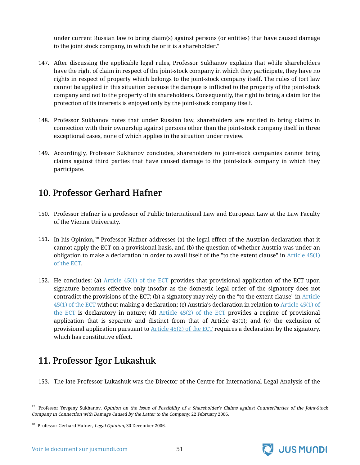under current Russian law to bring claim(s) against persons (or entities) that have caused damage to the joint stock company, in which he or it is a shareholder."

- 147. After discussing the applicable legal rules, Professor Sukhanov explains that while shareholders have the right of claim in respect of the joint-stock company in which they participate, they have no rights in respect of property which belongs to the joint-stock company itself. The rules of tort law cannot be applied in this situation because the damage is inflicted to the property of the joint-stock company and not to the property of its shareholders. Consequently, the right to bring a claim for the protection of its interests is enjoyed only by the joint-stock company itself.
- 148. Professor Sukhanov notes that under Russian law, shareholders are entitled to bring claims in connection with their ownership against persons other than the joint-stock company itself in three exceptional cases, none of which applies in the situation under review.
- 149. Accordingly, Professor Sukhanov concludes, shareholders to joint-stock companies cannot bring claims against third parties that have caused damage to the joint-stock company in which they participate.

### 10. Professor Gerhard Hafner

- 150. Professor Hafner is a professor of Public International Law and European Law at the Law Faculty of the Vienna University.
- 151. In his Opinion, <sup>18</sup> Professor Hafner addresses (a) the legal effect of the Austrian declaration that it cannot apply the ECT on a provisional basis, and (b) the question of whether Austria was under an obligation to make a declaration in order to avail itself of the "to the extent clause" in Article  $45(1)$ [of the ECT.](https://jusmundi.com/en/document/h/clljWVJHbGxISEg0VUZMdWNJazE2TnJ3Mmxwb2NlQ1R3cmNjQXR1UDFhaUg5bDhhczBqUjlmYmVtWWhITFNjK3dCV0JaSFlDK3BFbFIyL0xvSHhiR2sxdnZtV2R3TDJsQUR2Q0hoUUhPeWlwUFRXK0ZmSTJDNUVyTytCd1RRNTNjZ05Tdy9FMGVhb3p3Ky9uOE9DSXdBPT0=)
- 152. He concludes: (a)  $\frac{\text{Article 45(1) of the ECT}}{\text{CCT}}$  $\frac{\text{Article 45(1) of the ECT}}{\text{CCT}}$  $\frac{\text{Article 45(1) of the ECT}}{\text{CCT}}$  provides that provisional application of the ECT upon signature becomes effective only insofar as the domestic legal order of the signatory does not contradict the provisions of the ECT; (b) a signatory may rely on the "to the extent clause" in  $\text{Article}$  $\text{Article}$  $\text{Article}$ [45\(1\) of the ECT](https://jusmundi.com/en/document/h/clljWVJHbGxISEg0VUZMdWNJazE2TnJ3Mmxwb2NlQ1R3cmNjQXR1UDFhaUg5bDhhczBqUjlmYmVtWWhITFNjK3dCV0JaSFlDK3BFbFIyL0xvSHhiR2sxdnZtV2R3TDJsQUR2Q0hoUUhPeWlwUFRXK0ZmSTJDNUVyTytCd1RRNTNjZ05Tdy9FMGVhb3p3Ky9uOE9DSXdBPT0=) without making a declaration; (c) Austria's declaration in relation to [Article 45\(1\) of](https://jusmundi.com/en/document/h/clljWVJHbGxISEg0VUZMdWNJazE2TnJ3Mmxwb2NlQ1R3cmNjQXR1UDFhaUg5bDhhczBqUjlmYmVtWWhITFNjK3dCV0JaSFlDK3BFbFIyL0xvSHhiR2sxdnZtV2R3TDJsQUR2Q0hoUUhPeWlwUFRXK0ZmSTJDNUVyTytCd1RRNTNjZ05Tdy9FMGVhb3p3Ky9uOE9DSXdBPT0=) [the ECT](https://jusmundi.com/en/document/h/clljWVJHbGxISEg0VUZMdWNJazE2TnJ3Mmxwb2NlQ1R3cmNjQXR1UDFhaUg5bDhhczBqUjlmYmVtWWhITFNjK3dCV0JaSFlDK3BFbFIyL0xvSHhiR2sxdnZtV2R3TDJsQUR2Q0hoUUhPeWlwUFRXK0ZmSTJDNUVyTytCd1RRNTNjZ05Tdy9FMGVhb3p3Ky9uOE9DSXdBPT0=) is declaratory in nature; (d) Article  $45(2)$  of the ECT provides a regime of provisional application that is separate and distinct from that of Article 45(1); and (e) the exclusion of provisional application pursuant to  $\text{Article }45(2)$  of the ECT requires a declaration by the signatory, which has constitutive effect.

# 11. Professor Igor Lukashuk

153. The late Professor Lukashuk was the Director of the Centre for International Legal Analysis of the



<sup>&</sup>lt;sup>17</sup> Professor Yevgeny Sukhanov, Opinion on the Issue of Possibility of a Shareholder's Claims against CounterParties of the Joint-Stock Company in Connection with Damage Caused by the Latter to the Company, 22 February 2006.

<sup>&</sup>lt;sup>18</sup> Professor Gerhard Hafner, Legal Opinion, 30 December 2006.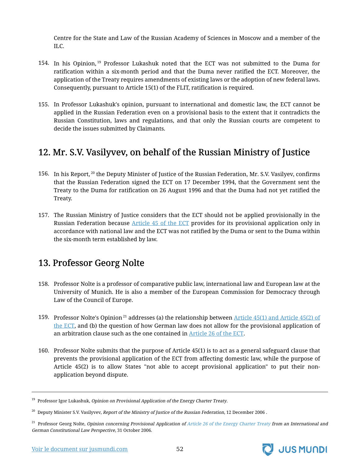Centre for the State and Law of the Russian Academy of Sciences in Moscow and a member of the ILC.

- 154. In his Opinion, $^{19}$  Professor Lukashuk noted that the ECT was not submitted to the Duma for ratification within a six-month period and that the Duma never ratified the ECT. Moreover, the application of the Treaty requires amendments of existing laws or the adoption of new federal laws. Consequently, pursuant to Article 15(1) of the FLIT, ratification is required.
- 155. In Professor Lukashuk's opinion, pursuant to international and domestic law, the ECT cannot be applied in the Russian Federation even on a provisional basis to the extent that it contradicts the Russian Constitution, laws and regulations, and that only the Russian courts are competent to decide the issues submitted by Claimants.

## 12. Mr. S.V. Vasilyvev, on behalf of the Russian Ministry of Justice

- 156.  $\:$  In his Report,  $^{20}$  the Deputy Minister of Justice of the Russian Federation, Mr. S.V. Vasilyev, confirms that the Russian Federation signed the ECT on 17 December 1994, that the Government sent the Treaty to the Duma for ratification on 26 August 1996 and that the Duma had not yet ratified the Treaty.
- 157. The Russian Ministry of Justice considers that the ECT should not be applied provisionally in the Russian Federation because [Article 45 of the ECT](https://jusmundi.com/en/document/h/clljWVJHbGxISEg0VUZMdWNJazE2TnJ3Mmxwb2NlQ1R3cmNjQXR1UDFhaUg5bDhhczBqUjlmYmVtWWhITFNjK3dCV0JaSFlDK3BFbFIyL0xvSHhiR2sxdnZtV2R3TDJsQUR2Q0hoUUhPeWlwUFRXK0ZmSTJDNUVyTytCd1RRNTNDQlhsK0drWUMvN3BMdmptc29leFJBPT0=) provides for its provisional application only in accordance with national law and the ECT was not ratified by the Duma or sent to the Duma within the six-month term established by law.

### 13. Professor Georg Nolte

- 158. Professor Nolte is a professor of comparative public law, international law and European law at the University of Munich. He is also a member of the European Commission for Democracy through Law of the Council of Europe.
- <code>159. Professor</code> Nolte's Opinion  $^{21}$  addresses (a) the relationship between <code>Article 45(1)</code> and <code>Article 45(2)</code> of [the ECT,](https://jusmundi.com/en/document/h/clljWVJHbGxISEg0VUZMdWNJazE2TnJ3Mmxwb2NlQ1R3cmNjQXR1UDFhaUg5bDhhczBqUjlmYmVtWWhITFNjK3dCV0JaSFlDK3BFbFIyL0xvSHhiR2sxdnZtV2R3TDJsQUR2Q0hoUUhPeWlwUFRXK0ZmSTJDNUVyTytCd1RRNTNjZ05Tdy9FMGVhb3p3Ky9uOE9DSXdBPT0=) and (b) the question of how German law does not allow for the provisional application of an arbitration clause such as the one contained in [Article 26 of the ECT](https://jusmundi.com/en/document/h/clljWVJHbGxISEg0VUZMdWNJazE2TnJ3Mmxwb2NlQ1R3cmNjQXR1UDFhaUg5bDhhczBqUjlmYmVtWWhITFNjK3dCV0JaSFlDK3BFbFIyL0xvSHhiR2sxdnZtV2R3TDJsQUR2Q0hoUUhPeWlwUFRXK0ZmSTJDNUVyTytCd1RRNTNDQmJGNXZZVGpGLzhUODVQMzdWbEl3PT0=).
- 160. Professor Nolte submits that the purpose of Article 45(1) is to act as a general safeguard clause that prevents the provisional application of the ECT from affecting domestic law, while the purpose of Article 45(2) is to allow States "not able to accept provisional application" to put their nonapplication beyond dispute.



 $^{19}\,$  Professor Igor Lukashuk, Opinion on Provisional Application of the Energy Charter Treaty.

<sup>&</sup>lt;sup>20</sup> Deputy Minister S.V. Vasilyvev, Report of the Ministry of Justice of the Russian Federation, 12 December 2006.

<sup>&</sup>lt;sup>21</sup> Professor Georg Nolte, Opinion concerning Provisional Application of Article 26 of the [Energy](https://jusmundi.com/en/document/h/clljWVJHbGxISEg0VUZMdWNJazE2TnJ3Mmxwb2NlQ1R3cmNjQXR1UDFhaUg5bDhhczBqUjlmYmVtWWhITFNjK3dCV0JaSFlDK3BFbFIyL0xvSHhiR2sxdnZtV2R3TDJsQUR2Q0hoUUhPeWlwUFRXK0ZmSTJDNUVyTytCd1RRNTNDQmJGNXZZVGpGLzhUODVQMzdWbEl3PT0=) Charter Treaty from an International and German Constitutional Law Perspective, 31 October 2006.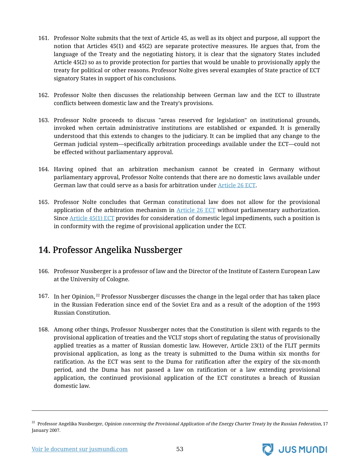- 161. Professor Nolte submits that the text of Article 45, as well as its object and purpose, all support the notion that Articles 45(1) and 45(2) are separate protective measures. He argues that, from the language of the Treaty and the negotiating history, it is clear that the signatory States included Article 45(2) so as to provide protection for parties that would be unable to provisionally apply the treaty for political or other reasons. Professor Nolte gives several examples of State practice of ECT signatory States in support of his conclusions.
- 162. Professor Nolte then discusses the relationship between German law and the ECT to illustrate conflicts between domestic law and the Treaty's provisions.
- 163. Professor Nolte proceeds to discuss "areas reserved for legislation" on institutional grounds, invoked when certain administrative institutions are established or expanded. It is generally understood that this extends to changes to the judiciary. It can be implied that any change to the German judicial system—specifically arbitration proceedings available under the ECT—could not be effected without parliamentary approval.
- 164. Having opined that an arbitration mechanism cannot be created in Germany without parliamentary approval, Professor Nolte contends that there are no domestic laws available under German law that could serve as a basis for arbitration under [Article 26 ECT.](https://jusmundi.com/en/document/h/clljWVJHbGxISEg0VUZMdWNJazE2TnJ3Mmxwb2NlQ1R3cmNjQXR1UDFhaUg5bDhhczBqUjlmYmVtWWhITFNjK3dCV0JaSFlDK3BFbFIyL0xvSHhiR2sxdnZtV2R3TDJsQUR2Q0hoUUhPeWlwUFRXK0ZmSTJDNUVyTytCd1RRNTNDQmJGNXZZVGpGLzhUODVQMzdWbEl3PT0=)
- 165. Professor Nolte concludes that German constitutional law does not allow for the provisional application of the arbitration mechanism in [Article 26 ECT](https://jusmundi.com/en/document/h/clljWVJHbGxISEg0VUZMdWNJazE2TnJ3Mmxwb2NlQ1R3cmNjQXR1UDFhaUg5bDhhczBqUjlmYmVtWWhITFNjK3dCV0JaSFlDK3BFbFIyL0xvSHhiR2sxdnZtV2R3TDJsQUR2Q0hoUUhPeWlwUFRXK0ZmSTJDNUVyTytCd1RRNTNDQmJGNXZZVGpGLzhUODVQMzdWbEl3PT0=) without parliamentary authorization. Since [Article 45\(1\) ECT](https://jusmundi.com/en/document/h/clljWVJHbGxISEg0VUZMdWNJazE2TnJ3Mmxwb2NlQ1R3cmNjQXR1UDFhaUg5bDhhczBqUjlmYmVtWWhITFNjK3dCV0JaSFlDK3BFbFIyL0xvSHhiR2sxdnZtV2R3TDJsQUR2Q0hoUUhPeWlwUFRXK0ZmSTJDNUVyTytCd1RRNTNjZ05Tdy9FMGVhb3p3Ky9uOE9DSXdBPT0=) provides for consideration of domestic legal impediments, such a position is in conformity with the regime of provisional application under the ECT.

### 14. Professor Angelika Nussberger

- 166. Professor Nussberger is a professor of law and the Director of the Institute of Eastern European Law at the University of Cologne.
- $167.$  In her Opinion,  $^{22}$  Professor Nussberger discusses the change in the legal order that has taken place in the Russian Federation since end of the Soviet Era and as a result of the adoption of the 1993 Russian Constitution.
- 168. Among other things, Professor Nussberger notes that the Constitution is silent with regards to the provisional application of treaties and the VCLT stops short of regulating the status of provisionally applied treaties as a matter of Russian domestic law. However, Article 23(1) of the FLIT permits provisional application, as long as the treaty is submitted to the Duma within six months for ratification. As the ECT was sent to the Duma for ratification after the expiry of the six-month period, and the Duma has not passed a law on ratification or a law extending provisional application, the continued provisional application of the ECT constitutes a breach of Russian domestic law.

 $^{22}$  Professor Angelika Nussberger, Opinion concerning the Provisional Application of the Energy Charter Treaty by the Russian Federation, 17 January 2007.



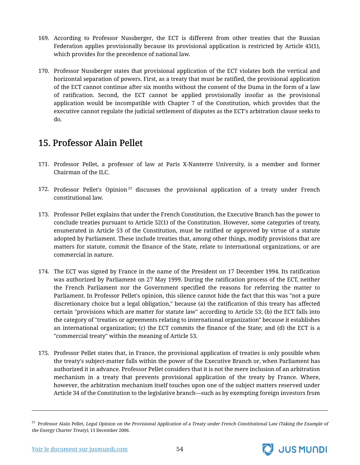- 169. According to Professor Nussberger, the ECT is different from other treaties that the Russian Federation applies provisionally because its provisional application is restricted by Article 45(1), which provides for the precedence of national law.
- 170. Professor Nussberger states that provisional application of the ECT violates both the vertical and horizontal separation of powers. First, as a treaty that must be ratified, the provisional application of the ECT cannot continue after six months without the consent of the Duma in the form of a law of ratification. Second, the ECT cannot be applied provisionally insofar as the provisional application would be incompatible with Chapter 7 of the Constitution, which provides that the executive cannot regulate the judicial settlement of disputes as the ECT's arbitration clause seeks to do.

### 15. Professor Alain Pellet

- 171. Professor Pellet, a professor of law at Paris X-Nanterre University, is a member and former Chairman of the ILC.
- 172. Professor Pellet's Opinion $^{23}$  discusses the provisional application of a treaty under French constitutional law.
- 173. Professor Pellet explains that under the French Constitution, the Executive Branch has the power to conclude treaties pursuant to Article 52(1) of the Constitution. However, some categories of treaty, enumerated in Article 53 of the Constitution, must be ratified or approved by virtue of a statute adopted by Parliament. These include treaties that, among other things, modify provisions that are matters for statute, commit the finance of the State, relate to international organizations, or are commercial in nature.
- 174. The ECT was signed by France in the name of the President on 17 December 1994. Its ratification was authorized by Parliament on 27 May 1999. During the ratification process of the ECT, neither the French Parliament nor the Government specified the reasons for referring the matter to Parliament. In Professor Pellet's opinion, this silence cannot hide the fact that this was "not a pure discretionary choice but a legal obligation," because (a) the ratification of this treaty has affected certain "provisions which are matter for statute law" according to Article 53; (b) the ECT falls into the category of "treaties or agreements relating to international organization" because it establishes an international organization; (c) the ECT commits the finance of the State; and (d) the ECT is a "commercial treaty" within the meaning of Article 53.
- 175. Professor Pellet states that, in France, the provisional application of treaties is only possible when the treaty's subject-matter falls within the power of the Executive Branch or, when Parliament has authorized it in advance. Professor Pellet considers that it is not the mere inclusion of an arbitration mechanism in a treaty that prevents provisional application of the treaty by France. Where, however, the arbitration mechanism itself touches upon one of the subject matters reserved under Article 34 of the Constitution to the legislative branch—such as by exempting foreign investors from



<sup>&</sup>lt;sup>23</sup> Professor Alain Pellet, Legal Opinion on the Provisional Application of a Treaty under French Constitutional Law (Taking the Example of the Energy Charter Treaty), 13 December 2006.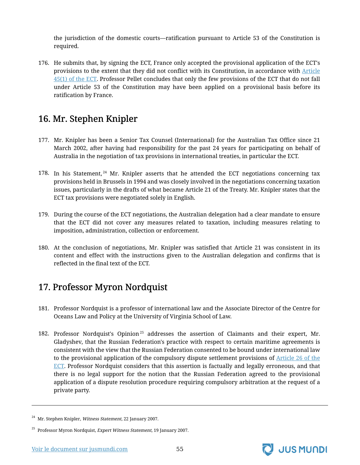the jurisdiction of the domestic courts—ratification pursuant to Article 53 of the Constitution is required.

176. He submits that, by signing the ECT, France only accepted the provisional application of the ECT's provisions to the extent that they did not conflict with its Constitution, in accordance with [Article](https://jusmundi.com/en/document/h/clljWVJHbGxISEg0VUZMdWNJazE2TnJ3Mmxwb2NlQ1R3cmNjQXR1UDFhaUg5bDhhczBqUjlmYmVtWWhITFNjK3dCV0JaSFlDK3BFbFIyL0xvSHhiR2sxdnZtV2R3TDJsQUR2Q0hoUUhPeWlwUFRXK0ZmSTJDNUVyTytCd1RRNTNjZ05Tdy9FMGVhb3p3Ky9uOE9DSXdBPT0=) [45\(1\) of the ECT.](https://jusmundi.com/en/document/h/clljWVJHbGxISEg0VUZMdWNJazE2TnJ3Mmxwb2NlQ1R3cmNjQXR1UDFhaUg5bDhhczBqUjlmYmVtWWhITFNjK3dCV0JaSFlDK3BFbFIyL0xvSHhiR2sxdnZtV2R3TDJsQUR2Q0hoUUhPeWlwUFRXK0ZmSTJDNUVyTytCd1RRNTNjZ05Tdy9FMGVhb3p3Ky9uOE9DSXdBPT0=) Professor Pellet concludes that only the few provisions of the ECT that do not fall under Article 53 of the Constitution may have been applied on a provisional basis before its ratification by France.

#### 16. Mr. Stephen Knipler

- 177. Mr. Knipler has been a Senior Tax Counsel (International) for the Australian Tax Office since 21 March 2002, after having had responsibility for the past 24 years for participating on behalf of Australia in the negotiation of tax provisions in international treaties, in particular the ECT.
- 178. In his Statement, $^{24}$  Mr. Knipler asserts that he attended the ECT negotiations concerning tax provisions held in Brussels in 1994 and was closely involved in the negotiations concerning taxation issues, particularly in the drafts of what became Article 21 of the Treaty. Mr. Knipler states that the ECT tax provisions were negotiated solely in English.
- 179. During the course of the ECT negotiations, the Australian delegation had a clear mandate to ensure that the ECT did not cover any measures related to taxation, including measures relating to imposition, administration, collection or enforcement.
- 180. At the conclusion of negotiations, Mr. Knipler was satisfied that Article 21 was consistent in its content and effect with the instructions given to the Australian delegation and confirms that is reflected in the final text of the ECT.

## 17. Professor Myron Nordquist

- 181. Professor Nordquist is a professor of international law and the Associate Director of the Centre for Oceans Law and Policy at the University of Virginia School of Law.
- 182. Professor Nordquist's Opinion $^{25}$  addresses the assertion of Claimants and their expert, Mr. Gladyshev, that the Russian Federation's practice with respect to certain maritime agreements is consistent with the view that the Russian Federation consented to be bound under international law to the provisional application of the compulsory dispute settlement provisions of [Article 26 of the](https://jusmundi.com/en/document/h/clljWVJHbGxISEg0VUZMdWNJazE2TnJ3Mmxwb2NlQ1R3cmNjQXR1UDFhaUg5bDhhczBqUjlmYmVtWWhITFNjK3dCV0JaSFlDK3BFbFIyL0xvSHhiR2sxdnZtV2R3TDJsQUR2Q0hoUUhPeWlwUFRXK0ZmSTJDNUVyTytCd1RRNTNDQmJGNXZZVGpGLzhUODVQMzdWbEl3PT0=) [ECT](https://jusmundi.com/en/document/h/clljWVJHbGxISEg0VUZMdWNJazE2TnJ3Mmxwb2NlQ1R3cmNjQXR1UDFhaUg5bDhhczBqUjlmYmVtWWhITFNjK3dCV0JaSFlDK3BFbFIyL0xvSHhiR2sxdnZtV2R3TDJsQUR2Q0hoUUhPeWlwUFRXK0ZmSTJDNUVyTytCd1RRNTNDQmJGNXZZVGpGLzhUODVQMzdWbEl3PT0=). Professor Nordquist considers that this assertion is factually and legally erroneous, and that there is no legal support for the notion that the Russian Federation agreed to the provisional application of a dispute resolution procedure requiring compulsory arbitration at the request of a private party.



<sup>&</sup>lt;sup>24</sup> Mr. Stephen Knipler, Witness Statement, 22 January 2007.

 $25$  Professor Myron Nordquist, Expert Witness Statement, 19 January 2007.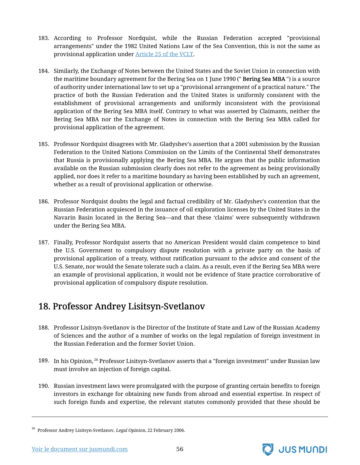- 183. According to Professor Nordquist, while the Russian Federation accepted "provisional arrangements" under the 1982 United Nations Law of the Sea Convention, this is not the same as provisional application under [Article 25 of the VCLT.](https://jusmundi.com/en/document/h/NVFwR2lWbkFqaXdJRmhJT3hnNFo0NEhoLzFzTjdSbU9icGpNYlQ0N3hXUjByQUw3dW1hT1I5OW90REYzWjlFYW1iQm0xR2ZxcmE5MFIwL3EyeU1DWUVRbENBMnU5S3g1dERqLzZnTWNMRHc3U0YwLzlEK2VYZ1FOT1ZFUEszei8yM25adnZnUXlFS0VUZE44K1VxYnNDNG9GK1JmaHJPdTROQm11RzdHNHNnPQ==)
- 184. Similarly, the Exchange of Notes between the United States and the Soviet Union in connection with the maritime boundary agreement for the Bering Sea on 1 June 1990 (" Bering Sea MBA ") is a source of authority under international law to set up a "provisional arrangement of a practical nature." The practice of both the Russian Federation and the United States is uniformly consistent with the establishment of provisional arrangements and uniformly inconsistent with the provisional application of the Bering Sea MBA itself. Contrary to what was asserted by Claimants, neither the Bering Sea MBA nor the Exchange of Notes in connection with the Bering Sea MBA called for provisional application of the agreement.
- 185. Professor Nordquist disagrees with Mr. Gladyshev's assertion that a 2001 submission by the Russian Federation to the United Nations Commission on the Limits of the Continental Shelf demonstrates that Russia is provisionally applying the Bering Sea MBA. He argues that the public information available on the Russian submission clearly does not refer to the agreement as being provisionally applied, nor does it refer to a maritime boundary as having been established by such an agreement, whether as a result of provisional application or otherwise.
- 186. Professor Nordquist doubts the legal and factual credibility of Mr. Gladyshev's contention that the Russian Federation acquiesced in the issuance of oil exploration licenses by the United States in the Navarin Basin located in the Bering Sea—and that these 'claims' were subsequently withdrawn under the Bering Sea MBA.
- 187. Finally, Professor Nordquist asserts that no American President would claim competence to bind the U.S. Government to compulsory dispute resolution with a private party on the basis of provisional application of a treaty, without ratification pursuant to the advice and consent of the U.S. Senate, nor would the Senate tolerate such a claim. As a result, even if the Bering Sea MBA were an example of provisional application, it would not be evidence of State practice corroborative of provisional application of compulsory dispute resolution.

## 18. Professor Andrey Lisitsyn-Svetlanov

- 188. Professor Lisitsyn-Svetlanov is the Director of the Institute of State and Law of the Russian Academy of Sciences and the author of a number of works on the legal regulation of foreign investment in the Russian Federation and the former Soviet Union.
- 189. In his Opinion, <sup>26</sup> Professor Lisitsyn-Svetlanov asserts that a "foreign investment" under Russian law must involve an injection of foreign capital.
- 190. Russian investment laws were promulgated with the purpose of granting certain benefits to foreign investors in exchange for obtaining new funds from abroad and essential expertise. In respect of such foreign funds and expertise, the relevant statutes commonly provided that these should be



<sup>&</sup>lt;sup>26</sup> Professor Andrey Lisitsyn-Svetlanov, Legal Opinion, 22 February 2006.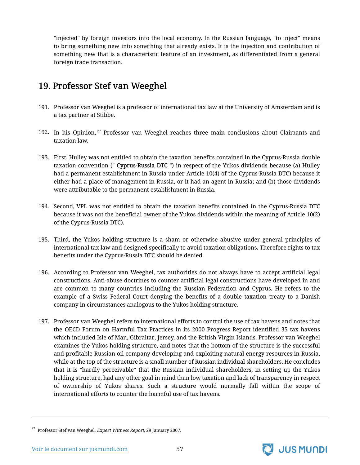"injected" by foreign investors into the local economy. In the Russian language, "to inject" means to bring something new into something that already exists. It is the injection and contribution of something new that is a characteristic feature of an investment, as differentiated from a general foreign trade transaction.

### 19. Professor Stef van Weeghel

- 191. Professor van Weeghel is a professor of international tax law at the University of Amsterdam and is a tax partner at Stibbe.
- 192. In his Opinion, $^{27}$  Professor van Weeghel reaches three main conclusions about Claimants and taxation law.
- 193. First, Hulley was not entitled to obtain the taxation benefits contained in the Cyprus-Russia double taxation convention (" Cyprus-Russia DTC ") in respect of the Yukos dividends because (a) Hulley had a permanent establishment in Russia under Article 10(4) of the Cyprus-Russia DTC) because it either had a place of management in Russia, or it had an agent in Russia; and (b) those dividends were attributable to the permanent establishment in Russia.
- 194. Second, VPL was not entitled to obtain the taxation benefits contained in the Cyprus-Russia DTC because it was not the beneficial owner of the Yukos dividends within the meaning of Article 10(2) of the Cyprus-Russia DTC).
- 195. Third, the Yukos holding structure is a sham or otherwise abusive under general principles of international tax law and designed specifically to avoid taxation obligations. Therefore rights to tax benefits under the Cyprus-Russia DTC should be denied.
- 196. According to Professor van Weeghel, tax authorities do not always have to accept artificial legal constructions. Anti-abuse doctrines to counter artificial legal constructions have developed in and are common to many countries including the Russian Federation and Cyprus. He refers to the example of a Swiss Federal Court denying the benefits of a double taxation treaty to a Danish company in circumstances analogous to the Yukos holding structure.
- 197. Professor van Weeghel refers to international efforts to control the use of tax havens and notes that the OECD Forum on Harmful Tax Practices in its 2000 Progress Report identified 35 tax havens which included Isle of Man, Gibraltar, Jersey, and the British Virgin Islands. Professor van Weeghel examines the Yukos holding structure, and notes that the bottom of the structure is the successful and profitable Russian oil company developing and exploiting natural energy resources in Russia, while at the top of the structure is a small number of Russian individual shareholders. He concludes that it is "hardly perceivable" that the Russian individual shareholders, in setting up the Yukos holding structure, had any other goal in mind than low taxation and lack of transparency in respect of ownership of Yukos shares. Such a structure would normally fall within the scope of international efforts to counter the harmful use of tax havens.



 $27$  Professor Stef van Weeghel, Expert Witness Report, 29 January 2007.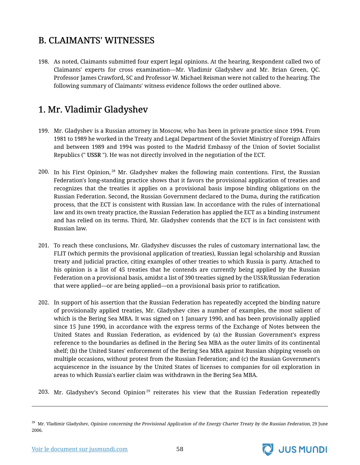## B. CLAIMANTS' WITNESSES

198. As noted, Claimants submitted four expert legal opinions. At the hearing, Respondent called two of Claimants' experts for cross examination—Mr. Vladimir Gladyshev and Mr. Brian Green, QC. Professor James Crawford, SC and Professor W. Michael Reisman were not called to the hearing. The following summary of Claimants' witness evidence follows the order outlined above.

## 1. Mr. Vladimir Gladyshev

- 199. Mr. Gladyshev is a Russian attorney in Moscow, who has been in private practice since 1994. From 1981 to 1989 he worked in the Treaty and Legal Department of the Soviet Ministry of Foreign Affairs and between 1989 and 1994 was posted to the Madrid Embassy of the Union of Soviet Socialist Republics (" USSR "). He was not directly involved in the negotiation of the ECT.
- 200. In his First Opinion,<sup>28</sup> Mr. Gladyshev makes the following main contentions. First, the Russian Federation's long-standing practice shows that it favors the provisional application of treaties and recognizes that the treaties it applies on a provisional basis impose binding obligations on the Russian Federation. Second, the Russian Government declared to the Duma, during the ratification process, that the ECT is consistent with Russian law. In accordance with the rules of international law and its own treaty practice, the Russian Federation has applied the ECT as a binding instrument and has relied on its terms. Third, Mr. Gladyshev contends that the ECT is in fact consistent with Russian law.
- 201. To reach these conclusions, Mr. Gladyshev discusses the rules of customary international law, the FLIT (which permits the provisional application of treaties), Russian legal scholarship and Russian treaty and judicial practice, citing examples of other treaties to which Russia is party. Attached to his opinion is a list of 45 treaties that he contends are currently being applied by the Russian Federation on a provisional basis, amidst a list of 390 treaties signed by the USSR/Russian Federation that were applied—or are being applied—on a provisional basis prior to ratification.
- 202. In support of his assertion that the Russian Federation has repeatedly accepted the binding nature of provisionally applied treaties, Mr. Gladyshev cites a number of examples, the most salient of which is the Bering Sea MBA. It was signed on 1 January 1990, and has been provisionally applied since 15 June 1990, in accordance with the express terms of the Exchange of Notes between the United States and Russian Federation, as evidenced by (a) the Russian Government's express reference to the boundaries as defined in the Bering Sea MBA as the outer limits of its continental shelf; (b) the United States' enforcement of the Bering Sea MBA against Russian shipping vessels on multiple occasions, without protest from the Russian Federation; and (c) the Russian Government's acquiescence in the issuance by the United States of licenses to companies for oil exploration in areas to which Russia's earlier claim was withdrawn in the Bering Sea MBA.
- 203. Mr. Gladyshev's Second Opinion $^\mathrm{29}$  reiterates his view that the Russian Federation repeatedly

<sup>&</sup>lt;sup>28</sup> Mr. Vladimir Gladyshev, Opinion concerning the Provisional Application of the Energy Charter Treaty by the Russian Federation, 29 June 2006.



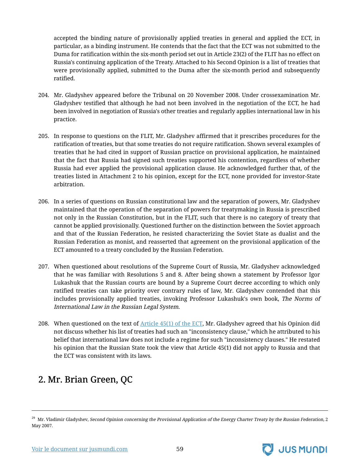accepted the binding nature of provisionally applied treaties in general and applied the ECT, in particular, as a binding instrument. He contends that the fact that the ECT was not submitted to the Duma for ratification within the six-month period set out in Article 23(2) of the FLIT has no effect on Russia's continuing application of the Treaty. Attached to his Second Opinion is a list of treaties that were provisionally applied, submitted to the Duma after the six-month period and subsequently ratified.

- 204. Mr. Gladyshev appeared before the Tribunal on 20 November 2008. Under crossexamination Mr. Gladyshev testified that although he had not been involved in the negotiation of the ECT, he had been involved in negotiation of Russia's other treaties and regularly applies international law in his practice.
- 205. In response to questions on the FLIT, Mr. Gladyshev affirmed that it prescribes procedures for the ratification of treaties, but that some treaties do not require ratification. Shown several examples of treaties that he had cited in support of Russian practice on provisional application, he maintained that the fact that Russia had signed such treaties supported his contention, regardless of whether Russia had ever applied the provisional application clause. He acknowledged further that, of the treaties listed in Attachment 2 to his opinion, except for the ECT, none provided for investor-State arbitration.
- 206. In a series of questions on Russian constitutional law and the separation of powers, Mr. Gladyshev maintained that the operation of the separation of powers for treatymaking in Russia is prescribed not only in the Russian Constitution, but in the FLIT, such that there is no category of treaty that cannot be applied provisionally. Questioned further on the distinction between the Soviet approach and that of the Russian Federation, he resisted characterizing the Soviet State as dualist and the Russian Federation as monist, and reasserted that agreement on the provisional application of the ECT amounted to a treaty concluded by the Russian Federation.
- 207. When questioned about resolutions of the Supreme Court of Russia, Mr. Gladyshev acknowledged that he was familiar with Resolutions 5 and 8. After being shown a statement by Professor Igor Lukashuk that the Russian courts are bound by a Supreme Court decree according to which only ratified treaties can take priority over contrary rules of law, Mr. Gladyshev contended that this includes provisionally applied treaties, invoking Professor Lukashuk's own book, The Norms of International Law in the Russian Legal System.
- 208. When questioned on the text of  $\frac{\text{Article 45(1) of the ECT}}{\text{A}}$  Mr. Gladyshev agreed that his Opinion did not discuss whether his list of treaties had such an "inconsistency clause," which he attributed to his belief that international law does not include a regime for such "inconsistency clauses." He restated his opinion that the Russian State took the view that Article 45(1) did not apply to Russia and that the ECT was consistent with its laws.

# 2. Mr. Brian Green, QC

<sup>&</sup>lt;sup>29</sup> Mr. Vladimir Gladyshev, Second Opinion concerning the Provisional Application of the Energy Charter Treaty by the Russian Federation, 2 May 2007.

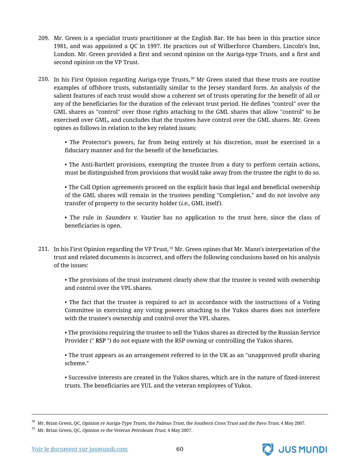- 209. Mr. Green is a specialist trusts practitioner at the English Bar. He has been in this practice since 1981, and was appointed a QC in 1997. He practices out of Wilberforce Chambers, Lincoln's Inn, London. Mr. Green provided a first and second opinion on the Auriga-type Trusts, and a first and second opinion on the VP Trust.
- 210. In his First Opinion regarding Auriga-type Trusts,  $^\mathrm{30}$  Mr Green stated that these trusts are routine examples of offshore trusts, substantially similar to the Jersey standard form. An analysis of the salient features of each trust would show a coherent set of trusts operating for the benefit of all or any of the beneficiaries for the duration of the relevant trust period. He defines "control" over the GML shares as "control" over those rights attaching to the GML shares that allow "control" to be exercised over GML, and concludes that the trustees have control over the GML shares. Mr. Green opines as follows in relation to the key related issues:

• The Protector's powers, far from being entirely at his discretion, must be exercised in a fiduciary manner and for the benefit of the beneficiaries.

• The Anti-Bartlett provisions, exempting the trustee from a duty to perform certain actions, must be distinguished from provisions that would take away from the trustee the right to do so.

• The Call Option agreements proceed on the explicit basis that legal and beneficial ownership of the GML shares will remain in the trustees pending "Completion," and do not involve any transfer of property to the security holder (i.e., GML itself).

• The rule in *Saunders v. Vautier* has no application to the trust here, since the class of beneficiaries is open.

211. In his First Opinion regarding the VP Trust, <sup>31</sup> Mr. Green opines that Mr. Mann's interpretation of the trust and related documents is incorrect, and offers the following conclusions based on his analysis of the issues:

• The provisions of the trust instrument clearly show that the trustee is vested with ownership and control over the VPL shares.

• The fact that the trustee is required to act in accordance with the instructions of a Voting Committee in exercising any voting powers attaching to the Yukos shares does not interfere with the trustee's ownership and control over the VPL shares.

• The provisions requiring the trustee to sell the Yukos shares as directed by the Russian Service Provider (" RSP ") do not equate with the RSP owning or controlling the Yukos shares.

• The trust appears as an arrangement referred to in the UK as an "unapproved profit sharing scheme."

• Successive interests are created in the Yukos shares, which are in the nature of fixed-interest trusts. The beneficiaries are YUL and the veteran employees of Yukos.



 $30$  Mr. Brian Green, QC, Opinion re Auriga-Type Trusts, the Palmus Trust, the Southern Cross Trust and the Pavo Trust, 4 May 2007.

 $31$  Mr. Brian Green, QC, Opinion re the Veteran Petroleum Trust, 4 May 2007.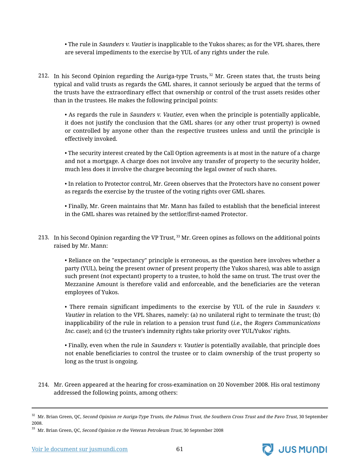• The rule in Saunders v. Vautier is inapplicable to the Yukos shares; as for the VPL shares, there are several impediments to the exercise by YUL of any rights under the rule.

212. In his Second Opinion regarding the Auriga-type Trusts, $^{32}$  Mr. Green states that, the trusts being typical and valid trusts as regards the GML shares, it cannot seriously be argued that the terms of the trusts have the extraordinary effect that ownership or control of the trust assets resides other than in the trustees. He makes the following principal points:

• As regards the rule in Saunders v. Vautier, even when the principle is potentially applicable, it does not justify the conclusion that the GML shares (or any other trust property) is owned or controlled by anyone other than the respective trustees unless and until the principle is effectively invoked.

• The security interest created by the Call Option agreements is at most in the nature of a charge and not a mortgage. A charge does not involve any transfer of property to the security holder, much less does it involve the chargee becoming the legal owner of such shares.

• In relation to Protector control, Mr. Green observes that the Protectors have no consent power as regards the exercise by the trustee of the voting rights over GML shares.

• Finally, Mr. Green maintains that Mr. Mann has failed to establish that the beneficial interest in the GML shares was retained by the settlor/first-named Protector.

213.  $\:$  In his Second Opinion regarding the VP Trust,  $^{33}$  Mr. Green opines as follows on the additional points raised by Mr. Mann:

• Reliance on the "expectancy" principle is erroneous, as the question here involves whether a party (YUL), being the present owner of present property (the Yukos shares), was able to assign such present (not expectant) property to a trustee, to hold the same on trust. The trust over the Mezzanine Amount is therefore valid and enforceable, and the beneficiaries are the veteran employees of Yukos.

• There remain significant impediments to the exercise by YUL of the rule in *Saunders v.* Vautier in relation to the VPL Shares, namely: (a) no unilateral right to terminate the trust; (b) inapplicability of the rule in relation to a pension trust fund (i.e., the Rogers Communications Inc. case); and (c) the trustee's indemnity rights take priority over YUL/Yukos' rights.

• Finally, even when the rule in *Saunders v. Vautier* is potentially available, that principle does not enable beneficiaries to control the trustee or to claim ownership of the trust property so long as the trust is ongoing.

214. Mr. Green appeared at the hearing for cross-examination on 20 November 2008. His oral testimony addressed the following points, among others:



<sup>&</sup>lt;sup>32</sup> Mr. Brian Green, QC, Second Opinion re Auriga-Type Trusts, the Palmus Trust, the Southern Cross Trust and the Pavo Trust, 30 September 2008.

 $^{33}\,$  Mr. Brian Green, QC, Second Opinion re the Veteran Petroleum Trust, 30 September 2008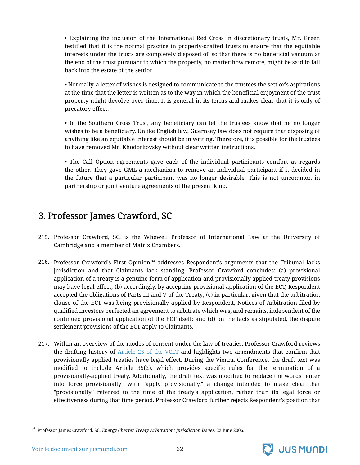• Explaining the inclusion of the International Red Cross in discretionary trusts, Mr. Green testified that it is the normal practice in properly-drafted trusts to ensure that the equitable interests under the trusts are completely disposed of, so that there is no beneficial vacuum at the end of the trust pursuant to which the property, no matter how remote, might be said to fall back into the estate of the settlor.

• Normally, a letter of wishes is designed to communicate to the trustees the settlor's aspirations at the time that the letter is written as to the way in which the beneficial enjoyment of the trust property might devolve over time. It is general in its terms and makes clear that it is only of precatory effect.

• In the Southern Cross Trust, any beneficiary can let the trustees know that he no longer wishes to be a beneficiary. Unlike English law, Guernsey law does not require that disposing of anything like an equitable interest should be in writing. Therefore, it is possible for the trustees to have removed Mr. Khodorkovsky without clear written instructions.

• The Call Option agreements gave each of the individual participants comfort as regards the other. They gave GML a mechanism to remove an individual participant if it decided in the future that a particular participant was no longer desirable. This is not uncommon in partnership or joint venture agreements of the present kind.

### 3. Professor James Crawford, SC

- 215. Professor Crawford, SC, is the Whewell Professor of International Law at the University of Cambridge and a member of Matrix Chambers.
- 216. Professor Crawford's First Opinion $^{34}$  addresses Respondent's arguments that the Tribunal lacks jurisdiction and that Claimants lack standing. Professor Crawford concludes: (a) provisional application of a treaty is a genuine form of application and provisionally applied treaty provisions may have legal effect; (b) accordingly, by accepting provisional application of the ECT, Respondent accepted the obligations of Parts III and V of the Treaty; (c) in particular, given that the arbitration clause of the ECT was being provisionally applied by Respondent, Notices of Arbitration filed by qualified investors perfected an agreement to arbitrate which was, and remains, independent of the continued provisional application of the ECT itself; and (d) on the facts as stipulated, the dispute settlement provisions of the ECT apply to Claimants.
- 217. Within an overview of the modes of consent under the law of treaties, Professor Crawford reviews the drafting history of [Article 25 of the VCLT](https://jusmundi.com/en/document/h/NVFwR2lWbkFqaXdJRmhJT3hnNFo0NEhoLzFzTjdSbU9icGpNYlQ0N3hXUjByQUw3dW1hT1I5OW90REYzWjlFYW1iQm0xR2ZxcmE5MFIwL3EyeU1DWUVRbENBMnU5S3g1dERqLzZnTWNMRHc3U0YwLzlEK2VYZ1FOT1ZFUEszei8yM25adnZnUXlFS0VUZE44K1VxYnNDNG9GK1JmaHJPdTROQm11RzdHNHNnPQ==) and highlights two amendments that confirm that provisionally applied treaties have legal effect. During the Vienna Conference, the draft text was modified to include Article 35(2), which provides specific rules for the termination of a provisionally-applied treaty. Additionally, the draft text was modified to replace the words "enter into force provisionally" with "apply provisionally," a change intended to make clear that "provisionally" referred to the time of the treaty's application, rather than its legal force or effectiveness during that time period. Professor Crawford further rejects Respondent's position that

<sup>&</sup>lt;sup>34</sup> Professor James Crawford, SC, Energy Charter Treaty Arbitration: Jurisdiction Issues, 22 June 2006.

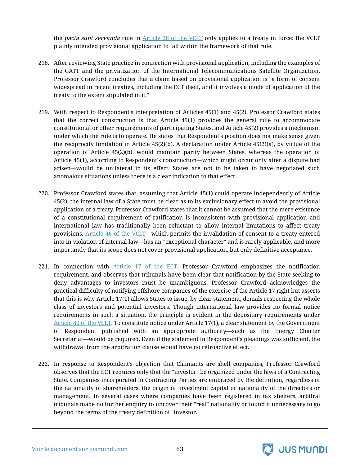the pacta sunt servanda rule in [Article 26 of the VCLT](https://jusmundi.com/en/document/h/NVFwR2lWbkFqaXdJRmhJT3hnNFo0NEhoLzFzTjdSbU9icGpNYlQ0N3hXUjByQUw3dW1hT1I5OW90REYzWjlFYW1iQm0xR2ZxcmE5MFIwL3EyeU1DWUVRbENBMnU5S3g1dERqLzZnTWNMRHc3U0YwLzlEK2VYZ1FOT1ZFUEszei8yM25adnZnUXlFS0VUZE44K1VxYnNOMDBCRVhhUXRBTmFGcW83cVdacm1zPQ==) only applies to a treaty in force: the VCLT plainly intended provisional application to fall within the framework of that rule.

- 218. After reviewing State practice in connection with provisional application, including the examples of the GATT and the privatization of the International Telecommunications Satellite Organization, Professor Crawford concludes that a claim based on provisional application is "a form of consent widespread in recent treaties, including the ECT itself, and it involves a mode of application of the treaty to the extent stipulated in it."
- 219. With respect to Respondent's interpretation of Articles 45(1) and 45(2), Professor Crawford states that the correct construction is that Article 45(1) provides the general rule to accommodate constitutional or other requirements of participating States, and Article 45(2) provides a mechanism under which the rule is to operate. He states that Respondent's position does not make sense given the reciprocity limitation in Article 45(2)(b). A declaration under Article 45(2)(a), by virtue of the operation of Article 45(2)(b), would maintain parity between States, whereas the operation of Article 45(1), according to Respondent's construction—which might occur only after a dispute had arisen—would be unilateral in its effect. States are not to be taken to have negotiated such anomalous situations unless there is a clear indication to that effect.
- 220. Professor Crawford states that, assuming that Article 45(1) could operate independently of Article 45(2), the internal law of a State must be clear as to its exclusionary effect to avoid the provisional application of a treaty. Professor Crawford states that it cannot be assumed that the mere existence of a constitutional requirement of ratification is inconsistent with provisional application and international law has traditionally been reluctant to allow internal limitations to affect treaty provisions. [Article 46 of the VCLT—](https://jusmundi.com/en/document/h/NVFwR2lWbkFqaXdJRmhJT3hnNFo0NEhoLzFzTjdSbU9icGpNYlQ0N3hXUjByQUw3dW1hT1I5OW90REYzWjlFYW1iQm0xR2ZxcmE5MFIwL3EyeU1DWUVRbENBMnU5S3g1dERqLzZnTWNMRHc3U0YwLzlEK2VYZ1FOT1ZFUEszei8yM25adnZnUXlFS0VUZE44K1VxYnNCcGFYRDRvRDFad2lEcjRvZ0lITTNvPQ==)which permits the invalidation of consent to a treaty entered into in violation of internal law—has an "exceptional character" and is rarely applicable, and more importantly that its scope does not cover provisional application, but only definitive acceptance.
- 221. In connection with <u>[Article 17 of the ECT](https://jusmundi.com/en/document/h/clljWVJHbGxISEg0VUZMdWNJazE2TnJ3Mmxwb2NlQ1R3cmNjQXR1UDFhaUg5bDhhczBqUjlmYmVtWWhITFNjK3dCV0JaSFlDK3BFbFIyL0xvSHhiR2sxdnZtV2R3TDJsQUR2Q0hoUUhPeWlwUFRXK0ZmSTJDNUVyTytCd1RRNTNrTFNKdXRuc1d2YTVWckFIWE9rMld3PT0=)</u>, Professor Crawford emphasizes the notification requirement, and observes that tribunals have been clear that notification by the State seeking to deny advantages to investors must be unambiguous. Professor Crawford acknowledges the practical difficulty of notifying offshore companies of the exercise of the Article 17 right but asserts that this is why Article 17(1) allows States to issue, by clear statement, denials respecting the whole class of investors and potential investors. Though international law provides no formal notice requirements in such a situation, the principle is evident in the depositary requirements under [Article 80 of the VCLT](https://jusmundi.com/en/document/h/NVFwR2lWbkFqaXdJRmhJT3hnNFo0NEhoLzFzTjdSbU9icGpNYlQ0N3hXUjByQUw3dW1hT1I5OW90REYzWjlFYW1iQm0xR2ZxcmE5MFIwL3EyeU1DWUVRbENBMnU5S3g1dERqLzZnTWNMRHc3U0YwLzlEK2VYZ1FOT1ZFUEszei8yM25adnZnUXlFS0VUZE44K1VxYnNFN2tDQkFHNWgrMzZkdUVlRklhVDQwPQ==). To constitute notice under Article 17(1), a clear statement by the Government of Respondent published with an appropriate authority—such as the Energy Charter Secretariat—would be required. Even if the statement in Respondent's pleadings was sufficient, the withdrawal from the arbitration clause would have no retroactive effect.
- 222. In response to Respondent's objection that Claimants are shell companies, Professor Crawford observes that the ECT requires only that the "investor" be organized under the laws of a Contracting State. Companies incorporated in Contracting Parties are embraced by the definition, regardless of the nationality of shareholders, the origin of investment capital or nationality of the directors or management. In several cases where companies have been registered in tax shelters, arbitral tribunals made no further enquiry to uncover their "real" nationality or found it unnecessary to go beyond the terms of the treaty definition of "investor."



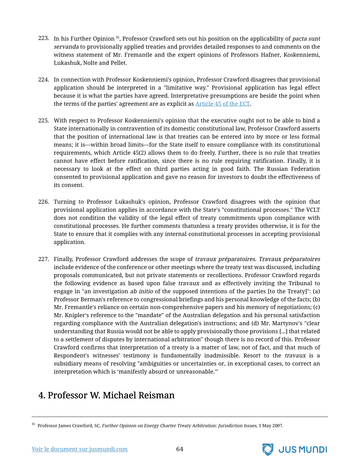- 223. In his Further Opinion<sup>35</sup>, Professor Crawford sets out his position on the applicability of *pacta sunt* servanda to provisionally applied treaties and provides detailed responses to and comments on the witness statement of Mr. Fremantle and the expert opinions of Professors Hafner, Koskenniemi, Lukashuk, Nolte and Pellet.
- 224. In connection with Professor Koskenniemi's opinion, Professor Crawford disagrees that provisional application should be interpreted in a "limitative way." Provisional application has legal effect because it is what the parties have agreed. Interpretative presumptions are beside the point when the terms of the parties' agreement are as explicit as [Article 45 of the ECT](https://jusmundi.com/en/document/h/clljWVJHbGxISEg0VUZMdWNJazE2TnJ3Mmxwb2NlQ1R3cmNjQXR1UDFhaUg5bDhhczBqUjlmYmVtWWhITFNjK3dCV0JaSFlDK3BFbFIyL0xvSHhiR2sxdnZtV2R3TDJsQUR2Q0hoUUhPeWlwUFRXK0ZmSTJDNUVyTytCd1RRNTNDQlhsK0drWUMvN3BMdmptc29leFJBPT0=).
- 225. With respect to Professor Koskenniemi's opinion that the executive ought not to be able to bind a State internationally in contravention of its domestic constitutional law, Professor Crawford asserts that the position of international law is that treaties can be entered into by more or less formal means; it is—within broad limits—for the State itself to ensure compliance with its constitutional requirements, which Article 45(2) allows them to do freely. Further, there is no rule that treaties cannot have effect before ratification, since there is no rule requiring ratification. Finally, it is necessary to look at the effect on third parties acting in good faith. The Russian Federation consented to provisional application and gave no reason for investors to doubt the effectiveness of its consent.
- 226. Turning to Professor Lukashuk's opinion, Professor Crawford disagrees with the opinion that provisional application applies in accordance with the State's "constitutional processes." The VCLT does not condition the validity of the legal effect of treaty commitments upon compliance with constitutional processes. He further comments thatunless a treaty provides otherwise, it is for the State to ensure that it complies with any internal constitutional processes in accepting provisional application.
- 227. Finally, Professor Crawford addresses the scope of *travaux préparatoires. Travaux préparatoires* include evidence of the conference or other meetings where the treaty text was discussed, including proposals communicated, but not private statements or recollections. Professor Crawford regards the following evidence as based upon false *travaux* and as effectively inviting the Tribunal to engage in "an investigation *ab initio* of the supposed intentions of the parties [to the Treaty]": (a) Professor Berman's reference to congressional briefings and his personal knowledge of the facts; (b) Mr. Fremantle's reliance on certain non-comprehensive papers and his memory of negotiations; (c) Mr. Knipler's reference to the "mandate" of the Australian delegation and his personal satisfaction regarding compliance with the Australian delegation's instructions; and (d) Mr. Martynov's "clear understanding that Russia would not be able to apply provisionally those provisions [...] that related to a settlement of disputes by international arbitration" though there is no record of this. Professor Crawford confirms that interpretation of a treaty is a matter of law, not of fact, and that much of Respondent's witnesses' testimony is fundamentally inadmissible. Resort to the *travaux* is a subsidiary means of resolving "ambiguities or uncertainties or, in exceptional cases, to correct an interpretation which is 'manifestly absurd or unreasonable.'"

## 4. Professor W. Michael Reisman

 $^{35}\,$  Professor James Crawford, SC, Further Opinion on Energy Charter Treaty Arbitration: Jurisdiction Issues, 3 May 2007.

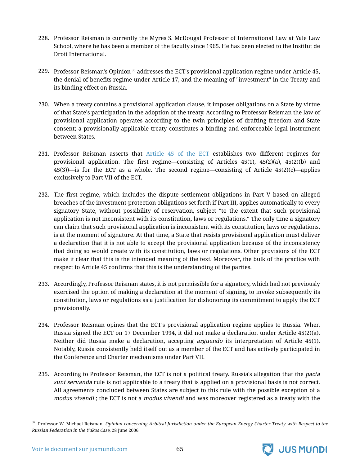- 228. Professor Reisman is currently the Myres S. McDougal Professor of International Law at Yale Law School, where he has been a member of the faculty since 1965. He has been elected to the Institut de Droit International.
- 229.  $\,$  Professor Reisman's Opinion  $^{36}$  addresses the ECT's provisional application regime under Article 45,  $\,$ the denial of benefits regime under Article 17, and the meaning of "investment" in the Treaty and its binding effect on Russia.
- 230. When a treaty contains a provisional application clause, it imposes obligations on a State by virtue of that State's participation in the adoption of the treaty. According to Professor Reisman the law of provisional application operates according to the twin principles of drafting freedom and State consent; a provisionally-applicable treaty constitutes a binding and enforceable legal instrument between States.
- 231. Professor Reisman asserts that <u>[Article 45 of the ECT](https://jusmundi.com/en/document/h/clljWVJHbGxISEg0VUZMdWNJazE2TnJ3Mmxwb2NlQ1R3cmNjQXR1UDFhaUg5bDhhczBqUjlmYmVtWWhITFNjK3dCV0JaSFlDK3BFbFIyL0xvSHhiR2sxdnZtV2R3TDJsQUR2Q0hoUUhPeWlwUFRXK0ZmSTJDNUVyTytCd1RRNTNDQlhsK0drWUMvN3BMdmptc29leFJBPT0=)</u> establishes two different regimes for provisional application. The first regime—consisting of Articles 45(1), 45(2)(a), 45(2)(b) and 45(3))—is for the ECT as a whole. The second regime—consisting of Article 45(2)(c)—applies exclusively to Part VII of the ECT.
- 232. The first regime, which includes the dispute settlement obligations in Part V based on alleged breaches of the investment-protection obligations set forth if Part III, applies automatically to every signatory State, without possibility of reservation, subject "to the extent that such provisional application is not inconsistent with its constitution, laws or regulations." The only time a signatory can claim that such provisional application is inconsistent with its constitution, laws or regulations, is at the moment of signature. At that time, a State that resists provisional application must deliver a declaration that it is not able to accept the provisional application because of the inconsistency that doing so would create with its constitution, laws or regulations. Other provisions of the ECT make it clear that this is the intended meaning of the text. Moreover, the bulk of the practice with respect to Article 45 confirms that this is the understanding of the parties.
- 233. Accordingly, Professor Reisman states, it is not permissible for a signatory, which had not previously exercised the option of making a declaration at the moment of signing, to invoke subsequently its constitution, laws or regulations as a justification for dishonoring its commitment to apply the ECT provisionally.
- 234. Professor Reisman opines that the ECT's provisional application regime applies to Russia. When Russia signed the ECT on 17 December 1994, it did not make a declaration under Article 45(2)(a). Neither did Russia make a declaration, accepting arguendo its interpretation of Article 45(1). Notably, Russia consistently held itself out as a member of the ECT and has actively participated in the Conference and Charter mechanisms under Part VII.
- 235. According to Professor Reisman, the ECT is not a political treaty. Russia's allegation that the *pacta* sunt servanda rule is not applicable to a treaty that is applied on a provisional basis is not correct. All agreements concluded between States are subject to this rule with the possible exception of a modus vivendi; the ECT is not a modus vivendi and was moreover registered as a treaty with the



<sup>&</sup>lt;sup>36</sup> Professor W. Michael Reisman, Opinion concerning Arbitral Jurisdiction under the European Energy Charter Treaty with Respect to the Russian Federation in the Yukos Case, 28 June 2006.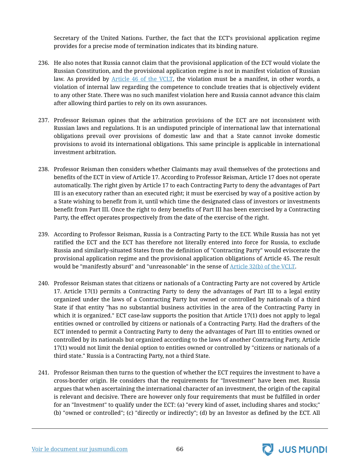Secretary of the United Nations. Further, the fact that the ECT's provisional application regime provides for a precise mode of termination indicates that its binding nature.

- 236. He also notes that Russia cannot claim that the provisional application of the ECT would violate the Russian Constitution, and the provisional application regime is not in manifest violation of Russian law. As provided by [Article 46 of the VCLT](https://jusmundi.com/en/document/h/NVFwR2lWbkFqaXdJRmhJT3hnNFo0NEhoLzFzTjdSbU9icGpNYlQ0N3hXUjByQUw3dW1hT1I5OW90REYzWjlFYW1iQm0xR2ZxcmE5MFIwL3EyeU1DWUVRbENBMnU5S3g1dERqLzZnTWNMRHc3U0YwLzlEK2VYZ1FOT1ZFUEszei8yM25adnZnUXlFS0VUZE44K1VxYnNCcGFYRDRvRDFad2lEcjRvZ0lITTNvPQ==), the violation must be a manifest, in other words, a violation of internal law regarding the competence to conclude treaties that is objectively evident to any other State. There was no such manifest violation here and Russia cannot advance this claim after allowing third parties to rely on its own assurances.
- 237. Professor Reisman opines that the arbitration provisions of the ECT are not inconsistent with Russian laws and regulations. It is an undisputed principle of international law that international obligations prevail over provisions of domestic law and that a State cannot invoke domestic provisions to avoid its international obligations. This same principle is applicable in international investment arbitration.
- 238. Professor Reisman then considers whether Claimants may avail themselves of the protections and benefits of the ECT in view of Article 17. According to Professor Reisman, Article 17 does not operate automatically. The right given by Article 17 to each Contracting Party to deny the advantages of Part III is an executory rather than an executed right; it must be exercised by way of a positive action by a State wishing to benefit from it, until which time the designated class of investors or investments benefit from Part III. Once the right to deny benefits of Part III has been exercised by a Contracting Party, the effect operates prospectively from the date of the exercise of the right.
- 239. According to Professor Reisman, Russia is a Contracting Party to the ECT. While Russia has not yet ratified the ECT and the ECT has therefore not literally entered into force for Russia, to exclude Russia and similarly-situated States from the definition of "Contracting Party" would eviscerate the provisional application regime and the provisional application obligations of Article 45. The result would be "manifestly absurd" and "unreasonable" in the sense of [Article 32\(b\) of the VCLT.](https://jusmundi.com/en/document/h/NVFwR2lWbkFqaXdJRmhJT3hnNFo0NEhoLzFzTjdSbU9icGpNYlQ0N3hXUjByQUw3dW1hT1I5OW90REYzWjlFYW1iQm0xR2ZxcmE5MFIwL3EyeU1DWUVRbENBMnU5S3g1dERqLzZnTWNMRHc3U0YwLzlEK2VYZ1FOT1ZFUEszei8yM25adnZnUXlFS0VUZE44K1VxYnNLTks3YlZKY1dBWEpoMEQ1UEtwRkRVPQ==)
- 240. Professor Reisman states that citizens or nationals of a Contracting Party are not covered by Article 17. Article 17(1) permits a Contracting Party to deny the advantages of Part III to a legal entity organized under the laws of a Contracting Party but owned or controlled by nationals of a third State if that entity "has no substantial business activities in the area of the Contracting Party in which it is organized." ECT case-law supports the position that Article 17(1) does not apply to legal entities owned or controlled by citizens or nationals of a Contracting Party. Had the drafters of the ECT intended to permit a Contracting Party to deny the advantages of Part III to entities owned or controlled by its nationals but organized according to the laws of another Contracting Party, Article 17(1) would not limit the denial option to entities owned or controlled by "citizens or nationals of a third state." Russia is a Contracting Party, not a third State.
- 241. Professor Reisman then turns to the question of whether the ECT requires the investment to have a cross-border origin. He considers that the requirements for "Investment" have been met. Russia argues that when ascertaining the international character of an investment, the origin of the capital is relevant and decisive. There are however only four requirements that must be fulfilled in order for an "Investment" to qualify under the ECT: (a) "every kind of asset, including shares and stocks;" (b) "owned or controlled"; (c) "directly or indirectly"; (d) by an Investor as defined by the ECT. All



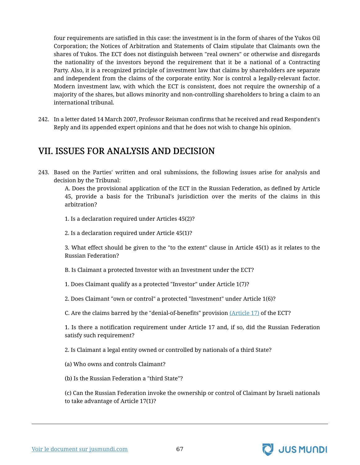four requirements are satisfied in this case: the investment is in the form of shares of the Yukos Oil Corporation; the Notices of Arbitration and Statements of Claim stipulate that Claimants own the shares of Yukos. The ECT does not distinguish between "real owners" or otherwise and disregards the nationality of the investors beyond the requirement that it be a national of a Contracting Party. Also, it is a recognized principle of investment law that claims by shareholders are separate and independent from the claims of the corporate entity. Nor is control a legally-relevant factor. Modern investment law, with which the ECT is consistent, does not require the ownership of a majority of the shares, but allows minority and non-controlling shareholders to bring a claim to an international tribunal.

242. In a letter dated 14 March 2007, Professor Reisman confirms that he received and read Respondent's Reply and its appended expert opinions and that he does not wish to change his opinion.

#### VII. ISSUES FOR ANALYSIS AND DECISION

243. Based on the Parties' written and oral submissions, the following issues arise for analysis and decision by the Tribunal:

A. Does the provisional application of the ECT in the Russian Federation, as defined by Article 45, provide a basis for the Tribunal's jurisdiction over the merits of the claims in this arbitration?

1. Is a declaration required under Articles 45(2)?

2. Is a declaration required under Article 45(1)?

3. What effect should be given to the "to the extent" clause in Article 45(1) as it relates to the Russian Federation?

B. Is Claimant a protected Investor with an Investment under the ECT?

1. Does Claimant qualify as a protected "Investor" under Article 1(7)?

2. Does Claimant "own or control" a protected "Investment" under Article 1(6)?

C. Are the claims barred by the "denial-of-benefits" provision [\(Article 17\)](https://jusmundi.com/en/document/h/clljWVJHbGxISEg0VUZMdWNJazE2TnJ3Mmxwb2NlQ1R3cmNjQXR1UDFhaUg5bDhhczBqUjlmYmVtWWhITFNjK3dCV0JaSFlDK3BFbFIyL0xvSHhiR2sxdnZtV2R3TDJsQUR2Q0hoUUhPeWlwUFRXK0ZmSTJDNUVyTytCd1RRNTNrTFNKdXRuc1d2YTVWckFIWE9rMld3PT0=) of the ECT?

1. Is there a notification requirement under Article 17 and, if so, did the Russian Federation satisfy such requirement?

2. Is Claimant a legal entity owned or controlled by nationals of a third State?

(a) Who owns and controls Claimant?

(b) Is the Russian Federation a "third State"?

(c) Can the Russian Federation invoke the ownership or control of Claimant by Israeli nationals to take advantage of Article 17(1)?

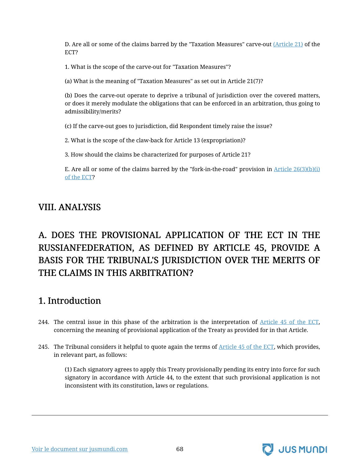D. Are all or some of the claims barred by the "Taxation Measures" carve-out [\(Article 21\)](https://jusmundi.com/en/document/h/clljWVJHbGxISEg0VUZMdWNJazE2TnJ3Mmxwb2NlQ1R3cmNjQXR1UDFhaUg5bDhhczBqUjlmYmVtWWhITFNjK3dCV0JaSFlDK3BFbFIyL0xvSHhiR2sxdnZtV2R3TDJsQUR2Q0hoUUhPeWlwUFRXK0ZmSTJDNUVyTytCd1RRNTN1Q1N5b1ZkSFFxMjRaOGlnb2hPZHR3PT0=) of the ECT?

1. What is the scope of the carve-out for "Taxation Measures"?

(a) What is the meaning of "Taxation Measures" as set out in Article 21(7)?

(b) Does the carve-out operate to deprive a tribunal of jurisdiction over the covered matters, or does it merely modulate the obligations that can be enforced in an arbitration, thus going to admissibility/merits?

(c) If the carve-out goes to jurisdiction, did Respondent timely raise the issue?

2. What is the scope of the claw-back for Article 13 (expropriation)?

3. How should the claims be characterized for purposes of Article 21?

E. Are all or some of the claims barred by the "fork-in-the-road" provision in Article  $26(3)(b)(i)$ [of the ECT?](https://jusmundi.com/en/document/h/clljWVJHbGxISEg0VUZMdWNJazE2TnJ3Mmxwb2NlQ1R3cmNjQXR1UDFhaUg5bDhhczBqUjlmYmVtWWhITFNjK3dCV0JaSFlDK3BFbFIyL0xvSHhiR2sxdnZtV2R3TDJsQUR2Q0hoUUhPeWlwUFRXK0ZmSTJDNUVyTytCd1RRNTNaREthcHZmV2xmMVQ0K292Q0FwYy93PT0=)

#### VIII. ANALYSIS

# A. DOES THE PROVISIONAL APPLICATION OF THE ECT IN THE RUSSIANFEDERATION, AS DEFINED BY ARTICLE 45, PROVIDE A BASIS FOR THE TRIBUNAL'S JURISDICTION OVER THE MERITS OF THE CLAIMS IN THIS ARBITRATION?

## 1. Introduction

- 244. The central issue in this phase of the arbitration is the interpretation of  $\overline{\text{Article 45 of the ECT}}$  $\overline{\text{Article 45 of the ECT}}$  $\overline{\text{Article 45 of the ECT}}$ , concerning the meaning of provisional application of the Treaty as provided for in that Article.
- 245. The Tribunal considers it helpful to quote again the terms of <u>Article 45 of the ECT</u>, which provides, in relevant part, as follows:

(1) Each signatory agrees to apply this Treaty provisionally pending its entry into force for such signatory in accordance with Article 44, to the extent that such provisional application is not inconsistent with its constitution, laws or regulations.

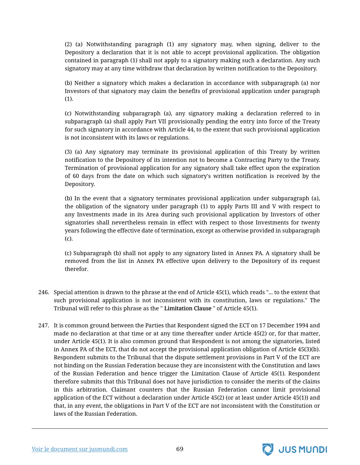(2) (a) Notwithstanding paragraph (1) any signatory may, when signing, deliver to the Depository a declaration that it is not able to accept provisional application. The obligation contained in paragraph (1) shall not apply to a signatory making such a declaration. Any such signatory may at any time withdraw that declaration by written notification to the Depository.

(b) Neither a signatory which makes a declaration in accordance with subparagraph (a) nor Investors of that signatory may claim the benefits of provisional application under paragraph (1).

(c) Notwithstanding subparagraph (a), any signatory making a declaration referred to in subparagraph (a) shall apply Part VII provisionally pending the entry into force of the Treaty for such signatory in accordance with Article 44, to the extent that such provisional application is not inconsistent with its laws or regulations.

(3) (a) Any signatory may terminate its provisional application of this Treaty by written notification to the Depository of its intention not to become a Contracting Party to the Treaty. Termination of provisional application for any signatory shall take effect upon the expiration of 60 days from the date on which such signatory's written notification is received by the Depository.

(b) In the event that a signatory terminates provisional application under subparagraph (a), the obligation of the signatory under paragraph (1) to apply Parts III and V with respect to any Investments made in its Area during such provisional application by Investors of other signatories shall nevertheless remain in effect with respect to those Investments for twenty years following the effective date of termination, except as otherwise provided in subparagraph (c).

(c) Subparagraph (b) shall not apply to any signatory listed in Annex PA. A signatory shall be removed from the list in Annex PA effective upon delivery to the Depository of its request therefor.

- 246. Special attention is drawn to the phrase at the end of Article 45(1), which reads "... to the extent that such provisional application is not inconsistent with its constitution, laws or regulations." The Tribunal will refer to this phrase as the " Limitation Clause " of Article 45(1).
- 247. It is common ground between the Parties that Respondent signed the ECT on 17 December 1994 and made no declaration at that time or at any time thereafter under Article 45(2) or, for that matter, under Article 45(1). It is also common ground that Respondent is not among the signatories, listed in Annex PA of the ECT, that do not accept the provisional application obligation of Article 45(3)(b). Respondent submits to the Tribunal that the dispute settlement provisions in Part V of the ECT are not binding on the Russian Federation because they are inconsistent with the Constitution and laws of the Russian Federation and hence trigger the Limitation Clause of Article 45(1). Respondent therefore submits that this Tribunal does not have jurisdiction to consider the merits of the claims in this arbitration. Claimant counters that the Russian Federation cannot limit provisional application of the ECT without a declaration under Article 45(2) (or at least under Article 45(1)) and that, in any event, the obligations in Part V of the ECT are not inconsistent with the Constitution or laws of the Russian Federation.



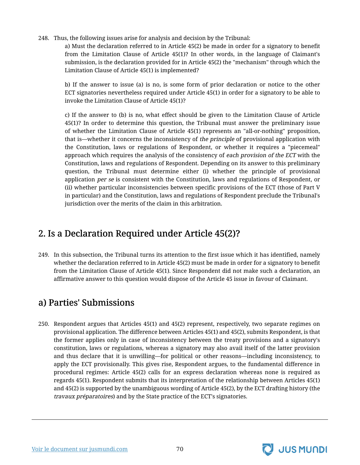248. Thus, the following issues arise for analysis and decision by the Tribunal:

a) Must the declaration referred to in Article 45(2) be made in order for a signatory to benefit from the Limitation Clause of Article 45(1)? In other words, in the language of Claimant's submission, is the declaration provided for in Article 45(2) the "mechanism" through which the Limitation Clause of Article 45(1) is implemented?

b) If the answer to issue (a) is no, is some form of prior declaration or notice to the other ECT signatories nevertheless required under Article 45(1) in order for a signatory to be able to invoke the Limitation Clause of Article 45(1)?

c) If the answer to (b) is no, what effect should be given to the Limitation Clause of Article 45(1)? In order to determine this question, the Tribunal must answer the preliminary issue of whether the Limitation Clause of Article 45(1) represents an "all-or-nothing" proposition, that is—whether it concerns the inconsistency of the principle of provisional application with the Constitution, laws or regulations of Respondent, or whether it requires a "piecemeal" approach which requires the analysis of the consistency of each provision of the ECT with the Constitution, laws and regulations of Respondent. Depending on its answer to this preliminary question, the Tribunal must determine either (i) whether the principle of provisional application *per se* is consistent with the Constitution, laws and regulations of Respondent, or (ii) whether particular inconsistencies between specific provisions of the ECT (those of Part V in particular) and the Constitution, laws and regulations of Respondent preclude the Tribunal's jurisdiction over the merits of the claim in this arbitration.

#### 2. Is a Declaration Required under Article 45(2)?

249. In this subsection, the Tribunal turns its attention to the first issue which it has identified, namely whether the declaration referred to in Article 45(2) must be made in order for a signatory to benefit from the Limitation Clause of Article 45(1). Since Respondent did not make such a declaration, an affirmative answer to this question would dispose of the Article 45 issue in favour of Claimant.

### a) Parties' Submissions

250. Respondent argues that Articles 45(1) and 45(2) represent, respectively, two separate regimes on provisional application. The difference between Articles 45(1) and 45(2), submits Respondent, is that the former applies only in case of inconsistency between the treaty provisions and a signatory's constitution, laws or regulations, whereas a signatory may also avail itself of the latter provision and thus declare that it is unwilling—for political or other reasons—including inconsistency, to apply the ECT provisionally. This gives rise, Respondent argues, to the fundamental difference in procedural regimes: Article 45(2) calls for an express declaration whereas none is required as regards 45(1). Respondent submits that its interpretation of the relationship between Articles 45(1) and 45(2) is supported by the unambiguous wording of Article 45(2), by the ECT drafting history (the travaux préparatoires) and by the State practice of the ECT's signatories.



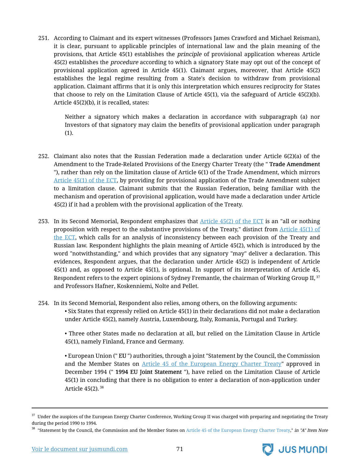251. According to Claimant and its expert witnesses (Professors James Crawford and Michael Reisman), it is clear, pursuant to applicable principles of international law and the plain meaning of the provisions, that Article 45(1) establishes the principle of provisional application whereas Article 45(2) establishes the *procedure* according to which a signatory State may opt out of the concept of provisional application agreed in Article 45(1). Claimant argues, moreover, that Article 45(2) establishes the legal regime resulting from a State's decision to withdraw from provisional application. Claimant affirms that it is only this interpretation which ensures reciprocity for States that choose to rely on the Limitation Clause of Article 45(1), via the safeguard of Article 45(2)(b). Article 45(2)(b), it is recalled, states:

Neither a signatory which makes a declaration in accordance with subparagraph (a) nor Investors of that signatory may claim the benefits of provisional application under paragraph (1).

- 252. Claimant also notes that the Russian Federation made a declaration under Article 6(2)(a) of the Amendment to the Trade-Related Provisions of the Energy Charter Treaty (the " Trade Amendment "), rather than rely on the limitation clause of Article 6(1) of the Trade Amendment, which mirrors [Article 45\(1\) of the ECT,](https://jusmundi.com/en/document/h/clljWVJHbGxISEg0VUZMdWNJazE2TnJ3Mmxwb2NlQ1R3cmNjQXR1UDFhaUg5bDhhczBqUjlmYmVtWWhITFNjK3dCV0JaSFlDK3BFbFIyL0xvSHhiR2sxdnZtV2R3TDJsQUR2Q0hoUUhPeWlwUFRXK0ZmSTJDNUVyTytCd1RRNTNjZ05Tdy9FMGVhb3p3Ky9uOE9DSXdBPT0=) by providing for provisional application of the Trade Amendment subject to a limitation clause. Claimant submits that the Russian Federation, being familiar with the mechanism and operation of provisional application, would have made a declaration under Article 45(2) if it had a problem with the provisional application of the Treaty.
- 253. In its Second Memorial, Respondent emphasizes that <u>[Article 45\(2\) of the ECT](https://jusmundi.com/en/document/h/clljWVJHbGxISEg0VUZMdWNJazE2TnJ3Mmxwb2NlQ1R3cmNjQXR1UDFhaUg5bDhhczBqUjlmYmVtWWhITFNjK3dCV0JaSFlDK3BFbFIyL0xvSHhiR2sxdnZtV2R3TDJsQUR2Q0hoUUhPeWlwUFRXK0ZmSTJDNUVyTytCd1RRNTNaV01PRVE2MWdBV0Z5aXV5WnRpbktRPT0=)</u> is an "all or nothing proposition with respect to the substantive provisions of the Treaty," distinct from [Article 45\(1\) of](https://jusmundi.com/en/document/h/clljWVJHbGxISEg0VUZMdWNJazE2TnJ3Mmxwb2NlQ1R3cmNjQXR1UDFhaUg5bDhhczBqUjlmYmVtWWhITFNjK3dCV0JaSFlDK3BFbFIyL0xvSHhiR2sxdnZtV2R3TDJsQUR2Q0hoUUhPeWlwUFRXK0ZmSTJDNUVyTytCd1RRNTNjZ05Tdy9FMGVhb3p3Ky9uOE9DSXdBPT0=) [the ECT,](https://jusmundi.com/en/document/h/clljWVJHbGxISEg0VUZMdWNJazE2TnJ3Mmxwb2NlQ1R3cmNjQXR1UDFhaUg5bDhhczBqUjlmYmVtWWhITFNjK3dCV0JaSFlDK3BFbFIyL0xvSHhiR2sxdnZtV2R3TDJsQUR2Q0hoUUhPeWlwUFRXK0ZmSTJDNUVyTytCd1RRNTNjZ05Tdy9FMGVhb3p3Ky9uOE9DSXdBPT0=) which calls for an analysis of inconsistency between each provision of the Treaty and Russian law. Respondent highlights the plain meaning of Article 45(2), which is introduced by the word "notwithstanding," and which provides that any signatory "may" deliver a declaration. This evidences, Respondent argues, that the declaration under Article 45(2) is independent of Article 45(1) and, as opposed to Article 45(1), is optional. In support of its interpretation of Article 45, Respondent refers to the expert opinions of Sydney Fremantle, the chairman of Working Group II,  $37$ and Professors Hafner, Koskenniemi, Nolte and Pellet.
- 254. In its Second Memorial, Respondent also relies, among others, on the following arguments: • Six States that expressly relied on Article 45(1) in their declarations did not make a declaration under Article 45(2), namely Austria, Luxembourg, Italy, Romania, Portugal and Turkey.

• Three other States made no declaration at all, but relied on the Limitation Clause in Article 45(1), namely Finland, France and Germany.

• European Union (" EU ") authorities, through a joint "Statement by the Council, the Commission and the Member States on [Article 45 of the European Energy Charter Treaty"](https://jusmundi.com/en/document/h/clljWVJHbGxISEg0VUZMdWNJazE2TnJ3Mmxwb2NlQ1R3cmNjQXR1UDFhaUg5bDhhczBqUjlmYmVtWWhITFNjK3dCV0JaSFlDK3BFbFIyL0xvSHhiR2sxdnZtV2R3TDJsQUR2Q0hoUUhPeWlwUFRXK0ZmSTJDNUVyTytCd1RRNTNDQlhsK0drWUMvN3BMdmptc29leFJBPT0=) approved in December 1994 (" 1994 EU Joint Statement "), have relied on the Limitation Clause of Article 45(1) in concluding that there is no obligation to enter a declaration of non-application under Article 45(2). <sup>38</sup>

<sup>38</sup> "Statement by the Council, the Commission and the Member States on [Article 45 of the European Energy Charter Treaty,](https://jusmundi.com/en/document/h/clljWVJHbGxISEg0VUZMdWNJazE2TnJ3Mmxwb2NlQ1R3cmNjQXR1UDFhaUg5bDhhczBqUjlmYmVtWWhITFNjK3dCV0JaSFlDK3BFbFIyL0xvSHhiR2sxdnZtV2R3TDJsQUR2Q0hoUUhPeWlwUFRXK0ZmSTJDNUVyTytCd1RRNTNDQlhsK0drWUMvN3BMdmptc29leFJBPT0=)" in "A" Item Note



 $37$  Under the auspices of the European Energy Charter Conference, Working Group II was charged with preparing and negotiating the Treaty during the period 1990 to 1994.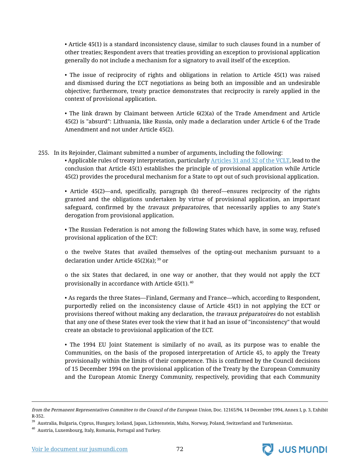• Article 45(1) is a standard inconsistency clause, similar to such clauses found in a number of other treaties; Respondent avers that treaties providing an exception to provisional application generally do not include a mechanism for a signatory to avail itself of the exception.

• The issue of reciprocity of rights and obligations in relation to Article 45(1) was raised and dismissed during the ECT negotiations as being both an impossible and an undesirable objective; furthermore, treaty practice demonstrates that reciprocity is rarely applied in the context of provisional application.

• The link drawn by Claimant between Article 6(2)(a) of the Trade Amendment and Article 45(2) is "absurd": Lithuania, like Russia, only made a declaration under Article 6 of the Trade Amendment and not under Article 45(2).

255. In its Rejoinder, Claimant submitted a number of arguments, including the following:

• Applicable rules of treaty interpretation, particularly [Articles 31 and 32 of the VCLT,](https://jusmundi.com/en/document/h/NVFwR2lWbkFqaXdJRmhJT3hnNFo0NEhoLzFzTjdSbU9icGpNYlQ0N3hXUjByQUw3dW1hT1I5OW90REYzWjlFYW1iQm0xR2ZxcmE5MFIwL3EyeU1DWUVRbENBMnU5S3g1dERqLzZnTWNMRHc3U0YwLzlEK2VYZ1FOT1ZFUEszei8yM25adnZnUXlFS0VUZE44K1VxYnNNQWhnL25UaklhUkx3TnUyNUhIdlZvPQ==) lead to the conclusion that Article 45(1) establishes the principle of provisional application while Article 45(2) provides the procedural mechanism for a State to opt out of such provisional application.

• Article 45(2)—and, specifically, paragraph (b) thereof—ensures reciprocity of the rights granted and the obligations undertaken by virtue of provisional application, an important safeguard, confirmed by the *travaux préparatoires*, that necessarily applies to any State's derogation from provisional application.

• The Russian Federation is not among the following States which have, in some way, refused provisional application of the ECT:

o the twelve States that availed themselves of the opting-out mechanism pursuant to a declaration under Article 45(2)(a); <sup>39</sup> or

o the six States that declared, in one way or another, that they would not apply the ECT provisionally in accordance with Article 45(1). <sup>40</sup>

• As regards the three States—Finland, Germany and France—which, according to Respondent, purportedly relied on the inconsistency clause of Article 45(1) in not applying the ECT or provisions thereof without making any declaration, the travaux préparatoires do not establish that any one of these States ever took the view that it had an issue of "inconsistency" that would create an obstacle to provisional application of the ECT.

• The 1994 EU Joint Statement is similarly of no avail, as its purpose was to enable the Communities, on the basis of the proposed interpretation of Article 45, to apply the Treaty provisionally within the limits of their competence. This is confirmed by the Council decisions of 15 December 1994 on the provisional application of the Treaty by the European Community and the European Atomic Energy Community, respectively, providing that each Community



from the Permanent Representatives Committee to the Council of the European Union, Doc. 12165/94, 14 December 1994, Annex I, p. 3, Exhibit R-352.

<sup>39</sup> Australia, Bulgaria, Cyprus, Hungary, Iceland, Japan, Lichtenstein, Malta, Norway, Poland, Switzerland and Turkmenistan.

 $^{40}\,$  Austria, Luxembourg, Italy, Romania, Portugal and Turkey.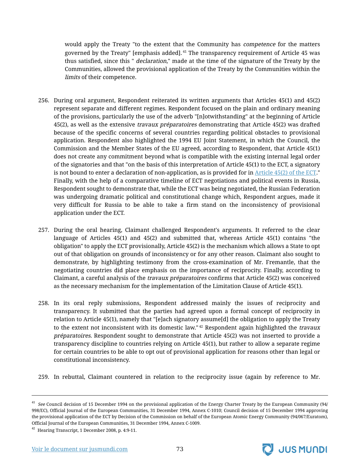would apply the Treaty "to the extent that the Community has *competence* for the matters governed by the Treaty" [emphasis added].<sup>41</sup> The transparency requirement of Article 45 was thus satisfied, since this " declaration," made at the time of the signature of the Treaty by the Communities, allowed the provisional application of the Treaty by the Communities within the limits of their competence.

- 256. During oral argument, Respondent reiterated its written arguments that Articles 45(1) and 45(2) represent separate and different regimes. Respondent focused on the plain and ordinary meaning of the provisions, particularly the use of the adverb "[n]otwithstanding" at the beginning of Article 45(2), as well as the extensive travaux préparatoires demonstrating that Article 45(2) was drafted because of the specific concerns of several countries regarding political obstacles to provisional application. Respondent also highlighted the 1994 EU Joint Statement, in which the Council, the Commission and the Member States of the EU agreed, according to Respondent, that Article 45(1) does not create any commitment beyond what is compatible with the existing internal legal order of the signatories and that "on the basis of this interpretation of Article 45(1) to the ECT, a signatory is not bound to enter a declaration of non-application, as is provided for in  $\text{Article }45(2)$  of the ECT." Finally, with the help of a comparative timeline of ECT negotiations and political events in Russia, Respondent sought to demonstrate that, while the ECT was being negotiated, the Russian Federation was undergoing dramatic political and constitutional change which, Respondent argues, made it very difficult for Russia to be able to take a firm stand on the inconsistency of provisional application under the ECT.
- 257. During the oral hearing, Claimant challenged Respondent's arguments. It referred to the clear language of Articles 45(1) and 45(2) and submitted that, whereas Article 45(1) contains "the obligation" to apply the ECT provisionally, Article 45(2) is the mechanism which allows a State to opt out of that obligation on grounds of inconsistency or for any other reason. Claimant also sought to demonstrate, by highlighting testimony from the cross-examination of Mr. Fremantle, that the negotiating countries did place emphasis on the importance of reciprocity. Finally, according to Claimant, a careful analysis of the travaux préparatoires confirms that Article 45(2) was conceived as the necessary mechanism for the implementation of the Limitation Clause of Article 45(1).
- 258. In its oral reply submissions, Respondent addressed mainly the issues of reciprocity and transparency. It submitted that the parties had agreed upon a formal concept of reciprocity in relation to Article 45(1), namely that "[e]ach signatory assume[d] the obligation to apply the Treaty to the extent not inconsistent with its domestic law."<sup>42</sup> Respondent again highlighted the *travaux* préparatoires. Respondent sought to demonstrate that Article 45(2) was not inserted to provide a transparency discipline to countries relying on Article 45(1), but rather to allow a separate regime for certain countries to be able to opt out of provisional application for reasons other than legal or constitutional inconsistency.
- 259. In rebuttal, Claimant countered in relation to the reciprocity issue (again by reference to Mr.



 $41$  See Council decision of 15 December 1994 on the provisional application of the Energy Charter Treaty by the European Community (94/ 998/EC), Official Journal of the European Communities, 31 December 1994, Annex C-1010; Council decision of 15 December 1994 approving the provisional application of the ECT by Decision of the Commission on behalf of the European Atomic Energy Community (94/067/Euratom), Official Journal of the European Communities, 31 December 1994, Annex C-1009.

<sup>42</sup> Hearing Transcript, 1 December 2008, p. 4:9-11.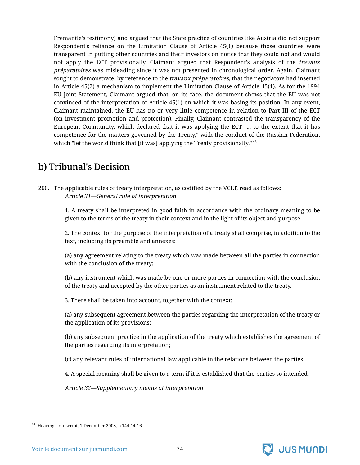Fremantle's testimony) and argued that the State practice of countries like Austria did not support Respondent's reliance on the Limitation Clause of Article 45(1) because those countries were transparent in putting other countries and their investors on notice that they could not and would not apply the ECT provisionally. Claimant argued that Respondent's analysis of the *travaux* préparatoires was misleading since it was not presented in chronological order. Again, Claimant sought to demonstrate, by reference to the *travaux préparatoires*, that the negotiators had inserted in Article 45(2) a mechanism to implement the Limitation Clause of Article 45(1). As for the 1994 EU Joint Statement, Claimant argued that, on its face, the document shows that the EU was not convinced of the interpretation of Article 45(1) on which it was basing its position. In any event, Claimant maintained, the EU has no or very little competence in relation to Part III of the ECT (on investment promotion and protection). Finally, Claimant contrasted the transparency of the European Community, which declared that it was applying the ECT "... to the extent that it has competence for the matters governed by the Treaty," with the conduct of the Russian Federation, which "let the world think that [it was] applying the Treaty provisionally." $43$ 

### b) Tribunal's Decision

260. The applicable rules of treaty interpretation, as codified by the VCLT, read as follows: Article 31—General rule of interpretation

> 1. A treaty shall be interpreted in good faith in accordance with the ordinary meaning to be given to the terms of the treaty in their context and in the light of its object and purpose.

> 2. The context for the purpose of the interpretation of a treaty shall comprise, in addition to the text, including its preamble and annexes:

> (a) any agreement relating to the treaty which was made between all the parties in connection with the conclusion of the treaty;

> (b) any instrument which was made by one or more parties in connection with the conclusion of the treaty and accepted by the other parties as an instrument related to the treaty.

3. There shall be taken into account, together with the context:

(a) any subsequent agreement between the parties regarding the interpretation of the treaty or the application of its provisions;

(b) any subsequent practice in the application of the treaty which establishes the agreement of the parties regarding its interpretation;

(c) any relevant rules of international law applicable in the relations between the parties.

4. A special meaning shall be given to a term if it is established that the parties so intended.

Article 32—Supplementary means of interpretation



<sup>43</sup> Hearing Transcript, 1 December 2008, p.144:14-16.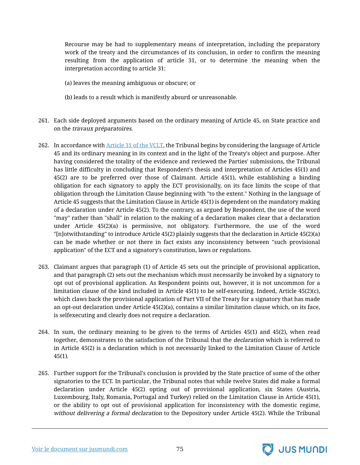Recourse may be had to supplementary means of interpretation, including the preparatory work of the treaty and the circumstances of its conclusion, in order to confirm the meaning resulting from the application of article 31, or to determine the meaning when the interpretation according to article 31:

- (a) leaves the meaning ambiguous or obscure; or
- (b) leads to a result which is manifestly absurd or unreasonable.
- 261. Each side deployed arguments based on the ordinary meaning of Article 45, on State practice and on the travaux préparatoires.
- 262. In accordance with <u>Article 31 of the VCLT</u>, the Tribunal begins by considering the language of Article 45 and its ordinary meaning in its context and in the light of the Treaty's object and purpose. After having considered the totality of the evidence and reviewed the Parties' submissions, the Tribunal has little difficulty in concluding that Respondent's thesis and interpretation of Articles 45(1) and 45(2) are to be preferred over those of Claimant. Article 45(1), while establishing a binding obligation for each signatory to apply the ECT provisionally, on its face limits the scope of that obligation through the Limitation Clause beginning with "to the extent." Nothing in the language of Article 45 suggests that the Limitation Clause in Article 45(1) is dependent on the mandatory making of a declaration under Article 45(2). To the contrary, as argued by Respondent, the use of the word "may" rather than "shall" in relation to the making of a declaration makes clear that a declaration under Article 45(2)(a) is permissive, not obligatory. Furthermore, the use of the word "[n]otwithstanding" to introduce Article 45(2) plainly suggests that the declaration in Article 45(2)(a) can be made whether or not there in fact exists any inconsistency between "such provisional application" of the ECT and a signatory's constitution, laws or regulations.
- 263. Claimant argues that paragraph (1) of Article 45 sets out the principle of provisional application, and that paragraph (2) sets out the mechanism which must necessarily be invoked by a signatory to opt out of provisional application. As Respondent points out, however, it is not uncommon for a limitation clause of the kind included in Article 45(1) to be self-executing. Indeed, Article 45(2)(c), which claws back the provisional application of Part VII of the Treaty for a signatory that has made an opt-out declaration under Article 45(2)(a), contains a similar limitation clause which, on its face, is selfexecuting and clearly does not require a declaration.
- 264. In sum, the ordinary meaning to be given to the terms of Articles 45(1) and 45(2), when read together, demonstrates to the satisfaction of the Tribunal that the *declaration* which is referred to in Article 45(2) is a declaration which is not necessarily linked to the Limitation Clause of Article 45(1).
- 265. Further support for the Tribunal's conclusion is provided by the State practice of some of the other signatories to the ECT. In particular, the Tribunal notes that while twelve States did make a formal declaration under Article 45(2) opting out of provisional application, six States (Austria, Luxembourg, Italy, Romania, Portugal and Turkey) relied on the Limitation Clause in Article 45(1), or the ability to opt out of provisional application for inconsistency with the domestic regime, without delivering a formal declaration to the Depository under Article 45(2). While the Tribunal



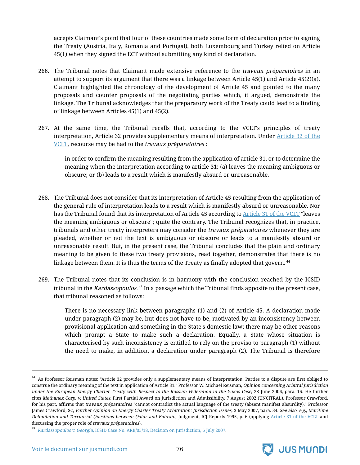accepts Claimant's point that four of these countries made some form of declaration prior to signing the Treaty (Austria, Italy, Romania and Portugal), both Luxembourg and Turkey relied on Article 45(1) when they signed the ECT without submitting any kind of declaration.

- 266. The Tribunal notes that Claimant made extensive reference to the *travaux préparatoires* in an attempt to support its argument that there was a linkage between Article 45(1) and Article 45(2)(a). Claimant highlighted the chronology of the development of Article 45 and pointed to the many proposals and counter proposals of the negotiating parties which, it argued, demonstrate the linkage. The Tribunal acknowledges that the preparatory work of the Treaty could lead to a finding of linkage between Articles 45(1) and 45(2).
- 267. At the same time, the Tribunal recalls that, according to the VCLT's principles of treaty interpretation, Article 32 provides supplementary means of interpretation. Under [Article 32 of the](https://jusmundi.com/en/document/h/NVFwR2lWbkFqaXdJRmhJT3hnNFo0NEhoLzFzTjdSbU9icGpNYlQ0N3hXUjByQUw3dW1hT1I5OW90REYzWjlFYW1iQm0xR2ZxcmE5MFIwL3EyeU1DWUVRbENBMnU5S3g1dERqLzZnTWNMRHc3U0YwLzlEK2VYZ1FOT1ZFUEszei8yM25adnZnUXlFS0VUZE44K1VxYnNPZWxCWEN4MzFIRFRLN0Z4Z29jWVhzPQ==) [VCLT,](https://jusmundi.com/en/document/h/NVFwR2lWbkFqaXdJRmhJT3hnNFo0NEhoLzFzTjdSbU9icGpNYlQ0N3hXUjByQUw3dW1hT1I5OW90REYzWjlFYW1iQm0xR2ZxcmE5MFIwL3EyeU1DWUVRbENBMnU5S3g1dERqLzZnTWNMRHc3U0YwLzlEK2VYZ1FOT1ZFUEszei8yM25adnZnUXlFS0VUZE44K1VxYnNPZWxCWEN4MzFIRFRLN0Z4Z29jWVhzPQ==) recourse may be had to the travaux préparatoires :

in order to confirm the meaning resulting from the application of article 31, or to determine the meaning when the interpretation according to article 31: (a) leaves the meaning ambiguous or obscure; or (b) leads to a result which is manifestly absurd or unreasonable.

- 268. The Tribunal does not consider that its interpretation of Article 45 resulting from the application of the general rule of interpretation leads to a result which is manifestly absurd or unreasonable. Nor has the Tribunal found that its interpretation of Article 45 according to [Article 31 of the VCLT](https://jusmundi.com/en/document/h/NVFwR2lWbkFqaXdJRmhJT3hnNFo0NEhoLzFzTjdSbU9icGpNYlQ0N3hXUjByQUw3dW1hT1I5OW90REYzWjlFYW1iQm0xR2ZxcmE5MFIwL3EyeU1DWUVRbENBMnU5S3g1dERqLzZnTWNMRHc3U0YwLzlEK2VYZ1FOT1ZFUEszei8yM25adnZnUXlFS0VUZE44K1VxYnNNQWhnL25UaklhUkx3TnUyNUhIdlZvPQ==) "leaves the meaning ambiguous or obscure"; quite the contrary. The Tribunal recognizes that, in practice, tribunals and other treaty interpreters may consider the *travaux préparatoires* whenever they are pleaded, whether or not the text is ambiguous or obscure or leads to a manifestly absurd or unreasonable result. But, in the present case, the Tribunal concludes that the plain and ordinary meaning to be given to these two treaty provisions, read together, demonstrates that there is no linkage between them. It is thus the terms of the Treaty as finally adopted that govern.<sup>44</sup>
- 269. The Tribunal notes that its conclusion is in harmony with the conclusion reached by the ICSID tribunal in the *Kardassopoulos*. <sup>45</sup> In a passage which the Tribunal finds apposite to the present case, that tribunal reasoned as follows:

There is no necessary link between paragraphs (1) and (2) of Article 45. A declaration made under paragraph (2) may be, but does not have to be, motivated by an inconsistency between provisional application and something in the State's domestic law; there may be other reasons which prompt a State to make such a declaration. Equally, a State whose situation is characterised by such inconsistency is entitled to rely on the proviso to paragraph (1) without the need to make, in addition, a declaration under paragraph (2). The Tribunal is therefore



<sup>&</sup>lt;sup>44</sup> As Professor Reisman notes: "Article 32 provides only a supplementary means of interpretation. Parties to a dispute are first obliged to construe the ordinary meaning of the text in application of Article 31." Professor W. Michael Reisman, Opinion concerning Arbitral Jurisdiction under the European Energy Charter Treaty with Respect to the Russian Federation in the Yukos Case, 28 June 2006, para. 15. He further cites Methanex Corp. v. United States, First Partial Award on Jurisdiction and Admissibility, 7 August 2002 (UNCITRAL). Professor Crawford, for his part, affirms that travaux préparatoires "cannot contradict the actual language of the treaty (absent manifest absurdity)." Professor James Crawford, SC, Further Opinion on Energy Charter Treaty Arbitration: Jurisdiction Issues, 3 May 2007, para. 34. See also, e.g., Maritime Delimitation and Territorial Questions between Qatar and Bahrain, Judgment, ICJ Reports 1995, p. 6 (applying [Article 31 of the VCLT](https://jusmundi.com/en/document/h/NVFwR2lWbkFqaXdJRmhJT3hnNFo0NEhoLzFzTjdSbU9icGpNYlQ0N3hXUjByQUw3dW1hT1I5OW90REYzWjlFYW1iQm0xR2ZxcmE5MFIwL3EyeU1DWUVRbENBMnU5S3g1dERqLzZnTWNMRHc3U0YwLzlEK2VYZ1FOT1ZFUEszei8yM25adnZnUXlFS0VUZE44K1VxYnNNQWhnL25UaklhUkx3TnUyNUhIdlZvPQ==) and discussing the proper role of travaux préparatoires).

<sup>45</sup> Kardassopoulos v. Georgia[, ICSID Case No. ARB/05/18, Decision on Jurisdiction, 6 July 2007](https://jusmundi.com/en/document/h/UW9UNk92TDM4MkY5MzZSd2lGT2lhRzFLVFAvRnMwbXNaNmd4ZU9YdmdKM04waU5PbUl2UG5MRHN1V2FFS1BpVThjbEhvL2dXcm1LY2FTWHdhUkpFS3lEbUlnb3AxQUgzK2Nvbkx5S1M0bkhMb2pkeWxHSzhYa3o3TCtUanRDMHY=).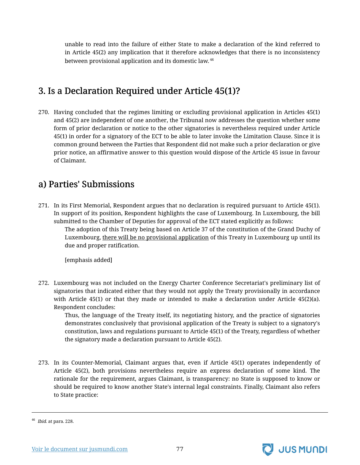unable to read into the failure of either State to make a declaration of the kind referred to in Article 45(2) any implication that it therefore acknowledges that there is no inconsistency between provisional application and its domestic law. 46

#### 3. Is a Declaration Required under Article 45(1)?

270. Having concluded that the regimes limiting or excluding provisional application in Articles 45(1) and 45(2) are independent of one another, the Tribunal now addresses the question whether some form of prior declaration or notice to the other signatories is nevertheless required under Article 45(1) in order for a signatory of the ECT to be able to later invoke the Limitation Clause. Since it is common ground between the Parties that Respondent did not make such a prior declaration or give prior notice, an affirmative answer to this question would dispose of the Article 45 issue in favour of Claimant.

### a) Parties' Submissions

271. In its First Memorial, Respondent argues that no declaration is required pursuant to Article 45(1). In support of its position, Respondent highlights the case of Luxembourg. In Luxembourg, the bill submitted to the Chamber of Deputies for approval of the ECT stated explicitly as follows:

The adoption of this Treaty being based on Article 37 of the constitution of the Grand Duchy of Luxembourg, there will be no provisional application of this Treaty in Luxembourg up until its due and proper ratification.

[emphasis added]

272. Luxembourg was not included on the Energy Charter Conference Secretariat's preliminary list of signatories that indicated either that they would not apply the Treaty provisionally in accordance with Article 45(1) or that they made or intended to make a declaration under Article 45(2)(a). Respondent concludes:

Thus, the language of the Treaty itself, its negotiating history, and the practice of signatories demonstrates conclusively that provisional application of the Treaty is subject to a signatory's constitution, laws and regulations pursuant to Article 45(1) of the Treaty, regardless of whether the signatory made a declaration pursuant to Article 45(2).

273. In its Counter-Memorial, Claimant argues that, even if Article 45(1) operates independently of Article 45(2), both provisions nevertheless require an express declaration of some kind. The rationale for the requirement, argues Claimant, is transparency: no State is supposed to know or should be required to know another State's internal legal constraints. Finally, Claimant also refers to State practice:



 $46$  Ibid. at para. 228.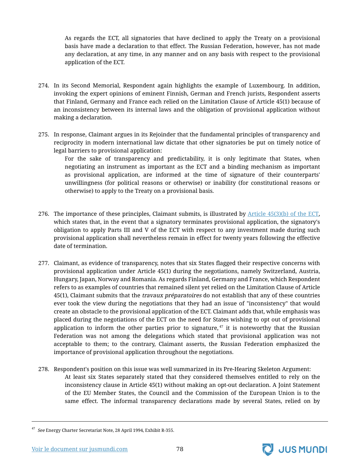As regards the ECT, all signatories that have declined to apply the Treaty on a provisional basis have made a declaration to that effect. The Russian Federation, however, has not made any declaration, at any time, in any manner and on any basis with respect to the provisional application of the ECT.

- 274. In its Second Memorial, Respondent again highlights the example of Luxembourg. In addition, invoking the expert opinions of eminent Finnish, German and French jurists, Respondent asserts that Finland, Germany and France each relied on the Limitation Clause of Article 45(1) because of an inconsistency between its internal laws and the obligation of provisional application without making a declaration.
- 275. In response, Claimant argues in its Rejoinder that the fundamental principles of transparency and reciprocity in modern international law dictate that other signatories be put on timely notice of legal barriers to provisional application:

For the sake of transparency and predictability, it is only legitimate that States, when negotiating an instrument as important as the ECT and a binding mechanism as important as provisional application, are informed at the time of signature of their counterparts' unwillingness (for political reasons or otherwise) or inability (for constitutional reasons or otherwise) to apply to the Treaty on a provisional basis.

- 276. The importance of these principles, Claimant submits, is illustrated by  $\frac{\text{Article 45(3)(b) of the ECT}}{\text{,}}$  $\frac{\text{Article 45(3)(b) of the ECT}}{\text{,}}$  $\frac{\text{Article 45(3)(b) of the ECT}}{\text{,}}$ which states that, in the event that a signatory terminates provisional application, the signatory's obligation to apply Parts III and V of the ECT with respect to any investment made during such provisional application shall nevertheless remain in effect for twenty years following the effective date of termination.
- 277. Claimant, as evidence of transparency, notes that six States flagged their respective concerns with provisional application under Article 45(1) during the negotiations, namely Switzerland, Austria, Hungary, Japan, Norway and Romania. As regards Finland, Germany and France, which Respondent refers to as examples of countries that remained silent yet relied on the Limitation Clause of Article 45(1), Claimant submits that the *travaux préparatoires* do not establish that any of these countries ever took the view during the negotiations that they had an issue of "inconsistency" that would create an obstacle to the provisional application of the ECT. Claimant adds that, while emphasis was placed during the negotiations of the ECT on the need for States wishing to opt out of provisional application to inform the other parties prior to signature,  $47$  it is noteworthy that the Russian Federation was not among the delegations which stated that provisional application was not acceptable to them; to the contrary, Claimant asserts, the Russian Federation emphasized the importance of provisional application throughout the negotiations.
- 278. Respondent's position on this issue was well summarized in its Pre-Hearing Skeleton Argument: At least six States separately stated that they considered themselves entitled to rely on the inconsistency clause in Article 45(1) without making an opt-out declaration. A Joint Statement of the EU Member States, the Council and the Commission of the European Union is to the same effect. The informal transparency declarations made by several States, relied on by



<sup>&</sup>lt;sup>47</sup> See Energy Charter Secretariat Note, 28 April 1994, Exhibit R-355.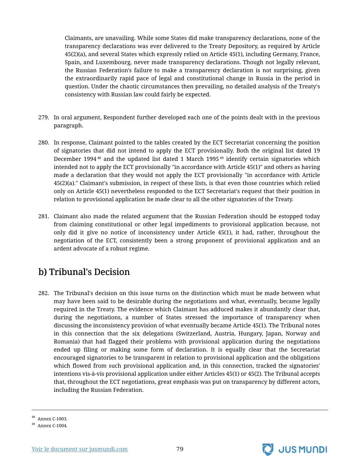Claimants, are unavailing. While some States did make transparency declarations, none of the transparency declarations was ever delivered to the Treaty Depository, as required by Article 45(2)(a), and several States which expressly relied on Article 45(1), including Germany, France, Spain, and Luxembourg, never made transparency declarations. Though not legally relevant, the Russian Federation's failure to make a transparency declaration is not surprising, given the extraordinarily rapid pace of legal and constitutional change in Russia in the period in question. Under the chaotic circumstances then prevailing, no detailed analysis of the Treaty's consistency with Russian law could fairly be expected.

- 279. In oral argument, Respondent further developed each one of the points dealt with in the previous paragraph.
- 280. In response, Claimant pointed to the tables created by the ECT Secretariat concerning the position of signatories that did not intend to apply the ECT provisionally. Both the original list dated 19 December 1994<sup>48</sup> and the updated list dated 1 March 1995<sup>49</sup> identify certain signatories which intended not to apply the ECT provisionally "in accordance with Article 45(1)" and others as having made a declaration that they would not apply the ECT provisionally "in accordance with Article 45(2)(a)." Claimant's submission, in respect of these lists, is that even those countries which relied only on Article 45(1) nevertheless responded to the ECT Secretariat's request that their position in relation to provisional application be made clear to all the other signatories of the Treaty.
- 281. Claimant also made the related argument that the Russian Federation should be estopped today from claiming constitutional or other legal impediments to provisional application because, not only did it give no notice of inconsistency under Article 45(1), it had, rather, throughout the negotiation of the ECT, consistently been a strong proponent of provisional application and an ardent advocate of a robust regime.

#### b) Tribunal's Decision

282. The Tribunal's decision on this issue turns on the distinction which must be made between what may have been said to be desirable during the negotiations and what, eventually, became legally required in the Treaty. The evidence which Claimant has adduced makes it abundantly clear that, during the negotiations, a number of States stressed the importance of transparency when discussing the inconsistency provision of what eventually became Article 45(1). The Tribunal notes in this connection that the six delegations (Switzerland, Austria, Hungary, Japan, Norway and Romania) that had flagged their problems with provisional application during the negotiations ended up filing or making some form of declaration. It is equally clear that the Secretariat encouraged signatories to be transparent in relation to provisional application and the obligations which flowed from such provisional application and, in this connection, tracked the signatories' intentions vis-à-vis provisional application under either Articles 45(1) or 45(2). The Tribunal accepts that, throughout the ECT negotiations, great emphasis was put on transparency by different actors, including the Russian Federation.



<sup>48</sup> Annex C-1003.

<sup>49</sup> Annex C-1004.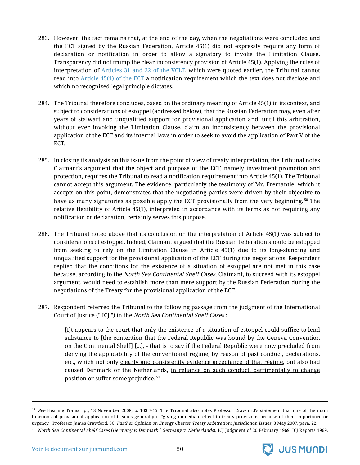- 283. However, the fact remains that, at the end of the day, when the negotiations were concluded and the ECT signed by the Russian Federation, Article 45(1) did not expressly require any form of declaration or notification in order to allow a signatory to invoke the Limitation Clause. Transparency did not trump the clear inconsistency provision of Article 45(1). Applying the rules of interpretation of [Articles 31 and 32 of the VCLT,](https://jusmundi.com/en/document/h/NVFwR2lWbkFqaXdJRmhJT3hnNFo0NEhoLzFzTjdSbU9icGpNYlQ0N3hXUjByQUw3dW1hT1I5OW90REYzWjlFYW1iQm0xR2ZxcmE5MFIwL3EyeU1DWUVRbENBMnU5S3g1dERqLzZnTWNMRHc3U0YwLzlEK2VYZ1FOT1ZFUEszei8yM25adnZnUXlFS0VUZE44K1VxYnNNQWhnL25UaklhUkx3TnUyNUhIdlZvPQ==) which were quoted earlier, the Tribunal cannot read into [Article 45\(1\) of the ECT](https://jusmundi.com/en/document/h/clljWVJHbGxISEg0VUZMdWNJazE2TnJ3Mmxwb2NlQ1R3cmNjQXR1UDFhaUg5bDhhczBqUjlmYmVtWWhITFNjK3dCV0JaSFlDK3BFbFIyL0xvSHhiR2sxdnZtV2R3TDJsQUR2Q0hoUUhPeWlwUFRXK0ZmSTJDNUVyTytCd1RRNTNjZ05Tdy9FMGVhb3p3Ky9uOE9DSXdBPT0=) a notification requirement which the text does not disclose and which no recognized legal principle dictates.
- 284. The Tribunal therefore concludes, based on the ordinary meaning of Article 45(1) in its context, and subject to considerations of estoppel (addressed below), that the Russian Federation may, even after years of stalwart and unqualified support for provisional application and, until this arbitration, without ever invoking the Limitation Clause, claim an inconsistency between the provisional application of the ECT and its internal laws in order to seek to avoid the application of Part V of the ECT.
- 285. In closing its analysis on this issue from the point of view of treaty interpretation, the Tribunal notes Claimant's argument that the object and purpose of the ECT, namely investment promotion and protection, requires the Tribunal to read a notification requirement into Article 45(1). The Tribunal cannot accept this argument. The evidence, particularly the testimony of Mr. Fremantle, which it accepts on this point, demonstrates that the negotiating parties were driven by their objective to have as many signatories as possible apply the ECT provisionally from the very beginning.<sup>50</sup> The relative flexibility of Article 45(1), interpreted in accordance with its terms as not requiring any notification or declaration, certainly serves this purpose.
- 286. The Tribunal noted above that its conclusion on the interpretation of Article 45(1) was subject to considerations of estoppel. Indeed, Claimant argued that the Russian Federation should be estopped from seeking to rely on the Limitation Clause in Article 45(1) due to its long-standing and unqualified support for the provisional application of the ECT during the negotiations. Respondent replied that the conditions for the existence of a situation of estoppel are not met in this case because, according to the North Sea Continental Shelf Cases, Claimant, to succeed with its estoppel argument, would need to establish more than mere support by the Russian Federation during the negotiations of the Treaty for the provisional application of the ECT.
- 287. Respondent referred the Tribunal to the following passage from the judgment of the International Court of Justice (" ICJ ") in the North Sea Continental Shelf Cases :

[I]t appears to the court that only the existence of a situation of estoppel could suffice to lend substance to [the contention that the Federal Republic was bound by the Geneva Convention on the Continental Shelf] [...], - that is to say if the Federal Republic were now precluded from denying the applicability of the conventional régime, by reason of past conduct, declarations, etc., which not only clearly and consistently evidence acceptance of that régime, but also had caused Denmark or the Netherlands, in reliance on such conduct, detrimentally to change position or suffer some prejudice. 51



<sup>&</sup>lt;sup>50</sup> See Hearing Transcript, 18 November 2008, p. 163:7-15. The Tribunal also notes Professor Crawford's statement that one of the main functions of provisional application of treaties generally is "giving immediate effect to treaty provisions because of their importance or urgency." Professor James Crawford, SC, Further Opinion on Energy Charter Treaty Arbitration: Jurisdiction Issues, 3 May 2007, para. 22.

<sup>51</sup> North Sea Continental Shelf Cases (Germany v. Denmark / Germany v. Netherlands), ICJ Judgment of 20 February 1969, ICJ Reports 1969,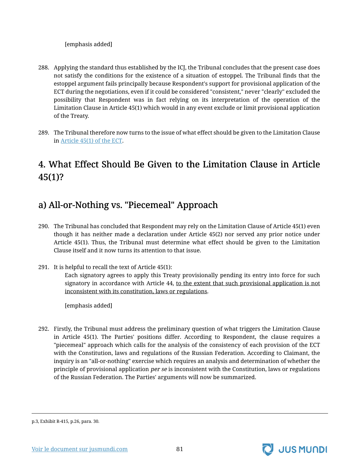[emphasis added]

- 288. Applying the standard thus established by the ICJ, the Tribunal concludes that the present case does not satisfy the conditions for the existence of a situation of estoppel. The Tribunal finds that the estoppel argument fails principally because Respondent's support for provisional application of the ECT during the negotiations, even if it could be considered "consistent," never "clearly" excluded the possibility that Respondent was in fact relying on its interpretation of the operation of the Limitation Clause in Article 45(1) which would in any event exclude or limit provisional application of the Treaty.
- 289. The Tribunal therefore now turns to the issue of what effect should be given to the Limitation Clause in [Article 45\(1\) of the ECT](https://jusmundi.com/en/document/h/clljWVJHbGxISEg0VUZMdWNJazE2TnJ3Mmxwb2NlQ1R3cmNjQXR1UDFhaUg5bDhhczBqUjlmYmVtWWhITFNjK3dCV0JaSFlDK3BFbFIyL0xvSHhiR2sxdnZtV2R3TDJsQUR2Q0hoUUhPeWlwUFRXK0ZmSTJDNUVyTytCd1RRNTNjZ05Tdy9FMGVhb3p3Ky9uOE9DSXdBPT0=).

## 4. What Effect Should Be Given to the Limitation Clause in Article 45(1)?

## a) All-or-Nothing vs. "Piecemeal" Approach

- 290. The Tribunal has concluded that Respondent may rely on the Limitation Clause of Article 45(1) even though it has neither made a declaration under Article 45(2) nor served any prior notice under Article 45(1). Thus, the Tribunal must determine what effect should be given to the Limitation Clause itself and it now turns its attention to that issue.
- 291. It is helpful to recall the text of Article 45(1):

Each signatory agrees to apply this Treaty provisionally pending its entry into force for such signatory in accordance with Article 44, to the extent that such provisional application is not inconsistent with its constitution, laws or regulations.

[emphasis added]

292. Firstly, the Tribunal must address the preliminary question of what triggers the Limitation Clause in Article 45(1). The Parties' positions differ. According to Respondent, the clause requires a "piecemeal" approach which calls for the analysis of the consistency of each provision of the ECT with the Constitution, laws and regulations of the Russian Federation. According to Claimant, the inquiry is an "all-or-nothing" exercise which requires an analysis and determination of whether the principle of provisional application *per se* is inconsistent with the Constitution, laws or regulations of the Russian Federation. The Parties' arguments will now be summarized.



p.3, Exhibit R-415, p.26, para. 30.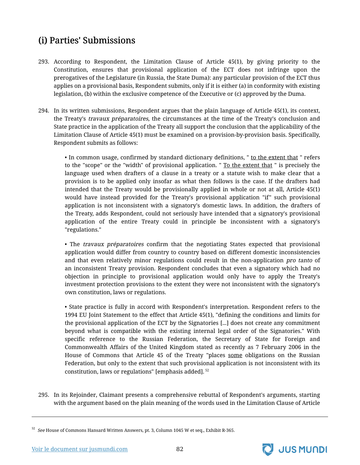## (i) Parties' Submissions

- 293. According to Respondent, the Limitation Clause of Article 45(1), by giving priority to the Constitution, ensures that provisional application of the ECT does not infringe upon the prerogatives of the Legislature (in Russia, the State Duma): any particular provision of the ECT thus applies on a provisional basis, Respondent submits, only if it is either (a) in conformity with existing legislation, (b) within the exclusive competence of the Executive or (c) approved by the Duma.
- 294. In its written submissions, Respondent argues that the plain language of Article 45(1), its context, the Treaty's *travaux préparatoires*, the circumstances at the time of the Treaty's conclusion and State practice in the application of the Treaty all support the conclusion that the applicability of the Limitation Clause of Article 45(1) must be examined on a provision-by-provision basis. Specifically, Respondent submits as follows:

• In common usage, confirmed by standard dictionary definitions, " to the extent that " refers to the "scope" or the "width" of provisional application. " To the extent that " is precisely the language used when drafters of a clause in a treaty or a statute wish to make clear that a provision is to be applied only insofar as what then follows is the case. If the drafters had intended that the Treaty would be provisionally applied in whole or not at all, Article 45(1) would have instead provided for the Treaty's provisional application "if" such provisional application is not inconsistent with a signatory's domestic laws. In addition, the drafters of the Treaty, adds Respondent, could not seriously have intended that a signatory's provisional application of the entire Treaty could in principle be inconsistent with a signatory's "regulations."

• The travaux préparatoires confirm that the negotiating States expected that provisional application would differ from country to country based on different domestic inconsistencies and that even relatively minor regulations could result in the non-application pro tanto of an inconsistent Treaty provision. Respondent concludes that even a signatory which had no objection in principle to provisional application would only have to apply the Treaty's investment protection provisions to the extent they were not inconsistent with the signatory's own constitution, laws or regulations.

• State practice is fully in accord with Respondent's interpretation. Respondent refers to the 1994 EU Joint Statement to the effect that Article 45(1), "defining the conditions and limits for the provisional application of the ECT by the Signatories [...] does not create any commitment beyond what is compatible with the existing internal legal order of the Signatories." With specific reference to the Russian Federation, the Secretary of State for Foreign and Commonwealth Affairs of the United Kingdom stated as recently as 7 February 2006 in the House of Commons that Article 45 of the Treaty "places some obligations on the Russian Federation, but only to the extent that such provisional application is not inconsistent with its constitution, laws or regulations" [emphasis added]. <sup>52</sup>

295. In its Rejoinder, Claimant presents a comprehensive rebuttal of Respondent's arguments, starting with the argument based on the plain meaning of the words used in the Limitation Clause of Article



 $^{52}\,$  See House of Commons Hansard Written Answers, pt. 3, Column 1045 W et seq., Exhibit R-365.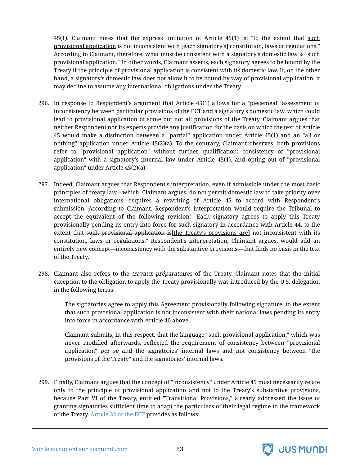45(1). Claimant notes that the express limitation of Article 45(1) is: "to the extent that such provisional application is not inconsistent with [each signatory's] constitution, laws or regulations." According to Claimant, therefore, what must be consistent with a signatory's domestic law is "such provisional application." In other words, Claimant asserts, each signatory agrees to be bound by the Treaty if the principle of provisional application is consistent with its domestic law. If, on the other hand, a signatory's domestic law does not allow it to be bound by way of provisional application, it may decline to assume any international obligations under the Treaty.

- 296. In response to Respondent's argument that Article 45(1) allows for a "piecemeal" assessment of inconsistency between particular provisions of the ECT and a signatory's domestic law, which could lead to provisional application of some but not all provisions of the Treaty, Claimant argues that neither Respondent nor its experts provide any justification for the basis on which the text of Article 45 would make a distinction between a "partial" application under Article 45(1) and an "all or nothing" application under Article 45(2)(a). To the contrary, Claimant observes, both provisions refer to "provisional application" without further qualification: consistency of "provisional application" with a signatory's internal law under Article 45(1), and opting out of "provisional application" under Article 45(2)(a).
- 297. Indeed, Claimant argues that Respondent's interpretation, even if admissible under the most basic principles of treaty law—which, Claimant argues, do not permit domestic law to take priority over international obligations—requires a rewriting of Article 45 to accord with Respondent's submission. According to Claimant, Respondent's interpretation would require the Tribunal to accept the equivalent of the following revision: "Each signatory agrees to apply this Treaty provisionally pending its entry into force for such signatory in accordance with Article 44, to the extent that such provisional application is [the Treaty's provisions are] not inconsistent with its constitution, laws or regulations." Respondent's interpretation, Claimant argues, would add an entirely new concept—inconsistency with the substantive provisions—that finds no basis in the text of the Treaty.
- 298. Claimant also refers to the *travaux préparatoires* of the Treaty. Claimant notes that the initial exception to the obligation to apply the Treaty provisionally was introduced by the U.S. delegation in the following terms:

The signatories agree to apply this Agreement provisionally following signature, to the extent that such provisional application is not inconsistent with their national laws pending its entry into force in accordance with Article 40 above.

Claimant submits, in this respect, that the language "such provisional application," which was never modified afterwards, reflected the requirement of consistency between "provisional application" per se and the signatories' internal laws and not consistency between "the provisions of the Treaty" and the signatories' internal laws.

299. Finally, Claimant argues that the concept of "inconsistency" under Article 45 must necessarily relate only to the principle of provisional application and not to the Treaty's substantive provisions, because Part VI of the Treaty, entitled "Transitional Provisions," already addressed the issue of granting signatories sufficient time to adapt the particulars of their legal regime to the framework of the Treaty. [Article 32 of the ECT](https://jusmundi.com/en/document/h/clljWVJHbGxISEg0VUZMdWNJazE2TnJ3Mmxwb2NlQ1R3cmNjQXR1UDFhaUg5bDhhczBqUjlmYmVtWWhITFNjK3dCV0JaSFlDK3BFbFIyL0xvSHhiR2sxdnZtV2R3TDJsQUR2Q0hoUUhPeWlwUFRXK0ZmSTJDNUVyTytCd1RRNTM2TnBYK1cvNjJvK0xZa0Z1ejVwYjR3PT0=) provides as follows:

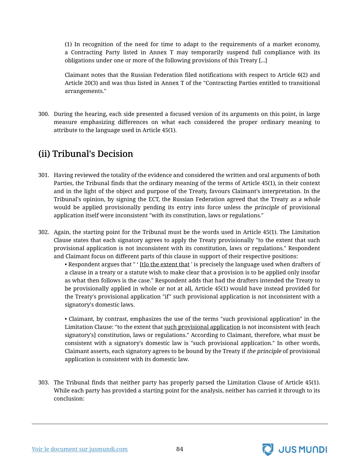(1) In recognition of the need for time to adapt to the requirements of a market economy, a Contracting Party listed in Annex T may temporarily suspend full compliance with its obligations under one or more of the following provisions of this Treaty [...]

Claimant notes that the Russian Federation filed notifications with respect to Article 6(2) and Article 20(3) and was thus listed in Annex T of the "Contracting Parties entitled to transitional arrangements."

300. During the hearing, each side presented a focused version of its arguments on this point, in large measure emphasizing differences on what each considered the proper ordinary meaning to attribute to the language used in Article 45(1).

### (ii) Tribunal's Decision

- 301. Having reviewed the totality of the evidence and considered the written and oral arguments of both Parties, the Tribunal finds that the ordinary meaning of the terms of Article 45(1), in their context and in the light of the object and purpose of the Treaty, favours Claimant's interpretation. In the Tribunal's opinion, by signing the ECT, the Russian Federation agreed that the Treaty as a whole would be applied provisionally pending its entry into force unless *the principle* of provisional application itself were inconsistent "with its constitution, laws or regulations."
- 302. Again, the starting point for the Tribunal must be the words used in Article 45(1). The Limitation Clause states that each signatory agrees to apply the Treaty provisionally "to the extent that such provisional application is not inconsistent with its constitution, laws or regulations." Respondent and Claimant focus on different parts of this clause in support of their respective positions:

• Respondent argues that " ' [t]o the extent that ' is precisely the language used when drafters of a clause in a treaty or a statute wish to make clear that a provision is to be applied only insofar as what then follows is the case." Respondent adds that had the drafters intended the Treaty to be provisionally applied in whole or not at all, Article 45(1) would have instead provided for the Treaty's provisional application "if" such provisional application is not inconsistent with a signatory's domestic laws.

• Claimant, by contrast, emphasizes the use of the terms "such provisional application" in the Limitation Clause: "to the extent that such provisional application is not inconsistent with [each signatory's] constitution, laws or regulations." According to Claimant, therefore, what must be consistent with a signatory's domestic law is "such provisional application." In other words, Claimant asserts, each signatory agrees to be bound by the Treaty if the principle of provisional application is consistent with its domestic law.

303. The Tribunal finds that neither party has properly parsed the Limitation Clause of Article 45(1). While each party has provided a starting point for the analysis, neither has carried it through to its conclusion:



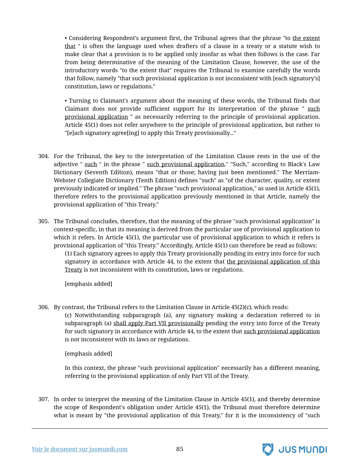• Considering Respondent's argument first, the Tribunal agrees that the phrase "to the extent that " is often the language used when drafters of a clause in a treaty or a statute wish to make clear that a provision is to be applied only insofar as what then follows is the case. Far from being determinative of the meaning of the Limitation Clause, however, the use of the introductory words "to the extent that" requires the Tribunal to examine carefully the words that follow, namely "that such provisional application is not inconsistent with [each signatory's] constitution, laws or regulations."

• Turning to Claimant's argument about the meaning of these words, the Tribunal finds that Claimant does not provide sufficient support for its interpretation of the phrase " such provisional application " as necessarily referring to the principle of provisional application. Article 45(1) does not refer anywhere to the principle of provisional application, but rather to "[e]ach signatory agree[ing] to apply this Treaty provisionally..."

- 304. For the Tribunal, the key to the interpretation of the Limitation Clause rests in the use of the adjective " such " in the phrase " such provisional application." "Such," according to Black's Law Dictionary (Seventh Edition), means "that or those; having just been mentioned." The Merriam-Webster Collegiate Dictionary (Tenth Edition) defines "such" as "of the character, quality, or extent previously indicated or implied." The phrase "such provisional application," as used in Article 45(1), therefore refers to the provisional application previously mentioned in that Article, namely the provisional application of "this Treaty."
- 305. The Tribunal concludes, therefore, that the meaning of the phrase "such provisional application" is context-specific, in that its meaning is derived from the particular use of provisional application to which it refers. In Article 45(1), the particular use of provisional application to which it refers is provisional application of "this Treaty." Accordingly, Article 45(1) can therefore be read as follows: (1) Each signatory agrees to apply this Treaty provisionally pending its entry into force for such signatory in accordance with Article 44, to the extent that the provisional application of this Treaty is not inconsistent with its constitution, laws or regulations.

[emphasis added]

306. By contrast, the Tribunal refers to the Limitation Clause in Article 45(2)(c), which reads: (c) Notwithstanding subparagraph (a), any signatory making a declaration referred to in subparagraph (a) shall apply Part VII provisionally pending the entry into force of the Treaty for such signatory in accordance with Article 44, to the extent that such provisional application is not inconsistent with its laws or regulations.

[emphasis added]

In this context, the phrase "such provisional application" necessarily has a different meaning, referring to the provisional application of only Part VII of the Treaty.

307. In order to interpret the meaning of the Limitation Clause in Article 45(1), and thereby determine the scope of Respondent's obligation under Article 45(1), the Tribunal must therefore determine what is meant by "the provisional application of this Treaty," for it is the inconsistency of "such

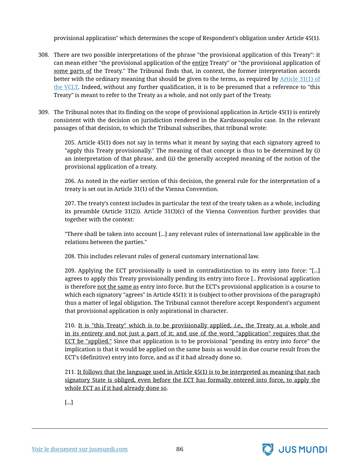provisional application" which determines the scope of Respondent's obligation under Article 45(1).

- 308. There are two possible interpretations of the phrase "the provisional application of this Treaty": it can mean either "the provisional application of the entire Treaty" or "the provisional application of some parts of the Treaty." The Tribunal finds that, in context, the former interpretation accords better with the ordinary meaning that should be given to the terms, as required by **Article 31(1)** of [the VCLT.](https://jusmundi.com/en/document/h/NVFwR2lWbkFqaXdJRmhJT3hnNFo0NEhoLzFzTjdSbU9icGpNYlQ0N3hXUjByQUw3dW1hT1I5OW90REYzWjlFYW1iQm0xR2ZxcmE5MFIwL3EyeU1DWUVRbENBMnU5S3g1dERqLzZnTWNMRHc3U0YwLzlEK2VYZ1FOT1ZFUEszei8yM25adnZnUXlFS0VUZE44K1VxYnNHZy8vTXhHVnpTL1p1WUpPMGFFYWNNPQ==) Indeed, without any further qualification, it is to be presumed that a reference to "this Treaty" is meant to refer to the Treaty as a whole, and not only part of the Treaty.
- 309. The Tribunal notes that its finding on the scope of provisional application in Article 45(1) is entirely consistent with the decision on jurisdiction rendered in the Kardassopoulos case. In the relevant passages of that decision, to which the Tribunal subscribes, that tribunal wrote:

205. Article 45(1) does not say in terms what it meant by saying that each signatory agreed to "apply this Treaty provisionally." The meaning of that concept is thus to be determined by (i) an interpretation of that phrase, and (ii) the generally accepted meaning of the notion of the provisional application of a treaty.

206. As noted in the earlier section of this decision, the general rule for the interpretation of a treaty is set out in Article 31(1) of the Vienna Convention.

207. The treaty's context includes in particular the text of the treaty taken as a whole, including its preamble (Article 31(2)). Article 31(3)(c) of the Vienna Convention further provides that together with the context:

"There shall be taken into account [...] any relevant rules of international law applicable in the relations between the parties."

208. This includes relevant rules of general customary international law.

209. Applying the ECT provisionally is used in contradistinction to its entry into force: "[...] agrees to apply this Treaty provisionally pending its entry into force [.. Provisional application is therefore not the same as entry into force. But the ECT's provisional application is a course to which each signatory "agrees" in Article 45(1): it is (subject to other provisions of the paragraph) thus a matter of legal obligation. The Tribunal cannot therefore accept Respondent's argument that provisional application is only aspirational in character.

210. It is "this Treaty" which is to be provisionally applied, *i.e.*, the Treaty as a whole and in its entirety and not just a part of it; and use of the word "application" requires that the ECT be "applied." Since that application is to be provisional "pending its entry into force" the implication is that it would be applied on the same basis as would in due course result from the ECT's (definitive) entry into force, and as if it had already done so.

211. It follows that the language used in Article 45(1) is to be interpreted as meaning that each signatory State is obliged, even before the ECT has formally entered into force, to apply the whole ECT as if it had already done so.

[...]

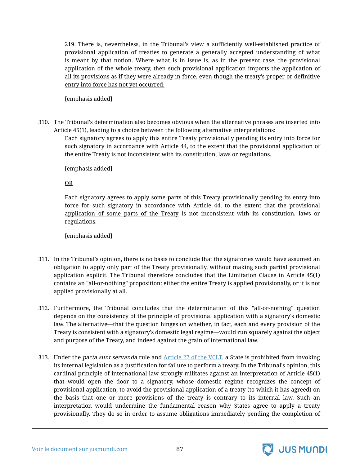219. There is, nevertheless, in the Tribunal's view a sufficiently well-established practice of provisional application of treaties to generate a generally accepted understanding of what is meant by that notion. Where what is in issue is, as in the present case, the provisional application of the whole treaty, then such provisional application imports the application of all its provisions as if they were already in force, even though the treaty's proper or definitive entry into force has not yet occurred.

[emphasis added]

310. The Tribunal's determination also becomes obvious when the alternative phrases are inserted into Article 45(1), leading to a choice between the following alternative interpretations:

Each signatory agrees to apply this entire Treaty provisionally pending its entry into force for such signatory in accordance with Article 44, to the extent that the provisional application of the entire Treaty is not inconsistent with its constitution, laws or regulations.

[emphasis added]

OR

Each signatory agrees to apply some parts of this Treaty provisionally pending its entry into force for such signatory in accordance with Article 44, to the extent that the provisional application of some parts of the Treaty is not inconsistent with its constitution, laws or regulations.

[emphasis added]

- 311. In the Tribunal's opinion, there is no basis to conclude that the signatories would have assumed an obligation to apply only part of the Treaty provisionally, without making such partial provisional application explicit. The Tribunal therefore concludes that the Limitation Clause in Article 45(1) contains an "all-or-nothing" proposition: either the entire Treaty is applied provisionally, or it is not applied provisionally at all.
- 312. Furthermore, the Tribunal concludes that the determination of this "all-or-nothing" question depends on the consistency of the principle of provisional application with a signatory's domestic law. The alternative—that the question hinges on whether, in fact, each and every provision of the Treaty is consistent with a signatory's domestic legal regime—would run squarely against the object and purpose of the Treaty, and indeed against the grain of international law.
- 313. Under the *pacta sunt servanda* rule and <u>[Article 27 of the VCLT](https://jusmundi.com/en/document/h/NVFwR2lWbkFqaXdJRmhJT3hnNFo0NEhoLzFzTjdSbU9icGpNYlQ0N3hXUjByQUw3dW1hT1I5OW90REYzWjlFYW1iQm0xR2ZxcmE5MFIwL3EyeU1DWUVRbENBMnU5S3g1dERqLzZnTWNMRHc3U0YwLzlEK2VYZ1FOT1ZFUEszei8yM25adnZnUXlFS0VUZE44K1VxYnNKd3huY2hCK3BlSlM1b0JwaTlUN2hzPQ==)</u>, a State is prohibited from invoking its internal legislation as a justification for failure to perform a treaty. In the Tribunal's opinion, this cardinal principle of international law strongly militates against an interpretation of Article 45(1) that would open the door to a signatory, whose domestic regime recognizes the concept of provisional application, to avoid the provisional application of a treaty (to which it has agreed) on the basis that one or more provisions of the treaty is contrary to its internal law. Such an interpretation would undermine the fundamental reason why States agree to apply a treaty provisionally. They do so in order to assume obligations immediately pending the completion of

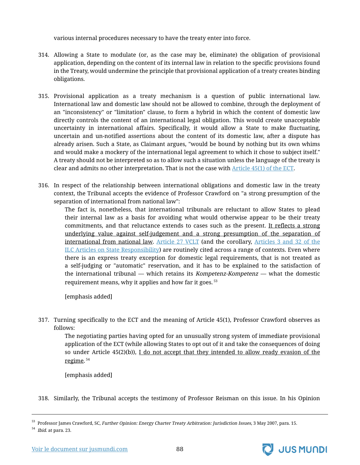various internal procedures necessary to have the treaty enter into force.

- 314. Allowing a State to modulate (or, as the case may be, eliminate) the obligation of provisional application, depending on the content of its internal law in relation to the specific provisions found in the Treaty, would undermine the principle that provisional application of a treaty creates binding obligations.
- 315. Provisional application as a treaty mechanism is a question of public international law. International law and domestic law should not be allowed to combine, through the deployment of an "inconsistency" or "limitation" clause, to form a hybrid in which the content of domestic law directly controls the content of an international legal obligation. This would create unacceptable uncertainty in international affairs. Specifically, it would allow a State to make fluctuating, uncertain and un-notified assertions about the content of its domestic law, after a dispute has already arisen. Such a State, as Claimant argues, "would be bound by nothing but its own whims and would make a mockery of the international legal agreement to which it chose to subject itself." A treaty should not be interpreted so as to allow such a situation unless the language of the treaty is clear and admits no other interpretation. That is not the case with [Article 45\(1\) of the ECT.](https://jusmundi.com/en/document/h/clljWVJHbGxISEg0VUZMdWNJazE2TnJ3Mmxwb2NlQ1R3cmNjQXR1UDFhaUg5bDhhczBqUjlmYmVtWWhITFNjK3dCV0JaSFlDK3BFbFIyL0xvSHhiR2sxdnZtV2R3TDJsQUR2Q0hoUUhPeWlwUFRXK0ZmSTJDNUVyTytCd1RRNTNjZ05Tdy9FMGVhb3p3Ky9uOE9DSXdBPT0=)
- 316. In respect of the relationship between international obligations and domestic law in the treaty context, the Tribunal accepts the evidence of Professor Crawford on "a strong presumption of the separation of international from national law":

The fact is, nonetheless, that international tribunals are reluctant to allow States to plead their internal law as a basis for avoiding what would otherwise appear to be their treaty commitments, and that reluctance extends to cases such as the present. It reflects a strong underlying value against self-judgement and a strong presumption of the separation of international from national law. [Article 27 VCLT](https://jusmundi.com/en/document/h/NVFwR2lWbkFqaXdJRmhJT3hnNFo0NEhoLzFzTjdSbU9icGpNYlQ0N3hXUjByQUw3dW1hT1I5OW90REYzWjlFYW1iQm0xR2ZxcmE5MFIwL3EyeU1DWUVRbENBMnU5S3g1dERqLzZnTWNMRHc3U0YwLzlEK2VYZ1FOT1ZFUEszei8yM25adnZnUXlFS0VUZE44K1VxYnNKd3huY2hCK3BlSlM1b0JwaTlUN2hzPQ==) (and the corollary, [Articles 3 and 32 of the](https://jusmundi.com/en/document/h/RUpDUUN1a2NZSFNaZk5YRDk2TnVmaE5uNkdqOE1lbVQ0ZU1Ld0FaV3BzRUdqTVVJZDR4TEtOdEJTVFUycERJeVFVY2RIS1NKcE1YWHUxTGp3Uk5FVXlIdXF0KzVOYUpEVi9DeVp6QWp1NDZYVTM2K3pQeUdvQnNCMmRseWk3WGdLTEpBTFZIRG5GTFBCQ2tZSjNFRHQzVkhqT1pCeWtidnVSdnB2bVBwNkJ3Zk5GR1Mvc29XZ3hITWdBU2xLSDNQZUk5MVpOM0ZzcThCSHR3SDlaVU5Kckh0NEZYRVJKLzhQb0RiU01LWlZXWDlHdmw2RDFhUGtmVkRuUllabHQ2NXBhdnl5V2U1NS9sK0ZtSEloU3dOc1lDYmo2MHBTVDgvQ2g3VytqdzFybHNTR01Wa1Q2SThGWk1UVGZWalJPTFVFV2NVOFNKb0tEOGU4MGc3WkZ4TUhod3VoYUl6SHcxMStVNkRkSGZpQkZzPQ==) [ILC Articles on State Responsibility\)](https://jusmundi.com/en/document/h/RUpDUUN1a2NZSFNaZk5YRDk2TnVmaE5uNkdqOE1lbVQ0ZU1Ld0FaV3BzRUdqTVVJZDR4TEtOdEJTVFUycERJeVFVY2RIS1NKcE1YWHUxTGp3Uk5FVXlIdXF0KzVOYUpEVi9DeVp6QWp1NDZYVTM2K3pQeUdvQnNCMmRseWk3WGdLTEpBTFZIRG5GTFBCQ2tZSjNFRHQzVkhqT1pCeWtidnVSdnB2bVBwNkJ3Zk5GR1Mvc29XZ3hITWdBU2xLSDNQZUk5MVpOM0ZzcThCSHR3SDlaVU5Kckh0NEZYRVJKLzhQb0RiU01LWlZXWDlHdmw2RDFhUGtmVkRuUllabHQ2NXBhdnl5V2U1NS9sK0ZtSEloU3dOc1lDYmo2MHBTVDgvQ2g3VytqdzFybHNTR01Wa1Q2SThGWk1UVGZWalJPTFVFV2NVOFNKb0tEOGU4MGc3WkZ4TUhod3VoYUl6SHcxMStVNkRkSGZpQkZzPQ==) are routinely cited across a range of contexts. Even where there is an express treaty exception for domestic legal requirements, that is not treated as a self-judging or "automatic" reservation, and it has to be explained to the satisfaction of the international tribunal — which retains its Kompetenz-Kompetenz — what the domestic requirement means, why it applies and how far it goes.  $53$ 

[emphasis added]

317. Turning specifically to the ECT and the meaning of Article 45(1), Professor Crawford observes as follows:

The negotiating parties having opted for an unusually strong system of immediate provisional application of the ECT (while allowing States to opt out of it and take the consequences of doing so under Article  $45(2)(b)$ ), I do not accept that they intended to allow ready evasion of the regime. 54

[emphasis added]

318. Similarly, the Tribunal accepts the testimony of Professor Reisman on this issue. In his Opinion



<sup>53</sup> Professor James Crawford, SC, Further Opinion: Energy Charter Treaty Arbitration: Jurisdiction Issues, 3 May 2007, para. 15.

<sup>54</sup> Ibid. at para. 23.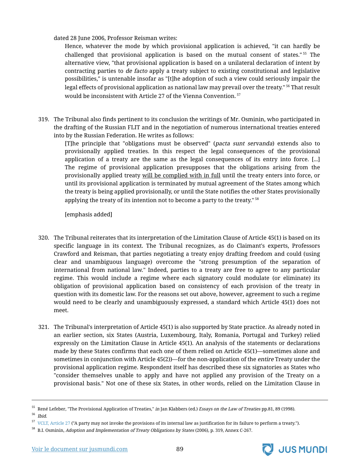dated 28 June 2006, Professor Reisman writes:

Hence, whatever the mode by which provisional application is achieved, "it can hardly be challenged that provisional application is based on the mutual consent of states."<sup>55</sup> The alternative view, "that provisional application is based on a unilateral declaration of intent by contracting parties to *de facto* apply a treaty subject to existing constitutional and legislative possibilities," is untenable insofar as "[t]he adoption of such a view could seriously impair the legal effects of provisional application as national law may prevail over the treaty." <sup>56</sup> That result would be inconsistent with Article 27 of the Vienna Convention. <sup>57</sup>

319. The Tribunal also finds pertinent to its conclusion the writings of Mr. Osminin, who participated in the drafting of the Russian FLIT and in the negotiation of numerous international treaties entered into by the Russian Federation. He writes as follows:

[T]he principle that "obligations must be observed" (pacta sunt servanda) extends also to provisionally applied treaties. In this respect the legal consequences of the provisional application of a treaty are the same as the legal consequences of its entry into force. [...] The regime of provisional application presupposes that the obligations arising from the provisionally applied treaty will be complied with in full until the treaty enters into force, or until its provisional application is terminated by mutual agreement of the States among which the treaty is being applied provisionally, or until the State notifies the other States provisionally applying the treaty of its intention not to become a party to the treaty." <sup>58</sup>

[emphasis added]

- 320. The Tribunal reiterates that its interpretation of the Limitation Clause of Article 45(1) is based on its specific language in its context. The Tribunal recognizes, as do Claimant's experts, Professors Crawford and Reisman, that parties negotiating a treaty enjoy drafting freedom and could (using clear and unambiguous language) overcome the "strong presumption of the separation of international from national law." Indeed, parties to a treaty are free to agree to any particular regime. This would include a regime where each signatory could modulate (or eliminate) its obligation of provisional application based on consistency of each provision of the treaty in question with its domestic law. For the reasons set out above, however, agreement to such a regime would need to be clearly and unambiguously expressed, a standard which Article 45(1) does not meet.
- 321. The Tribunal's interpretation of Article 45(1) is also supported by State practice. As already noted in an earlier section, six States (Austria, Luxembourg, Italy, Romania, Portugal and Turkey) relied expressly on the Limitation Clause in Article 45(1). An analysis of the statements or declarations made by these States confirms that each one of them relied on Article 45(1)—sometimes alone and sometimes in conjunction with Article 45(2))—for the non-application of the *entire* Treaty under the provisional application regime. Respondent itself has described these six signatories as States who "consider themselves unable to apply and have not applied any provision of the Treaty on a provisional basis." Not one of these six States, in other words, relied on the Limitation Clause in

 $56$  Ibid.



<sup>&</sup>lt;sup>55</sup> René Lefeber, "The Provisional Application of Treaties," *in* Jan Klabbers (ed.) *Essays on the Law of Treaties* pp.81, 89 (1998).

 $57$  [VCLT, Article 27](https://jusmundi.com/en/document/h/NVFwR2lWbkFqaXdJRmhJT3hnNFo0NEhoLzFzTjdSbU9icGpNYlQ0N3hXUjByQUw3dW1hT1I5OW90REYzWjlFYW1iQm0xR2ZxcmE5MFIwL3EyeU1DWUVRbENBMnU5S3g1dERqLzZnTWNMRHc3U0YwLzlEK2VYZ1FOT1ZFUEszei8yM25adnZnUXlFS0VUZE44K1VxYnNKd3huY2hCK3BlSlM1b0JwaTlUN2hzPQ==) ("A party may not invoke the provisions of its internal law as justification for its failure to perform a treaty.").

<sup>58</sup> B.I. Osminin, Adoption and Implementation of Treaty Obligations by States (2006), p. 319, Annex C-267.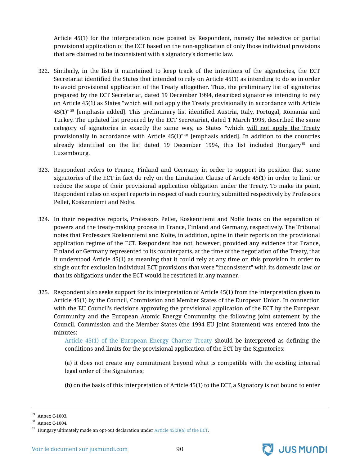Article 45(1) for the interpretation now posited by Respondent, namely the selective or partial provisional application of the ECT based on the non-application of only those individual provisions that are claimed to be inconsistent with a signatory's domestic law.

- 322. Similarly, in the lists it maintained to keep track of the intentions of the signatories, the ECT Secretariat identified the States that intended to rely on Article 45(1) as intending to do so in order to avoid provisional application of the Treaty altogether. Thus, the preliminary list of signatories prepared by the ECT Secretariat, dated 19 December 1994, described signatories intending to rely on Article 45(1) as States "which will not apply the Treaty provisionally in accordance with Article 45(1)" <sup>59</sup> [emphasis added]. This preliminary list identified Austria, Italy, Portugal, Romania and Turkey. The updated list prepared by the ECT Secretariat, dated 1 March 1995, described the same category of signatories in exactly the same way, as States "which will not apply the Treaty provisionally in accordance with Article 45(1)"<sup>60</sup> [emphasis added]. In addition to the countries already identified on the list dated 19 December 1994, this list included Hungary<sup>61</sup> and Luxembourg.
- 323. Respondent refers to France, Finland and Germany in order to support its position that some signatories of the ECT in fact do rely on the Limitation Clause of Article 45(1) in order to limit or reduce the scope of their provisional application obligation under the Treaty. To make its point, Respondent relies on expert reports in respect of each country, submitted respectively by Professors Pellet, Koskenniemi and Nolte.
- 324. In their respective reports, Professors Pellet, Koskenniemi and Nolte focus on the separation of powers and the treaty-making process in France, Finland and Germany, respectively. The Tribunal notes that Professors Koskenniemi and Nolte, in addition, opine in their reports on the provisional application regime of the ECT. Respondent has not, however, provided any evidence that France, Finland or Germany represented to its counterparts, at the time of the negotiation of the Treaty, that it understood Article 45(1) as meaning that it could rely at any time on this provision in order to single out for exclusion individual ECT provisions that were "inconsistent" with its domestic law, or that its obligations under the ECT would be restricted in any manner.
- 325. Respondent also seeks support for its interpretation of Article 45(1) from the interpretation given to Article 45(1) by the Council, Commission and Member States of the European Union. In connection with the EU Council's decisions approving the provisional application of the ECT by the European Community and the European Atomic Energy Community, the following joint statement by the Council, Commission and the Member States (the 1994 EU Joint Statement) was entered into the minutes:

[Article 45\(1\) of the European Energy Charter Treaty](https://jusmundi.com/en/document/h/clljWVJHbGxISEg0VUZMdWNJazE2TnJ3Mmxwb2NlQ1R3cmNjQXR1UDFhaUg5bDhhczBqUjlmYmVtWWhITFNjK3dCV0JaSFlDK3BFbFIyL0xvSHhiR2sxdnZtV2R3TDJsQUR2Q0hoUUhPeWlwUFRXK0ZmSTJDNUVyTytCd1RRNTNjZ05Tdy9FMGVhb3p3Ky9uOE9DSXdBPT0=) should be interpreted as defining the conditions and limits for the provisional application of the ECT by the Signatories:

(a) it does not create any commitment beyond what is compatible with the existing internal legal order of the Signatories;

(b) on the basis of this interpretation of Article 45(1) to the ECT, a Signatory is not bound to enter



<sup>59</sup> Annex C-1003.

Annex C-1004.

<sup>61</sup> Hungary ultimately made an opt-out declaration under [Article 45\(2\)\(a\) of the ECT](https://jusmundi.com/en/document/h/clljWVJHbGxISEg0VUZMdWNJazE2TnJ3Mmxwb2NlQ1R3cmNjQXR1UDFhaUg5bDhhczBqUjlmYmVtWWhITFNjK3dCV0JaSFlDK3BFbFIyL0xvSHhiR2sxdnZtV2R3TDJsQUR2Q0hoUUhPeWlwUFRXK0ZmSTJDNUVyTytCd1RRNTNQM2ZOQU5pYWVGbUF1U1ZmMnNkYkdBPT0=).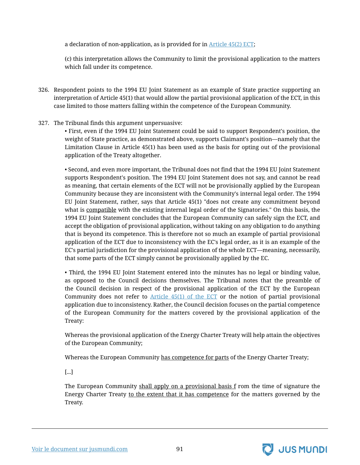a declaration of non-application, as is provided for in  $Article\ 45(2) ECT$ ,

(c) this interpretation allows the Community to limit the provisional application to the matters which fall under its competence.

- 326. Respondent points to the 1994 EU Joint Statement as an example of State practice supporting an interpretation of Article 45(1) that would allow the partial provisional application of the ECT, in this case limited to those matters falling within the competence of the European Community.
- 327. The Tribunal finds this argument unpersuasive:

• First, even if the 1994 EU Joint Statement could be said to support Respondent's position, the weight of State practice, as demonstrated above, supports Claimant's position—namely that the Limitation Clause in Article 45(1) has been used as the basis for opting out of the provisional application of the Treaty altogether.

• Second, and even more important, the Tribunal does not find that the 1994 EU Joint Statement supports Respondent's position. The 1994 EU Joint Statement does not say, and cannot be read as meaning, that certain elements of the ECT will not be provisionally applied by the European Community because they are inconsistent with the Community's internal legal order. The 1994 EU Joint Statement, rather, says that Article 45(1) "does not create any commitment beyond what is compatible with the existing internal legal order of the Signatories." On this basis, the 1994 EU Joint Statement concludes that the European Community can safely sign the ECT, and accept the obligation of provisional application, without taking on any obligation to do anything that is beyond its competence. This is therefore not so much an example of partial provisional application of the ECT due to inconsistency with the EC's legal order, as it is an example of the EC's partial jurisdiction for the provisional application of the whole ECT—meaning, necessarily, that some parts of the ECT simply cannot be provisionally applied by the EC.

• Third, the 1994 EU Joint Statement entered into the minutes has no legal or binding value, as opposed to the Council decisions themselves. The Tribunal notes that the preamble of the Council decision in respect of the provisional application of the ECT by the European Community does not refer to  $Article$   $45(1)$  of the ECT or the notion of partial provisional application due to inconsistency. Rather, the Council decision focuses on the partial competence of the European Community for the matters covered by the provisional application of the Treaty:

Whereas the provisional application of the Energy Charter Treaty will help attain the objectives of the European Community;

Whereas the European Community has competence for parts of the Energy Charter Treaty;

[...]

The European Community shall apply on a provisional basis f rom the time of signature the Energy Charter Treaty to the extent that it has competence for the matters governed by the Treaty.



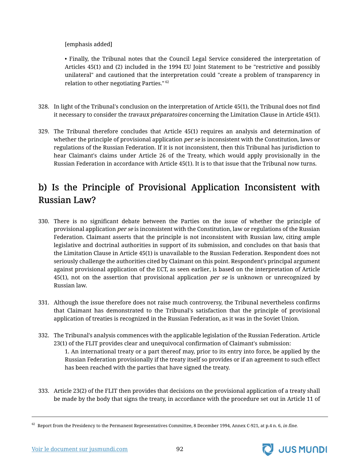[emphasis added]

• Finally, the Tribunal notes that the Council Legal Service considered the interpretation of Articles 45(1) and (2) included in the 1994 EU Joint Statement to be "restrictive and possibly unilateral" and cautioned that the interpretation could "create a problem of transparency in relation to other negotiating Parties." <sup>62</sup>

- 328. In light of the Tribunal's conclusion on the interpretation of Article 45(1), the Tribunal does not find it necessary to consider the *travaux préparatoires* concerning the Limitation Clause in Article 45(1).
- 329. The Tribunal therefore concludes that Article 45(1) requires an analysis and determination of whether the principle of provisional application *per se* is inconsistent with the Constitution, laws or regulations of the Russian Federation. If it is not inconsistent, then this Tribunal has jurisdiction to hear Claimant's claims under Article 26 of the Treaty, which would apply provisionally in the Russian Federation in accordance with Article 45(1). It is to that issue that the Tribunal now turns.

## b) Is the Principle of Provisional Application Inconsistent with Russian Law?

- 330. There is no significant debate between the Parties on the issue of whether the principle of provisional application *per se* is inconsistent with the Constitution, law or regulations of the Russian Federation. Claimant asserts that the principle is not inconsistent with Russian law, citing ample legislative and doctrinal authorities in support of its submission, and concludes on that basis that the Limitation Clause in Article 45(1) is unavailable to the Russian Federation. Respondent does not seriously challenge the authorities cited by Claimant on this point. Respondent's principal argument against provisional application of the ECT, as seen earlier, is based on the interpretation of Article 45(1), not on the assertion that provisional application *per se* is unknown or unrecognized by Russian law.
- 331. Although the issue therefore does not raise much controversy, the Tribunal nevertheless confirms that Claimant has demonstrated to the Tribunal's satisfaction that the principle of provisional application of treaties is recognized in the Russian Federation, as it was in the Soviet Union.
- 332. The Tribunal's analysis commences with the applicable legislation of the Russian Federation. Article 23(1) of the FLIT provides clear and unequivocal confirmation of Claimant's submission: 1. An international treaty or a part thereof may, prior to its entry into force, be applied by the Russian Federation provisionally if the treaty itself so provides or if an agreement to such effect has been reached with the parties that have signed the treaty.
- 333. Article 23(2) of the FLIT then provides that decisions on the provisional application of a treaty shall be made by the body that signs the treaty, in accordance with the procedure set out in Article 11 of

 $62$  Report from the Presidency to the Permanent Representatives Committee, 8 December 1994, Annex C-921, at p.4 n. 6, in fine.

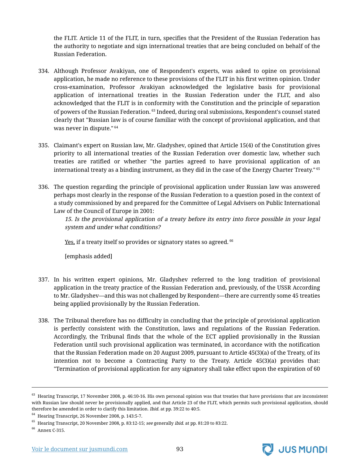the FLIT. Article 11 of the FLIT, in turn, specifies that the President of the Russian Federation has the authority to negotiate and sign international treaties that are being concluded on behalf of the Russian Federation.

- 334. Although Professor Avakiyan, one of Respondent's experts, was asked to opine on provisional application, he made no reference to these provisions of the FLIT in his first written opinion. Under cross-examination, Professor Avakiyan acknowledged the legislative basis for provisional application of international treaties in the Russian Federation under the FLIT, and also acknowledged that the FLIT is in conformity with the Constitution and the principle of separation of powers of the Russian Federation. 63 Indeed, during oral submissions, Respondent's counsel stated clearly that "Russian law is of course familiar with the concept of provisional application, and that was never in dispute." <sup>64</sup>
- 335. Claimant's expert on Russian law, Mr. Gladyshev, opined that Article 15(4) of the Constitution gives priority to all international treaties of the Russian Federation over domestic law, whether such treaties are ratified or whether "the parties agreed to have provisional application of an international treaty as a binding instrument, as they did in the case of the Energy Charter Treaty." <sup>65</sup>
- 336. The question regarding the principle of provisional application under Russian law was answered perhaps most clearly in the response of the Russian Federation to a question posed in the context of a study commissioned by and prepared for the Committee of Legal Advisers on Public International Law of the Council of Europe in 2001:

15. Is the provisional application of <sup>a</sup> treaty before its entry into force possible in your legal system and under what conditions?

Yes, if a treaty itself so provides or signatory states so agreed. 66

[emphasis added]

- 337. In his written expert opinions, Mr. Gladyshev referred to the long tradition of provisional application in the treaty practice of the Russian Federation and, previously, of the USSR According to Mr. Gladyshev—and this was not challenged by Respondent—there are currently some 45 treaties being applied provisionally by the Russian Federation.
- 338. The Tribunal therefore has no difficulty in concluding that the principle of provisional application is perfectly consistent with the Constitution, laws and regulations of the Russian Federation. Accordingly, the Tribunal finds that the whole of the ECT applied provisionally in the Russian Federation until such provisional application was terminated, in accordance with the notification that the Russian Federation made on 20 August 2009, pursuant to Article 45(3)(a) of the Treaty, of its intention not to become a Contracting Party to the Treaty. Article 45(3)(a) provides that: "Termination of provisional application for any signatory shall take effect upon the expiration of 60



 $63$  Hearing Transcript, 17 November 2008, p. 46:10-16. His own personal opinion was that treaties that have provisions that are inconsistent with Russian law should never be provisionally applied, and that Article 23 of the FLIT, which permits such provisional application, should therefore be amended in order to clarify this limitation. Ibid. at pp. 39:22 to 40:5.

<sup>64</sup> Hearing Transcript, 26 November 2008, p. 143:5-7.

 $65$  Hearing Transcript, 20 November 2008, p. 83:12-15; see generally *ibid*. at pp. 81:20 to 83:22.

<sup>66</sup> Annex C-315.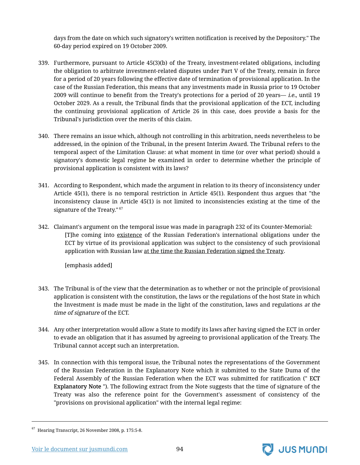days from the date on which such signatory's written notification is received by the Depository." The 60-day period expired on 19 October 2009.

- 339. Furthermore, pursuant to Article 45(3)(b) of the Treaty, investment-related obligations, including the obligation to arbitrate investment-related disputes under Part V of the Treaty, remain in force for a period of 20 years following the effective date of termination of provisional application. In the case of the Russian Federation, this means that any investments made in Russia prior to 19 October 2009 will continue to benefit from the Treaty's protections for a period of 20 years— i.e., until 19 October 2029. As a result, the Tribunal finds that the provisional application of the ECT, including the continuing provisional application of Article 26 in this case, does provide a basis for the Tribunal's jurisdiction over the merits of this claim.
- 340. There remains an issue which, although not controlling in this arbitration, needs nevertheless to be addressed, in the opinion of the Tribunal, in the present Interim Award. The Tribunal refers to the temporal aspect of the Limitation Clause: at what moment in time (or over what period) should a signatory's domestic legal regime be examined in order to determine whether the principle of provisional application is consistent with its laws?
- 341. According to Respondent, which made the argument in relation to its theory of inconsistency under Article 45(1), there is no temporal restriction in Article 45(1). Respondent thus argues that "the inconsistency clause in Article 45(1) is not limited to inconsistencies existing at the time of the signature of the Treaty." 67
- 342. Claimant's argument on the temporal issue was made in paragraph 232 of its Counter-Memorial: [T]he coming into existence of the Russian Federation's international obligations under the ECT by virtue of its provisional application was subject to the consistency of such provisional application with Russian law at the time the Russian Federation signed the Treaty.

[emphasis added]

- 343. The Tribunal is of the view that the determination as to whether or not the principle of provisional application is consistent with the constitution, the laws or the regulations of the host State in which the Investment is made must be made in the light of the constitution, laws and regulations at the time of signature of the ECT.
- 344. Any other interpretation would allow a State to modify its laws after having signed the ECT in order to evade an obligation that it has assumed by agreeing to provisional application of the Treaty. The Tribunal cannot accept such an interpretation.
- 345. In connection with this temporal issue, the Tribunal notes the representations of the Government of the Russian Federation in the Explanatory Note which it submitted to the State Duma of the Federal Assembly of the Russian Federation when the ECT was submitted for ratification (" ECT Explanatory Note "). The following extract from the Note suggests that the time of signature of the Treaty was also the reference point for the Government's assessment of consistency of the "provisions on provisional application" with the internal legal regime:

<sup>67</sup> Hearing Transcript, 26 November 2008, p. 175:5-8.



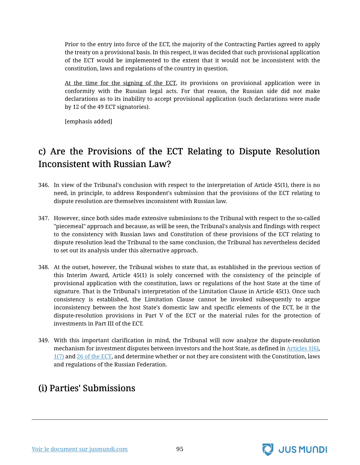Prior to the entry into force of the ECT, the majority of the Contracting Parties agreed to apply the treaty on a provisional basis. In this respect, it was decided that such provisional application of the ECT would be implemented to the extent that it would not be inconsistent with the constitution, laws and regulations of the country in question.

At the time for the signing of the ECT, its provisions on provisional application were in conformity with the Russian legal acts. For that reason, the Russian side did not make declarations as to its inability to accept provisional application (such declarations were made by 12 of the 49 ECT signatories).

[emphasis added]

## c) Are the Provisions of the ECT Relating to Dispute Resolution Inconsistent with Russian Law?

- 346. In view of the Tribunal's conclusion with respect to the interpretation of Article 45(1), there is no need, in principle, to address Respondent's submission that the provisions of the ECT relating to dispute resolution are themselves inconsistent with Russian law.
- 347. However, since both sides made extensive submissions to the Tribunal with respect to the so-called "piecemeal" approach and because, as will be seen, the Tribunal's analysis and findings with respect to the consistency with Russian laws and Constitution of these provisions of the ECT relating to dispute resolution lead the Tribunal to the same conclusion, the Tribunal has nevertheless decided to set out its analysis under this alternative approach.
- 348. At the outset, however, the Tribunal wishes to state that, as established in the previous section of this Interim Award, Article 45(1) is solely concerned with the consistency of the principle of provisional application with the constitution, laws or regulations of the host State at the time of signature. That is the Tribunal's interpretation of the Limitation Clause in Article 45(1). Once such consistency is established, the Limitation Clause cannot be invoked subsequently to argue inconsistency between the host State's domestic law and specific elements of the ECT, be it the dispute-resolution provisions in Part V of the ECT or the material rules for the protection of investments in Part III of the ECT.
- 349. With this important clarification in mind, the Tribunal will now analyze the dispute-resolution mechanism for investment disputes between investors and the host State, as defined in [Articles 1\(6\)](https://jusmundi.com/en/document/h/clljWVJHbGxISEg0VUZMdWNJazE2TnJ3Mmxwb2NlQ1R3cmNjQXR1UDFhaUg5bDhhczBqUjlmYmVtWWhITFNjK3dCV0JaSFlDK3BFbFIyL0xvSHhiR2sxdnZtV2R3TDJsQUR2Q0hoUUhPeWlwUFRXK0ZmSTJDNUVyTytCd1RRNTNwN01Gb3dPWkZkKy8zeWpwclM0RlZBPT0=),  $1(7)$  and [26 of the ECT,](https://jusmundi.com/en/document/h/clljWVJHbGxISEg0VUZMdWNJazE2TnJ3Mmxwb2NlQ1R3cmNjQXR1UDFhaUg5bDhhczBqUjlmYmVtWWhITFNjK3dCV0JaSFlDK3BFbFIyL0xvSHhiR2sxdnZtV2R3TDJsQUR2Q0hoUUhPeWlwUFRXK0ZmSTJDNUVyTytCd1RRNTNDQmJGNXZZVGpGLzhUODVQMzdWbEl3PT0=) and determine whether or not they are consistent with the Constitution, laws and regulations of the Russian Federation.

### (i) Parties' Submissions

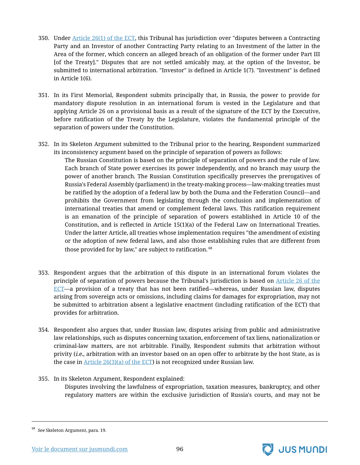- 350. Under <u>Article 26(1) of the ECT</u>, this Tribunal has jurisdiction over "disputes between a Contracting Party and an Investor of another Contracting Party relating to an Investment of the latter in the Area of the former, which concern an alleged breach of an obligation of the former under Part III [of the Treaty]." Disputes that are not settled amicably may, at the option of the Investor, be submitted to international arbitration. "Investor" is defined in Article 1(7). "Investment" is defined in Article 1(6).
- 351. In its First Memorial, Respondent submits principally that, in Russia, the power to provide for mandatory dispute resolution in an international forum is vested in the Legislature and that applying Article 26 on a provisional basis as a result of the signature of the ECT by the Executive, before ratification of the Treaty by the Legislature, violates the fundamental principle of the separation of powers under the Constitution.
- 352. In its Skeleton Argument submitted to the Tribunal prior to the hearing, Respondent summarized its inconsistency argument based on the principle of separation of powers as follows:

The Russian Constitution is based on the principle of separation of powers and the rule of law. Each branch of State power exercises its power independently, and no branch may usurp the power of another branch. The Russian Constitution specifically preserves the prerogatives of Russia's Federal Assembly (parliament) in the treaty-making process—law-making treaties must be ratified by the adoption of a federal law by both the Duma and the Federation Council—and prohibits the Government from legislating through the conclusion and implementation of international treaties that amend or complement federal laws. This ratification requirement is an emanation of the principle of separation of powers established in Article 10 of the Constitution, and is reflected in Article 15(1)(a) of the Federal Law on International Treaties. Under the latter Article, all treaties whose implementation requires "the amendment of existing or the adoption of new federal laws, and also those establishing rules that are different from those provided for by law," are subject to ratification. <sup>68</sup>

- 353. Respondent argues that the arbitration of this dispute in an international forum violates the principle of separation of powers because the Tribunal's jurisdiction is based on [Article 26 of the](https://jusmundi.com/en/document/h/clljWVJHbGxISEg0VUZMdWNJazE2TnJ3Mmxwb2NlQ1R3cmNjQXR1UDFhaUg5bDhhczBqUjlmYmVtWWhITFNjK3dCV0JaSFlDK3BFbFIyL0xvSHhiR2sxdnZtV2R3TDJsQUR2Q0hoUUhPeWlwUFRXK0ZmSTJDNUVyTytCd1RRNTNDQmJGNXZZVGpGLzhUODVQMzdWbEl3PT0=) [ECT](https://jusmundi.com/en/document/h/clljWVJHbGxISEg0VUZMdWNJazE2TnJ3Mmxwb2NlQ1R3cmNjQXR1UDFhaUg5bDhhczBqUjlmYmVtWWhITFNjK3dCV0JaSFlDK3BFbFIyL0xvSHhiR2sxdnZtV2R3TDJsQUR2Q0hoUUhPeWlwUFRXK0ZmSTJDNUVyTytCd1RRNTNDQmJGNXZZVGpGLzhUODVQMzdWbEl3PT0=)—a provision of a treaty that has not been ratified—whereas, under Russian law, disputes arising from sovereign acts or omissions, including claims for damages for expropriation, may not be submitted to arbitration absent a legislative enactment (including ratification of the ECT) that provides for arbitration.
- 354. Respondent also argues that, under Russian law, disputes arising from public and administrative law relationships, such as disputes concerning taxation, enforcement of tax liens, nationalization or criminal-law matters, are not arbitrable. Finally, Respondent submits that arbitration without privity (i.e., arbitration with an investor based on an open offer to arbitrate by the host State, as is the case in [Article 26\(3\)\(a\) of the ECT](https://jusmundi.com/en/document/h/clljWVJHbGxISEg0VUZMdWNJazE2TnJ3Mmxwb2NlQ1R3cmNjQXR1UDFhaUg5bDhhczBqUjlmYmVtWWhITFNjK3dCV0JaSFlDK3BFbFIyL0xvSHhiR2sxdnZtV2R3TDJsQUR2Q0hoUUhPeWlwUFRXK0ZmSTJDNUVyTytCd1RRNTNwTHJaTU9TSDAzWW94YlcwdUcvU1lBPT0=)) is not recognized under Russian law.
- 355. In its Skeleton Argument, Respondent explained: Disputes involving the lawfulness of expropriation, taxation measures, bankruptcy, and other regulatory matters are within the exclusive jurisdiction of Russia's courts, and may not be



 $^{68}\,$  See Skeleton Argument, para. 19.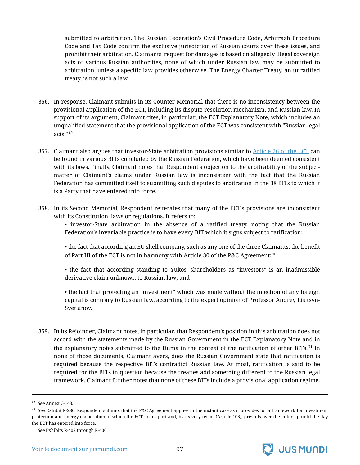submitted to arbitration. The Russian Federation's Civil Procedure Code, Arbitrazh Procedure Code and Tax Code confirm the exclusive jurisdiction of Russian courts over these issues, and prohibit their arbitration. Claimants' request for damages is based on allegedly illegal sovereign acts of various Russian authorities, none of which under Russian law may be submitted to arbitration, unless a specific law provides otherwise. The Energy Charter Treaty, an unratified treaty, is not such a law.

- 356. In response, Claimant submits in its Counter-Memorial that there is no inconsistency between the provisional application of the ECT, including its dispute-resolution mechanism, and Russian law. In support of its argument, Claimant cites, in particular, the ECT Explanatory Note, which includes an unqualified statement that the provisional application of the ECT was consistent with "Russian legal acts." $69$
- 357.  $\:$ Claimant also argues that investor-State arbitration provisions similar to  $\Delta$ rticle  $26$  of the ECT can be found in various BITs concluded by the Russian Federation, which have been deemed consistent with its laws. Finally, Claimant notes that Respondent's objection to the arbitrability of the subjectmatter of Claimant's claims under Russian law is inconsistent with the fact that the Russian Federation has committed itself to submitting such disputes to arbitration in the 38 BITs to which it is a Party that have entered into force.
- 358. In its Second Memorial, Respondent reiterates that many of the ECT's provisions are inconsistent with its Constitution, laws or regulations. It refers to:

• investor-State arbitration in the absence of a ratified treaty, noting that the Russian Federation's invariable practice is to have every BIT which it signs subject to ratification;

• the fact that according an EU shell company, such as any one of the three Claimants, the benefit of Part III of the ECT is not in harmony with Article 30 of the P&C Agreement;  $70$ 

• the fact that according standing to Yukos' shareholders as "investors" is an inadmissible derivative claim unknown to Russian law; and

• the fact that protecting an "investment" which was made without the injection of any foreign capital is contrary to Russian law, according to the expert opinion of Professor Andrey Lisitsyn-Svetlanov.

359. In its Rejoinder, Claimant notes, in particular, that Respondent's position in this arbitration does not accord with the statements made by the Russian Government in the ECT Explanatory Note and in the explanatory notes submitted to the Duma in the context of the ratification of other BITs.<sup>71</sup> In none of those documents, Claimant avers, does the Russian Government state that ratification is required because the respective BITs contradict Russian law. At most, ratification is said to be required for the BITs in question because the treaties add something different to the Russian legal framework. Claimant further notes that none of these BITs include a provisional application regime.



 $69$  See Annex C-143.

 $70$  See Exhibit R-286. Respondent submits that the P&C Agreement applies in the instant case as it provides for a framework for investment protection and energy cooperation of which the ECT forms part and, by its very terms (Article 105), prevails over the latter up until the day the ECT has entered into force.

 $71$  See Exhibits R-402 through R-406.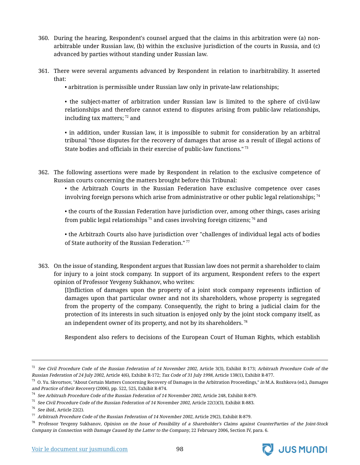- 360. During the hearing, Respondent's counsel argued that the claims in this arbitration were (a) nonarbitrable under Russian law, (b) within the exclusive jurisdiction of the courts in Russia, and (c) advanced by parties without standing under Russian law.
- 361. There were several arguments advanced by Respondent in relation to inarbitrability. It asserted that:

• arbitration is permissible under Russian law only in private-law relationships;

• the subject-matter of arbitration under Russian law is limited to the sphere of civil-law relationships and therefore cannot extend to disputes arising from public-law relationships, including tax matters; <sup>72</sup> and

• in addition, under Russian law, it is impossible to submit for consideration by an arbitral tribunal "those disputes for the recovery of damages that arose as a result of illegal actions of State bodies and officials in their exercise of public-law functions." <sup>73</sup>

362. The following assertions were made by Respondent in relation to the exclusive competence of Russian courts concerning the matters brought before this Tribunal:

• the Arbitrazh Courts in the Russian Federation have exclusive competence over cases involving foreign persons which arise from administrative or other public legal relationships;  $74$ 

• the courts of the Russian Federation have jurisdiction over, among other things, cases arising from public legal relationships<sup>75</sup> and cases involving foreign citizens;<sup>76</sup> and

• the Arbitrazh Courts also have jurisdiction over "challenges of individual legal acts of bodies of State authority of the Russian Federation."<sup>77</sup>

363. On the issue of standing, Respondent argues that Russian law does not permit a shareholder to claim for injury to a joint stock company. In support of its argument, Respondent refers to the expert opinion of Professor Yevgeny Sukhanov, who writes:

[I]nfliction of damages upon the property of a joint stock company represents infliction of damages upon that particular owner and not its shareholders, whose property is segregated from the property of the company. Consequently, the right to bring a judicial claim for the protection of its interests in such situation is enjoyed only by the joint stock company itself, as an independent owner of its property, and not by its shareholders.  $78$ 

Respondent also refers to decisions of the European Court of Human Rights, which establish



 $72$  See Civil Procedure Code of the Russian Federation of 14 November 2002, Article 3(3), Exhibit R-173; Arbitrazh Procedure Code of the Russian Federation of 24 July 2002, Article 4(6), Exhibit R-172; Tax Code of 31 July 1998, Article 138(1), Exhibit R-877.

 $^{73}$  O. Yu. Skvortsov, "About Certain Matters Concerning Recovery of Damages in the Arbitration Proceedings," in M.A. Rozhkova (ed.), Damages and Practice of their Recovery (2006), pp. 522, 525, Exhibit R-874.

<sup>&</sup>lt;sup>74</sup> See Arbitrazh Procedure Code of the Russian Federation of 14 November 2002, Article 248, Exhibit R-879.

<sup>&</sup>lt;sup>75</sup> See Civil Procedure Code of the Russian Federation of 14 November 2002, Article 22(1)(3), Exhibit R-883.

<sup>76</sup> See ibid., Article 22(2).

 $^{77}\,$  Arbitrazh Procedure Code of the Russian Federation of 14 November 2002, Article 29(2), Exhibit R-879.

 $78$  Professor Yevgeny Sukhanov, Opinion on the Issue of Possibility of a Shareholder's Claims against CounterParties of the Joint-Stock Company in Connection with Damage Caused by the Latter to the Company, 22 February 2006, Section IV, para. 6.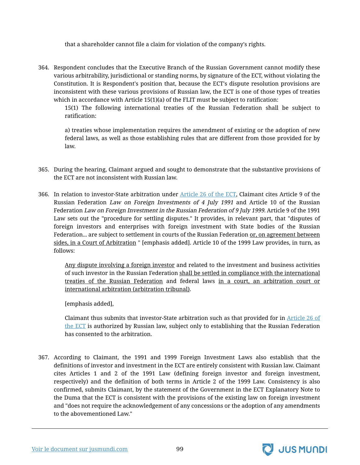that a shareholder cannot file a claim for violation of the company's rights.

364. Respondent concludes that the Executive Branch of the Russian Government cannot modify these various arbitrability, jurisdictional or standing norms, by signature of the ECT, without violating the Constitution. It is Respondent's position that, because the ECT's dispute resolution provisions are inconsistent with these various provisions of Russian law, the ECT is one of those types of treaties which in accordance with Article 15(1)(a) of the FLIT must be subject to ratification:

15(1) The following international treaties of the Russian Federation shall be subject to ratification:

a) treaties whose implementation requires the amendment of existing or the adoption of new federal laws, as well as those establishing rules that are different from those provided for by law.

- 365. During the hearing, Claimant argued and sought to demonstrate that the substantive provisions of the ECT are not inconsistent with Russian law.
- 366. In relation to investor-State arbitration under <u>Article 26 of the ECT</u>, Claimant cites Article 9 of the Russian Federation Law on Foreign Investments of <sup>4</sup> July 1991 and Article 10 of the Russian Federation Law on Foreign Investment in the Russian Federation of 9 July 1999. Article 9 of the 1991 Law sets out the "procedure for settling disputes." It provides, in relevant part, that "disputes of foreign investors and enterprises with foreign investment with State bodies of the Russian Federation... are subject to settlement in courts of the Russian Federation or, on agreement between sides, in a Court of Arbitration " [emphasis added]. Article 10 of the 1999 Law provides, in turn, as follows:

Any dispute involving a foreign investor and related to the investment and business activities of such investor in the Russian Federation shall be settled in compliance with the international treaties of the Russian Federation and federal laws in a court, an arbitration court or international arbitration (arbitration tribunal).

[emphasis added],

Claimant thus submits that investor-State arbitration such as that provided for in [Article 26 of](https://jusmundi.com/en/document/h/clljWVJHbGxISEg0VUZMdWNJazE2TnJ3Mmxwb2NlQ1R3cmNjQXR1UDFhaUg5bDhhczBqUjlmYmVtWWhITFNjK3dCV0JaSFlDK3BFbFIyL0xvSHhiR2sxdnZtV2R3TDJsQUR2Q0hoUUhPeWlwUFRXK0ZmSTJDNUVyTytCd1RRNTNDQmJGNXZZVGpGLzhUODVQMzdWbEl3PT0=) [the ECT](https://jusmundi.com/en/document/h/clljWVJHbGxISEg0VUZMdWNJazE2TnJ3Mmxwb2NlQ1R3cmNjQXR1UDFhaUg5bDhhczBqUjlmYmVtWWhITFNjK3dCV0JaSFlDK3BFbFIyL0xvSHhiR2sxdnZtV2R3TDJsQUR2Q0hoUUhPeWlwUFRXK0ZmSTJDNUVyTytCd1RRNTNDQmJGNXZZVGpGLzhUODVQMzdWbEl3PT0=) is authorized by Russian law, subject only to establishing that the Russian Federation has consented to the arbitration.

367. According to Claimant, the 1991 and 1999 Foreign Investment Laws also establish that the definitions of investor and investment in the ECT are entirely consistent with Russian law. Claimant cites Articles 1 and 2 of the 1991 Law (defining foreign investor and foreign investment, respectively) and the definition of both terms in Article 2 of the 1999 Law. Consistency is also confirmed, submits Claimant, by the statement of the Government in the ECT Explanatory Note to the Duma that the ECT is consistent with the provisions of the existing law on foreign investment and "does not require the acknowledgement of any concessions or the adoption of any amendments to the abovementioned Law."



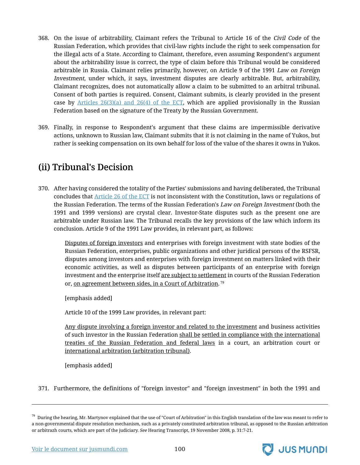- 368. On the issue of arbitrability, Claimant refers the Tribunal to Article 16 of the Civil Code of the Russian Federation, which provides that civil-law rights include the right to seek compensation for the illegal acts of a State. According to Claimant, therefore, even assuming Respondent's argument about the arbitrability issue is correct, the type of claim before this Tribunal would be considered arbitrable in Russia. Claimant relies primarily, however, on Article 9 of the 1991 Law on Foreign Investment, under which, it says, investment disputes are clearly arbitrable. But, arbitrability, Claimant recognizes, does not automatically allow a claim to be submitted to an arbitral tribunal. Consent of both parties is required. Consent, Claimant submits, is clearly provided in the present case by Articles  $26(3)(a)$  and  $26(4)$  of the ECT, which are applied provisionally in the Russian Federation based on the signature of the Treaty by the Russian Government.
- 369. Finally, in response to Respondent's argument that these claims are impermissible derivative actions, unknown to Russian law, Claimant submits that it is not claiming in the name of Yukos, but rather is seeking compensation on its own behalf for loss of the value of the shares it owns in Yukos.

### (ii) Tribunal's Decision

370. After having considered the totality of the Parties' submissions and having deliberated, the Tribunal concludes that [Article 26 of the ECT](https://jusmundi.com/en/document/h/clljWVJHbGxISEg0VUZMdWNJazE2TnJ3Mmxwb2NlQ1R3cmNjQXR1UDFhaUg5bDhhczBqUjlmYmVtWWhITFNjK3dCV0JaSFlDK3BFbFIyL0xvSHhiR2sxdnZtV2R3TDJsQUR2Q0hoUUhPeWlwUFRXK0ZmSTJDNUVyTytCd1RRNTNDQmJGNXZZVGpGLzhUODVQMzdWbEl3PT0=) is not inconsistent with the Constitution, laws or regulations of the Russian Federation. The terms of the Russian Federation's Law on Foreign Investment (both the 1991 and 1999 versions) are crystal clear. Investor-State disputes such as the present one are arbitrable under Russian law. The Tribunal recalls the key provisions of the law which inform its conclusion. Article 9 of the 1991 Law provides, in relevant part, as follows:

Disputes of foreign investors and enterprises with foreign investment with state bodies of the Russian Federation, enterprises, public organizations and other juridical persons of the RSFSR, disputes among investors and enterprises with foreign investment on matters linked with their economic activities, as well as disputes between participants of an enterprise with foreign investment and the enterprise itself are subject to settlement in courts of the Russian Federation or, <u>on agreement between sides, in a Court of Arbitration</u>. <sup>79</sup>

[emphasis added]

Article 10 of the 1999 Law provides, in relevant part:

Any dispute involving a foreign investor and related to the investment and business activities of such investor in the Russian Federation shall be settled in compliance with the international treaties of the Russian Federation and federal laws in a court, an arbitration court or international arbitration (arbitration tribunal).

[emphasis added]

371. Furthermore, the definitions of "foreign investor" and "foreign investment" in both the 1991 and





 $79$  During the hearing, Mr. Martynov explained that the use of "Court of Arbitration" in this English translation of the law was meant to refer to a non-governmental dispute resolution mechanism, such as a privately constituted arbitration tribunal, as opposed to the Russian arbitration or arbitrazh courts, which are part of the judiciary. See Hearing Transcript, 19 November 2008, p. 31:7-21.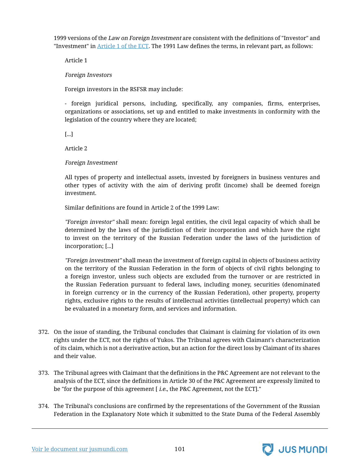1999 versions of the Law on Foreign Investment are consistent with the definitions of "Investor" and "Investment" in [Article 1 of the ECT.](https://jusmundi.com/en/document/h/clljWVJHbGxISEg0VUZMdWNJazE2TnJ3Mmxwb2NlQ1R3cmNjQXR1UDFhaUg5bDhhczBqUjlmYmVtWWhITFNjK3dCV0JaSFlDK3BFbFIyL0xvSHhiR2sxdnZtV2R3TDJsQUR2Q0hoUUhPeWlwUFRXK0ZmSTJDNUVyTytCd1RRNTNGQkRCUy9GQ3liVTkvZlpGMjBQSHJnPT0=) The 1991 Law defines the terms, in relevant part, as follows:

Article 1

Foreign Investors

Foreign investors in the RSFSR may include:

- foreign juridical persons, including, specifically, any companies, firms, enterprises, organizations or associations, set up and entitled to make investments in conformity with the legislation of the country where they are located;

[...]

Article 2

Foreign Investment

All types of property and intellectual assets, invested by foreigners in business ventures and other types of activity with the aim of deriving profit (income) shall be deemed foreign investment.

Similar definitions are found in Article 2 of the 1999 Law:

"Foreign investor" shall mean: foreign legal entities, the civil legal capacity of which shall be determined by the laws of the jurisdiction of their incorporation and which have the right to invest on the territory of the Russian Federation under the laws of the jurisdiction of incorporation; [...]

"Foreign investment" shall mean the investment of foreign capital in objects of business activity on the territory of the Russian Federation in the form of objects of civil rights belonging to a foreign investor, unless such objects are excluded from the turnover or are restricted in the Russian Federation pursuant to federal laws, including money, securities (denominated in foreign currency or in the currency of the Russian Federation), other property, property rights, exclusive rights to the results of intellectual activities (intellectual property) which can be evaluated in a monetary form, and services and information.

- 372. On the issue of standing, the Tribunal concludes that Claimant is claiming for violation of its own rights under the ECT, not the rights of Yukos. The Tribunal agrees with Claimant's characterization of its claim, which is not a derivative action, but an action for the direct loss by Claimant of its shares and their value.
- 373. The Tribunal agrees with Claimant that the definitions in the P&C Agreement are not relevant to the analysis of the ECT, since the definitions in Article 30 of the P&C Agreement are expressly limited to be "for the purpose of this agreement  $[i.e., the P&C Agreement, not the ECT]."$
- 374. The Tribunal's conclusions are confirmed by the representations of the Government of the Russian Federation in the Explanatory Note which it submitted to the State Duma of the Federal Assembly

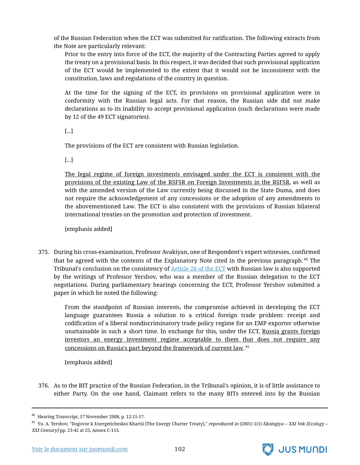of the Russian Federation when the ECT was submitted for ratification. The following extracts from the Note are particularly relevant:

Prior to the entry into force of the ECT, the majority of the Contracting Parties agreed to apply the treaty on a provisional basis. In this respect, it was decided that such provisional application of the ECT would be implemented to the extent that it would not be inconsistent with the constitution, laws and regulations of the country in question.

At the time for the signing of the ECT, its provisions on provisional application were in conformity with the Russian legal acts. For that reason, the Russian side did not make declarations as to its inability to accept provisional application (such declarations were made by 12 of the 49 ECT signatories).

[...]

The provisions of the ECT are consistent with Russian legislation.

[...]

The legal regime of foreign investments envisaged under the ECT is consistent with the provisions of the existing Law of the RSFSR on Foreign Investments in the RSFSR, as well as with the amended version of the Law currently being discussed in the State Duma, and does not require the acknowledgement of any concessions or the adoption of any amendments to the abovementioned Law. The ECT is also consistent with the provisions of Russian bilateral international treaties on the promotion and protection of investment.

[emphasis added]

375. During his cross-examination, Professor Avakiyan, one of Respondent's expert witnesses, confirmed that he agreed with the contents of the Explanatory Note cited in the previous paragraph.<sup>80</sup> The Tribunal's conclusion on the consistency of [Article 26 of the ECT](https://jusmundi.com/en/document/h/clljWVJHbGxISEg0VUZMdWNJazE2TnJ3Mmxwb2NlQ1R3cmNjQXR1UDFhaUg5bDhhczBqUjlmYmVtWWhITFNjK3dCV0JaSFlDK3BFbFIyL0xvSHhiR2sxdnZtV2R3TDJsQUR2Q0hoUUhPeWlwUFRXK0ZmSTJDNUVyTytCd1RRNTNDQmJGNXZZVGpGLzhUODVQMzdWbEl3PT0=) with Russian law is also supported by the writings of Professor Yershov, who was a member of the Russian delegation to the ECT negotiations. During parliamentary hearings concerning the ECT, Professor Yershov submitted a paper in which he noted the following:

From the standpoint of Russian interests, the compromise achieved in developing the ECT language guarantees Russia a solution to a critical foreign trade problem: receipt and codification of a liberal nondiscriminatory trade policy regime for an EMP exporter otherwise unattainable in such a short time. In exchange for this, under the ECT, Russia grants foreign investors an energy investment regime acceptable to them that does not require any concessions on Russia's part beyond the framework of current law. 81

[emphasis added]

376. As to the BIT practice of the Russian Federation, in the Tribunal's opinion, it is of little assistance to either Party. On the one hand, Claimant refers to the many BITs entered into by the Russian



<sup>80</sup> Hearing Transcript, 17 November 2008, p. 12:15-17.

 $81$  Yu. A. Yershov, "Dogovor k Energeticheskoi Khartii [The Energy Charter Treaty]," *reproduced in* (2001) 1(1) *Ekologiya -- XXI Vek [Ecology* --XXI Century] pp. 23-42 at 25, Annex C-153.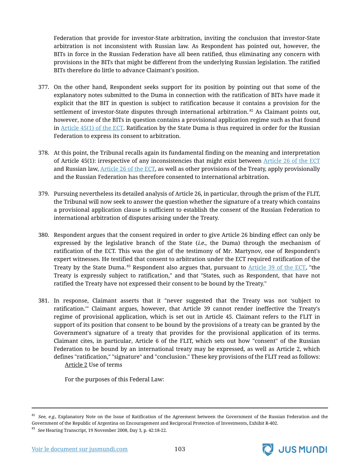Federation that provide for investor-State arbitration, inviting the conclusion that investor-State arbitration is not inconsistent with Russian law. As Respondent has pointed out, however, the BITs in force in the Russian Federation have all been ratified, thus eliminating any concern with provisions in the BITs that might be different from the underlying Russian legislation. The ratified BITs therefore do little to advance Claimant's position.

- 377. On the other hand, Respondent seeks support for its position by pointing out that some of the explanatory notes submitted to the Duma in connection with the ratification of BITs have made it explicit that the BIT in question is subject to ratification because it contains a provision for the settlement of investor-State disputes through international arbitration.<sup>82</sup> As Claimant points out, however, none of the BITs in question contains a provisional application regime such as that found in [Article 45\(1\) of the ECT.](https://jusmundi.com/en/document/h/clljWVJHbGxISEg0VUZMdWNJazE2TnJ3Mmxwb2NlQ1R3cmNjQXR1UDFhaUg5bDhhczBqUjlmYmVtWWhITFNjK3dCV0JaSFlDK3BFbFIyL0xvSHhiR2sxdnZtV2R3TDJsQUR2Q0hoUUhPeWlwUFRXK0ZmSTJDNUVyTytCd1RRNTNjZ05Tdy9FMGVhb3p3Ky9uOE9DSXdBPT0=) Ratification by the State Duma is thus required in order for the Russian Federation to express its consent to arbitration.
- 378. At this point, the Tribunal recalls again its fundamental finding on the meaning and interpretation of Article 45(1): irrespective of any inconsistencies that might exist between [Article 26 of the ECT](https://jusmundi.com/en/document/h/clljWVJHbGxISEg0VUZMdWNJazE2TnJ3Mmxwb2NlQ1R3cmNjQXR1UDFhaUg5bDhhczBqUjlmYmVtWWhITFNjK3dCV0JaSFlDK3BFbFIyL0xvSHhiR2sxdnZtV2R3TDJsQUR2Q0hoUUhPeWlwUFRXK0ZmSTJDNUVyTytCd1RRNTNDQmJGNXZZVGpGLzhUODVQMzdWbEl3PT0=) and Russian law, [Article 26 of the ECT,](https://jusmundi.com/en/document/h/clljWVJHbGxISEg0VUZMdWNJazE2TnJ3Mmxwb2NlQ1R3cmNjQXR1UDFhaUg5bDhhczBqUjlmYmVtWWhITFNjK3dCV0JaSFlDK3BFbFIyL0xvSHhiR2sxdnZtV2R3TDJsQUR2Q0hoUUhPeWlwUFRXK0ZmSTJDNUVyTytCd1RRNTNDQmJGNXZZVGpGLzhUODVQMzdWbEl3PT0=) as well as other provisions of the Treaty, apply provisionally and the Russian Federation has therefore consented to international arbitration.
- 379. Pursuing nevertheless its detailed analysis of Article 26, in particular, through the prism of the FLIT, the Tribunal will now seek to answer the question whether the signature of a treaty which contains a provisional application clause is sufficient to establish the consent of the Russian Federation to international arbitration of disputes arising under the Treaty.
- 380. Respondent argues that the consent required in order to give Article 26 binding effect can only be expressed by the legislative branch of the State  $(i.e.,$  the Duma) through the mechanism of ratification of the ECT. This was the gist of the testimony of Mr. Martynov, one of Respondent's expert witnesses. He testified that consent to arbitration under the ECT required ratification of the Treaty by the State Duma. <sup>83</sup> Respondent also argues that, pursuant to [Article 39 of the ECT,](https://jusmundi.com/en/document/h/clljWVJHbGxISEg0VUZMdWNJazE2TnJ3Mmxwb2NlQ1R3cmNjQXR1UDFhaUg5bDhhczBqUjlmYmVtWWhITFNjK3dCV0JaSFlDK3BFbFIyL0xvSHhiR2sxdnZtV2R3TDJsQUR2Q0hoUUhPeWlwUFRXK0ZmSTJDNUVyTytCd1RRNTNyS0JBYkdsMWk4eXo4QjJmUmxkcVVRPT0=) "the Treaty is expressly subject to ratification," and that "States, such as Respondent, that have not ratified the Treaty have not expressed their consent to be bound by the Treaty."
- 381. In response, Claimant asserts that it "never suggested that the Treaty was not 'subject to ratification.'" Claimant argues, however, that Article 39 cannot render ineffective the Treaty's regime of provisional application, which is set out in Article 45. Claimant refers to the FLIT in support of its position that consent to be bound by the provisions of a treaty can be granted by the Government's signature of a treaty that provides for the provisional application of its terms. Claimant cites, in particular, Article 6 of the FLIT, which sets out how "consent" of the Russian Federation to be bound by an international treaty may be expressed, as well as Article 2, which defines "ratification," "signature" and "conclusion." These key provisions of the FLIT read as follows: Article 2 Use of terms

For the purposes of this Federal Law:



 $82$  See, e.g., Explanatory Note on the Issue of Ratification of the Agreement between the Government of the Russian Federation and the Government of the Republic of Argentina on Encouragement and Reciprocal Protection of Investments, Exhibit R-402.

<sup>83</sup> See Hearing Transcript, 19 November 2008, Day 3, p. 42:18-22.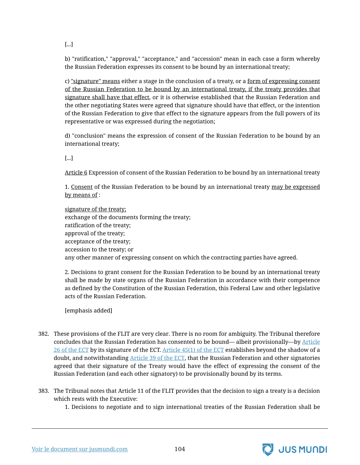[...]

b) "ratification," "approval," "acceptance," and "accession" mean in each case a form whereby the Russian Federation expresses its consent to be bound by an international treaty;

c) "signature" means either a stage in the conclusion of a treaty, or a form of expressing consent of the Russian Federation to be bound by an international treaty, if the treaty provides that signature shall have that effect, or it is otherwise established that the Russian Federation and the other negotiating States were agreed that signature should have that effect, or the intention of the Russian Federation to give that effect to the signature appears from the full powers of its representative or was expressed during the negotiation;

d) "conclusion" means the expression of consent of the Russian Federation to be bound by an international treaty;

[...]

Article 6 Expression of consent of the Russian Federation to be bound by an international treaty

1. Consent of the Russian Federation to be bound by an international treaty may be expressed by means of :

signature of the treaty; exchange of the documents forming the treaty; ratification of the treaty; approval of the treaty; acceptance of the treaty; accession to the treaty; or any other manner of expressing consent on which the contracting parties have agreed.

2. Decisions to grant consent for the Russian Federation to be bound by an international treaty shall be made by state organs of the Russian Federation in accordance with their competence as defined by the Constitution of the Russian Federation, this Federal Law and other legislative acts of the Russian Federation.

[emphasis added]

- 382. These provisions of the FLIT are very clear. There is no room for ambiguity. The Tribunal therefore concludes that the Russian Federation has consented to be bound— albeit provisionally—by [Article](https://jusmundi.com/en/document/h/clljWVJHbGxISEg0VUZMdWNJazE2TnJ3Mmxwb2NlQ1R3cmNjQXR1UDFhaUg5bDhhczBqUjlmYmVtWWhITFNjK3dCV0JaSFlDK3BFbFIyL0xvSHhiR2sxdnZtV2R3TDJsQUR2Q0hoUUhPeWlwUFRXK0ZmSTJDNUVyTytCd1RRNTNDQmJGNXZZVGpGLzhUODVQMzdWbEl3PT0=) [26 of the ECT](https://jusmundi.com/en/document/h/clljWVJHbGxISEg0VUZMdWNJazE2TnJ3Mmxwb2NlQ1R3cmNjQXR1UDFhaUg5bDhhczBqUjlmYmVtWWhITFNjK3dCV0JaSFlDK3BFbFIyL0xvSHhiR2sxdnZtV2R3TDJsQUR2Q0hoUUhPeWlwUFRXK0ZmSTJDNUVyTytCd1RRNTNDQmJGNXZZVGpGLzhUODVQMzdWbEl3PT0=) by its signature of the ECT. [Article 45\(1\) of the ECT](https://jusmundi.com/en/document/h/clljWVJHbGxISEg0VUZMdWNJazE2TnJ3Mmxwb2NlQ1R3cmNjQXR1UDFhaUg5bDhhczBqUjlmYmVtWWhITFNjK3dCV0JaSFlDK3BFbFIyL0xvSHhiR2sxdnZtV2R3TDJsQUR2Q0hoUUhPeWlwUFRXK0ZmSTJDNUVyTytCd1RRNTNjZ05Tdy9FMGVhb3p3Ky9uOE9DSXdBPT0=) establishes beyond the shadow of a doubt, and notwithstanding [Article 39 of the ECT](https://jusmundi.com/en/document/h/clljWVJHbGxISEg0VUZMdWNJazE2TnJ3Mmxwb2NlQ1R3cmNjQXR1UDFhaUg5bDhhczBqUjlmYmVtWWhITFNjK3dCV0JaSFlDK3BFbFIyL0xvSHhiR2sxdnZtV2R3TDJsQUR2Q0hoUUhPeWlwUFRXK0ZmSTJDNUVyTytCd1RRNTNyS0JBYkdsMWk4eXo4QjJmUmxkcVVRPT0=), that the Russian Federation and other signatories agreed that their signature of the Treaty would have the effect of expressing the consent of the Russian Federation (and each other signatory) to be provisionally bound by its terms.
- 383. The Tribunal notes that Article 11 of the FLIT provides that the decision to sign a treaty is a decision which rests with the Executive:

1. Decisions to negotiate and to sign international treaties of the Russian Federation shall be

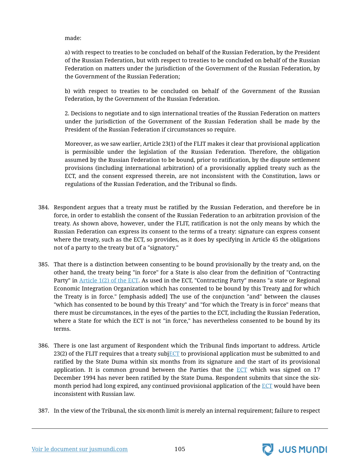made:

a) with respect to treaties to be concluded on behalf of the Russian Federation, by the President of the Russian Federation, but with respect to treaties to be concluded on behalf of the Russian Federation on matters under the jurisdiction of the Government of the Russian Federation, by the Government of the Russian Federation;

b) with respect to treaties to be concluded on behalf of the Government of the Russian Federation, by the Government of the Russian Federation.

2. Decisions to negotiate and to sign international treaties of the Russian Federation on matters under the jurisdiction of the Government of the Russian Federation shall be made by the President of the Russian Federation if circumstances so require.

Moreover, as we saw earlier, Article 23(1) of the FLIT makes it clear that provisional application is permissible under the legislation of the Russian Federation. Therefore, the obligation assumed by the Russian Federation to be bound, prior to ratification, by the dispute settlement provisions (including international arbitration) of a provisionally applied treaty such as the ECT, and the consent expressed therein, are not inconsistent with the Constitution, laws or regulations of the Russian Federation, and the Tribunal so finds.

- 384. Respondent argues that a treaty must be ratified by the Russian Federation, and therefore be in force, in order to establish the consent of the Russian Federation to an arbitration provision of the treaty. As shown above, however, under the FLIT, ratification is not the only means by which the Russian Federation can express its consent to the terms of a treaty: signature can express consent where the treaty, such as the ECT, so provides, as it does by specifying in Article 45 the obligations not of a party to the treaty but of a "signatory."
- 385. That there is a distinction between consenting to be bound provisionally by the treaty and, on the other hand, the treaty being "in force" for a State is also clear from the definition of "Contracting Party" in [Article 1\(2\) of the ECT.](https://jusmundi.com/en/document/h/clljWVJHbGxISEg0VUZMdWNJazE2TnJ3Mmxwb2NlQ1R3cmNjQXR1UDFhaUg5bDhhczBqUjlmYmVtWWhITFNjK3dCV0JaSFlDK3BFbFIyL0xvSHhiR2sxdnZtV2R3TDJsQUR2Q0hoUUhPeWlwUFRXK0ZmSTJDNUVyTytCd1RRNTNUeTEvNEhJU054Qmt3Rng5T0xGRjNRPT0=) As used in the ECT, "Contracting Party" means "a state or Regional Economic Integration Organization which has consented to be bound by this Treaty and for which the Treaty is in force." [emphasis added] The use of the conjunction "and" between the clauses "which has consented to be bound by this Treaty" and "for which the Treaty is in force" means that there must be circumstances, in the eyes of the parties to the ECT, including the Russian Federation, where a State for which the ECT is not "in force," has nevertheless consented to be bound by its terms.
- 386. There is one last argument of Respondent which the Tribunal finds important to address. Article 23(2) of the FLIT requires that a treaty subj[ECT](https://jusmundi.com/en/document/h/clljWVJHbGxISEg0VUZMdWNJazE2TnJ3Mmxwb2NlQ1R3cmNjQXR1UDFhaUg5bDhhczBqUjlmYmVtWWhITFNjK3dCV0JaSFlDK3BFbFIyL0xvSHhiR2sxdnZtV2R3TDJsQUR2Q0hoUUhPeWgvdVNQMWZac3FEZFU2cERHQXJzMTc=) to provisional application must be submitted to and ratified by the State Duma within six months from its signature and the start of its provisional application. It is common ground between the Parties that the  $ECT$  which was signed on 17 December 1994 has never been ratified by the State Duma. Respondent submits that since the six-month period had long expired, any continued provisional application of the [ECT](https://jusmundi.com/en/document/h/clljWVJHbGxISEg0VUZMdWNJazE2TnJ3Mmxwb2NlQ1R3cmNjQXR1UDFhaUg5bDhhczBqUjlmYmVtWWhITFNjK3dCV0JaSFlDK3BFbFIyL0xvSHhiR2sxdnZtV2R3TDJsQUR2Q0hoUUhPeWgvdVNQMWZac3FEZFU2cERHQXJzMTc=) would have been inconsistent with Russian law.
- 387. In the view of the Tribunal, the six-month limit is merely an internal requirement; failure to respect

[Voir le document sur jusmundi.com](https://jusmundi.com/fr/document/decision/en-yukos-universal-limited-isle-of-man-v-the-russian-federation-interim-award-on-jurisdiction-and-admissibility-monday-30th-november-2009) 105

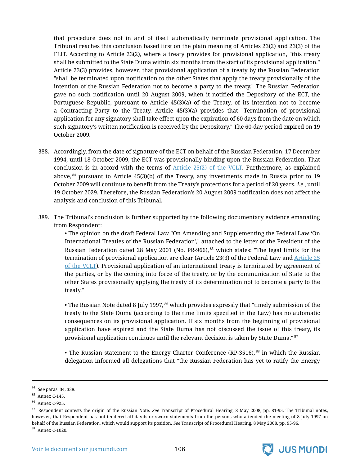that procedure does not in and of itself automatically terminate provisional application. The Tribunal reaches this conclusion based first on the plain meaning of Articles 23(2) and 23(3) of the FLIT. According to Article 23(2), where a treaty provides for provisional application, "this treaty shall be submitted to the State Duma within six months from the start of its provisional application." Article 23(3) provides, however, that provisional application of a treaty by the Russian Federation "shall be terminated upon notification to the other States that apply the treaty provisionally of the intention of the Russian Federation not to become a party to the treaty." The Russian Federation gave no such notification until 20 August 2009, when it notified the Depository of the ECT, the Portuguese Republic, pursuant to Article 45(3)(a) of the Treaty, of its intention not to become a Contracting Party to the Treaty. Article 45(3)(a) provides that "Termination of provisional application for any signatory shall take effect upon the expiration of 60 days from the date on which such signatory's written notification is received by the Depository." The 60-day period expired on 19 October 2009.

- 388. Accordingly, from the date of signature of the ECT on behalf of the Russian Federation, 17 December 1994, until 18 October 2009, the ECT was provisionally binding upon the Russian Federation. That conclusion is in accord with the terms of  $Article$   $25(2)$  of the VCLT. Furthermore, as explained above,  $84$  pursuant to Article 45(3)(b) of the Treaty, any investments made in Russia prior to 19 October 2009 will continue to benefit from the Treaty's protections for a period of 20 years, i.e., until 19 October 2029. Therefore, the Russian Federation's 20 August 2009 notification does not affect the analysis and conclusion of this Tribunal.
- 389. The Tribunal's conclusion is further supported by the following documentary evidence emanating from Respondent:

• The opinion on the draft Federal Law "On Amending and Supplementing the Federal Law 'On International Treaties of the Russian Federation'," attached to the letter of the President of the Russian Federation dated 28 May 2001 (No.  $PR-966$ ),  $85$  which states: "The legal limits for the termination of provisional application are clear (Article 23(3) of the Federal Law and [Article 25](https://jusmundi.com/en/document/h/NVFwR2lWbkFqaXdJRmhJT3hnNFo0NEhoLzFzTjdSbU9icGpNYlQ0N3hXUjByQUw3dW1hT1I5OW90REYzWjlFYW1iQm0xR2ZxcmE5MFIwL3EyeU1DWUVRbENBMnU5S3g1dERqLzZnTWNMRHc3U0YwLzlEK2VYZ1FOT1ZFUEszei8yM25adnZnUXlFS0VUZE44K1VxYnNDNG9GK1JmaHJPdTROQm11RzdHNHNnPQ==) [of the VCLT\)](https://jusmundi.com/en/document/h/NVFwR2lWbkFqaXdJRmhJT3hnNFo0NEhoLzFzTjdSbU9icGpNYlQ0N3hXUjByQUw3dW1hT1I5OW90REYzWjlFYW1iQm0xR2ZxcmE5MFIwL3EyeU1DWUVRbENBMnU5S3g1dERqLzZnTWNMRHc3U0YwLzlEK2VYZ1FOT1ZFUEszei8yM25adnZnUXlFS0VUZE44K1VxYnNDNG9GK1JmaHJPdTROQm11RzdHNHNnPQ==). Provisional application of an international treaty is terminated by agreement of the parties, or by the coming into force of the treaty, or by the communication of State to the other States provisionally applying the treaty of its determination not to become a party to the treaty."

• The Russian Note dated 8 July 1997,  $86$  which provides expressly that "timely submission of the treaty to the State Duma (according to the time limits specified in the Law) has no automatic consequences on its provisional application. If six months from the beginning of provisional application have expired and the State Duma has not discussed the issue of this treaty, its provisional application continues until the relevant decision is taken by State Duma." <sup>87</sup>

• The Russian statement to the Energy Charter Conference (RP-3516),<sup>88</sup> in which the Russian delegation informed all delegations that "the Russian Federation has yet to ratify the Energy





<sup>84</sup> See paras. 34, 338.

<sup>85</sup> Annex C-145.

<sup>86</sup> Annex C-925.

 $87$  Respondent contests the origin of the Russian Note. See Transcript of Procedural Hearing, 8 May 2008, pp. 81-95. The Tribunal notes, however, that Respondent has not tendered affidavits or sworn statements from the persons who attended the meeting of 8 July 1997 on behalf of the Russian Federation, which would support its position. See Transcript of Procedural Hearing, 8 May 2008, pp. 95-96. <sup>88</sup> Annex C-1020.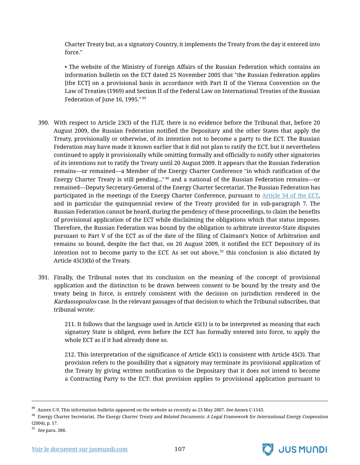Charter Treaty but, as a signatory Country, it implements the Treaty from the day it entered into force."

• The website of the Ministry of Foreign Affairs of the Russian Federation which contains an information bulletin on the ECT dated 25 November 2005 that "the Russian Federation applies [the ECT] on a provisional basis in accordance with Part II of the Vienna Convention on the Law of Treaties (1969) and Section II of the Federal Law on International Treaties of the Russian Federation of June 16, 1995." <sup>89</sup>

- 390. With respect to Article 23(3) of the FLIT, there is no evidence before the Tribunal that, before 20 August 2009, the Russian Federation notified the Depositary and the other States that apply the Treaty, provisionally or otherwise, of its intention not to become a party to the ECT. The Russian Federation may have made it known earlier that it did not plan to ratify the ECT, but it nevertheless continued to apply it provisionally while omitting formally and officially to notify other signatories of its intentions not to ratify the Treaty until 20 August 2009. It appears that the Russian Federation remains—or remained—a Member of the Energy Charter Conference "in which ratification of the Energy Charter Treaty is still pending..."<sup>90</sup> and a national of the Russian Federation remains-or remained—Deputy Secretary-General of the Energy Charter Secretariat. The Russian Federation has participated in the meetings of the Energy Charter Conference, pursuant to [Article 34 of the ECT](https://jusmundi.com/en/document/h/clljWVJHbGxISEg0VUZMdWNJazE2TnJ3Mmxwb2NlQ1R3cmNjQXR1UDFhaUg5bDhhczBqUjlmYmVtWWhITFNjK3dCV0JaSFlDK3BFbFIyL0xvSHhiR2sxdnZtV2R3TDJsQUR2Q0hoUUhPeWlwUFRXK0ZmSTJDNUVyTytCd1RRNTNEYW9mWitBVUNYdUJlUVNUdGdoTlB3PT0=), and in particular the quinquennial review of the Treaty provided for in sub-paragraph 7. The Russian Federation cannot be heard, during the pendency of these proceedings, to claim the benefits of provisional application of the ECT while disclaiming the obligations which that status imposes. Therefore, the Russian Federation was bound by the obligation to arbitrate investor-State disputes pursuant to Part V of the ECT as of the date of the filing of Claimant's Notice of Arbitration and remains so bound, despite the fact that, on 20 August 2009, it notified the ECT Depository of its intention not to become party to the ECT. As set out above,  $91$  this conclusion is also dictated by Article 45(3)(b) of the Treaty.
- 391. Finally, the Tribunal notes that its conclusion on the meaning of the concept of provisional application and the distinction to be drawn between consent to be bound by the treaty and the treaty being in force, is entirely consistent with the decision on jurisdiction rendered in the Kardassopoulos case. In the relevant passages of that decision to which the Tribunal subscribes, that tribunal wrote:

211. It follows that the language used in Article 45(1) is to be interpreted as meaning that each signatory State is obliged, even before the ECT has formally entered into force, to apply the whole ECT as if it had already done so.

212. This interpretation of the significance of Article 45(1) is consistent with Article 45(3). That provision refers to the possibility that a signatory may terminate its provisional application of the Treaty by giving written notification to the Depositary that it does not intend to become a Contracting Party to the ECT: that provision applies to provisional application pursuant to

 $91$  See para. 388.



 $89$  Annex C-9. This information bulletin appeared on the website as recently as 23 May 2007. See Annex C-1143.

<sup>&</sup>lt;sup>90</sup> Energy Charter Secretariat, The Energy Charter Treaty and Related Documents: A Legal Framework for International Energy Cooperation (2004), p. 17.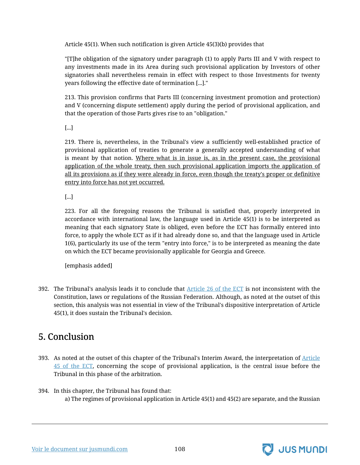Article 45(1). When such notification is given Article 45(3)(b) provides that

"[T]he obligation of the signatory under paragraph (1) to apply Parts III and V with respect to any investments made in its Area during such provisional application by Investors of other signatories shall nevertheless remain in effect with respect to those Investments for twenty years following the effective date of termination [...]."

213. This provision confirms that Parts III (concerning investment promotion and protection) and V (concerning dispute settlement) apply during the period of provisional application, and that the operation of those Parts gives rise to an "obligation."

[...]

219. There is, nevertheless, in the Tribunal's view a sufficiently well-established practice of provisional application of treaties to generate a generally accepted understanding of what is meant by that notion. Where what is in issue is, as in the present case, the provisional application of the whole treaty, then such provisional application imports the application of all its provisions as if they were already in force, even though the treaty's proper or definitive entry into force has not yet occurred.

[...]

223. For all the foregoing reasons the Tribunal is satisfied that, properly interpreted in accordance with international law, the language used in Article 45(1) is to be interpreted as meaning that each signatory State is obliged, even before the ECT has formally entered into force, to apply the whole ECT as if it had already done so, and that the language used in Article 1(6), particularly its use of the term "entry into force," is to be interpreted as meaning the date on which the ECT became provisionally applicable for Georgia and Greece.

[emphasis added]

392. The Tribunal's analysis leads it to conclude that  $\overline{\text{Article 26 of the ECT}}$  $\overline{\text{Article 26 of the ECT}}$  $\overline{\text{Article 26 of the ECT}}$  is not inconsistent with the Constitution, laws or regulations of the Russian Federation. Although, as noted at the outset of this section, this analysis was not essential in view of the Tribunal's dispositive interpretation of Article 45(1), it does sustain the Tribunal's decision.

# 5. Conclusion

- 393. As noted at the outset of this chapter of the Tribunal's Interim Award, the interpretation of <u>[Article](https://jusmundi.com/en/document/h/clljWVJHbGxISEg0VUZMdWNJazE2TnJ3Mmxwb2NlQ1R3cmNjQXR1UDFhaUg5bDhhczBqUjlmYmVtWWhITFNjK3dCV0JaSFlDK3BFbFIyL0xvSHhiR2sxdnZtV2R3TDJsQUR2Q0hoUUhPeWlwUFRXK0ZmSTJDNUVyTytCd1RRNTNDQlhsK0drWUMvN3BMdmptc29leFJBPT0=)</u> [45 of the ECT,](https://jusmundi.com/en/document/h/clljWVJHbGxISEg0VUZMdWNJazE2TnJ3Mmxwb2NlQ1R3cmNjQXR1UDFhaUg5bDhhczBqUjlmYmVtWWhITFNjK3dCV0JaSFlDK3BFbFIyL0xvSHhiR2sxdnZtV2R3TDJsQUR2Q0hoUUhPeWlwUFRXK0ZmSTJDNUVyTytCd1RRNTNDQlhsK0drWUMvN3BMdmptc29leFJBPT0=) concerning the scope of provisional application, is the central issue before the Tribunal in this phase of the arbitration.
- 394. In this chapter, the Tribunal has found that: a) The regimes of provisional application in Article 45(1) and 45(2) are separate, and the Russian



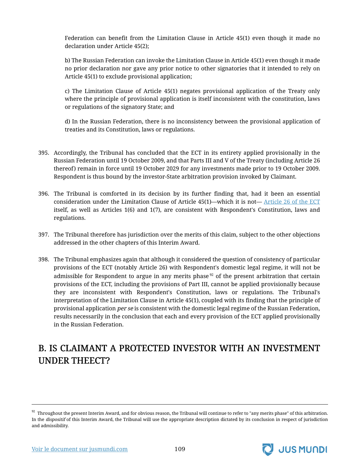Federation can benefit from the Limitation Clause in Article 45(1) even though it made no declaration under Article 45(2);

b) The Russian Federation can invoke the Limitation Clause in Article 45(1) even though it made no prior declaration nor gave any prior notice to other signatories that it intended to rely on Article 45(1) to exclude provisional application;

c) The Limitation Clause of Article 45(1) negates provisional application of the Treaty only where the principle of provisional application is itself inconsistent with the constitution, laws or regulations of the signatory State; and

d) In the Russian Federation, there is no inconsistency between the provisional application of treaties and its Constitution, laws or regulations.

- 395. Accordingly, the Tribunal has concluded that the ECT in its entirety applied provisionally in the Russian Federation until 19 October 2009, and that Parts III and V of the Treaty (including Article 26 thereof) remain in force until 19 October 2029 for any investments made prior to 19 October 2009. Respondent is thus bound by the investor-State arbitration provision invoked by Claimant.
- 396. The Tribunal is comforted in its decision by its further finding that, had it been an essential consideration under the Limitation Clause of Article 45(1)—which it is not— [Article 26 of the ECT](https://jusmundi.com/en/document/h/clljWVJHbGxISEg0VUZMdWNJazE2TnJ3Mmxwb2NlQ1R3cmNjQXR1UDFhaUg5bDhhczBqUjlmYmVtWWhITFNjK3dCV0JaSFlDK3BFbFIyL0xvSHhiR2sxdnZtV2R3TDJsQUR2Q0hoUUhPeWlwUFRXK0ZmSTJDNUVyTytCd1RRNTNDQmJGNXZZVGpGLzhUODVQMzdWbEl3PT0=) itself, as well as Articles 1(6) and 1(7), are consistent with Respondent's Constitution, laws and regulations.
- 397. The Tribunal therefore has jurisdiction over the merits of this claim, subject to the other objections addressed in the other chapters of this Interim Award.
- 398. The Tribunal emphasizes again that although it considered the question of consistency of particular provisions of the ECT (notably Article 26) with Respondent's domestic legal regime, it will not be admissible for Respondent to argue in any merits phase  $92$  of the present arbitration that certain provisions of the ECT, including the provisions of Part III, cannot be applied provisionally because they are inconsistent with Respondent's Constitution, laws or regulations. The Tribunal's interpretation of the Limitation Clause in Article 45(1), coupled with its finding that the principle of provisional application per se is consistent with the domestic legal regime of the Russian Federation, results necessarily in the conclusion that each and every provision of the ECT applied provisionally in the Russian Federation.

# B. IS CLAIMANT A PROTECTED INVESTOR WITH AN INVESTMENT UNDER THEECT?

 $92$  Throughout the present Interim Award, and for obvious reason, the Tribunal will continue to refer to "any merits phase" of this arbitration. In the dispositif of this Interim Award, the Tribunal will use the appropriate description dictated by its conclusion in respect of jurisdiction and admissibility.

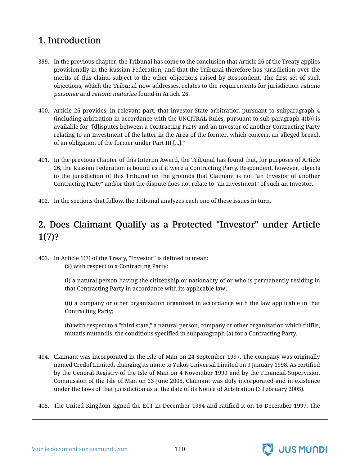# 1. Introduction

- 399. In the previous chapter, the Tribunal has come to the conclusion that Article 26 of the Treaty applies provisionally in the Russian Federation, and that the Tribunal therefore has jurisdiction over the merits of this claim, subject to the other objections raised by Respondent. The first set of such objections, which the Tribunal now addresses, relates to the requirements for jurisdiction ratione personae and ratione materiae found in Article 26.
- 400. Article 26 provides, in relevant part, that investor-State arbitration pursuant to subparagraph 4 (including arbitration in accordance with the UNCITRAL Rules, pursuant to sub-paragraph 4(b)) is available for "[d]isputes between a Contracting Party and an Investor of another Contracting Party relating to an Investment of the latter in the Area of the former, which concern an alleged breach of an obligation of the former under Part III [...]."
- 401. In the previous chapter of this Interim Award, the Tribunal has found that, for purposes of Article 26, the Russian Federation is bound as if it were a Contracting Party. Respondent, however, objects to the jurisdiction of this Tribunal on the grounds that Claimant is not "an Investor of another Contracting Party" and/or that the dispute does not relate to "an Investment" of such an Investor.
- 402. In the sections that follow, the Tribunal analyzes each one of these issues in turn.

# 2. Does Claimant Qualify as a Protected "Investor" under Article 1(7)?

403. In Article 1(7) of the Treaty, "Investor" is defined to mean: (a) with respect to a Contracting Party:

> (i) a natural person having the citizenship or nationality of or who is permanently residing in that Contracting Party in accordance with its applicable law;

> (ii) a company or other organization organized in accordance with the law applicable in that Contracting Party;

> (b) with respect to a "third state," a natural person, company or other organization which fulfils, mutatis mutandis, the conditions specified in subparagraph (a) for a Contracting Party.

- 404. Claimant was incorporated in the Isle of Man on 24 September 1997. The company was originally named Credof Limited, changing its name to Yukos Universal Limited on 9 January 1998. As certified by the General Registry of the Isle of Man on 4 November 1999 and by the Financial Supervision Commission of the Isle of Man on 23 June 2005, Claimant was duly incorporated and in existence under the laws of that jurisdiction as at the date of its Notice of Arbitration (3 February 2005).
- 405. The United Kingdom signed the ECT in December 1994 and ratified it on 16 December 1997. The

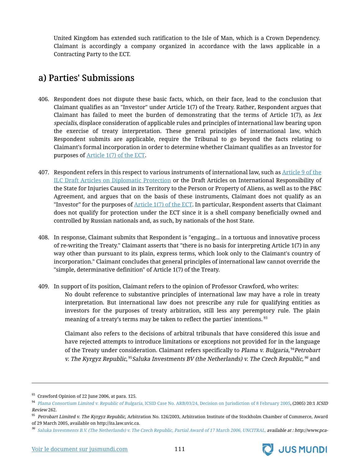United Kingdom has extended such ratification to the Isle of Man, which is a Crown Dependency. Claimant is accordingly a company organized in accordance with the laws applicable in a Contracting Party to the ECT.

#### a) Parties' Submissions

- 406. Respondent does not dispute these basic facts, which, on their face, lead to the conclusion that Claimant qualifies as an "Investor" under Article 1(7) of the Treaty. Rather, Respondent argues that Claimant has failed to meet the burden of demonstrating that the terms of Article  $1(7)$ , as lex specialis, displace consideration of applicable rules and principles of international law bearing upon the exercise of treaty interpretation. These general principles of international law, which Respondent submits are applicable, require the Tribunal to go beyond the facts relating to Claimant's formal incorporation in order to determine whether Claimant qualifies as an Investor for purposes of [Article 1\(7\) of the ECT.](https://jusmundi.com/en/document/h/clljWVJHbGxISEg0VUZMdWNJazE2TnJ3Mmxwb2NlQ1R3cmNjQXR1UDFhaUg5bDhhczBqUjlmYmVtWWhITFNjK3dCV0JaSFlDK3BFbFIyL0xvSHhiR2sxdnZtV2R3TDJsQUR2Q0hoUUhPeWlwUFRXK0ZmSTJDNUVyTytCd1RRNTNQNGpLcDFlN0gyZ2tjejBrbVBPMGp3PT0=)
- 407. Respondent refers in this respect to various instruments of international law, such as  $\Delta$ rticle  $9$  of the [ILC Draft Articles on Diplomatic Protection](https://jusmundi.com/en/document/h/RUpDUUN1a2NZSFNaZk5YRDk2TnVmaE5uNkdqOE1lbVQ0ZU1Ld0FaV3BzRUdqTVVJZDR4TEtOdEJTVFUycERJeXpLS2lIWjJGZ2lLWkIyVXI0akRXTlp6UkowL1l3V3ZDQ3kraVpqdUZLZHQwZzFkVlo4SEYyWHZuQjM5Vkk3ZFVaaElVazJqQmZGendNU2R6clpPeWcwa2wrRWZ3eWc4ckVFUmhuV25Eb1cyRkdYbXk5ZmwrZHdwekxNR1VnMUwrYzF0d3ZKd1VTbjc3UXZwUmwybXliSFJRRllOWWdLYUlOVVlOYUtHSk1GNTUvSFVrRWlzbW5KYXdWb2V0TXlpMQ==) or the Draft Articles on International Responsibility of the State for Injuries Caused in its Territory to the Person or Property of Aliens, as well as to the P&C Agreement, and argues that on the basis of these instruments, Claimant does not qualify as an "Investor" for the purposes of [Article 1\(7\) of the ECT](https://jusmundi.com/en/document/h/clljWVJHbGxISEg0VUZMdWNJazE2TnJ3Mmxwb2NlQ1R3cmNjQXR1UDFhaUg5bDhhczBqUjlmYmVtWWhITFNjK3dCV0JaSFlDK3BFbFIyL0xvSHhiR2sxdnZtV2R3TDJsQUR2Q0hoUUhPeWlwUFRXK0ZmSTJDNUVyTytCd1RRNTNQNGpLcDFlN0gyZ2tjejBrbVBPMGp3PT0=). In particular, Respondent asserts that Claimant does not qualify for protection under the ECT since it is a shell company beneficially owned and controlled by Russian nationals and, as such, by nationals of the host State.
- 408. In response, Claimant submits that Respondent is "engaging... in a tortuous and innovative process of re-writing the Treaty." Claimant asserts that "there is no basis for interpreting Article 1(7) in any way other than pursuant to its plain, express terms, which look only to the Claimant's country of incorporation." Claimant concludes that general principles of international law cannot override the "simple, determinative definition" of Article 1(7) of the Treaty.
- 409. In support of its position, Claimant refers to the opinion of Professor Crawford, who writes: No doubt reference to substantive principles of international law may have a role in treaty interpretation. But international law does not prescribe any rule for qualifying entities as investors for the purposes of treaty arbitration, still less any peremptory rule. The plain meaning of a treaty's terms may be taken to reflect the parties' intentions. 93

Claimant also refers to the decisions of arbitral tribunals that have considered this issue and have rejected attempts to introduce limitations or exceptions not provided for in the language of the Treaty under consideration. Claimant refers specifically to *Plama v. Bulgaria,* <sup>94</sup>Petr*obart* v. The Kyrgyz Republic, <sup>95</sup>Saluka Investments BV (the Netherlands) v. The Czech Republic, <sup>96</sup> and



<sup>&</sup>lt;sup>93</sup> Crawford Opinion of 22 June 2006, at para. 125.

<sup>94</sup> Plama Consortium Limited v. Republic of Bulgaria[, ICSID Case No. ARB/03/24, Decision on Jurisdiction of 8 February 2005,](https://jusmundi.com/en/document/h/SUNrSHhXMXZEcUpzbHFPaStiWElMZEVYVzQxTVM3SkYwdnNoNnNwVVpPRTMxQzlWdzNiYWhlZ3lJNExTQy9zK1FQYzlZd0tvVW1xSGtUVnlvZnJiL1k2NWx5YkdOaEpqYnhFcHVwNGFmUjJhMldaeWRvaWg3dGNrTnF3SGwvb0JvbFRuRWUvWXNMdGkvYnJCWHd4NWxRPT0=) (2005) 20:1 ICSID Review 262.

<sup>&</sup>lt;sup>95</sup> Petrobart Limited v. The Kyrgyz Republic, Arbitration No. 126/2003, Arbitration Institute of the Stockholm Chamber of Commerce, Award of 29 March 2005, available on http://ita.law.uvic.ca.

<sup>&</sup>lt;sup>96</sup> Saluka Investments B.V. (The [Netherlands\)](https://jusmundi.com/en/document/h/OUlQMVpYSTdSS2xIT0R1ejdIcFdxa0JDSWVBUFhGSEdiMEMzRmRCQUVrNUg1S1M3L0hDTDA3andFSlR1cEtjaktzc1VyRzM5eHIzaDgwYjNwd2pVZWRuN0VxOVpkNGROT094NFFHaG1DZEpOLzlwTzVwOTk1MXEyM2YrMWw5Qm0=) v. The Czech Republic, Partial Award of 17 March 2006, UNCITRAL, **available at : http://www.pca-**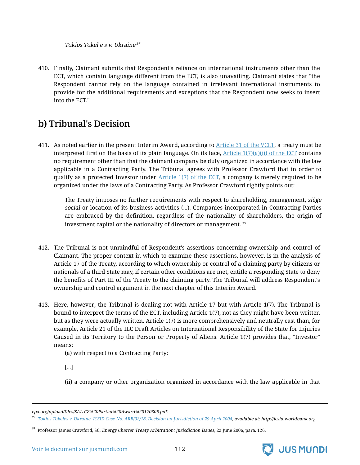#### Tokios Tokel e s v. Ukraine 97

410. Finally, Claimant submits that Respondent's reliance on international instruments other than the ECT, which contain language different from the ECT, is also unavailing. Claimant states that "the Respondent cannot rely on the language contained in irrelevant international instruments to provide for the additional requirements and exceptions that the Respondent now seeks to insert into the ECT."

## b) Tribunal's Decision

411. As noted earlier in the present Interim Award, according to <u>Article 31 of the VCLT</u>, a treaty must be interpreted first on the basis of its plain language. On its face,  $Article 1(7)(a)(ii)$  of the ECT contains no requirement other than that the claimant company be duly organized in accordance with the law applicable in a Contracting Party. The Tribunal agrees with Professor Crawford that in order to qualify as a protected Investor under  $\text{Article 1(7)}$  of the ECT, a company is merely required to be organized under the laws of a Contracting Party. As Professor Crawford rightly points out:

The Treaty imposes no further requirements with respect to shareholding, management, siège social or location of its business activities (...). Companies incorporated in Contracting Parties are embraced by the definition, regardless of the nationality of shareholders, the origin of investment capital or the nationality of directors or management.<sup>98</sup>

- 412. The Tribunal is not unmindful of Respondent's assertions concerning ownership and control of Claimant. The proper context in which to examine these assertions, however, is in the analysis of Article 17 of the Treaty, according to which ownership or control of a claiming party by citizens or nationals of a third State may, if certain other conditions are met, entitle a responding State to deny the benefits of Part III of the Treaty to the claiming party. The Tribunal will address Respondent's ownership and control argument in the next chapter of this Interim Award.
- 413. Here, however, the Tribunal is dealing not with Article 17 but with Article 1(7). The Tribunal is bound to interpret the terms of the ECT, including Article 1(7), not as they might have been written but as they were actually written. Article 1(7) is more comprehensively and neutrally cast than, for example, Article 21 of the ILC Draft Articles on International Responsibility of the State for Injuries Caused in its Territory to the Person or Property of Aliens. Article 1(7) provides that, "Investor" means:

(a) with respect to a Contracting Party:

[...]

(ii) a company or other organization organized in accordance with the law applicable in that

**O** JUS MUNDI

cpa.org/upload/files/SAL-CZ%20Partial%20Award%20170306.pdf.

<sup>97</sup> Tokios Tokeles v. Ukraine, [ICSID Case No. ARB/02/18, Decision on Jurisdiction of 29 April 2004,](https://jusmundi.com/en/document/h/c2NzQWVDaXhreWExRlFqSjJsWkw2NW5wSUtuR3dEOEttZ0pWckV2NUdERVh5aFB0WUN5V1gzTUFhTE5XMEtTUk4rVk1Dang5bytNQUJrOHlIM2JnZUwxK1dNWC9qR2xidFdMTnByNE9FY2VwTGFYaWpUZVJQMzZ5ODNDb2xFUEE=) available at: http://icsid.worldbank.org.

<sup>98</sup> Professor James Crawford, SC, Energy Charter Treaty Arbitration: Jurisdiction Issues, 22 June 2006, para. 126.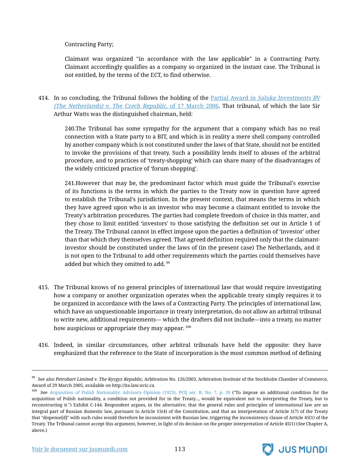#### Contracting Party;

Claimant was organized "in accordance with the law applicable" in a Contracting Party. Claimant accordingly qualifies as a company so organized in the instant case. The Tribunal is not entitled, by the terms of the ECT, to find otherwise.

414. In so concluding, the Tribunal follows the holding of the  $\operatorname{Partial}$  Award in  $\operatorname{Saluka}$  Investments  $BV$ (The Netherlands) v. The Czech Republic, [of 17 March 2006](https://jusmundi.com/en/document/h/OUlQMVpYSTdSS2xIT0R1ejdIcFdxa0JDSWVBUFhGSEdiMEMzRmRCQUVrNUg1S1M3L0hDTDA3andFSlR1cEtjaktzc1VyRzM5eHIzaDgwYjNwd2pVZWRuN0VxOVpkNGROT094NFFHaG1DZEpOLzlwTzVwOTk1MXEyM2YrMWw5Qm0=). That tribunal, of which the late Sir Arthur Watts was the distinguished chairman, held:

240.The Tribunal has some sympathy for the argument that a company which has no real connection with a State party to a BIT, and which is in reality a mere shell company controlled by another company which is not constituted under the laws of that State, should not be entitled to invoke the provisions of that treaty. Such a possibility lends itself to abuses of the arbitral procedure, and to practices of 'treaty-shopping' which can share many of the disadvantages of the widely criticized practice of 'forum shopping'.

241.However that may be, the predominant factor which must guide the Tribunal's exercise of its functions is the terms in which the parties to the Treaty now in question have agreed to establish the Tribunal's jurisdiction. In the present context, that means the terms in which they have agreed upon who is an investor who may become a claimant entitled to invoke the Treaty's arbitration procedures. The parties had complete freedom of choice in this matter, and they chose to limit entitled 'investors' to those satisfying the definition set out in Article 1 of the Treaty. The Tribunal cannot in effect impose upon the parties a definition of 'investor' other than that which they themselves agreed. That agreed definition required only that the claimantinvestor should be constituted under the laws of (in the present case) The Netherlands, and it is not open to the Tribunal to add other requirements which the parties could themselves have added but which they omitted to add.<sup>99</sup>

- 415. The Tribunal knows of no general principles of international law that would require investigating how a company or another organization operates when the applicable treaty simply requires it to be organized in accordance with the laws of a Contracting Party. The principles of international law, which have an unquestionable importance in treaty interpretation, do not allow an arbitral tribunal to write new, additional requirements— which the drafters did not include—into a treaty, no matter how auspicious or appropriate they may appear.  $100$
- 416. Indeed, in similar circumstances, other arbitral tribunals have held the opposite: they have emphasized that the reference to the State of incorporation is the most common method of defining





 $99$  See also Petrobart Limited v. The Kyrgyz Republic, Arbitration No. 126/2003, Arbitration Institute of the Stockholm Chamber of Commerce, Award of 29 March 2005, available on http://ita.law.uvic.ca.

<sup>&</sup>lt;sup>100</sup> See Acquisition of Polish Nationality[, Advisory Opinion \(1923\), PCIJ ser. B, No. 7, p. 20](https://jusmundi.com/en/document/h/VVBWSDkrRHNkOU5nRTNPZUdabDM1QXhHdHRTRTRGMTE1bUlIRWxpdmRHTlN0MDZxZzU3WFVHLzJJbnhYTHZqQWNlQU14WlY2R1RSU0czdXNyRU5rYzBCd093OEozUC8zMUs4UWFJT1lYNFJXcUI0ZTkwOVREOGdLOHF0ZmMrbm9wdjh6Y1VHL3VCVXNoQ09xRSsxQ3N3PT0=) ("To impose an additional condition for the acquisition of Polish nationality, a condition not provided for in the Treaty..., would be equivalent not to interpreting the Treaty, but to reconstructing it.") Exhibit C-144. Respondent argues, in the alternative, that the general rules and principles of international law are an integral part of Russian domestic law, pursuant to Article 15(4) of the Constitution, and that an interpretation of Article 1(7) of the Treaty that "dispense[d]" with such rules would therefore be inconsistent with Russian law, triggering the inconsistency clause of Article 45(1) of the Treaty. The Tribunal cannot accept this argument, however, in light of its decision on the proper interpretation of Article 45(1) (See Chapter A, above.)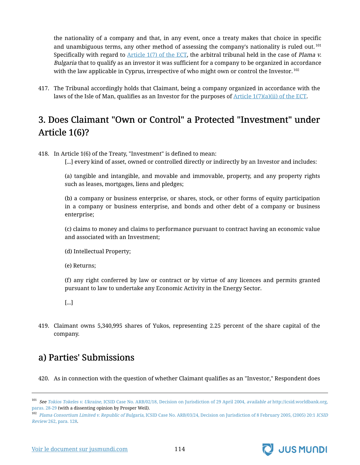the nationality of a company and that, in any event, once a treaty makes that choice in specific and unambiguous terms, any other method of assessing the company's nationality is ruled out.<sup>101</sup> Specifically with regard to  $\Delta$ rticle  $1(7)$  of the ECT, the arbitral tribunal held in the case of Plama v. Bulgaria that to qualify as an investor it was sufficient for a company to be organized in accordance with the law applicable in Cyprus, irrespective of who might own or control the Investor.<sup>102</sup>

417. The Tribunal accordingly holds that Claimant, being a company organized in accordance with the laws of the Isle of Man, qualifies as an Investor for the purposes of  $Article 1(7)(a)(ii)$  of the ECT.

# 3. Does Claimant "Own or Control" a Protected "Investment" under Article 1(6)?

418. In Article 1(6) of the Treaty, "Investment" is defined to mean:

[...] every kind of asset, owned or controlled directly or indirectly by an Investor and includes:

(a) tangible and intangible, and movable and immovable, property, and any property rights such as leases, mortgages, liens and pledges;

(b) a company or business enterprise, or shares, stock, or other forms of equity participation in a company or business enterprise, and bonds and other debt of a company or business enterprise;

(c) claims to money and claims to performance pursuant to contract having an economic value and associated with an Investment;

(d) Intellectual Property;

(e) Returns;

(f) any right conferred by law or contract or by virtue of any licences and permits granted pursuant to law to undertake any Economic Activity in the Energy Sector.

[...]

419. Claimant owns 5,340,995 shares of Yukos, representing 2.25 percent of the share capital of the company.

### a) Parties' Submissions

420. As in connection with the question of whether Claimant qualifies as an "Investor," Respondent does

<sup>102</sup> Plama Consortium Limited v. Republic of Bulgaria[, ICSID Case No. ARB/03/24, Decision on Jurisdiction of 8 February 2005, \(2005\) 20:1](https://jusmundi.com/en/document/h/SUNrSHhXMXZEcUpzbHFPaStiWElMZEVYVzQxTVM3SkYwdnNoNnNwVVpPRTMxQzlWdzNiYWhlZ3lJNExTQy9zK1FQYzlZd0tvVW1xSGtUVnlvZnJiL1k2NWx5YkdOaEpqYnhFcHVwNGFmUjJhMldaeWRvaWg3dGNrTnF3SGwvb0JXeE5VRmdzU3g3MW1kc204ZEs1L3dmTGxmYnpGY1p5Vkx3WWJGdUpOaE9JPQ==) ICSID Review [262, para. 128](https://jusmundi.com/en/document/h/SUNrSHhXMXZEcUpzbHFPaStiWElMZEVYVzQxTVM3SkYwdnNoNnNwVVpPRTMxQzlWdzNiYWhlZ3lJNExTQy9zK1FQYzlZd0tvVW1xSGtUVnlvZnJiL1k2NWx5YkdOaEpqYnhFcHVwNGFmUjJhMldaeWRvaWg3dGNrTnF3SGwvb0JXeE5VRmdzU3g3MW1kc204ZEs1L3dmTGxmYnpGY1p5Vkx3WWJGdUpOaE9JPQ==).



<sup>&</sup>lt;sup>101</sup> See Tokios Tokeles v. Ukraine, [ICSID Case No. ARB/02/18, Decision on Jurisdiction of 29 April 2004,](https://jusmundi.com/en/document/h/c2NzQWVDaXhreWExRlFqSjJsWkw2NW5wSUtuR3dEOEttZ0pWckV2NUdERVh5aFB0WUN5V1gzTUFhTE5XMEtTUk4rVk1Dang5bytNQUJrOHlIM2JnZUwxK1dNWC9qR2xidFdMTnByNE9FY2RPc0ZacmdBNzZkZHZpbVRWTmtvb2YrY2ZSM0ZITHYzT25zNWUveWpDbzdRPT0=) available at http://icsid.worldbank.org, [paras. 28-29](https://jusmundi.com/en/document/h/c2NzQWVDaXhreWExRlFqSjJsWkw2NW5wSUtuR3dEOEttZ0pWckV2NUdERVh5aFB0WUN5V1gzTUFhTE5XMEtTUk4rVk1Dang5bytNQUJrOHlIM2JnZUwxK1dNWC9qR2xidFdMTnByNE9FY2RPc0ZacmdBNzZkZHZpbVRWTmtvb2YrY2ZSM0ZITHYzT25zNWUveWpDbzdRPT0=) (with a dissenting opinion by Prosper Weil).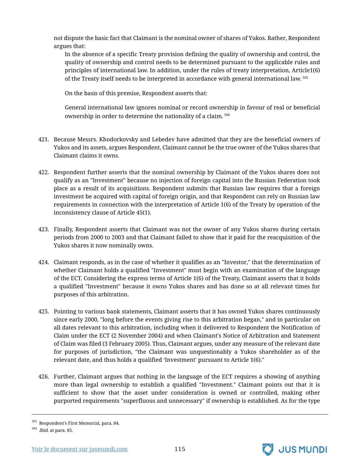not dispute the basic fact that Claimant is the nominal owner of shares of Yukos. Rather, Respondent argues that:

In the absence of a specific Treaty provision defining the quality of ownership and control, the quality of ownership and control needs to be determined pursuant to the applicable rules and principles of international law. In addition, under the rules of treaty interpretation, Article1(6) of the Treaty itself needs to be interpreted in accordance with general international law.  $^{\rm 103}$ 

On the basis of this premise, Respondent asserts that:

General international law ignores nominal or record ownership in favour of real or beneficial ownership in order to determine the nationality of a claim. <sup>104</sup>

- 421. Because Messrs. Khodorkovsky and Lebedev have admitted that they are the beneficial owners of Yukos and its assets, argues Respondent, Claimant cannot be the true owner of the Yukos shares that Claimant claims it owns.
- 422. Respondent further asserts that the nominal ownership by Claimant of the Yukos shares does not qualify as an "Investment" because no injection of foreign capital into the Russian Federation took place as a result of its acquisitions. Respondent submits that Russian law requires that a foreign investment be acquired with capital of foreign origin, and that Respondent can rely on Russian law requirements in connection with the interpretation of Article 1(6) of the Treaty by operation of the inconsistency clause of Article 45(1).
- 423. Finally, Respondent asserts that Claimant was not the owner of any Yukos shares during certain periods from 2000 to 2003 and that Claimant failed to show that it paid for the reacquisition of the Yukos shares it now nominally owns.
- 424. Claimant responds, as in the case of whether it qualifies as an "Investor," that the determination of whether Claimant holds a qualified "Investment" must begin with an examination of the language of the ECT. Considering the express terms of Article 1(6) of the Treaty, Claimant asserts that it holds a qualified "Investment" because it owns Yukos shares and has done so at all relevant times for purposes of this arbitration.
- 425. Pointing to various bank statements, Claimant asserts that it has owned Yukos shares continuously since early 2000, "long before the events giving rise to this arbitration began," and in particular on all dates relevant to this arbitration, including when it delivered to Respondent the Notification of Claim under the ECT (2 November 2004) and when Claimant's Notice of Arbitration and Statement of Claim was filed (3 February 2005). Thus, Claimant argues, under any measure of the relevant date for purposes of jurisdiction, "the Claimant was unquestionably a Yukos shareholder as of the relevant date, and thus holds a qualified 'Investment' pursuant to Article 1(6)."
- 426. Further, Claimant argues that nothing in the language of the ECT requires a showing of anything more than legal ownership to establish a qualified "Investment." Claimant points out that it is sufficient to show that the asset under consideration is owned or controlled, making other purported requirements "superfluous and unnecessary" if ownership is established. As for the type



Respondent's First Memorial, para. 84.

 $^{104}\,$  Ibid. at para. 85.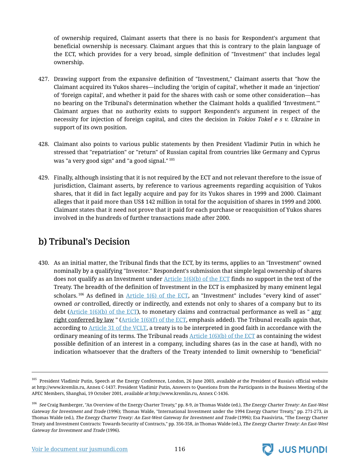of ownership required, Claimant asserts that there is no basis for Respondent's argument that beneficial ownership is necessary. Claimant argues that this is contrary to the plain language of the ECT, which provides for a very broad, simple definition of "Investment" that includes legal ownership.

- 427. Drawing support from the expansive definition of "Investment," Claimant asserts that "how the Claimant acquired its Yukos shares—including the 'origin of capital', whether it made an 'injection' of 'foreign capital', and whether it paid for the shares with cash or some other consideration—has no bearing on the Tribunal's determination whether the Claimant holds a qualified 'Investment.'" Claimant argues that no authority exists to support Respondent's argument in respect of the necessity for injection of foreign capital, and cites the decision in Tokios Tokel e s v. Ukraine in support of its own position.
- 428. Claimant also points to various public statements by then President Vladimir Putin in which he stressed that "repatriation" or "return" of Russian capital from countries like Germany and Cyprus was "a very good sign" and "a good signal." <sup>105</sup>
- 429. Finally, although insisting that it is not required by the ECT and not relevant therefore to the issue of jurisdiction, Claimant asserts, by reference to various agreements regarding acquisition of Yukos shares, that it did in fact legally acquire and pay for its Yukos shares in 1999 and 2000. Claimant alleges that it paid more than US\$ 142 million in total for the acquisition of shares in 1999 and 2000. Claimant states that it need not prove that it paid for each purchase or reacquisition of Yukos shares involved in the hundreds of further transactions made after 2000.

# b) Tribunal's Decision

430. As an initial matter, the Tribunal finds that the ECT, by its terms, applies to an "Investment" owned nominally by a qualifying "Investor." Respondent's submission that simple legal ownership of shares does not qualify as an Investment under  $\text{Article 1}(6)(b)$  of the ECT finds no support in the text of the Treaty. The breadth of the definition of Investment in the ECT is emphasized by many eminent legal scholars.  $^{106}$  As defined in [Article 1\(6\) of the ECT](https://jusmundi.com/en/document/h/clljWVJHbGxISEg0VUZMdWNJazE2TnJ3Mmxwb2NlQ1R3cmNjQXR1UDFhaUg5bDhhczBqUjlmYmVtWWhITFNjK3dCV0JaSFlDK3BFbFIyL0xvSHhiR2sxdnZtV2R3TDJsQUR2Q0hoUUhPeWlwUFRXK0ZmSTJDNUVyTytCd1RRNTNwN01Gb3dPWkZkKy8zeWpwclM0RlZBPT0=), an "Investment" includes "every kind of asset" owned or controlled, directly or indirectly, and extends not only to shares of a company but to its debt ( $Article 1(6)(b)$  of the ECT), to monetary claims and contractual performance as well as "  $any$ right conferred by law " [\(Article 1\(6\)\(f\) of the ECT,](https://jusmundi.com/en/document/h/clljWVJHbGxISEg0VUZMdWNJazE2TnJ3Mmxwb2NlQ1R3cmNjQXR1UDFhaUg5bDhhczBqUjlmYmVtWWhITFNjK3dCV0JaSFlDK3BFbFIyL0xvSHhiR2sxdnZtV2R3TDJsQUR2Q0hoUUhPeWlwUFRXK0ZmSTJDNUVyTytCd1RRNTNyTmFRdFREWUlFWGNQdnlTb2tRRnB3PT0=) emphasis added). The Tribunal recalls again that, according to [Article 31 of the VCLT](https://jusmundi.com/en/document/h/NVFwR2lWbkFqaXdJRmhJT3hnNFo0NEhoLzFzTjdSbU9icGpNYlQ0N3hXUjByQUw3dW1hT1I5OW90REYzWjlFYW1iQm0xR2ZxcmE5MFIwL3EyeU1DWUVRbENBMnU5S3g1dERqLzZnTWNMRHc3U0YwLzlEK2VYZ1FOT1ZFUEszei8yM25adnZnUXlFS0VUZE44K1VxYnNNQWhnL25UaklhUkx3TnUyNUhIdlZvPQ==), a treaty is to be interpreted in good faith in accordance with the ordinary meaning of its terms. The Tribunal reads  $Article 1(6)(b)$  of the ECT as containing the widest possible definition of an interest in a company, including shares (as in the case at hand), with no indication whatsoever that the drafters of the Treaty intended to limit ownership to "beneficial"



<sup>&</sup>lt;sup>105</sup> President Vladimir Putin, Speech at the Energy Conference, London, 26 June 2003, available at the President of Russia's official website at http://www.kremlin.ru, Annex C-1437. President Vladimir Putin, Answers to Questions from the Participants in the Business Meeting of the APEC Members, Shanghai, 19 October 2001, available at http://www.kremlin.ru, Annex C-1436.

<sup>&</sup>lt;sup>106</sup> See Craig Bamberger, "An Overview of the Energy Charter Treaty," pp. 8-9, *in* Thomas Walde (ed.), *The Energy Charter Treaty: An East-West* Gateway for Investment and Trade (1996); Thomas Walde, "International Investment under the 1994 Energy Charter Treaty," pp. 271-273, in Thomas Walde (ed.), The Energy Charter Treaty: An East-West Gateway for Investment and Trade (1996); Esa Paasivirta, "The Energy Charter Treaty and Investment Contracts: Towards Security of Contracts," pp. 356-358, in Thomas Walde (ed.), The Energy Charter Treaty: An East-West Gateway for Investment and Trade (1996).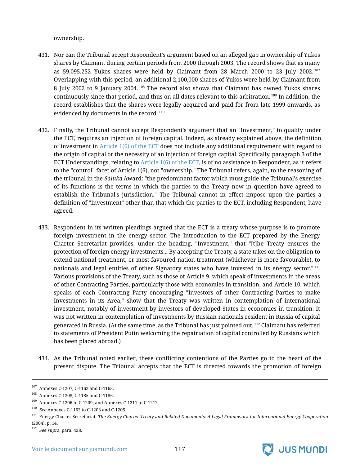ownership.

- 431. Nor can the Tribunal accept Respondent's argument based on an alleged gap in ownership of Yukos shares by Claimant during certain periods from 2000 through 2003. The record shows that as many as 59,095,252 Yukos shares were held by Claimant from 28 March 2000 to 23 July 2002. <sup>107</sup> Overlapping with this period, an additional 2,100,000 shares of Yukos were held by Claimant from 8 July 2002 to 9 January 2004. <sup>108</sup> The record also shows that Claimant has owned Yukos shares continuously since that period, and thus on all dates relevant to this arbitration. <sup>109</sup> In addition, the record establishes that the shares were legally acquired and paid for from late 1999 onwards, as evidenced by documents in the record. <sup>110</sup>
- 432. Finally, the Tribunal cannot accept Respondent's argument that an "Investment," to qualify under the ECT, requires an injection of foreign capital. Indeed, as already explained above, the definition of investment in [Article 1\(6\) of the ECT](https://jusmundi.com/en/document/h/clljWVJHbGxISEg0VUZMdWNJazE2TnJ3Mmxwb2NlQ1R3cmNjQXR1UDFhaUg5bDhhczBqUjlmYmVtWWhITFNjK3dCV0JaSFlDK3BFbFIyL0xvSHhiR2sxdnZtV2R3TDJsQUR2Q0hoUUhPeWlwUFRXK0ZmSTJDNUVyTytCd1RRNTNwN01Gb3dPWkZkKy8zeWpwclM0RlZBPT0=) does not include any additional requirement with regard to the origin of capital or the necessity of an injection of foreign capital. Specifically, paragraph 3 of the ECT Understandings, relating to Article  $1(6)$  of the ECT, is of no assistance to Respondent, as it refers to the "control" facet of Article 1(6), not "ownership." The Tribunal refers, again, to the reasoning of the tribunal in the Saluka Award: "the predominant factor which must guide the Tribunal's exercise of its functions is the terms in which the parties to the Treaty now in question have agreed to establish the Tribunal's jurisdiction." The Tribunal cannot in effect impose upon the parties a definition of "Investment" other than that which the parties to the ECT, including Respondent, have agreed.
- 433. Respondent in its written pleadings argued that the ECT is a treaty whose purpose is to promote foreign investment in the energy sector. The Introduction to the ECT prepared by the Energy Charter Secretariat provides, under the heading, "Investment," that "[t]he Treaty ensures the protection of foreign energy investments... By accepting the Treaty, a state takes on the obligation to extend national treatment, or most-favoured nation treatment (whichever is more favourable), to nationals and legal entities of other Signatory states who have invested in its energy sector."<sup>111</sup> Various provisions of the Treaty, such as those of Article 9, which speak of investments in the areas of other Contracting Parties, particularly those with economies in transition, and Article 10, which speaks of each Contracting Party encouraging "Investors of other Contracting Parties to make Investments in its Area," show that the Treaty was written in contemplation of international investment, notably of investment by investors of developed States in economies in transition. It was not written in contemplation of investments by Russian nationals resident in Russia of capital generated in Russia. (At the same time, as the Tribunal has just pointed out, <sup>112</sup> Claimant has referred to statements of President Putin welcoming the repatriation of capital controlled by Russians which has been placed abroad.)
- 434. As the Tribunal noted earlier, these conflicting contentions of the Parties go to the heart of the present dispute. The Tribunal accepts that the ECT is directed towards the promotion of foreign



<sup>107</sup> Annexes C-1207, C-1162 and C-1163.

<sup>108</sup> Annexes C-1208, C-1185 and C-1186.

<sup>109</sup> Annexes C-1206 to C-1209; and Annexes C-1211 to C-1212.

<sup>110</sup> See Annexes C-1162 to C-1203 and C-1205.

<sup>&</sup>lt;sup>111</sup> Energy Charter Secretariat, The Energy Charter Treaty and Related Documents: A Legal Framework for International Energy Cooperation (2004), p. 14.

 $112\,$  See supra, para. 428.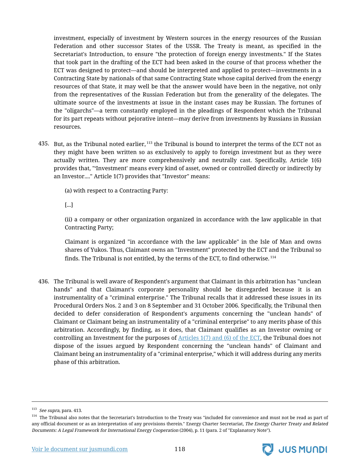investment, especially of investment by Western sources in the energy resources of the Russian Federation and other successor States of the USSR. The Treaty is meant, as specified in the Secretariat's Introduction, to ensure "the protection of foreign energy investments." If the States that took part in the drafting of the ECT had been asked in the course of that process whether the ECT was designed to protect—and should be interpreted and applied to protect—investments in a Contracting State by nationals of that same Contracting State whose capital derived from the energy resources of that State, it may well be that the answer would have been in the negative, not only from the representatives of the Russian Federation but from the generality of the delegates. The ultimate source of the investments at issue in the instant cases may be Russian. The fortunes of the "oligarchs"—a term constantly employed in the pleadings of Respondent which the Tribunal for its part repeats without pejorative intent—may derive from investments by Russians in Russian resources.

 $435. \;\;$  But, as the Tribunal noted earlier,  $^{113}$  the Tribunal is bound to interpret the terms of the ECT not as they might have been written so as exclusively to apply to foreign investment but as they were actually written. They are more comprehensively and neutrally cast. Specifically, Article 1(6) provides that, "'Investment' means every kind of asset, owned or controlled directly or indirectly by an Investor...." Article 1(7) provides that "Investor" means:

(a) with respect to a Contracting Party:

[...]

(ii) a company or other organization organized in accordance with the law applicable in that Contracting Party;

Claimant is organized "in accordance with the law applicable" in the Isle of Man and owns shares of Yukos. Thus, Claimant owns an "Investment" protected by the ECT and the Tribunal so finds. The Tribunal is not entitled, by the terms of the ECT, to find otherwise. <sup>114</sup>

436. The Tribunal is well aware of Respondent's argument that Claimant in this arbitration has "unclean hands" and that Claimant's corporate personality should be disregarded because it is an instrumentality of a "criminal enterprise." The Tribunal recalls that it addressed these issues in its Procedural Orders Nos. 2 and 3 on 8 September and 31 October 2006. Specifically, the Tribunal then decided to defer consideration of Respondent's arguments concerning the "unclean hands" of Claimant or Claimant being an instrumentality of a "criminal enterprise" to any merits phase of this arbitration. Accordingly, by finding, as it does, that Claimant qualifies as an Investor owning or controlling an Investment for the purposes of [Articles 1\(7\) and \(6\) of the ECT,](https://jusmundi.com/en/document/h/clljWVJHbGxISEg0VUZMdWNJazE2TnJ3Mmxwb2NlQ1R3cmNjQXR1UDFhaUg5bDhhczBqUjlmYmVtWWhITFNjK3dCV0JaSFlDK3BFbFIyL0xvSHhiR2sxdnZtV2R3TDJsQUR2Q0hoUUhPeWlwUFRXK0ZmSTJDNUVyTytCd1RRNTNQNGpLcDFlN0gyZ2tjejBrbVBPMGp3PT0=) the Tribunal does not dispose of the issues argued by Respondent concerning the "unclean hands" of Claimant and Claimant being an instrumentality of a "criminal enterprise," which it will address during any merits phase of this arbitration.



 $113$  See supra, para. 413.

<sup>&</sup>lt;sup>114</sup> The Tribunal also notes that the Secretariat's Introduction to the Treaty was "included for convenience and must not be read as part of any official document or as an interpretation of any provisions therein." Energy Charter Secretariat, The Energy Charter Treaty and Related Documents: A Legal Framework for International Energy Cooperation (2004), p. 11 (para. 2 of "Explanatory Note").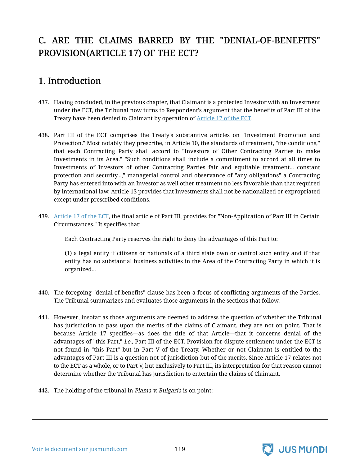# C. ARE THE CLAIMS BARRED BY THE "DENIAL-OF-BENEFITS" PROVISION(ARTICLE 17) OF THE ECT?

# 1. Introduction

- 437. Having concluded, in the previous chapter, that Claimant is a protected Investor with an Investment under the ECT, the Tribunal now turns to Respondent's argument that the benefits of Part III of the Treaty have been denied to Claimant by operation of **[Article 17 of the ECT](https://jusmundi.com/en/document/h/clljWVJHbGxISEg0VUZMdWNJazE2TnJ3Mmxwb2NlQ1R3cmNjQXR1UDFhaUg5bDhhczBqUjlmYmVtWWhITFNjK3dCV0JaSFlDK3BFbFIyL0xvSHhiR2sxdnZtV2R3TDJsQUR2Q0hoUUhPeWlwUFRXK0ZmSTJDNUVyTytCd1RRNTNrTFNKdXRuc1d2YTVWckFIWE9rMld3PT0=)**.
- 438. Part III of the ECT comprises the Treaty's substantive articles on "Investment Promotion and Protection." Most notably they prescribe, in Article 10, the standards of treatment, "the conditions," that each Contracting Party shall accord to "Investors of Other Contracting Parties to make Investments in its Area." "Such conditions shall include a commitment to accord at all times to Investments of Investors of other Contracting Parties fair and equitable treatment... constant protection and security...," managerial control and observance of "any obligations" a Contracting Party has entered into with an Investor as well other treatment no less favorable than that required by international law. Article 13 provides that Investments shall not be nationalized or expropriated except under prescribed conditions.
- 439. [Article 17 of the ECT,](https://jusmundi.com/en/document/h/clljWVJHbGxISEg0VUZMdWNJazE2TnJ3Mmxwb2NlQ1R3cmNjQXR1UDFhaUg5bDhhczBqUjlmYmVtWWhITFNjK3dCV0JaSFlDK3BFbFIyL0xvSHhiR2sxdnZtV2R3TDJsQUR2Q0hoUUhPeWlwUFRXK0ZmSTJDNUVyTytCd1RRNTNrTFNKdXRuc1d2YTVWckFIWE9rMld3PT0=) the final article of Part III, provides for "Non-Application of Part III in Certain Circumstances." It specifies that:

Each Contracting Party reserves the right to deny the advantages of this Part to:

(1) a legal entity if citizens or nationals of a third state own or control such entity and if that entity has no substantial business activities in the Area of the Contracting Party in which it is organized...

- 440. The foregoing "denial-of-benefits" clause has been a focus of conflicting arguments of the Parties. The Tribunal summarizes and evaluates those arguments in the sections that follow.
- 441. However, insofar as those arguments are deemed to address the question of whether the Tribunal has jurisdiction to pass upon the merits of the claims of Claimant, they are not on point. That is because Article 17 specifies—as does the title of that Article—that it concerns denial of the advantages of "this Part," i.e., Part III of the ECT. Provision for dispute settlement under the ECT is not found in "this Part" but in Part V of the Treaty. Whether or not Claimant is entitled to the advantages of Part III is a question not of jurisdiction but of the merits. Since Article 17 relates not to the ECT as a whole, or to Part V, but exclusively to Part III, its interpretation for that reason cannot determine whether the Tribunal has jurisdiction to entertain the claims of Claimant.
- 442. The holding of the tribunal in *Plama v. Bulgaria* is on point:



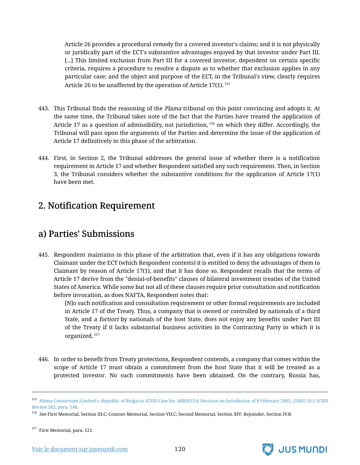Article 26 provides a procedural remedy for a covered investor's claims; and it is not physically or juridically part of the ECT's substantive advantages enjoyed by that investor under Part III. [...] This limited exclusion from Part III for a covered investor, dependent on certain specific criteria, requires a procedure to resolve a dispute as to whether that exclusion applies in any particular case; and the object and purpose of the ECT, in the Tribunal's view, clearly requires Article 26 to be unaffected by the operation of Article 17(1).<sup>115</sup>

- 443. This Tribunal finds the reasoning of the *Plama* tribunal on this point convincing and adopts it. At the same time, the Tribunal takes note of the fact that the Parties have treated the application of Article 17 as a question of admissibility, not jurisdiction, <sup>116</sup> on which they differ. Accordingly, the Tribunal will pass upon the arguments of the Parties and determine the issue of the application of Article 17 definitively in this phase of the arbitration.
- 444. First, in Section 2, the Tribunal addresses the general issue of whether there is a notification requirement in Article 17 and whether Respondent satisfied any such requirement. Then, in Section 3, the Tribunal considers whether the substantive conditions for the application of Article 17(1) have been met.

#### 2. Notification Requirement

#### a) Parties' Submissions

445. Respondent maintains in this phase of the arbitration that, even if it has any obligations towards Claimant under the ECT (which Respondent contests) it is entitled to deny the advantages of them to Claimant by reason of Article 17(1), and that it has done so. Respondent recalls that the terms of Article 17 derive from the "denial-of-benefits" clauses of bilateral investment treaties of the United States of America. While some but not all of these clauses require prior consultation and notification before invocation, as does NAFTA, Respondent notes that:

[N]o such notification and consultation requirement or other formal requirements are included in Article 17 of the Treaty. Thus, a company that is owned or controlled by nationals of a third State, and a fortiori by nationals of the host State, does not enjoy any benefits under Part III of the Treaty if it lacks substantial business activities in the Contracting Party in which it is organized. <sup>117</sup>

446. In order to benefit from Treaty protections, Respondent contends, a company that comes within the scope of Article 17 must obtain a commitment from the host State that it will be treated as a protected investor. No such commitments have been obtained. On the contrary, Russia has,

<sup>117</sup> First Memorial, para. 121.



<sup>115</sup> Plama Consortium Limited v. Republic of Bulgaria[, ICSID Case No. ARB/03/24, Decision on Jurisdiction of 8 February 2005, \(2005\) 20:1](https://jusmundi.com/en/document/h/SUNrSHhXMXZEcUpzbHFPaStiWElMZEVYVzQxTVM3SkYwdnNoNnNwVVpPRTMxQzlWdzNiYWhlZ3lJNExTQy9zK1FQYzlZd0tvVW1xSGtUVnlvZnJiL1k2NWx5YkdOaEpqYnhFcHVwNGFmUjJhMldaeWRvaWg3dGNrTnF3SGwvb0JXeE5VRmdzU3g3MW1kc204ZEs1L3dUQ00yU25HU3VMaGdMcEgwaGlOeUhBPQ==) ICSID Review [262, para. 148](https://jusmundi.com/en/document/h/SUNrSHhXMXZEcUpzbHFPaStiWElMZEVYVzQxTVM3SkYwdnNoNnNwVVpPRTMxQzlWdzNiYWhlZ3lJNExTQy9zK1FQYzlZd0tvVW1xSGtUVnlvZnJiL1k2NWx5YkdOaEpqYnhFcHVwNGFmUjJhMldaeWRvaWg3dGNrTnF3SGwvb0JXeE5VRmdzU3g3MW1kc204ZEs1L3dUQ00yU25HU3VMaGdMcEgwaGlOeUhBPQ==).

 $^{116}\,$  See First Memorial, Section III.C; Counter-Memorial, Section VII.C; Second Memorial, Section XIV; Rejoinder, Section IV.B.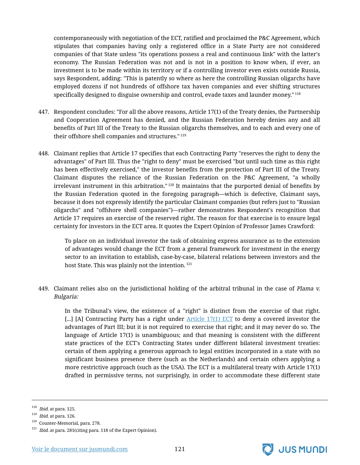contemporaneously with negotiation of the ECT, ratified and proclaimed the P&C Agreement, which stipulates that companies having only a registered office in a State Party are not considered companies of that State unless "its operations possess a real and continuous link" with the latter's economy. The Russian Federation was not and is not in a position to know when, if ever, an investment is to be made within its territory or if a controlling investor even exists outside Russia, says Respondent, adding: "This is patently so where as here the controlling Russian oligarchs have employed dozens if not hundreds of offshore tax haven companies and ever shifting structures specifically designed to disguise ownership and control, evade taxes and launder money."  $^{118}$ 

- 447. Respondent concludes: "For all the above reasons, Article 17(1) of the Treaty denies, the Partnership and Cooperation Agreement has denied, and the Russian Federation hereby denies any and all benefits of Part III of the Treaty to the Russian oligarchs themselves, and to each and every one of their offshore shell companies and structures." <sup>119</sup>
- 448. Claimant replies that Article 17 specifies that each Contracting Party "reserves the right to deny the advantages" of Part III. Thus the "right to deny" must be exercised "but until such time as this right has been effectively exercised," the investor benefits from the protection of Part III of the Treaty. Claimant disputes the reliance of the Russian Federation on the P&C Agreement, "a wholly irrelevant instrument in this arbitration."<sup>120</sup> It maintains that the purported denial of benefits by the Russian Federation quoted in the foregoing paragraph—which is defective, Claimant says, because it does not expressly identify the particular Claimant companies (but refers just to "Russian oligarchs" and "offshore shell companies")—rather demonstrates Respondent's recognition that Article 17 requires an exercise of the reserved right. The reason for that exercise is to ensure legal certainty for investors in the ECT area. It quotes the Expert Opinion of Professor James Crawford:

To place on an individual investor the task of obtaining express assurance as to the extension of advantages would change the ECT from a general framework for investment in the energy sector to an invitation to establish, case-by-case, bilateral relations between investors and the host State. This was plainly not the intention.<sup>121</sup>

449. Claimant relies also on the jurisdictional holding of the arbitral tribunal in the case of *Plama v.* Bulgaria:

In the Tribunal's view, the existence of a "right" is distinct from the exercise of that right. [...] [A] Contracting Party has a right under **[Article 17\(1\) ECT](https://jusmundi.com/en/document/h/clljWVJHbGxISEg0VUZMdWNJazE2TnJ3Mmxwb2NlQ1R3cmNjQXR1UDFhaUg5bDhhczBqUjlmYmVtWWhITFNjK3dCV0JaSFlDK3BFbFIyL0xvSHhiR2sxdnZtV2R3TDJsQUR2Q0hoUUhPeWlwUFRXK0ZmSTJDNUVyTytCd1RRNTNFT3ZRTEIvWGZYTzN2MXBkV2NBc0t3PT0=)** to deny a covered investor the advantages of Part III; but it is not required to exercise that right; and it may never do so. The language of Article 17(1) is unambiguous; and that meaning is consistent with the different state practices of the ECT's Contracting States under different bilateral investment treaties: certain of them applying a generous approach to legal entities incorporated in a state with no significant business presence there (such as the Netherlands) and certain others applying a more restrictive approach (such as the USA). The ECT is a multilateral treaty with Article 17(1) drafted in permissive terms, not surprisingly, in order to accommodate these different state



 $^{118}\,$  Ibid. at para. 125.

 $119$  *Ibid.* at para. 126.

<sup>120</sup> Counter-Memorial, para. 278.

 $121$  *Ibid.* at para. 281(citing para. 118 of the Expert Opinion).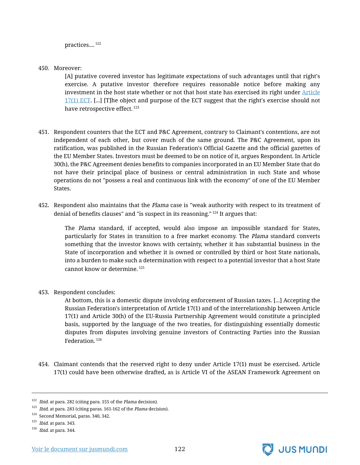practices.... <sup>122</sup>

450. Moreover:

[A] putative covered investor has legitimate expectations of such advantages until that right's exercise. A putative investor therefore requires reasonable notice before making any investment in the host state whether or not that host state has exercised its right under [Article](https://jusmundi.com/en/document/h/clljWVJHbGxISEg0VUZMdWNJazE2TnJ3Mmxwb2NlQ1R3cmNjQXR1UDFhaUg5bDhhczBqUjlmYmVtWWhITFNjK3dCV0JaSFlDK3BFbFIyL0xvSHhiR2sxdnZtV2R3TDJsQUR2Q0hoUUhPeWlwUFRXK0ZmSTJDNUVyTytCd1RRNTNFT3ZRTEIvWGZYTzN2MXBkV2NBc0t3PT0=) [17\(1\) ECT.](https://jusmundi.com/en/document/h/clljWVJHbGxISEg0VUZMdWNJazE2TnJ3Mmxwb2NlQ1R3cmNjQXR1UDFhaUg5bDhhczBqUjlmYmVtWWhITFNjK3dCV0JaSFlDK3BFbFIyL0xvSHhiR2sxdnZtV2R3TDJsQUR2Q0hoUUhPeWlwUFRXK0ZmSTJDNUVyTytCd1RRNTNFT3ZRTEIvWGZYTzN2MXBkV2NBc0t3PT0=) [...] [T]he object and purpose of the ECT suggest that the right's exercise should not have retrospective effect.<sup>123</sup>

- 451. Respondent counters that the ECT and P&C Agreement, contrary to Claimant's contentions, are not independent of each other, but cover much of the same ground. The P&C Agreement, upon its ratification, was published in the Russian Federation's Official Gazette and the official gazettes of the EU Member States. Investors must be deemed to be on notice of it, argues Respondent. In Article 30(h), the P&C Agreement denies benefits to companies incorporated in an EU Member State that do not have their principal place of business or central administration in such State and whose operations do not "possess a real and continuous link with the economy" of one of the EU Member States.
- 452. Respondent also maintains that the *Plama* case is "weak authority with respect to its treatment of denial of benefits clauses" and "is suspect in its reasoning."  $124$  It argues that:

The Plama standard, if accepted, would also impose an impossible standard for States, particularly for States in transition to a free market economy. The Plama standard converts something that the investor knows with certainty, whether it has substantial business in the State of incorporation and whether it is owned or controlled by third or host State nationals, into a burden to make such a determination with respect to a potential investor that a host State cannot know or determine. <sup>125</sup>

453. Respondent concludes:

At bottom, this is a domestic dispute involving enforcement of Russian taxes. [...] Accepting the Russian Federation's interpretation of Article 17(1) and of the interrelationship between Article 17(1) and Article 30(h) of the EU-Russia Partnership Agreement would constitute a principled basis, supported by the language of the two treaties, for distinguishing essentially domestic disputes from disputes involving genuine investors of Contracting Parties into the Russian Federation. <sup>126</sup>

454. Claimant contends that the reserved right to deny under Article 17(1) must be exercised. Article 17(1) could have been otherwise drafted, as is Article VI of the ASEAN Framework Agreement on





 $122$  Ibid. at para. 282 (citing para. 155 of the *Plama* decision).

 $123$  Ibid. at para. 283 (citing paras. 161-162 of the Plama decision).

<sup>124</sup> Second Memorial, paras. 340, 342.

 $^{125}\,$  Ibid. at para. 343.

 $126\,$  Ibid. at para. 344.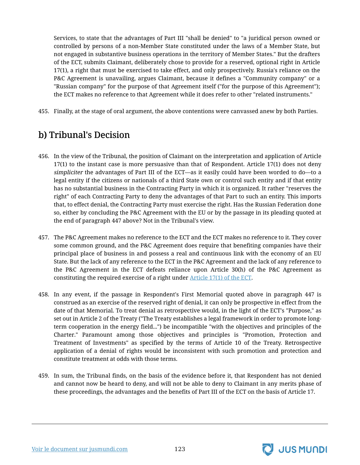Services, to state that the advantages of Part III "shall be denied" to "a juridical person owned or controlled by persons of a non-Member State constituted under the laws of a Member State, but not engaged in substantive business operations in the territory of Member States." But the drafters of the ECT, submits Claimant, deliberately chose to provide for a reserved, optional right in Article 17(1), a right that must be exercised to take effect, and only prospectively. Russia's reliance on the P&C Agreement is unavailing, argues Claimant, because it defines a "Community company" or a "Russian company" for the purpose of that Agreement itself ("for the purpose of this Agreement"); the ECT makes no reference to that Agreement while it does refer to other "related instruments."

455. Finally, at the stage of oral argument, the above contentions were canvassed anew by both Parties.

# b) Tribunal's Decision

- 456. In the view of the Tribunal, the position of Claimant on the interpretation and application of Article 17(1) to the instant case is more persuasive than that of Respondent. Article 17(1) does not deny simpliciter the advantages of Part III of the ECT—as it easily could have been worded to do—to a legal entity if the citizens or nationals of a third State own or control such entity and if that entity has no substantial business in the Contracting Party in which it is organized. It rather "reserves the right" of each Contracting Party to deny the advantages of that Part to such an entity. This imports that, to effect denial, the Contracting Party must exercise the right. Has the Russian Federation done so, either by concluding the P&C Agreement with the EU or by the passage in its pleading quoted at the end of paragraph 447 above? Not in the Tribunal's view.
- 457. The P&C Agreement makes no reference to the ECT and the ECT makes no reference to it. They cover some common ground, and the P&C Agreement does require that benefiting companies have their principal place of business in and possess a real and continuous link with the economy of an EU State. But the lack of any reference to the ECT in the P&C Agreement and the lack of any reference to the P&C Agreement in the ECT defeats reliance upon Article 30(h) of the P&C Agreement as constituting the required exercise of a right under [Article 17\(1\) of the ECT.](https://jusmundi.com/en/document/h/clljWVJHbGxISEg0VUZMdWNJazE2TnJ3Mmxwb2NlQ1R3cmNjQXR1UDFhaUg5bDhhczBqUjlmYmVtWWhITFNjK3dCV0JaSFlDK3BFbFIyL0xvSHhiR2sxdnZtV2R3TDJsQUR2Q0hoUUhPeWlwUFRXK0ZmSTJDNUVyTytCd1RRNTNFT3ZRTEIvWGZYTzN2MXBkV2NBc0t3PT0=)
- 458. In any event, if the passage in Respondent's First Memorial quoted above in paragraph 447 is construed as an exercise of the reserved right of denial, it can only be prospective in effect from the date of that Memorial. To treat denial as retrospective would, in the light of the ECT's "Purpose," as set out in Article 2 of the Treaty ("The Treaty establishes a legal framework in order to promote longterm cooperation in the energy field...") be incompatible "with the objectives and principles of the Charter." Paramount among those objectives and principles is "Promotion, Protection and Treatment of Investments" as specified by the terms of Article 10 of the Treaty. Retrospective application of a denial of rights would be inconsistent with such promotion and protection and constitute treatment at odds with those terms.
- 459. In sum, the Tribunal finds, on the basis of the evidence before it, that Respondent has not denied and cannot now be heard to deny, and will not be able to deny to Claimant in any merits phase of these proceedings, the advantages and the benefits of Part III of the ECT on the basis of Article 17.

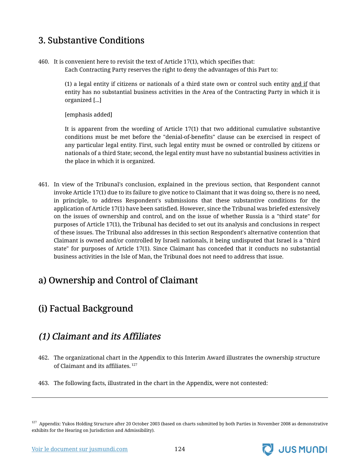# 3. Substantive Conditions

460. It is convenient here to revisit the text of Article 17(1), which specifies that: Each Contracting Party reserves the right to deny the advantages of this Part to:

> (1) a legal entity if citizens or nationals of a third state own or control such entity and if that entity has no substantial business activities in the Area of the Contracting Party in which it is organized [...]

[emphasis added]

It is apparent from the wording of Article 17(1) that two additional cumulative substantive conditions must be met before the "denial-of-benefits" clause can be exercised in respect of any particular legal entity. First, such legal entity must be owned or controlled by citizens or nationals of a third State; second, the legal entity must have no substantial business activities in the place in which it is organized.

461. In view of the Tribunal's conclusion, explained in the previous section, that Respondent cannot invoke Article 17(1) due to its failure to give notice to Claimant that it was doing so, there is no need, in principle, to address Respondent's submissions that these substantive conditions for the application of Article 17(1) have been satisfied. However, since the Tribunal was briefed extensively on the issues of ownership and control, and on the issue of whether Russia is a "third state" for purposes of Article 17(1), the Tribunal has decided to set out its analysis and conclusions in respect of these issues. The Tribunal also addresses in this section Respondent's alternative contention that Claimant is owned and/or controlled by Israeli nationals, it being undisputed that Israel is a "third state" for purposes of Article 17(1). Since Claimant has conceded that it conducts no substantial business activities in the Isle of Man, the Tribunal does not need to address that issue.

### a) Ownership and Control of Claimant

# (i) Factual Background

### (1) Claimant and its Affiliates

- 462. The organizational chart in the Appendix to this Interim Award illustrates the ownership structure of Claimant and its affiliates. <sup>127</sup>
- 463. The following facts, illustrated in the chart in the Appendix, were not contested:



<sup>&</sup>lt;sup>127</sup> Appendix: Yukos Holding Structure after 20 October 2003 (based on charts submitted by both Parties in November 2008 as demonstrative exhibits for the Hearing on Jurisdiction and Admissibility).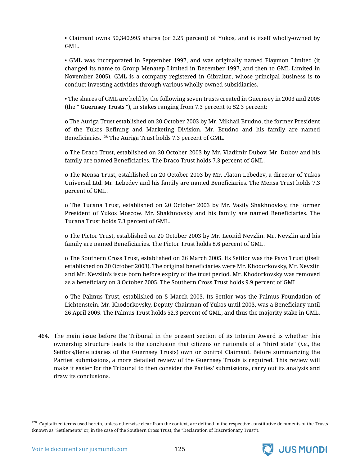• Claimant owns 50,340,995 shares (or 2.25 percent) of Yukos, and is itself wholly-owned by GML.

• GML was incorporated in September 1997, and was originally named Flaymon Limited (it changed its name to Group Menatep Limited in December 1997, and then to GML Limited in November 2005). GML is a company registered in Gibraltar, whose principal business is to conduct investing activities through various wholly-owned subsidiaries.

• The shares of GML are held by the following seven trusts created in Guernsey in 2003 and 2005 (the " Guernsey Trusts "), in stakes ranging from 7.3 percent to 52.3 percent:

o The Auriga Trust established on 20 October 2003 by Mr. Mikhail Brudno, the former President of the Yukos Refining and Marketing Division. Mr. Brudno and his family are named Beneficiaries. <sup>128</sup> The Auriga Trust holds 7.3 percent of GML.

o The Draco Trust, established on 20 October 2003 by Mr. Vladimir Dubov. Mr. Dubov and his family are named Beneficiaries. The Draco Trust holds 7.3 percent of GML.

o The Mensa Trust, established on 20 October 2003 by Mr. Platon Lebedev, a director of Yukos Universal Ltd. Mr. Lebedev and his family are named Beneficiaries. The Mensa Trust holds 7.3 percent of GML.

o The Tucana Trust, established on 20 October 2003 by Mr. Vasily Shakhnovksy, the former President of Yukos Moscow. Mr. Shakhnovsky and his family are named Beneficiaries. The Tucana Trust holds 7.3 percent of GML.

o The Pictor Trust, established on 20 October 2003 by Mr. Leonid Nevzlin. Mr. Nevzlin and his family are named Beneficiaries. The Pictor Trust holds 8.6 percent of GML.

o The Southern Cross Trust, established on 26 March 2005. Its Settlor was the Pavo Trust (itself established on 20 October 2003). The original beneficiaries were Mr. Khodorkovsky, Mr. Nevzlin and Mr. Nevzlin's issue born before expiry of the trust period. Mr. Khodorkovsky was removed as a beneficiary on 3 October 2005. The Southern Cross Trust holds 9.9 percent of GML.

o The Palmus Trust, established on 5 March 2003. Its Settlor was the Palmus Foundation of Lichtenstein. Mr. Khodorkovsky, Deputy Chairman of Yukos until 2003, was a Beneficiary until 26 April 2005. The Palmus Trust holds 52.3 percent of GML, and thus the majority stake in GML.

464. The main issue before the Tribunal in the present section of its Interim Award is whether this ownership structure leads to the conclusion that citizens or nationals of a "third state" (i.e., the Settlors/Beneficiaries of the Guernsey Trusts) own or control Claimant. Before summarizing the Parties' submissions, a more detailed review of the Guernsey Trusts is required. This review will make it easier for the Tribunal to then consider the Parties' submissions, carry out its analysis and draw its conclusions.



<sup>&</sup>lt;sup>128</sup> Capitalized terms used herein, unless otherwise clear from the context, are defined in the respective constitutive documents of the Trusts (known as "Settlements" or, in the case of the Southern Cross Trust, the "Declaration of Discretionary Trust").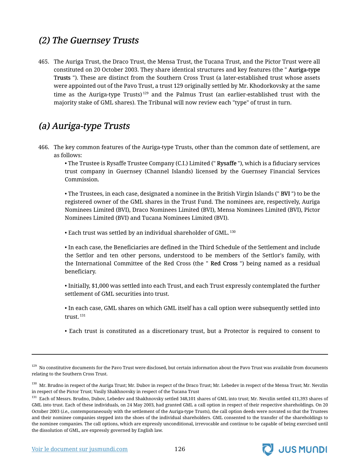# (2) The Guernsey Trusts

465. The Auriga Trust, the Draco Trust, the Mensa Trust, the Tucana Trust, and the Pictor Trust were all constituted on 20 October 2003. They share identical structures and key features (the " Auriga-type Trusts "). These are distinct from the Southern Cross Trust (a later-established trust whose assets were appointed out of the Pavo Trust, a trust 129 originally settled by Mr. Khodorkovsky at the same time as the Auriga-type Trusts)<sup>129</sup> and the Palmus Trust (an earlier-established trust with the majority stake of GML shares). The Tribunal will now review each "type" of trust in turn.

### (a) Auriga-type Trusts

466. The key common features of the Auriga-type Trusts, other than the common date of settlement, are as follows:

• The Trustee is Rysaffe Trustee Company (C.I.) Limited (" Rysaffe "), which is a fiduciary services trust company in Guernsey (Channel Islands) licensed by the Guernsey Financial Services Commission.

• The Trustees, in each case, designated a nominee in the British Virgin Islands (" BVI ") to be the registered owner of the GML shares in the Trust Fund. The nominees are, respectively, Auriga Nominees Limited (BVI), Draco Nominees Limited (BVI), Mensa Nominees Limited (BVI), Pictor Nominees Limited (BVI) and Tucana Nominees Limited (BVI).

• Each trust was settled by an individual shareholder of GML. <sup>130</sup>

• In each case, the Beneficiaries are defined in the Third Schedule of the Settlement and include the Settlor and ten other persons, understood to be members of the Settlor's family, with the International Committee of the Red Cross (the " Red Cross ") being named as a residual beneficiary.

- Initially, \$1,000 was settled into each Trust, and each Trust expressly contemplated the further settlement of GML securities into trust.
- In each case, GML shares on which GML itself has a call option were subsequently settled into trust. <sup>131</sup>
- Each trust is constituted as a discretionary trust, but a Protector is required to consent to



 $129$  No constitutive documents for the Pavo Trust were disclosed, but certain information about the Pavo Trust was available from documents relating to the Southern Cross Trust.

<sup>&</sup>lt;sup>130</sup> Mr. Brudno in respect of the Auriga Trust; Mr. Dubov in respect of the Draco Trust; Mr. Lebedev in respect of the Mensa Trust; Mr. Nevzlin in respect of the Pictor Trust; Vasily Shakhnovsky in respect of the Tucana Trust

<sup>&</sup>lt;sup>131</sup> Each of Messrs. Brudno, Dubov, Lebedev and Shakhnovsky settled 348,101 shares of GML into trust; Mr. Nevzlin settled 411,393 shares of GML into trust. Each of these individuals, on 24 May 2003, had granted GML a call option in respect of their respective shareholdings. On 20 October 2003 (i.e., contemporaneously with the settlement of the Auriga-type Trusts), the call option deeds were novated so that the Trustees and their nominee companies stepped into the shoes of the individual shareholders. GML consented to the transfer of the shareholdings to the nominee companies. The call options, which are expressly unconditional, irrevocable and continue to be capable of being exercised until the dissolution of GML, are expressly governed by English law.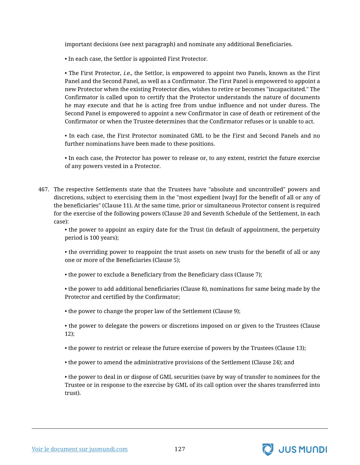important decisions (see next paragraph) and nominate any additional Beneficiaries.

• In each case, the Settlor is appointed First Protector.

• The First Protector, *i.e.*, the Settlor, is empowered to appoint two Panels, known as the First Panel and the Second Panel, as well as a Confirmator. The First Panel is empowered to appoint a new Protector when the existing Protector dies, wishes to retire or becomes "incapacitated." The Confirmator is called upon to certify that the Protector understands the nature of documents he may execute and that he is acting free from undue influence and not under duress. The Second Panel is empowered to appoint a new Confirmator in case of death or retirement of the Confirmator or when the Trustee determines that the Confirmator refuses or is unable to act.

• In each case, the First Protector nominated GML to be the First and Second Panels and no further nominations have been made to these positions.

• In each case, the Protector has power to release or, to any extent, restrict the future exercise of any powers vested in a Protector.

467. The respective Settlements state that the Trustees have "absolute and uncontrolled" powers and discretions, subject to exercising them in the "most expedient [way] for the benefit of all or any of the beneficiaries" (Clause 11). At the same time, prior or simultaneous Protector consent is required for the exercise of the following powers (Clause 20 and Seventh Schedule of the Settlement, in each case):

• the power to appoint an expiry date for the Trust (in default of appointment, the perpetuity period is 100 years);

• the overriding power to reappoint the trust assets on new trusts for the benefit of all or any one or more of the Beneficiaries (Clause 5);

• the power to exclude a Beneficiary from the Beneficiary class (Clause 7);

• the power to add additional beneficiaries (Clause 8), nominations for same being made by the Protector and certified by the Confirmator;

• the power to change the proper law of the Settlement (Clause 9);

• the power to delegate the powers or discretions imposed on or given to the Trustees (Clause 12);

• the power to restrict or release the future exercise of powers by the Trustees (Clause 13);

• the power to amend the administrative provisions of the Settlement (Clause 24); and

• the power to deal in or dispose of GML securities (save by way of transfer to nominees for the Trustee or in response to the exercise by GML of its call option over the shares transferred into trust).

[Voir le document sur jusmundi.com](https://jusmundi.com/fr/document/decision/en-yukos-universal-limited-isle-of-man-v-the-russian-federation-interim-award-on-jurisdiction-and-admissibility-monday-30th-november-2009) 127

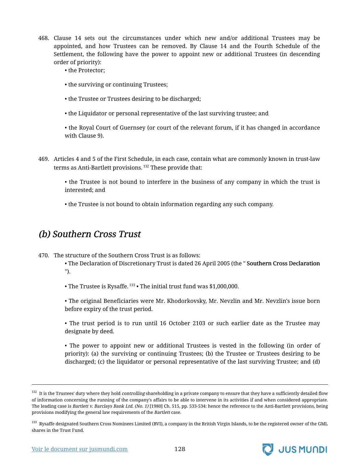- 468. Clause 14 sets out the circumstances under which new and/or additional Trustees may be appointed, and how Trustees can be removed. By Clause 14 and the Fourth Schedule of the Settlement, the following have the power to appoint new or additional Trustees (in descending order of priority):
	- the Protector;
	- the surviving or continuing Trustees;
	- the Trustee or Trustees desiring to be discharged;
	- the Liquidator or personal representative of the last surviving trustee; and

• the Royal Court of Guernsey (or court of the relevant forum, if it has changed in accordance with Clause 9).

469. Articles 4 and 5 of the First Schedule, in each case, contain what are commonly known in trust-law terms as Anti-Bartlett provisions. <sup>132</sup> These provide that:

• the Trustee is not bound to interfere in the business of any company in which the trust is interested; and

• the Trustee is not bound to obtain information regarding any such company.

#### (b) Southern Cross Trust

470. The structure of the Southern Cross Trust is as follows:

• The Declaration of Discretionary Trust is dated 26 April 2005 (the " Southern Cross Declaration ").

• The Trustee is Rysaffe. <sup>133</sup> • The initial trust fund was \$1,000,000.

• The original Beneficiaries were Mr. Khodorkovsky, Mr. Nevzlin and Mr. Nevzlin's issue born before expiry of the trust period.

• The trust period is to run until 16 October 2103 or such earlier date as the Trustee may designate by deed.

• The power to appoint new or additional Trustees is vested in the following (in order of priority): (a) the surviving or continuing Trustees; (b) the Trustee or Trustees desiring to be discharged; (c) the liquidator or personal representative of the last surviving Trustee; and (d)





<sup>&</sup>lt;sup>132</sup> It is the Trustees' duty where they hold *controlling* shareholding in a private company to ensure that they have a sufficiently detailed flow of information concerning the running of the company's affairs to be able to intervene in its activities if and when considered appropriate. The leading case is Bartlett v. Barclays Bank Ltd. (No. 1) [1980] Ch. 515, pp. 533-534: hence the reference to the Anti-Bartlett provisions, being provisions modifying the general law requirements of the Bartlett case.

<sup>&</sup>lt;sup>133</sup> Rysaffe designated Southern Cross Nominees Limited (BVI), a company in the British Virgin Islands, to be the registered owner of the GML shares in the Trust Fund.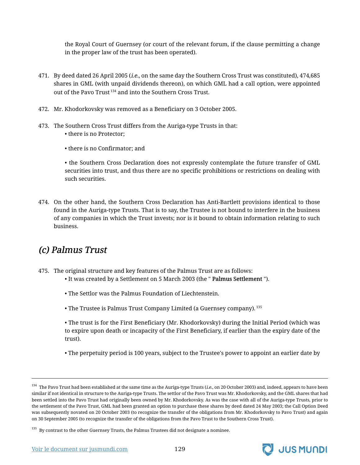the Royal Court of Guernsey (or court of the relevant forum, if the clause permitting a change in the proper law of the trust has been operated).

- 471. By deed dated 26 April 2005 (i.e., on the same day the Southern Cross Trust was constituted), 474,685 shares in GML (with unpaid dividends thereon), on which GML had a call option, were appointed out of the Pavo Trust <sup>134</sup> and into the Southern Cross Trust.
- 472. Mr. Khodorkovsky was removed as a Beneficiary on 3 October 2005.
- 473. The Southern Cross Trust differs from the Auriga-type Trusts in that: • there is no Protector;
	- there is no Confirmator; and

• the Southern Cross Declaration does not expressly contemplate the future transfer of GML securities into trust, and thus there are no specific prohibitions or restrictions on dealing with such securities.

474. On the other hand, the Southern Cross Declaration has Anti-Bartlett provisions identical to those found in the Auriga-type Trusts. That is to say, the Trustee is not bound to interfere in the business of any companies in which the Trust invests; nor is it bound to obtain information relating to such business.

# (c) Palmus Trust

- 475. The original structure and key features of the Palmus Trust are as follows:
	- It was created by a Settlement on 5 March 2003 (the " Palmus Settlement ").
	- The Settlor was the Palmus Foundation of Liechtenstein.
	- The Trustee is Palmus Trust Company Limited (a Guernsey company).<sup>135</sup>

• The trust is for the First Beneficiary (Mr. Khodorkovsky) during the Initial Period (which was to expire upon death or incapacity of the First Beneficiary, if earlier than the expiry date of the trust).

• The perpetuity period is 100 years, subject to the Trustee's power to appoint an earlier date by



 $^{134}$  The Pavo Trust had been established at the same time as the Auriga-type Trusts (i.e., on 20 October 2003) and, indeed, appears to have been similar if not identical in structure to the Auriga-type Trusts. The settlor of the Pavo Trust was Mr. Khodorkovsky, and the GML shares that had been settled into the Pavo Trust had originally been owned by Mr. Khodorkovsky. As was the case with all of the Auriga-type Trusts, prior to the settlement of the Pavo Trust, GML had been granted an option to purchase these shares by deed dated 24 May 2003; the Call Option Deed was subsequently novated on 20 October 2003 (to recognize the transfer of the obligations from Mr. Khodorkovsky to Pavo Trust) and again on 30 September 2005 (to recognize the transfer of the obligations from the Pavo Trust to the Southern Cross Trust).

<sup>135</sup> By contrast to the other Guernsey Trusts, the Palmus Trustees did not designate a nominee.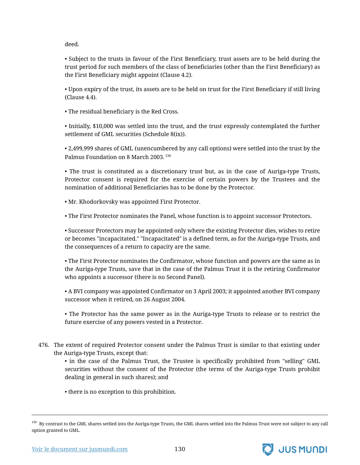deed.

• Subject to the trusts in favour of the First Beneficiary, trust assets are to be held during the trust period for such members of the class of beneficiaries (other than the First Beneficiary) as the First Beneficiary might appoint (Clause 4.2).

• Upon expiry of the trust, its assets are to be held on trust for the First Beneficiary if still living (Clause 4.4).

• The residual beneficiary is the Red Cross.

• Initially, \$10,000 was settled into the trust, and the trust expressly contemplated the further settlement of GML securities (Schedule 8(ix)).

• 2,499,999 shares of GML (unencumbered by any call options) were settled into the trust by the Palmus Foundation on 8 March 2003. <sup>136</sup>

• The trust is constituted as a discretionary trust but, as in the case of Auriga-type Trusts, Protector consent is required for the exercise of certain powers by the Trustees and the nomination of additional Beneficiaries has to be done by the Protector.

• Mr. Khodorkovsky was appointed First Protector.

• The First Protector nominates the Panel, whose function is to appoint successor Protectors.

• Successor Protectors may be appointed only where the existing Protector dies, wishes to retire or becomes "incapacitated." "Incapacitated" is a defined term, as for the Auriga-type Trusts, and the consequences of a return to capacity are the same.

• The First Protector nominates the Confirmator, whose function and powers are the same as in the Auriga-type Trusts, save that in the case of the Palmus Trust it is the retiring Confirmator who appoints a successor (there is no Second Panel).

• A BVI company was appointed Confirmator on 3 April 2003; it appointed another BVI company successor when it retired, on 26 August 2004.

• The Protector has the same power as in the Auriga-type Trusts to release or to restrict the future exercise of any powers vested in a Protector.

476. The extent of required Protector consent under the Palmus Trust is similar to that existing under the Auriga-type Trusts, except that:

• in the case of the Palmus Trust, the Trustee is specifically prohibited from "selling" GML securities without the consent of the Protector (the terms of the Auriga-type Trusts prohibit dealing in general in such shares); and

• there is no exception to this prohibition.



 $^{136}$  By contrast to the GML shares settled into the Auriga-type Trusts, the GML shares settled into the Palmus Trust were not subject to any call option granted to GML.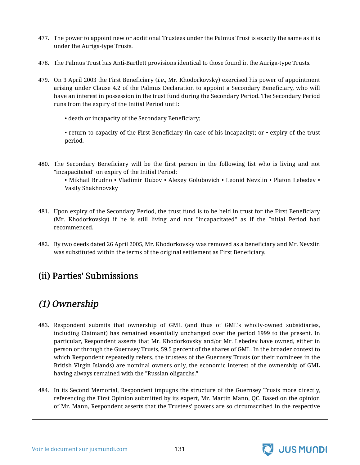- 477. The power to appoint new or additional Trustees under the Palmus Trust is exactly the same as it is under the Auriga-type Trusts.
- 478. The Palmus Trust has Anti-Bartlett provisions identical to those found in the Auriga-type Trusts.
- 479. On 3 April 2003 the First Beneficiary (i.e., Mr. Khodorkovsky) exercised his power of appointment arising under Clause 4.2 of the Palmus Declaration to appoint a Secondary Beneficiary, who will have an interest in possession in the trust fund during the Secondary Period. The Secondary Period runs from the expiry of the Initial Period until:
	- death or incapacity of the Secondary Beneficiary;

• return to capacity of the First Beneficiary (in case of his incapacity); or • expiry of the trust period.

480. The Secondary Beneficiary will be the first person in the following list who is living and not "incapacitated" on expiry of the Initial Period:

• Mikhail Brudno • Vladimir Dubov • Alexey Golubovich • Leonid Nevzlin • Platon Lebedev • Vasily Shakhnovsky

- 481. Upon expiry of the Secondary Period, the trust fund is to be held in trust for the First Beneficiary (Mr. Khodorkovsky) if he is still living and not "incapacitated" as if the Initial Period had recommenced.
- 482. By two deeds dated 26 April 2005, Mr. Khodorkovsky was removed as a beneficiary and Mr. Nevzlin was substituted within the terms of the original settlement as First Beneficiary.

# (ii) Parties' Submissions

# (1) Ownership

- 483. Respondent submits that ownership of GML (and thus of GML's wholly-owned subsidiaries, including Claimant) has remained essentially unchanged over the period 1999 to the present. In particular, Respondent asserts that Mr. Khodorkovsky and/or Mr. Lebedev have owned, either in person or through the Guernsey Trusts, 59.5 percent of the shares of GML. In the broader context to which Respondent repeatedly refers, the trustees of the Guernsey Trusts (or their nominees in the British Virgin Islands) are nominal owners only, the economic interest of the ownership of GML having always remained with the "Russian oligarchs."
- 484. In its Second Memorial, Respondent impugns the structure of the Guernsey Trusts more directly, referencing the First Opinion submitted by its expert, Mr. Martin Mann, QC. Based on the opinion of Mr. Mann, Respondent asserts that the Trustees' powers are so circumscribed in the respective



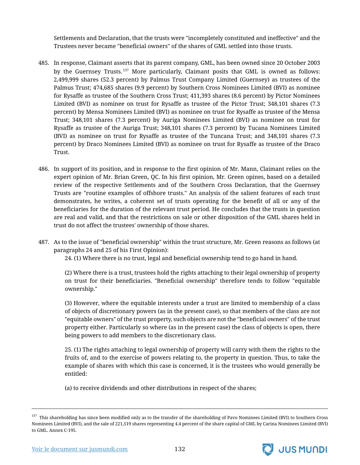Settlements and Declaration, that the trusts were "incompletely constituted and ineffective" and the Trustees never became "beneficial owners" of the shares of GML settled into those trusts.

- 485. In response, Claimant asserts that its parent company, GML, has been owned since 20 October 2003 by the Guernsey Trusts. <sup>137</sup> More particularly, Claimant posits that GML is owned as follows: 2,499,999 shares (52.3 percent) by Palmus Trust Company Limited (Guernsey) as trustees of the Palmus Trust; 474,685 shares (9.9 percent) by Southern Cross Nominees Limited (BVI) as nominee for Rysaffe as trustee of the Southern Cross Trust; 411,393 shares (8.6 percent) by Pictor Nominees Limited (BVI) as nominee on trust for Rysaffe as trustee of the Pictor Trust; 348,101 shares (7.3 percent) by Mensa Nominees Limited (BVI) as nominee on trust for Rysaffe as trustee of the Mensa Trust; 348,101 shares (7.3 percent) by Auriga Nominees Limited (BVI) as nominee on trust for Rysaffe as trustee of the Auriga Trust; 348,101 shares (7.3 percent) by Tucana Nominees Limited (BVI) as nominee on trust for Rysaffe as trustee of the Tuncana Trust; and 348,101 shares (7.3 percent) by Draco Nominees Limited (BVI) as nominee on trust for Rysaffe as trustee of the Draco Trust.
- 486. In support of its position, and in response to the first opinion of Mr. Mann, Claimant relies on the expert opinion of Mr. Brian Green, QC. In his first opinion, Mr. Green opines, based on a detailed review of the respective Settlements and of the Southern Cross Declaration, that the Guernsey Trusts are "routine examples of offshore trusts." An analysis of the salient features of each trust demonstrates, he writes, a coherent set of trusts operating for the benefit of all or any of the beneficiaries for the duration of the relevant trust period. He concludes that the trusts in question are real and valid, and that the restrictions on sale or other disposition of the GML shares held in trust do not affect the trustees' ownership of those shares.
- 487. As to the issue of "beneficial ownership" within the trust structure, Mr. Green reasons as follows (at paragraphs 24 and 25 of his First Opinion):

24. (1) Where there is no trust, legal and beneficial ownership tend to go hand in hand.

(2) Where there is a trust, trustees hold the rights attaching to their legal ownership of property on trust for their beneficiaries. "Beneficial ownership" therefore tends to follow "equitable ownership."

(3) However, where the equitable interests under a trust are limited to membership of a class of objects of discretionary powers (as in the present case), so that members of the class are not "equitable owners" of the trust property, such objects are not the "beneficial owners" of the trust property either. Particularly so where (as in the present case) the class of objects is open, there being powers to add members to the discretionary class.

25. (1) The rights attaching to legal ownership of property will carry with them the rights to the fruits of, and to the exercise of powers relating to, the property in question. Thus, to take the example of shares with which this case is concerned, it is the trustees who would generally be entitled:

(a) to receive dividends and other distributions in respect of the shares;



<sup>&</sup>lt;sup>137</sup> This shareholding has since been modified only as to the transfer of the shareholding of Pavo Nominees Limited (BVI) to Southern Cross Nominees Limited (BVI), and the sale of 221,519 shares representing 4.4 percent of the share capital of GML by Carina Nominees Limited (BVI) to GML. Annex C-195.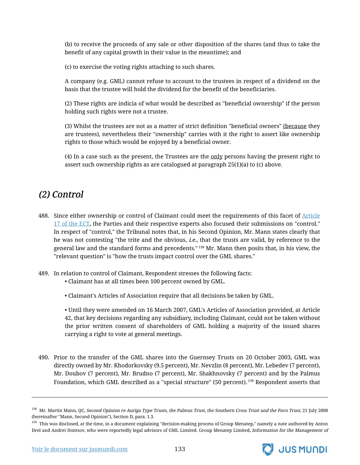(b) to receive the proceeds of any sale or other disposition of the shares (and thus to take the benefit of any capital growth in their value in the meantime); and

(c) to exercise the voting rights attaching to such shares.

A company (e.g. GML) cannot refuse to account to the trustees in respect of a dividend on the basis that the trustee will hold the dividend for the benefit of the beneficiaries.

(2) These rights are indicia of what would be described as "beneficial ownership" if the person holding such rights were not a trustee.

(3) Whilst the trustees are not as a matter of strict definition "beneficial owners" (because they are trustees), nevertheless their "ownership" carries with it the right to assert like ownership rights to those which would be enjoyed by a beneficial owner.

 $(4)$  In a case such as the present, the Trustees are the only persons having the present right to assert such ownership rights as are catalogued at paragraph 25(1)(a) to (c) above.

# (2) Control

- 488. Since either ownership or control of Claimant could meet the requirements of this facet of <u>[Article](https://jusmundi.com/en/document/h/clljWVJHbGxISEg0VUZMdWNJazE2TnJ3Mmxwb2NlQ1R3cmNjQXR1UDFhaUg5bDhhczBqUjlmYmVtWWhITFNjK3dCV0JaSFlDK3BFbFIyL0xvSHhiR2sxdnZtV2R3TDJsQUR2Q0hoUUhPeWlwUFRXK0ZmSTJDNUVyTytCd1RRNTNrTFNKdXRuc1d2YTVWckFIWE9rMld3PT0=)</u> [17 of the ECT,](https://jusmundi.com/en/document/h/clljWVJHbGxISEg0VUZMdWNJazE2TnJ3Mmxwb2NlQ1R3cmNjQXR1UDFhaUg5bDhhczBqUjlmYmVtWWhITFNjK3dCV0JaSFlDK3BFbFIyL0xvSHhiR2sxdnZtV2R3TDJsQUR2Q0hoUUhPeWlwUFRXK0ZmSTJDNUVyTytCd1RRNTNrTFNKdXRuc1d2YTVWckFIWE9rMld3PT0=) the Parties and their respective experts also focused their submissions on "control." In respect of "control," the Tribunal notes that, in his Second Opinion, Mr. Mann states clearly that he was not contesting "the trite and the obvious, *i.e.*, that the trusts are valid, by reference to the general law and the standard forms and precedents."<sup>138</sup> Mr. Mann then posits that, in his view, the "relevant question" is "how the trusts impact control over the GML shares."
- 489. In relation to control of Claimant, Respondent stresses the following facts:
	- Claimant has at all times been 100 percent owned by GML.
	- Claimant's Articles of Association require that all decisions be taken by GML.

• Until they were amended on 16 March 2007, GML's Articles of Association provided, at Article 42, that key decisions regarding any subsidiary, including Claimant, could not be taken without the prior written consent of shareholders of GML holding a majority of the issued shares carrying a right to vote at general meetings.

490. Prior to the transfer of the GML shares into the Guernsey Trusts on 20 October 2003, GML was directly owned by Mr. Khodorkovsky (9.5 percent), Mr. Nevzlin (8 percent), Mr. Lebedev (7 percent), Mr. Doubov (7 percent), Mr. Brudno (7 percent), Mr. Shakhnovsky (7 percent) and by the Palmus Foundation, which GML described as a "special structure" (50 percent). <sup>139</sup> Respondent asserts that



<sup>&</sup>lt;sup>138</sup> Mr. Martin Mann, QC, Second Opinion re Auriga Type Trusts, the Palmus Trust, the Southern Cross Trust and the Pavo Trust, 21 July 2008 (hereinafter "Mann, Second Opinion"), Section D, para. 1.3.

<sup>&</sup>lt;sup>139</sup> This was disclosed, at the time, in a document explaining "decision-making process of Group Menatep," namely a note authored by Anton Drel and Andrei Dontsov, who were reportedly legal advisors of GML Limited. Group Menatep Limited, Information for the Management of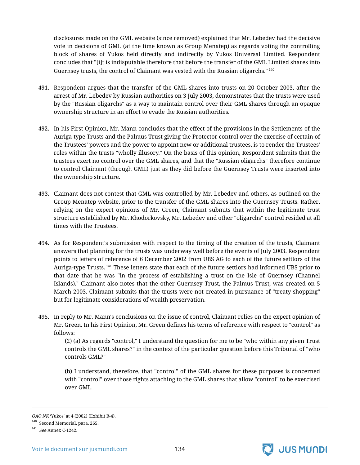disclosures made on the GML website (since removed) explained that Mr. Lebedev had the decisive vote in decisions of GML (at the time known as Group Menatep) as regards voting the controlling block of shares of Yukos held directly and indirectly by Yukos Universal Limited. Respondent concludes that "[i]t is indisputable therefore that before the transfer of the GML Limited shares into Guernsey trusts, the control of Claimant was vested with the Russian oligarchs."<sup>140</sup>

- 491. Respondent argues that the transfer of the GML shares into trusts on 20 October 2003, after the arrest of Mr. Lebedev by Russian authorities on 3 July 2003, demonstrates that the trusts were used by the "Russian oligarchs" as a way to maintain control over their GML shares through an opaque ownership structure in an effort to evade the Russian authorities.
- 492. In his First Opinion, Mr. Mann concludes that the effect of the provisions in the Settlements of the Auriga-type Trusts and the Palmus Trust giving the Protector control over the exercise of certain of the Trustees' powers and the power to appoint new or additional trustees, is to render the Trustees' roles within the trusts "wholly illusory." On the basis of this opinion, Respondent submits that the trustees exert no control over the GML shares, and that the "Russian oligarchs" therefore continue to control Claimant (through GML) just as they did before the Guernsey Trusts were inserted into the ownership structure.
- 493. Claimant does not contest that GML was controlled by Mr. Lebedev and others, as outlined on the Group Menatep website, prior to the transfer of the GML shares into the Guernsey Trusts. Rather, relying on the expert opinions of Mr. Green, Claimant submits that within the legitimate trust structure established by Mr. Khodorkovsky, Mr. Lebedev and other "oligarchs" control resided at all times with the Trustees.
- 494. As for Respondent's submission with respect to the timing of the creation of the trusts, Claimant answers that planning for the trusts was underway well before the events of July 2003. Respondent points to letters of reference of 6 December 2002 from UBS AG to each of the future settlors of the Auriga-type Trusts.<sup>141</sup> These letters state that each of the future settlors had informed UBS prior to that date that he was "in the process of establishing a trust on the Isle of Guernsey (Channel Islands)." Claimant also notes that the other Guernsey Trust, the Palmus Trust, was created on 5 March 2003. Claimant submits that the trusts were not created in pursuance of "treaty shopping" but for legitimate considerations of wealth preservation.
- 495. In reply to Mr. Mann's conclusions on the issue of control, Claimant relies on the expert opinion of Mr. Green. In his First Opinion, Mr. Green defines his terms of reference with respect to "control" as follows:

(2) (a) As regards "control," I understand the question for me to be "who within any given Trust controls the GML shares?" in the context of the particular question before this Tribunal of "who controls GML?"

(b) I understand, therefore, that "control" of the GML shares for these purposes is concerned with "control" over those rights attaching to the GML shares that allow "control" to be exercised over GML.



OAO NK 'Yukos' at 4 (2002) (Exhibit R-4).

<sup>140</sup> Second Memorial, para. 265.

<sup>141</sup> See Annex C-1242.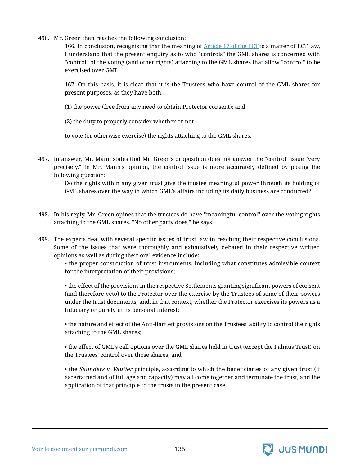496. Mr. Green then reaches the following conclusion:

166. In conclusion, recognising that the meaning of [Article 17 of the ECT](https://jusmundi.com/en/document/h/clljWVJHbGxISEg0VUZMdWNJazE2TnJ3Mmxwb2NlQ1R3cmNjQXR1UDFhaUg5bDhhczBqUjlmYmVtWWhITFNjK3dCV0JaSFlDK3BFbFIyL0xvSHhiR2sxdnZtV2R3TDJsQUR2Q0hoUUhPeWlwUFRXK0ZmSTJDNUVyTytCd1RRNTNrTFNKdXRuc1d2YTVWckFIWE9rMld3PT0=) is a matter of ECT law, I understand that the present enquiry as to who "controls" the GML shares is concerned with "control" of the voting (and other rights) attaching to the GML shares that allow "control" to be exercised over GML.

167. On this basis, it is clear that it is the Trustees who have control of the GML shares for present purposes, as they have both:

(1) the power (free from any need to obtain Protector consent); and

(2) the duty to properly consider whether or not

to vote (or otherwise exercise) the rights attaching to the GML shares.

497. In answer, Mr. Mann states that Mr. Green's proposition does not answer the "control" issue "very precisely." In Mr. Mann's opinion, the control issue is more accurately defined by posing the following question:

Do the rights within any given trust give the trustee meaningful power through its holding of GML shares over the way in which GML's affairs including its daily business are conducted?

- 498. In his reply, Mr. Green opines that the trustees do have "meaningful control" over the voting rights attaching to the GML shares. "No other party does," he says.
- 499. The experts deal with several specific issues of trust law in reaching their respective conclusions. Some of the issues that were thoroughly and exhaustively debated in their respective written opinions as well as during their oral evidence include:

• the proper construction of trust instruments, including what constitutes admissible context for the interpretation of their provisions;

• the effect of the provisions in the respective Settlements granting significant powers of consent (and therefore veto) to the Protector over the exercise by the Trustees of some of their powers under the trust documents, and, in that context, whether the Protector exercises its powers as a fiduciary or purely in its personal interest;

• the nature and effect of the Anti-Bartlett provisions on the Trustees' ability to control the rights attaching to the GML shares;

• the effect of GML's call options over the GML shares held in trust (except the Palmus Trust) on the Trustees' control over those shares; and

• the *Saunders v. Vautier* principle, according to which the beneficiaries of any given trust (if ascertained and of full age and capacity) may all come together and terminate the trust, and the application of that principle to the trusts in the present case.



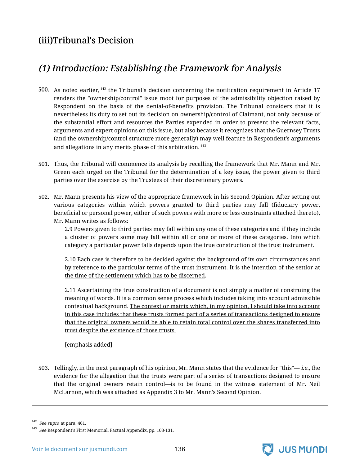# (iii)Tribunal's Decision

# (1) Introduction: Establishing the Framework for Analysis

- 500. As noted earlier,  $^{142}$  the Tribunal's decision concerning the notification requirement in Article 17 renders the "ownership/control" issue moot for purposes of the admissibility objection raised by Respondent on the basis of the denial-of-benefits provision. The Tribunal considers that it is nevertheless its duty to set out its decision on ownership/control of Claimant, not only because of the substantial effort and resources the Parties expended in order to present the relevant facts, arguments and expert opinions on this issue, but also because it recognizes that the Guernsey Trusts (and the ownership/control structure more generally) may well feature in Respondent's arguments and allegations in any merits phase of this arbitration.<sup>143</sup>
- 501. Thus, the Tribunal will commence its analysis by recalling the framework that Mr. Mann and Mr. Green each urged on the Tribunal for the determination of a key issue, the power given to third parties over the exercise by the Trustees of their discretionary powers.
- 502. Mr. Mann presents his view of the appropriate framework in his Second Opinion. After setting out various categories within which powers granted to third parties may fall (fiduciary power, beneficial or personal power, either of such powers with more or less constraints attached thereto), Mr. Mann writes as follows:

2.9 Powers given to third parties may fall within any one of these categories and if they include a cluster of powers some may fall within all or one or more of these categories. Into which category a particular power falls depends upon the true construction of the trust instrument.

2.10 Each case is therefore to be decided against the background of its own circumstances and by reference to the particular terms of the trust instrument. It is the intention of the settlor at the time of the settlement which has to be discerned.

2.11 Ascertaining the true construction of a document is not simply a matter of construing the meaning of words. It is a common sense process which includes taking into account admissible contextual background. The context or matrix which, in my opinion, I should take into account in this case includes that these trusts formed part of a series of transactions designed to ensure that the original owners would be able to retain total control over the shares transferred into trust despite the existence of those trusts.

[emphasis added]

503. Tellingly, in the next paragraph of his opinion, Mr. Mann states that the evidence for "this"— *i.e.*, the evidence for the allegation that the trusts were part of a series of transactions designed to ensure that the original owners retain control—is to be found in the witness statement of Mr. Neil McLarnon, which was attached as Appendix 3 to Mr. Mann's Second Opinion.

J JUS MUNDI

<sup>&</sup>lt;sup>142</sup> See supra at para. 461.

See Respondent's First Memorial, Factual Appendix, pp. 103-131.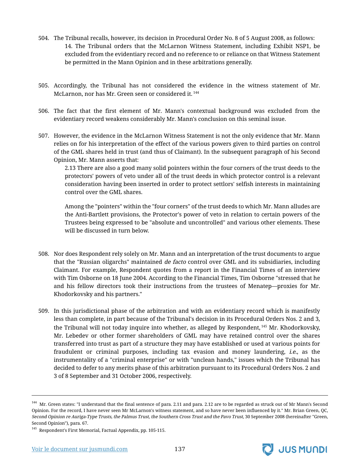- 504. The Tribunal recalls, however, its decision in Procedural Order No. 8 of 5 August 2008, as follows: 14. The Tribunal orders that the McLarnon Witness Statement, including Exhibit NSP1, be excluded from the evidentiary record and no reference to or reliance on that Witness Statement be permitted in the Mann Opinion and in these arbitrations generally.
- 505. Accordingly, the Tribunal has not considered the evidence in the witness statement of Mr. McLarnon, nor has Mr. Green seen or considered it.<sup>144</sup>
- 506. The fact that the first element of Mr. Mann's contextual background was excluded from the evidentiary record weakens considerably Mr. Mann's conclusion on this seminal issue.
- 507. However, the evidence in the McLarnon Witness Statement is not the only evidence that Mr. Mann relies on for his interpretation of the effect of the various powers given to third parties on control of the GML shares held in trust (and thus of Claimant). In the subsequent paragraph of his Second Opinion, Mr. Mann asserts that:

2.13 There are also a good many solid pointers within the four corners of the trust deeds to the protectors' powers of veto under all of the trust deeds in which protector control is a relevant consideration having been inserted in order to protect settlors' selfish interests in maintaining control over the GML shares.

Among the "pointers" within the "four corners" of the trust deeds to which Mr. Mann alludes are the Anti-Bartlett provisions, the Protector's power of veto in relation to certain powers of the Trustees being expressed to be "absolute and uncontrolled" and various other elements. These will be discussed in turn below.

- 508. Nor does Respondent rely solely on Mr. Mann and an interpretation of the trust documents to argue that the "Russian oligarchs" maintained *de facto* control over GML and its subsidiaries, including Claimant. For example, Respondent quotes from a report in the Financial Times of an interview with Tim Osborne on 18 June 2004. According to the Financial Times, Tim Osborne "stressed that he and his fellow directors took their instructions from the trustees of Menatep—proxies for Mr. Khodorkovsky and his partners."
- 509. In this jurisdictional phase of the arbitration and with an evidentiary record which is manifestly less than complete, in part because of the Tribunal's decision in its Procedural Orders Nos. 2 and 3, the Tribunal will not today inquire into whether, as alleged by Respondent, <sup>145</sup> Mr. Khodorkovsky, Mr. Lebedev or other former shareholders of GML may have retained control over the shares transferred into trust as part of a structure they may have established or used at various points for fraudulent or criminal purposes, including tax evasion and money laundering, i.e., as the instrumentality of a "criminal enterprise" or with "unclean hands," issues which the Tribunal has decided to defer to any merits phase of this arbitration pursuant to its Procedural Orders Nos. 2 and 3 of 8 September and 31 October 2006, respectively.



 $^{144}\,$  Mr. Green states: "I understand that the final sentence of para. 2.11 and para. 2.12 are to be regarded as struck out of Mr Mann's Second Opinion. For the record, I have never seen Mr McLarnon's witness statement, and so have never been influenced by it." Mr. Brian Green, QC, Second Opinion re Auriga-Type Trusts, the Palmus Trust, the Southern Cross Trust and the Pavo Trust, 30 September 2008 (hereinafter "Green, Second Opinion"), para. 67.

<sup>145</sup> Respondent's First Memorial, Factual Appendix, pp. 105-115.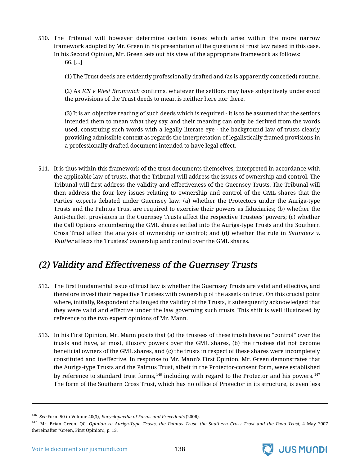- 510. The Tribunal will however determine certain issues which arise within the more narrow framework adopted by Mr. Green in his presentation of the questions of trust law raised in this case. In his Second Opinion, Mr. Green sets out his view of the appropriate framework as follows:
	- 66. [...]

(1) The Trust deeds are evidently professionally drafted and (as is apparently conceded) routine.

(2) As ICS <sup>v</sup> West Bromwich confirms, whatever the settlors may have subjectively understood the provisions of the Trust deeds to mean is neither here nor there.

(3) It is an objective reading of such deeds which is required - it is to be assumed that the settlors intended them to mean what they say, and their meaning can only be derived from the words used, construing such words with a legally literate eye - the background law of trusts clearly providing admissible context as regards the interpretation of legalistically framed provisions in a professionally drafted document intended to have legal effect.

511. It is thus within this framework of the trust documents themselves, interpreted in accordance with the applicable law of trusts, that the Tribunal will address the issues of ownership and control. The Tribunal will first address the validity and effectiveness of the Guernsey Trusts. The Tribunal will then address the four key issues relating to ownership and control of the GML shares that the Parties' experts debated under Guernsey law: (a) whether the Protectors under the Auriga-type Trusts and the Palmus Trust are required to exercise their powers as fiduciaries; (b) whether the Anti-Bartlett provisions in the Guernsey Trusts affect the respective Trustees' powers; (c) whether the Call Options encumbering the GML shares settled into the Auriga-type Trusts and the Southern Cross Trust affect the analysis of ownership or control; and (d) whether the rule in Saunders v. Vautier affects the Trustees' ownership and control over the GML shares.

#### (2) Validity and Effectiveness of the Guernsey Trusts

- 512. The first fundamental issue of trust law is whether the Guernsey Trusts are valid and effective, and therefore invest their respective Trustees with ownership of the assets on trust. On this crucial point where, initially, Respondent challenged the validity of the Trusts, it subsequently acknowledged that they were valid and effective under the law governing such trusts. This shift is well illustrated by reference to the two expert opinions of Mr. Mann.
- 513. In his First Opinion, Mr. Mann posits that (a) the trustees of these trusts have no "control" over the trusts and have, at most, illusory powers over the GML shares, (b) the trustees did not become beneficial owners of the GML shares, and (c) the trusts in respect of these shares were incompletely constituted and ineffective. In response to Mr. Mann's First Opinion, Mr. Green demonstrates that the Auriga-type Trusts and the Palmus Trust, albeit in the Protector-consent form, were established by reference to standard trust forms,  $^{146}$  including with regard to the Protector and his powers.  $^{147}$ The form of the Southern Cross Trust, which has no office of Protector in its structure, is even less



 $^{146}\,$  See Form 50 in Volume 40(3), Encyclopaedia of Forms and Precedents (2006).

 $147$  Mr. Brian Green, QC, Opinion re Auriga-Type Trusts, the Palmus Trust, the Southern Cross Trust and the Pavo Trust, 4 May 2007 (hereinafter "Green, First Opinion), p. 13.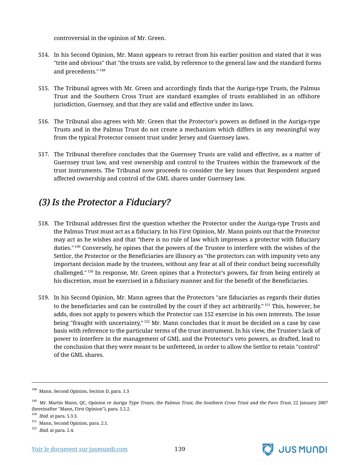controversial in the opinion of Mr. Green.

- 514. In his Second Opinion, Mr. Mann appears to retract from his earlier position and stated that it was "trite and obvious" that "the trusts are valid, by reference to the general law and the standard forms and precedents." <sup>148</sup>
- 515. The Tribunal agrees with Mr. Green and accordingly finds that the Auriga-type Trusts, the Palmus Trust and the Southern Cross Trust are standard examples of trusts established in an offshore jurisdiction, Guernsey, and that they are valid and effective under its laws.
- 516. The Tribunal also agrees with Mr. Green that the Protector's powers as defined in the Auriga-type Trusts and in the Palmus Trust do not create a mechanism which differs in any meaningful way from the typical Protector consent trust under Jersey and Guernsey laws.
- 517. The Tribunal therefore concludes that the Guernsey Trusts are valid and effective, as a matter of Guernsey trust law, and vest ownership and control to the Trustees within the framework of the trust instruments. The Tribunal now proceeds to consider the key issues that Respondent argued affected ownership and control of the GML shares under Guernsey law.

### (3) Is the Protector a Fiduciary?

- 518. The Tribunal addresses first the question whether the Protector under the Auriga-type Trusts and the Palmus Trust must act as a fiduciary. In his First Opinion, Mr. Mann points out that the Protector may act as he wishes and that "there is no rule of law which impresses a protector with fiduciary duties." <sup>149</sup> Conversely, he opines that the powers of the Trustee to interfere with the wishes of the Settlor, the Protector or the Beneficiaries are illusory as "the protectors can with impunity veto any important decision made by the trustees, without any fear at all of their conduct being successfully challenged." <sup>150</sup> In response, Mr. Green opines that a Protector's powers, far from being entirely at his discretion, must be exercised in a fiduciary manner and for the benefit of the Beneficiaries.
- 519. In his Second Opinion, Mr. Mann agrees that the Protectors "are fiduciaries as regards their duties to the beneficiaries and can be controlled by the court if they act arbitrarily."<sup>151</sup> This, however, he adds, does not apply to powers which the Protector can 152 exercise in his own interests. The issue being "fraught with uncertainty,"<sup>152</sup> Mr. Mann concludes that it must be decided on a case by case basis with reference to the particular terms of the trust instrument. In his view, the Trustee's lack of power to interfere in the management of GML and the Protector's veto powers, as drafted, lead to the conclusion that they were meant to be unfettered, in order to allow the Settlor to retain "control" of the GML shares.



<sup>148</sup> Mann, Second Opinion, Section D, para. 1.3

<sup>&</sup>lt;sup>149</sup> Mr. Martin Mann, QC, Opinion re Auriga Type Trusts, the Palmus Trust, the Southern Cross Trust and the Pavo Trust, 22 January 2007 (hereinafter "Mann, First Opinion"), para. 5.2.2.

 $150\,$  Ibid. at para. 5.3.3.

<sup>151</sup> Mann, Second Opinion, para. 2.1.

 $152$  *Ibid.* at para. 2.4.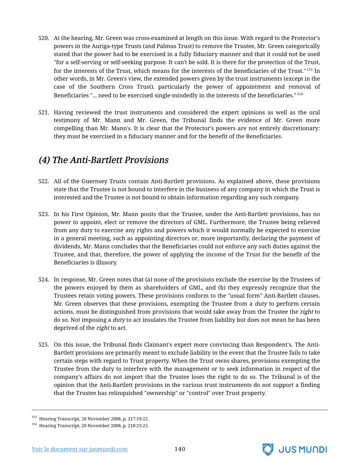- 520. At the hearing, Mr. Green was cross-examined at length on this issue. With regard to the Protector's powers in the Auriga-type Trusts (and Palmus Trust) to remove the Trustee, Mr. Green categorically stated that the power had to be exercised in a fully fiduciary manner and that it could not be used "for a self-serving or self-seeking purpose. It can't be sold. It is there for the protection of the Trust, for the interests of the Trust, which means for the interests of the beneficiaries of the Trust." <sup>153</sup> In other words, in Mr. Green's view, the extended powers given by the trust instruments (except in the case of the Southern Cross Trust), particularly the power of appointment and removal of Beneficiaries "... need to be exercised single-mindedly in the interests of the beneficiaries." <sup>154</sup>
- 521. Having reviewed the trust instruments and considered the expert opinions as well as the oral testimony of Mr. Mann and Mr. Green, the Tribunal finds the evidence of Mr. Green more compelling than Mr. Mann's. It is clear that the Protector's powers are not entirely discretionary: they must be exercised in a fiduciary manner and for the benefit of the Beneficiaries.

#### (4) The Anti-Bartlett Provisions

- 522. All of the Guernsey Trusts contain Anti-Bartlett provisions. As explained above, these provisions state that the Trustee is not bound to interfere in the business of any company in which the Trust is interested and the Trustee is not bound to obtain information regarding any such company.
- 523. In his First Opinion, Mr. Mann posits that the Trustee, under the Anti-Bartlett provisions, has no power to appoint, elect or remove the directors of GML. Furthermore, the Trustee being relieved from any duty to exercise any rights and powers which it would normally be expected to exercise in a general meeting, such as appointing directors or, more importantly, declaring the payment of dividends, Mr. Mann concludes that the Beneficiaries could not enforce any such duties against the Trustee, and that, therefore, the power of applying the income of the Trust for the benefit of the Beneficiaries is illusory.
- 524. In response, Mr. Green notes that (a) none of the provisions exclude the exercise by the Trustees of the powers enjoyed by them as shareholders of GML, and (b) they expressly recognize that the Trustees retain voting powers. These provisions conform to the "usual form" Anti-Bartlett clauses. Mr. Green observes that these provisions, exempting the Trustee from a *duty* to perform certain actions, must be distinguished from provisions that would take away from the Trustee the right to do so. Not imposing a *duty* to act insulates the Trustee from liability but does not mean he has been deprived of the *right* to act.
- 525. On this issue, the Tribunal finds Claimant's expert more convincing than Respondent's. The Anti-Bartlett provisions are primarily meant to exclude liability in the event that the Trustee fails to take certain steps with regard to Trust property. When the Trust owns shares, provisions exempting the Trustee from the duty to interfere with the management or to seek information in respect of the company's affairs do not import that the Trustee loses the right to do so. The Tribunal is of the opinion that the Anti-Bartlett provisions in the various trust instruments do not support a finding that the Trustee has relinquished "ownership" or "control" over Trust property.



<sup>153</sup> Hearing Transcript, 20 November 2008, p. 217:19-22.

<sup>154</sup> Hearing Transcript, 20 November 2008, p. 218:23-25.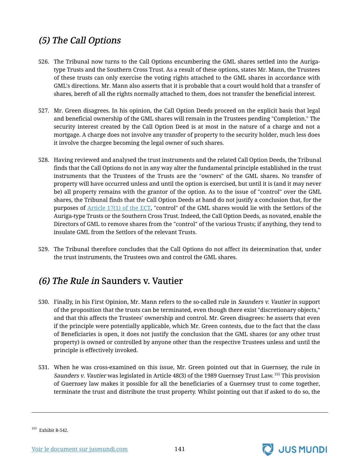# (5) The Call Options

- 526. The Tribunal now turns to the Call Options encumbering the GML shares settled into the Aurigatype Trusts and the Southern Cross Trust. As a result of these options, states Mr. Mann, the Trustees of these trusts can only exercise the voting rights attached to the GML shares in accordance with GML's directions. Mr. Mann also asserts that it is probable that a court would hold that a transfer of shares, bereft of all the rights normally attached to them, does not transfer the beneficial interest.
- 527. Mr. Green disagrees. In his opinion, the Call Option Deeds proceed on the explicit basis that legal and beneficial ownership of the GML shares will remain in the Trustees pending "Completion." The security interest created by the Call Option Deed is at most in the nature of a charge and not a mortgage. A charge does not involve any transfer of property to the security holder, much less does it involve the chargee becoming the legal owner of such shares.
- 528. Having reviewed and analysed the trust instruments and the related Call Option Deeds, the Tribunal finds that the Call Options do not in any way alter the fundamental principle established in the trust instruments that the Trustees of the Trusts are the "owners" of the GML shares. No transfer of property will have occurred unless and until the option is exercised, but until it is (and it may never be) all property remains with the grantor of the option. As to the issue of "control" over the GML shares, the Tribunal finds that the Call Option Deeds at hand do not justify a conclusion that, for the purposes of [Article 17\(1\) of the ECT](https://jusmundi.com/en/document/h/clljWVJHbGxISEg0VUZMdWNJazE2TnJ3Mmxwb2NlQ1R3cmNjQXR1UDFhaUg5bDhhczBqUjlmYmVtWWhITFNjK3dCV0JaSFlDK3BFbFIyL0xvSHhiR2sxdnZtV2R3TDJsQUR2Q0hoUUhPeWlwUFRXK0ZmSTJDNUVyTytCd1RRNTNFT3ZRTEIvWGZYTzN2MXBkV2NBc0t3PT0=), "control" of the GML shares would lie with the Settlors of the Auriga-type Trusts or the Southern Cross Trust. Indeed, the Call Option Deeds, as novated, enable the Directors of GML to remove shares from the "control" of the various Trusts; if anything, they tend to insulate GML from the Settlors of the relevant Trusts.
- 529. The Tribunal therefore concludes that the Call Options do not affect its determination that, under the trust instruments, the Trustees own and control the GML shares.

#### (6) The Rule in Saunders v. Vautier

- 530. Finally, in his First Opinion, Mr. Mann refers to the so-called rule in *Saunders v. Vautier* in support of the proposition that the trusts can be terminated, even though there exist "discretionary objects," and that this affects the Trustees' ownership and control. Mr. Green disagrees: he asserts that even if the principle were potentially applicable, which Mr. Green contests, due to the fact that the class of Beneficiaries is open, it does not justify the conclusion that the GML shares (or any other trust property) is owned or controlled by anyone other than the respective Trustees unless and until the principle is effectively invoked.
- 531. When he was cross-examined on this issue, Mr. Green pointed out that in Guernsey, the rule in *Saunders v. Vautier* was legislated in Article 48(3) of the 1989 Guernsey Trust Law. <sup>155</sup> This provision of Guernsey law makes it possible for all the beneficiaries of a Guernsey trust to come together, terminate the trust and distribute the trust property. Whilst pointing out that if asked to do so, the



<sup>155</sup> Exhibit R-542.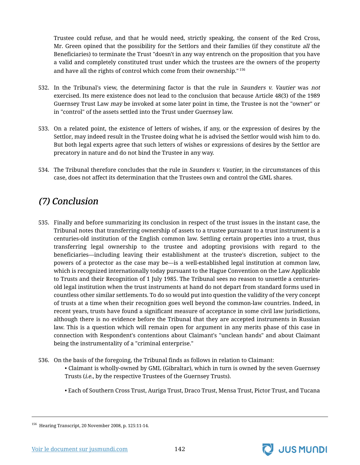Trustee could refuse, and that he would need, strictly speaking, the consent of the Red Cross, Mr. Green opined that the possibility for the Settlors and their families (if they constitute all the Beneficiaries) to terminate the Trust "doesn't in any way entrench on the proposition that you have a valid and completely constituted trust under which the trustees are the owners of the property and have all the rights of control which come from their ownership." <sup>156</sup>

- 532. In the Tribunal's view, the determining factor is that the rule in *Saunders v. Vautier* was *not* exercised. Its mere existence does not lead to the conclusion that because Article 48(3) of the 1989 Guernsey Trust Law may be invoked at some later point in time, the Trustee is not the "owner" or in "control" of the assets settled into the Trust under Guernsey law.
- 533. On a related point, the existence of letters of wishes, if any, or the expression of desires by the Settlor, may indeed result in the Trustee doing what he is advised the Settlor would wish him to do. But both legal experts agree that such letters of wishes or expressions of desires by the Settlor are precatory in nature and do not bind the Trustee in any way.
- 534. The Tribunal therefore concludes that the rule in *Saunders v. Vautier*, in the circumstances of this case, does not affect its determination that the Trustees own and control the GML shares.

### (7) Conclusion

- 535. Finally and before summarizing its conclusion in respect of the trust issues in the instant case, the Tribunal notes that transferring ownership of assets to a trustee pursuant to a trust instrument is a centuries-old institution of the English common law. Settling certain properties into a trust, thus transferring legal ownership to the trustee and adopting provisions with regard to the beneficiaries—including leaving their establishment at the trustee's discretion, subject to the powers of a protector as the case may be—is a well-established legal institution at common law, which is recognized internationally today pursuant to the Hague Convention on the Law Applicable to Trusts and their Recognition of 1 July 1985. The Tribunal sees no reason to unsettle a centuriesold legal institution when the trust instruments at hand do not depart from standard forms used in countless other similar settlements. To do so would put into question the validity of the very concept of trusts at a time when their recognition goes well beyond the common-law countries. Indeed, in recent years, trusts have found a significant measure of acceptance in some civil law jurisdictions, although there is no evidence before the Tribunal that they are accepted instruments in Russian law. This is a question which will remain open for argument in any merits phase of this case in connection with Respondent's contentions about Claimant's "unclean hands" and about Claimant being the instrumentality of a "criminal enterprise."
- 536. On the basis of the foregoing, the Tribunal finds as follows in relation to Claimant:
	- Claimant is wholly-owned by GML (Gibraltar), which in turn is owned by the seven Guernsey Trusts (i.e., by the respective Trustees of the Guernsey Trusts).
	- Each of Southern Cross Trust, Auriga Trust, Draco Trust, Mensa Trust, Pictor Trust, and Tucana



<sup>156</sup> Hearing Transcript, 20 November 2008, p. 125:11-14.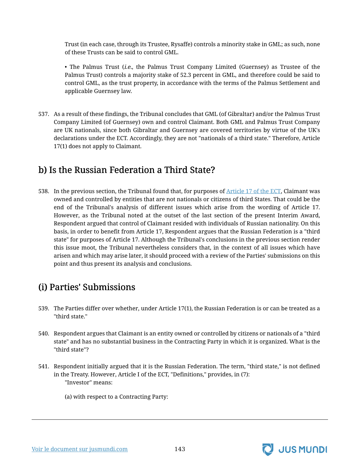Trust (in each case, through its Trustee, Rysaffe) controls a minority stake in GML; as such, none of these Trusts can be said to control GML.

• The Palmus Trust (*i.e.*, the Palmus Trust Company Limited (Guernsey) as Trustee of the Palmus Trust) controls a majority stake of 52.3 percent in GML, and therefore could be said to control GML, as the trust property, in accordance with the terms of the Palmus Settlement and applicable Guernsey law.

537. As a result of these findings, the Tribunal concludes that GML (of Gibraltar) and/or the Palmus Trust Company Limited (of Guernsey) own and control Claimant. Both GML and Palmus Trust Company are UK nationals, since both Gibraltar and Guernsey are covered territories by virtue of the UK's declarations under the ECT. Accordingly, they are not "nationals of a third state." Therefore, Article 17(1) does not apply to Claimant.

### b) Is the Russian Federation a Third State?

538.  $\,$  In the previous section, the Tribunal found that, for purposes of  $\Delta$ rticle 17 of the ECT, Claimant was owned and controlled by entities that are not nationals or citizens of third States. That could be the end of the Tribunal's analysis of different issues which arise from the wording of Article 17. However, as the Tribunal noted at the outset of the last section of the present Interim Award, Respondent argued that control of Claimant resided with individuals of Russian nationality. On this basis, in order to benefit from Article 17, Respondent argues that the Russian Federation is a "third state" for purposes of Article 17. Although the Tribunal's conclusions in the previous section render this issue moot, the Tribunal nevertheless considers that, in the context of all issues which have arisen and which may arise later, it should proceed with a review of the Parties' submissions on this point and thus present its analysis and conclusions.

# (i) Parties' Submissions

- 539. The Parties differ over whether, under Article 17(1), the Russian Federation is or can be treated as a "third state."
- 540. Respondent argues that Claimant is an entity owned or controlled by citizens or nationals of a "third state" and has no substantial business in the Contracting Party in which it is organized. What is the "third state"?
- 541. Respondent initially argued that it is the Russian Federation. The term, "third state," is not defined in the Treaty. However, Article I of the ECT, "Definitions," provides, in (7): "Investor" means:

(a) with respect to a Contracting Party:

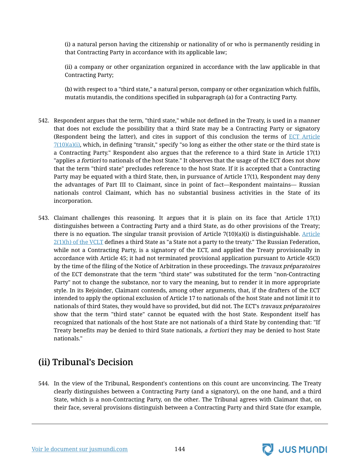(i) a natural person having the citizenship or nationality of or who is permanently residing in that Contracting Party in accordance with its applicable law;

(ii) a company or other organization organized in accordance with the law applicable in that Contracting Party;

(b) with respect to a "third state," a natural person, company or other organization which fulfils, mutatis mutandis, the conditions specified in subparagraph (a) for a Contracting Party.

- 542. Respondent argues that the term, "third state," while not defined in the Treaty, is used in a manner that does not exclude the possibility that a third State may be a Contracting Party or signatory (Respondent being the latter), and cites in support of this conclusion the terms of  $ECT$  Article  $7(10)(a)(i)$ , which, in defining "transit," specify "so long as either the other state or the third state is a Contracting Party." Respondent also argues that the reference to a third State in Article 17(1) "applies a fortiori to nationals of the host State." It observes that the usage of the ECT does not show that the term "third state" precludes reference to the host State. If it is accepted that a Contracting Party may be equated with a third State, then, in pursuance of Article 17(1), Respondent may deny the advantages of Part III to Claimant, since in point of fact—Respondent maintains— Russian nationals control Claimant, which has no substantial business activities in the State of its incorporation.
- 543. Claimant challenges this reasoning. It argues that it is plain on its face that Article 17(1) distinguishes between a Contracting Party and a third State, as do other provisions of the Treaty; there is no equation. The singular transit provision of [Article](https://jusmundi.com/en/document/h/NVFwR2lWbkFqaXdJRmhJT3hnNFo0NEhoLzFzTjdSbU9icGpNYlQ0N3hXUjByQUw3dW1hT1I5OW90REYzWjlFYW1iQm0xR2ZxcmE5MFIwL3EyeU1DWUVRbENBMnU5S3g1dERqLzZnTWNMRHc3U0YwLzlEK2VYZ1FOT1ZFUEszei8yM25adnZnUXlFS0VUZE44K1VxYnNCWENxZ1NhVGc1REJQWWdHV0orWW9BPQ==)  $7(10)(a)(i)$  is distinguishable. Article [2\(1\)\(h\) of the VCLT](https://jusmundi.com/en/document/h/NVFwR2lWbkFqaXdJRmhJT3hnNFo0NEhoLzFzTjdSbU9icGpNYlQ0N3hXUjByQUw3dW1hT1I5OW90REYzWjlFYW1iQm0xR2ZxcmE5MFIwL3EyeU1DWUVRbENBMnU5S3g1dERqLzZnTWNMRHc3U0YwLzlEK2VYZ1FOT1ZFUEszei8yM25adnZnUXlFS0VUZE44K1VxYnNCWENxZ1NhVGc1REJQWWdHV0orWW9BPQ==) defines a third State as "a State not a party to the treaty." The Russian Federation, while not a Contracting Party, is a signatory of the ECT, and applied the Treaty provisionally in accordance with Article 45; it had not terminated provisional application pursuant to Article 45(3) by the time of the filing of the Notice of Arbitration in these proceedings. The travaux préparatoires of the ECT demonstrate that the term "third state" was substituted for the term "non-Contracting Party" not to change the substance, nor to vary the meaning, but to render it in more appropriate style. In its Rejoinder, Claimant contends, among other arguments, that, if the drafters of the ECT intended to apply the optional exclusion of Article 17 to nationals of the host State and not limit it to nationals of third States, they would have so provided, but did not. The ECT's travaux préparatoires show that the term "third state" cannot be equated with the host State. Respondent itself has recognized that nationals of the host State are not nationals of a third State by contending that: "If Treaty benefits may be denied to third State nationals, a fortiori they may be denied to host State nationals."

# (ii) Tribunal's Decision

544. In the view of the Tribunal, Respondent's contentions on this count are unconvincing. The Treaty clearly distinguishes between a Contracting Party (and a signatory), on the one hand, and a third State, which is a non-Contracting Party, on the other. The Tribunal agrees with Claimant that, on their face, several provisions distinguish between a Contracting Party and third State (for example,



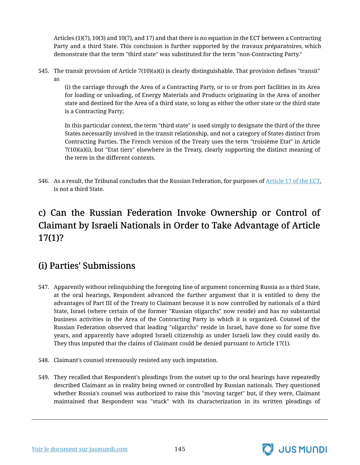Articles (1)(7), 10(3) and 10(7), and 17) and that there is no equation in the ECT between a Contracting Party and a third State. This conclusion is further supported by the *travaux préparatoires*, which demonstrate that the term "third state" was substituted for the term "non-Contracting Party."

545. The transit provision of Article 7(10)(a)(i) is clearly distinguishable. That provision defines "transit" as

(i) the carriage through the Area of a Contracting Party, or to or from port facilities in its Area for loading or unloading, of Energy Materials and Products originating in the Area of another state and destined for the Area of a third state, so long as either the other state or the third state is a Contracting Party;

In this particular context, the term "third state" is used simply to designate the third of the three States necessarily involved in the transit relationship, and not a category of States distinct from Contracting Parties. The French version of the Treaty uses the term "troisième Etat" in Article 7(10)(a)(i), but "Etat tiers" elsewhere in the Treaty, clearly supporting the distinct meaning of the term in the different contexts.

546.  $\,$  As a result, the Tribunal concludes that the Russian Federation, for purposes of  $\rm Article\ 17$  of the ECT, is not a third State.

# c) Can the Russian Federation Invoke Ownership or Control of Claimant by Israeli Nationals in Order to Take Advantage of Article 17(1)?

#### (i) Parties' Submissions

- 547. Apparently without relinquishing the foregoing line of argument concerning Russia as a third State, at the oral hearings, Respondent advanced the further argument that it is entitled to deny the advantages of Part III of the Treaty to Claimant because it is now controlled by nationals of a third State, Israel (where certain of the former "Russian oligarchs" now reside) and has no substantial business activities in the Area of the Contracting Party in which it is organized. Counsel of the Russian Federation observed that leading "oligarchs" reside in Israel, have done so for some five years, and apparently have adopted Israeli citizenship as under Israeli law they could easily do. They thus imputed that the claims of Claimant could be denied pursuant to Article 17(1).
- 548. Claimant's counsel strenuously resisted any such imputation.
- 549. They recalled that Respondent's pleadings from the outset up to the oral hearings have repeatedly described Claimant as in reality being owned or controlled by Russian nationals. They questioned whether Russia's counsel was authorized to raise this "moving target" but, if they were, Claimant maintained that Respondent was "stuck" with its characterization in its written pleadings of

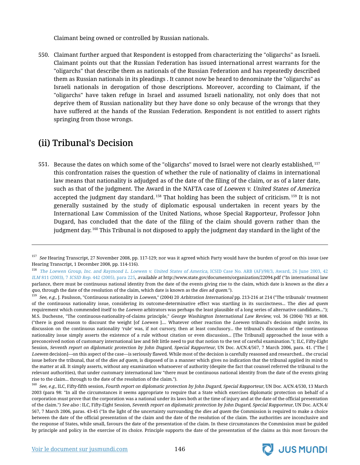Claimant being owned or controlled by Russian nationals.

550. Claimant further argued that Respondent is estopped from characterizing the "oligarchs" as Israeli. Claimant points out that the Russian Federation has issued international arrest warrants for the "oligarchs" that describe them as nationals of the Russian Federation and has repeatedly described them as Russian nationals in its pleadings . It cannot now be heard to denominate the "oligarchs" as Israeli nationals in derogation of those descriptions. Moreover, according to Claimant, if the "oligarchs" have taken refuge in Israel and assumed Israeli nationality, not only does that not deprive them of Russian nationality but they have done so only because of the wrongs that they have suffered at the hands of the Russian Federation. Respondent is not entitled to assert rights springing from those wrongs.

#### (ii) Tribunal's Decision

551.  $\,$  Because the dates on which some of the "oligarchs" moved to Israel were not clearly established,  $^{157}$ this confrontation raises the question of whether the rule of nationality of claims in international law means that nationality is adjudged as of the date of the filing of the claim, or as of a later date, such as that of the judgment. The Award in the NAFTA case of Loewen v. United States of America accepted the judgment day standard. <sup>158</sup> That holding has been the subject of criticism. <sup>159</sup> It is not generally sustained by the study of diplomatic espousal undertaken in recent years by the International Law Commission of the United Nations, whose Special Rapporteur, Professor John Dugard, has concluded that the date of the filing of the claim should govern rather than the judgment day. <sup>160</sup> This Tribunal is not disposed to apply the judgment day standard in the light of the

<sup>159</sup> See, e.g., J. Paulsson, "Continuous nationality in Loewen," (2004) 20 Arbitration International pp. 213-216 at 214 ("The tribunals' treatment of the continuous nationality issue, considering its outcome-determinative effect was startling in its succinctness... The dies ad quem requirement which commended itself to the Loewen arbitrators was perhaps the least plausible of a long series of alternative candidates..."); M.S. Duchesne, "The continuous-nationality-of-claims principle," George Washington International Law Review, vol. 36 (2004) 783 at 808. ("there is good reason to discount the weight [of *Loewen* ].... Whatever other reaction the *Loewen* tribunal's decision might invite, its discussion on the continuous nationality 'rule' was, if not cursory, then at least conclusory... the tribunal's discussion of the continuous nationality issue simply asserts the existence of a rule without citation or even discussion... [The Tribunal] approached the issue with a preconceived notion of customary international law and felt little need to put that notion to the test of careful examination."); ILC, Fifty-Eight Session, Seventh report on diplomatic protection by John Dugard, Special Rapporteur, UN Doc. A/CN.4/567, 7 March 2006, para. 41. ("The [ Loewen decision]—on this aspect of the case—is seriously flawed. While most of the decision is carefully reasoned and researched... the crucial issue before the tribunal, that of the dies ad quem, is disposed of in a manner which gives no indication that the tribunal applied its mind to the matter at all. It simply asserts, without any examination whatsoever of authority (despite the fact that counsel referred the tribunal to the relevant authorities), that under customary international law "there must be continuous national identity from the date of the events giving rise to the claim... through to the date of the resolution of the claim.").

<sup>160</sup> See, e.g., ILC, Fifty-fifth session, Fourth report on diplomatic protection by John Dugard, Special Rapporteur, UN Doc. A/CN.4/530, 13 March 2003 (para 98: "In all the circumstances it seems appropriate to require that a State which exercises diplomatic protection on behalf of a corporation must prove that the corporation was a national under its laws both at the time of injury and at the date of the official presentation of the claim.") See also : ILC, Fifty-Eight Session, Seventh report on diplomatic protection by John Dugard, Special Rapporteur, UN Doc. A/CN.4/ 567, 7 March 2006, paras. 43-45 ("In the light of the uncertainty surrounding the dies ad quem the Commission is required to make a choice between the date of the official presentation of the claim and the date of the resolution of the claim. The authorities are inconclusive and the response of States, while small, favours the date of the presentation of the claim. In these circumstances the Commission must be guided by principle and policy in the exercise of its choice. Principle supports the date of the presentation of the claims as this most favours the



 $157$  See Hearing Transcript, 27 November 2008, pp. 117-129; nor was it agreed which Party would have the burden of proof on this issue (see Hearing Transcript, 1 December 2008, pp. 114-116).

<sup>158</sup> The Loewen Group, Inc. and Raymond L. Loewen v. United States of America[, ICSID Case No. ARB \(AF\)/98/3, Award, 26 June 2003, 42](https://jusmundi.com/en/document/h/L3FOa2NpQlZNYUdWcVdTcjN6VVl4d2hRdVRic1dxUHNqbFNkaDM0aHdXT0s1YzR6bFdONkQ4MEtCbDkvSkY2VnN3NU1vaWJrU0hiQlNrMkY3eWJvVW1DZHhCUWtpaEMveEFmNnBNTmVZRFJVN3h0L1JpaG9EY0FIeDlmaldPOVVoYVlNOS8xdFdxdHdkK2xMdlRrVFlFLzlpOEtCTkdoMW91aTFrelNaQmhZPQ==) ILM 811 (2003), 7 ICSID Rep. [442 \(2005\), para 225,](https://jusmundi.com/en/document/h/L3FOa2NpQlZNYUdWcVdTcjN6VVl4d2hRdVRic1dxUHNqbFNkaDM0aHdXT0s1YzR6bFdONkQ4MEtCbDkvSkY2VnN3NU1vaWJrU0hiQlNrMkY3eWJvVW1DZHhCUWtpaEMveEFmNnBNTmVZRFJVN3h0L1JpaG9EY0FIeDlmaldPOVVoYVlNOS8xdFdxdHdkK2xMdlRrVFlFLzlpOEtCTkdoMW91aTFrelNaQmhZPQ==) available at http://www.state.gov/documents/organization/22094.pdf ("In international law parlance, there must be continuous national identity from the date of the events giving rise to the claim, which date is known as the dies a quo, through the date of the resolution of the claim, which date is known as the dies ad quem.").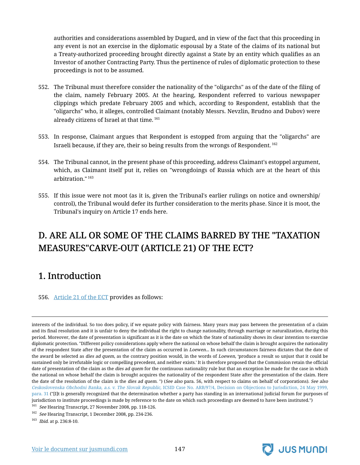authorities and considerations assembled by Dugard, and in view of the fact that this proceeding in any event is not an exercise in the diplomatic espousal by a State of the claims of its national but a Treaty-authorized proceeding brought directly against a State by an entity which qualifies as an Investor of another Contracting Party. Thus the pertinence of rules of diplomatic protection to these proceedings is not to be assumed.

- 552. The Tribunal must therefore consider the nationality of the "oligarchs" as of the date of the filing of the claim, namely February 2005. At the hearing, Respondent referred to various newspaper clippings which predate February 2005 and which, according to Respondent, establish that the "oligarchs" who, it alleges, controlled Claimant (notably Messrs. Nevzlin, Brudno and Dubov) were already citizens of Israel at that time. <sup>161</sup>
- 553. In response, Claimant argues that Respondent is estopped from arguing that the "oligarchs" are Israeli because, if they are, their so being results from the wrongs of Respondent.<sup>162</sup>
- 554. The Tribunal cannot, in the present phase of this proceeding, address Claimant's estoppel argument, which, as Claimant itself put it, relies on "wrongdoings of Russia which are at the heart of this arbitration." <sup>163</sup>
- 555. If this issue were not moot (as it is, given the Tribunal's earlier rulings on notice and ownership/ control), the Tribunal would defer its further consideration to the merits phase. Since it is moot, the Tribunal's inquiry on Article 17 ends here.

# D. ARE ALL OR SOME OF THE CLAIMS BARRED BY THE "TAXATION MEASURES"CARVE-OUT (ARTICLE 21) OF THE ECT?

### 1. Introduction

#### 556. [Article 21 of the ECT](https://jusmundi.com/en/document/h/clljWVJHbGxISEg0VUZMdWNJazE2TnJ3Mmxwb2NlQ1R3cmNjQXR1UDFhaUg5bDhhczBqUjlmYmVtWWhITFNjK3dCV0JaSFlDK3BFbFIyL0xvSHhiR2sxdnZtV2R3TDJsQUR2Q0hoUUhPeWlwUFRXK0ZmSTJDNUVyTytCd1RRNTN1Q1N5b1ZkSFFxMjRaOGlnb2hPZHR3PT0=) provides as follows:



interests of the individual. So too does policy, if we equate policy with fairness. Many years may pass between the presentation of a claim and its final resolution and it is unfair to deny the individual the right to change nationality, through marriage or naturalization, during this period. Moreover, the date of presentation is significant as it is the date on which the State of nationality shows its clear intention to exercise diplomatic protection. "Different policy considerations apply where the national on whose behalf the claim is brought acquires the nationality of the respondent State after the presentation of the claim as occurred in Loewen... In such circumstances fairness dictates that the date of the award be selected as *dies ad quem*, as the contrary position would, in the words of *Loewen*, 'produce a result so unjust that it could be sustained only be irrefutable logic or compelling precedent, and neither exists.' It is therefore proposed that the Commission retain the official date of presentation of the claim as the dies ad quem for the continuous nationality rule but that an exception be made for the case in which the national on whose behalf the claim is brought acquires the nationality of the respondent State after the presentation of the claim. Here the date of the resolution of the claim is the dies ad quem. ") (See also para. 56, with respect to claims on behalf of corporations). See also Ceskoslovenska Obchodni Banka, a.s. v. The Slovak Republic, [ICSID Case No. ARB/97/4, Decision on Objections to Jurisdiction, 24 May 1999,](https://jusmundi.com/en/document/h/dzFFK01Hc2ZWeElYaHNnS05hU3lMSzBmMDVHb2JzM1ZnU2FaUEsxWDNGakxnQWgxL2IrcytrQkgyQmROcS9BNEdaY3Y4THoxSHhMTGM2Y3RMMDFHTjRZaTR1bkdxU1ZVTktLWmN1Y3pKazU2VmVHOVJ1b1B6eUFuUVRjRkdHZUZ1Ri9LRHJjSmFzWEh1T1JKb0lYVUNrZ2dKTUxWOUlHMkh2UXYrendhUTNBaU14RGhjQmM4bHVWbldsajhhbzdwMGZwUXMwZTFwSWJiK0crM09FR1FPQT09) [para. 31](https://jusmundi.com/en/document/h/dzFFK01Hc2ZWeElYaHNnS05hU3lMSzBmMDVHb2JzM1ZnU2FaUEsxWDNGakxnQWgxL2IrcytrQkgyQmROcS9BNEdaY3Y4THoxSHhMTGM2Y3RMMDFHTjRZaTR1bkdxU1ZVTktLWmN1Y3pKazU2VmVHOVJ1b1B6eUFuUVRjRkdHZUZ1Ri9LRHJjSmFzWEh1T1JKb0lYVUNrZ2dKTUxWOUlHMkh2UXYrendhUTNBaU14RGhjQmM4bHVWbldsajhhbzdwMGZwUXMwZTFwSWJiK0crM09FR1FPQT09) ("[I]t is generally recognized that the determination whether a party has standing in an international judicial forum for purposes of jurisdiction to institute proceedings is made by reference to the date on which such proceedings are deemed to have been instituted.")

<sup>161</sup> See Hearing Transcript, 27 November 2008, pp. 118-126.

<sup>162</sup> See Hearing Transcript, 1 December 2008, pp. 234-236.

<sup>163</sup> Ibid. at p. 236:8-10.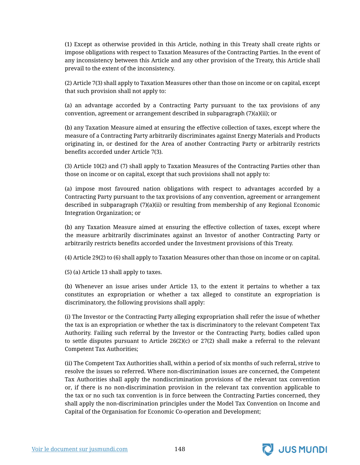(1) Except as otherwise provided in this Article, nothing in this Treaty shall create rights or impose obligations with respect to Taxation Measures of the Contracting Parties. In the event of any inconsistency between this Article and any other provision of the Treaty, this Article shall prevail to the extent of the inconsistency.

(2) Article 7(3) shall apply to Taxation Measures other than those on income or on capital, except that such provision shall not apply to:

(a) an advantage accorded by a Contracting Party pursuant to the tax provisions of any convention, agreement or arrangement described in subparagraph (7)(a)(ii); or

(b) any Taxation Measure aimed at ensuring the effective collection of taxes, except where the measure of a Contracting Party arbitrarily discriminates against Energy Materials and Products originating in, or destined for the Area of another Contracting Party or arbitrarily restricts benefits accorded under Article 7(3).

(3) Article 10(2) and (7) shall apply to Taxation Measures of the Contracting Parties other than those on income or on capital, except that such provisions shall not apply to:

(a) impose most favoured nation obligations with respect to advantages accorded by a Contracting Party pursuant to the tax provisions of any convention, agreement or arrangement described in subparagraph (7)(a)(ii) or resulting from membership of any Regional Economic Integration Organization; or

(b) any Taxation Measure aimed at ensuring the effective collection of taxes, except where the measure arbitrarily discriminates against an Investor of another Contracting Party or arbitrarily restricts benefits accorded under the Investment provisions of this Treaty.

(4) Article 29(2) to (6) shall apply to Taxation Measures other than those on income or on capital.

(5) (a) Article 13 shall apply to taxes.

(b) Whenever an issue arises under Article 13, to the extent it pertains to whether a tax constitutes an expropriation or whether a tax alleged to constitute an expropriation is discriminatory, the following provisions shall apply:

(i) The Investor or the Contracting Party alleging expropriation shall refer the issue of whether the tax is an expropriation or whether the tax is discriminatory to the relevant Competent Tax Authority. Failing such referral by the Investor or the Contracting Party, bodies called upon to settle disputes pursuant to Article 26(2)(c) or 27(2) shall make a referral to the relevant Competent Tax Authorities;

(ii) The Competent Tax Authorities shall, within a period of six months of such referral, strive to resolve the issues so referred. Where non-discrimination issues are concerned, the Competent Tax Authorities shall apply the nondiscrimination provisions of the relevant tax convention or, if there is no non-discrimination provision in the relevant tax convention applicable to the tax or no such tax convention is in force between the Contracting Parties concerned, they shall apply the non-discrimination principles under the Model Tax Convention on Income and Capital of the Organisation for Economic Co-operation and Development;



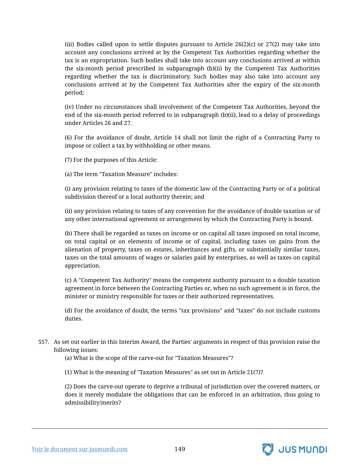(iii) Bodies called upon to settle disputes pursuant to Article  $26(2)(c)$  or  $27(2)$  may take into account any conclusions arrived at by the Competent Tax Authorities regarding whether the tax is an expropriation. Such bodies shall take into account any conclusions arrived at within the six-month period prescribed in subparagraph (b)(ii) by the Competent Tax Authorities regarding whether the tax is discriminatory. Such bodies may also take into account any conclusions arrived at by the Competent Tax Authorities after the expiry of the six-month period;

(iv) Under no circumstances shall involvement of the Competent Tax Authorities, beyond the end of the six-month period referred to in subparagraph (b)(ii), lead to a delay of proceedings under Articles 26 and 27.

(6) For the avoidance of doubt, Article 14 shall not limit the right of a Contracting Party to impose or collect a tax by withholding or other means.

(7) For the purposes of this Article:

(a) The term "Taxation Measure" includes:

(i) any provision relating to taxes of the domestic law of the Contracting Party or of a political subdivision thereof or a local authority therein; and

(ii) any provision relating to taxes of any convention for the avoidance of double taxation or of any other international agreement or arrangement by which the Contracting Party is bound.

(b) There shall be regarded as taxes on income or on capital all taxes imposed on total income, on total capital or on elements of income or of capital, including taxes on gains from the alienation of property, taxes on estates, inheritances and gifts, or substantially similar taxes, taxes on the total amounts of wages or salaries paid by enterprises, as well as taxes on capital appreciation.

(c) A "Competent Tax Authority" means the competent authority pursuant to a double taxation agreement in force between the Contracting Parties or, when no such agreement is in force, the minister or ministry responsible for taxes or their authorized representatives.

(d) For the avoidance of doubt, the terms "tax provisions" and "taxes" do not include customs duties.

557. As set out earlier in this Interim Award, the Parties' arguments in respect of this provision raise the following issues:

(a) What is the scope of the carve-out for "Taxation Measures"?

(1) What is the meaning of "Taxation Measures" as set out in Article 21(7)?

(2) Does the carve-out operate to deprive a tribunal of jurisdiction over the covered matters, or does it merely modulate the obligations that can be enforced in an arbitration, thus going to admissibility/merits?



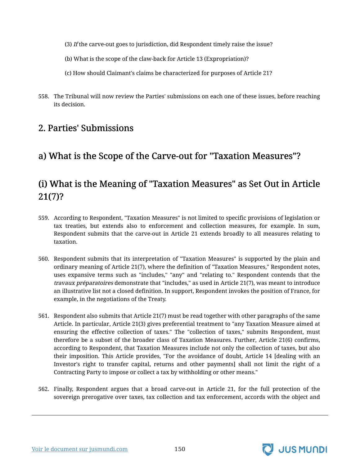- (3) If the carve-out goes to jurisdiction, did Respondent timely raise the issue?
- (b) What is the scope of the claw-back for Article 13 (Expropriation)?
- (c) How should Claimant's claims be characterized for purposes of Article 21?
- 558. The Tribunal will now review the Parties' submissions on each one of these issues, before reaching its decision.

#### 2. Parties' Submissions

#### a) What is the Scope of the Carve-out for "Taxation Measures"?

## (i) What is the Meaning of "Taxation Measures" as Set Out in Article 21(7)?

- 559. According to Respondent, "Taxation Measures" is not limited to specific provisions of legislation or tax treaties, but extends also to enforcement and collection measures, for example. In sum, Respondent submits that the carve-out in Article 21 extends broadly to all measures relating to taxation.
- 560. Respondent submits that its interpretation of "Taxation Measures" is supported by the plain and ordinary meaning of Article 21(7), where the definition of "Taxation Measures," Respondent notes, uses expansive terms such as "includes," "any" and "relating to." Respondent contends that the travaux préparatoires demonstrate that "includes," as used in Article 21(7), was meant to introduce an illustrative list not a closed definition. In support, Respondent invokes the position of France, for example, in the negotiations of the Treaty.
- 561. Respondent also submits that Article 21(7) must be read together with other paragraphs of the same Article. In particular, Article 21(3) gives preferential treatment to "any Taxation Measure aimed at ensuring the effective collection of taxes." The "collection of taxes," submits Respondent, must therefore be a subset of the broader class of Taxation Measures. Further, Article 21(6) confirms, according to Respondent, that Taxation Measures include not only the collection of taxes, but also their imposition. This Article provides, "For the avoidance of doubt, Article 14 [dealing with an Investor's right to transfer capital, returns and other payments] shall not limit the right of a Contracting Party to impose or collect a tax by withholding or other means."
- 562. Finally, Respondent argues that a broad carve-out in Article 21, for the full protection of the sovereign prerogative over taxes, tax collection and tax enforcement, accords with the object and

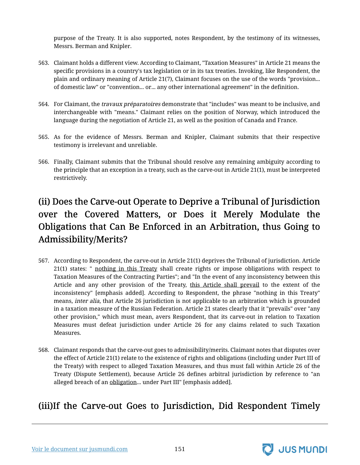purpose of the Treaty. It is also supported, notes Respondent, by the testimony of its witnesses, Messrs. Berman and Knipler.

- 563. Claimant holds a different view. According to Claimant, "Taxation Measures" in Article 21 means the specific provisions in a country's tax legislation or in its tax treaties. Invoking, like Respondent, the plain and ordinary meaning of Article 21(7), Claimant focuses on the use of the words "provision... of domestic law" or "convention... or... any other international agreement" in the definition.
- 564. For Claimant, the *travaux préparatoires* demonstrate that "includes" was meant to be inclusive, and interchangeable with "means." Claimant relies on the position of Norway, which introduced the language during the negotiation of Article 21, as well as the position of Canada and France.
- 565. As for the evidence of Messrs. Berman and Knipler, Claimant submits that their respective testimony is irrelevant and unreliable.
- 566. Finally, Claimant submits that the Tribunal should resolve any remaining ambiguity according to the principle that an exception in a treaty, such as the carve-out in Article 21(1), must be interpreted restrictively.

# (ii) Does the Carve-out Operate to Deprive a Tribunal of Jurisdiction over the Covered Matters, or Does it Merely Modulate the Obligations that Can Be Enforced in an Arbitration, thus Going to Admissibility/Merits?

- 567. According to Respondent, the carve-out in Article 21(1) deprives the Tribunal of jurisdiction. Article 21(1) states: " nothing in this Treaty shall create rights or impose obligations with respect to Taxation Measures of the Contracting Parties"; and "In the event of any inconsistency between this Article and any other provision of the Treaty, this Article shall prevail to the extent of the inconsistency" [emphasis added]. According to Respondent, the phrase "nothing in this Treaty" means, inter alia, that Article 26 jurisdiction is not applicable to an arbitration which is grounded in a taxation measure of the Russian Federation. Article 21 states clearly that it "prevails" over "any other provision," which must mean, avers Respondent, that its carve-out in relation to Taxation Measures must defeat jurisdiction under Article 26 for any claims related to such Taxation Measures.
- 568. Claimant responds that the carve-out goes to admissibility/merits. Claimant notes that disputes over the effect of Article 21(1) relate to the existence of rights and obligations (including under Part III of the Treaty) with respect to alleged Taxation Measures, and thus must fall within Article 26 of the Treaty (Dispute Settlement), because Article 26 defines arbitral jurisdiction by reference to "an alleged breach of an obligation... under Part III" [emphasis added].

#### (iii)If the Carve-out Goes to Jurisdiction, Did Respondent Timely

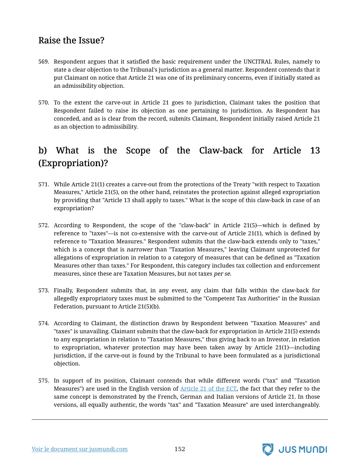### Raise the Issue?

- 569. Respondent argues that it satisfied the basic requirement under the UNCITRAL Rules, namely to state a clear objection to the Tribunal's jurisdiction as a general matter. Respondent contends that it put Claimant on notice that Article 21 was one of its preliminary concerns, even if initially stated as an admissibility objection.
- 570. To the extent the carve-out in Article 21 goes to jurisdiction, Claimant takes the position that Respondent failed to raise its objection as one pertaining to jurisdiction. As Respondent has conceded, and as is clear from the record, submits Claimant, Respondent initially raised Article 21 as an objection to admissibility.

### b) What is the Scope of the Claw-back for Article 13 (Expropriation)?

- 571. While Article 21(1) creates a carve-out from the protections of the Treaty "with respect to Taxation Measures," Article 21(5), on the other hand, reinstates the protection against alleged expropriation by providing that "Article 13 shall apply to taxes." What is the scope of this claw-back in case of an expropriation?
- 572. According to Respondent, the scope of the "claw-back" in Article 21(5)—which is defined by reference to "taxes"—is not co-extensive with the carve-out of Article 21(1), which is defined by reference to "Taxation Measures." Respondent submits that the claw-back extends only to "taxes," which is a concept that is *narrower* than "Taxation Measures," leaving Claimant unprotected for allegations of expropriation in relation to a category of measures that can be defined as "Taxation Measures other than taxes." For Respondent, this category includes tax collection and enforcement measures, since these are Taxation Measures, but not taxes per se.
- 573. Finally, Respondent submits that, in any event, any claim that falls within the claw-back for allegedly expropriatory taxes must be submitted to the "Competent Tax Authorities" in the Russian Federation, pursuant to Article 21(5)(b).
- 574. According to Claimant, the distinction drawn by Respondent between "Taxation Measures" and "taxes" is unavailing. Claimant submits that the claw-back for expropriation in Article 21(5) extends to any expropriation in relation to "Taxation Measures," thus giving back to an Investor, in relation to expropriation, whatever protection may have been taken away by Article 21(1)—including jurisdiction, if the carve-out is found by the Tribunal to have been formulated as a jurisdictional objection.
- 575. In support of its position, Claimant contends that while different words ("tax" and "Taxation Measures") are used in the English version of [Article 21 of the ECT,](https://jusmundi.com/en/document/h/clljWVJHbGxISEg0VUZMdWNJazE2TnJ3Mmxwb2NlQ1R3cmNjQXR1UDFhaUg5bDhhczBqUjlmYmVtWWhITFNjK3dCV0JaSFlDK3BFbFIyL0xvSHhiR2sxdnZtV2R3TDJsQUR2Q0hoUUhPeWlwUFRXK0ZmSTJDNUVyTytCd1RRNTN1Q1N5b1ZkSFFxMjRaOGlnb2hPZHR3PT0=) the fact that they refer to the same concept is demonstrated by the French, German and Italian versions of Article 21. In those versions, all equally authentic, the words "tax" and "Taxation Measure" are used interchangeably.



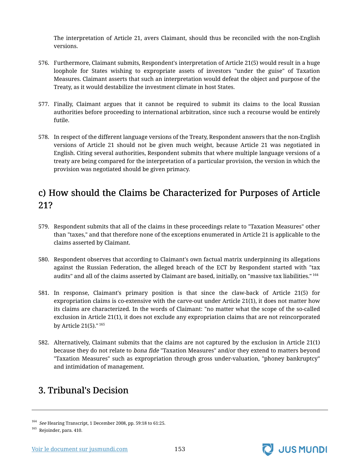The interpretation of Article 21, avers Claimant, should thus be reconciled with the non-English versions.

- 576. Furthermore, Claimant submits, Respondent's interpretation of Article 21(5) would result in a huge loophole for States wishing to expropriate assets of investors "under the guise" of Taxation Measures. Claimant asserts that such an interpretation would defeat the object and purpose of the Treaty, as it would destabilize the investment climate in host States.
- 577. Finally, Claimant argues that it cannot be required to submit its claims to the local Russian authorities before proceeding to international arbitration, since such a recourse would be entirely futile.
- 578. In respect of the different language versions of the Treaty, Respondent answers that the non-English versions of Article 21 should not be given much weight, because Article 21 was negotiated in English. Citing several authorities, Respondent submits that where multiple language versions of a treaty are being compared for the interpretation of a particular provision, the version in which the provision was negotiated should be given primacy.

## c) How should the Claims be Characterized for Purposes of Article 21?

- 579. Respondent submits that all of the claims in these proceedings relate to "Taxation Measures" other than "taxes," and that therefore none of the exceptions enumerated in Article 21 is applicable to the claims asserted by Claimant.
- 580. Respondent observes that according to Claimant's own factual matrix underpinning its allegations against the Russian Federation, the alleged breach of the ECT by Respondent started with "tax audits" and all of the claims asserted by Claimant are based, initially, on "massive tax liabilities." <sup>164</sup>
- 581. In response, Claimant's primary position is that since the claw-back of Article 21(5) for expropriation claims is co-extensive with the carve-out under Article 21(1), it does not matter how its claims are characterized. In the words of Claimant: "no matter what the scope of the so-called exclusion in Article 21(1), it does not exclude any expropriation claims that are not reincorporated by Article 21(5)." <sup>165</sup>
- 582. Alternatively, Claimant submits that the claims are not captured by the exclusion in Article 21(1) because they do not relate to *bona fide* "Taxation Measures" and/or they extend to matters beyond "Taxation Measures" such as expropriation through gross under-valuation, "phoney bankruptcy" and intimidation of management.

### 3. Tribunal's Decision



<sup>164</sup> See Hearing Transcript, 1 December 2008, pp. 59:18 to 61:25.

<sup>165</sup> Rejoinder, para. 410.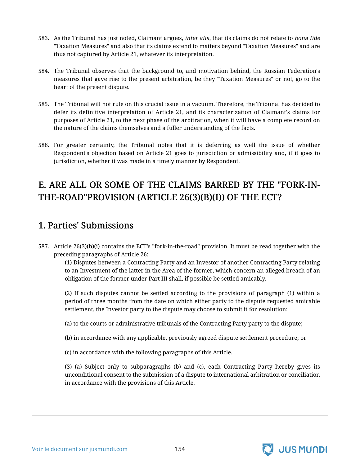- 583. As the Tribunal has just noted, Claimant argues, *inter alia*, that its claims do not relate to *bona fide* "Taxation Measures" and also that its claims extend to matters beyond "Taxation Measures" and are thus not captured by Article 21, whatever its interpretation.
- 584. The Tribunal observes that the background to, and motivation behind, the Russian Federation's measures that gave rise to the present arbitration, be they "Taxation Measures" or not, go to the heart of the present dispute.
- 585. The Tribunal will not rule on this crucial issue in a vacuum. Therefore, the Tribunal has decided to defer its definitive interpretation of Article 21, and its characterization of Claimant's claims for purposes of Article 21, to the next phase of the arbitration, when it will have a complete record on the nature of the claims themselves and a fuller understanding of the facts.
- 586. For greater certainty, the Tribunal notes that it is deferring as well the issue of whether Respondent's objection based on Article 21 goes to jurisdiction or admissibility and, if it goes to jurisdiction, whether it was made in a timely manner by Respondent.

# E. ARE ALL OR SOME OF THE CLAIMS BARRED BY THE "FORK-IN-THE-ROAD"PROVISION (ARTICLE 26(3)(B)(I)) OF THE ECT?

#### 1. Parties' Submissions

587. Article 26(3)(b)(i) contains the ECT's "fork-in-the-road" provision. It must be read together with the preceding paragraphs of Article 26:

(1) Disputes between a Contracting Party and an Investor of another Contracting Party relating to an Investment of the latter in the Area of the former, which concern an alleged breach of an obligation of the former under Part III shall, if possible be settled amicably.

(2) If such disputes cannot be settled according to the provisions of paragraph (1) within a period of three months from the date on which either party to the dispute requested amicable settlement, the Investor party to the dispute may choose to submit it for resolution:

(a) to the courts or administrative tribunals of the Contracting Party party to the dispute;

- (b) in accordance with any applicable, previously agreed dispute settlement procedure; or
- (c) in accordance with the following paragraphs of this Article.

(3) (a) Subject only to subparagraphs (b) and (c), each Contracting Party hereby gives its unconditional consent to the submission of a dispute to international arbitration or conciliation in accordance with the provisions of this Article.

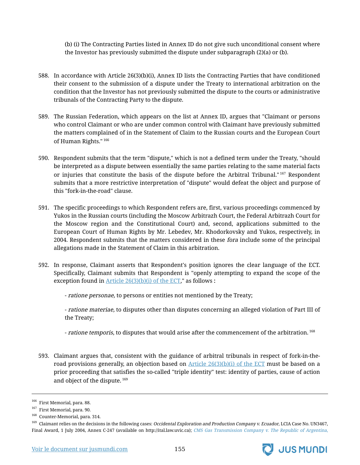(b) (i) The Contracting Parties listed in Annex ID do not give such unconditional consent where the Investor has previously submitted the dispute under subparagraph (2)(a) or (b).

- 588. In accordance with Article 26(3)(b)(i), Annex ID lists the Contracting Parties that have conditioned their consent to the submission of a dispute under the Treaty to international arbitration on the condition that the Investor has not previously submitted the dispute to the courts or administrative tribunals of the Contracting Party to the dispute.
- 589. The Russian Federation, which appears on the list at Annex ID, argues that "Claimant or persons who control Claimant or who are under common control with Claimant have previously submitted the matters complained of in the Statement of Claim to the Russian courts and the European Court of Human Rights." <sup>166</sup>
- 590. Respondent submits that the term "dispute," which is not a defined term under the Treaty, "should be interpreted as a dispute between essentially the same parties relating to the same material facts or injuries that constitute the basis of the dispute before the Arbitral Tribunal."<sup>167</sup> Respondent submits that a more restrictive interpretation of "dispute" would defeat the object and purpose of this "fork-in-the-road" clause.
- 591. The specific proceedings to which Respondent refers are, first, various proceedings commenced by Yukos in the Russian courts (including the Moscow Arbitrazh Court, the Federal Arbitrazh Court for the Moscow region and the Constitutional Court) and, second, applications submitted to the European Court of Human Rights by Mr. Lebedev, Mr. Khodorkovsky and Yukos, respectively, in 2004. Respondent submits that the matters considered in these fora include some of the principal allegations made in the Statement of Claim in this arbitration.
- 592. In response, Claimant asserts that Respondent's position ignores the clear language of the ECT. Specifically, Claimant submits that Respondent is "openly attempting to expand the scope of the exception found in **Article 26(3)(b)(i)** of the ECT," as follows :

- ratione personae, to persons or entities not mentioned by the Treaty;

- ratione materiae, to disputes other than disputes concerning an alleged violation of Part III of the Treaty;

- ratione temporis, to disputes that would arise after the commencement of the arbitration.<sup>168</sup>

593. Claimant argues that, consistent with the guidance of arbitral tribunals in respect of fork-in-theroad provisions generally, an objection based on  $\text{Article } 26(3)(b)(i)$  of the ECT must be based on a prior proceeding that satisfies the so-called "triple identity" test: identity of parties, cause of action and object of the dispute.<sup>169</sup>



<sup>166</sup> First Memorial, para. 88.

<sup>167</sup> First Memorial, para. 90.

<sup>168</sup> Counter-Memorial, para. 314.

<sup>&</sup>lt;sup>169</sup> Claimant relies on the decisions in the following cases: Occidental Exploration and Production Company v. Ecuador, LCIA Case No. UN3467, Final Award, 1 July 2004, Annex C-247 (available on http://ital.law.uvic.ca); CMS Gas [Transmission](https://jusmundi.com/en/document/h/UzYyVUQ3WHV1VlBpOEZPOU0vT0xFYXQyeGY1UG5RUXdCTUZsamFScHpjeGNmMmVOK3JJNW1RQklsT2k3N2lMblhSNmx5TmxveVFDY1g1REwxUllGRndpQ1FJWXdGMjdSRTNlOWZ4V3J4dHV1b1IvTU1pSmhJcjhWeVVSOS96c0hIVmx6dkgwSndBZmJqNVg4V1ZKOThMSzRvTHpFRktRSU84OEMvQXpNWk9FPQ==) Company v. The Republic of Argentina,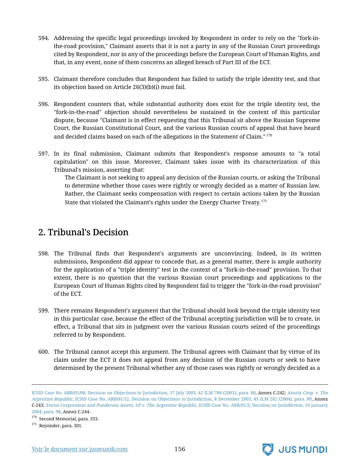- 594. Addressing the specific legal proceedings invoked by Respondent in order to rely on the "fork-inthe-road provision," Claimant asserts that it is not a party in any of the Russian Court proceedings cited by Respondent, nor in any of the proceedings before the European Court of Human Rights, and that, in any event, none of them concerns an alleged breach of Part III of the ECT.
- 595. Claimant therefore concludes that Respondent has failed to satisfy the triple identity test, and that its objection based on Article 26(3)(b)(i) must fail.
- 596. Respondent counters that, while substantial authority does exist for the triple identity test, the "fork-in-the-road" objection should nevertheless be sustained in the context of this particular dispute, because "Claimant is in effect requesting that this Tribunal sit above the Russian Supreme Court, the Russian Constitutional Court, and the various Russian courts of appeal that have heard and decided claims based on each of the allegations in the Statement of Claim."<sup>170</sup>
- 597. In its final submission, Claimant submits that Respondent's response amounts to "a total capitulation" on this issue. Moreover, Claimant takes issue with its characterization of this Tribunal's mission, asserting that:

The Claimant is not seeking to appeal any decision of the Russian courts, or asking the Tribunal to determine whether those cases were rightly or wrongly decided as a matter of Russian law. Rather, the Claimant seeks compensation with respect to certain actions taken by the Russian State that violated the Claimant's rights under the Energy Charter Treaty.  $^{171}$ 

#### 2. Tribunal's Decision

- 598. The Tribunal finds that Respondent's arguments are unconvincing. Indeed, in its written submissions, Respondent did appear to concede that, as a general matter, there is ample authority for the application of a "triple identity" test in the context of a "fork-in-the-road" provision. To that extent, there is no question that the various Russian court proceedings and applications to the European Court of Human Rights cited by Respondent fail to trigger the "fork-in-the-road provision" of the ECT.
- 599. There remains Respondent's argument that the Tribunal should look beyond the triple identity test in this particular case, because the effect of the Tribunal accepting jurisdiction will be to create, in effect, a Tribunal that sits in judgment over the various Russian courts seized of the proceedings referred to by Respondent.
- 600. The Tribunal cannot accept this argument. The Tribunal agrees with Claimant that by virtue of its claim under the ECT it does not appeal from any decision of the Russian courts or seek to have determined by the present Tribunal whether any of those cases was rightly or wrongly decided as a



[ICSID Case No. ARB/01/08, Decision on Objections to Jurisdiction, 17 July 2003, 42 ILM 788 \(2003\), para. 80,](https://jusmundi.com/en/document/h/UzYyVUQ3WHV1VlBpOEZPOU0vT0xFYXQyeGY1UG5RUXdCTUZsamFScHpjeGNmMmVOK3JJNW1RQklsT2k3N2lMblhSNmx5TmxveVFDY1g1REwxUllGRndpQ1FJWXdGMjdSRTNlOWZ4V3J4dHV1b1IvTU1pSmhJcjhWeVVSOS96c0hIVmx6dkgwSndBZmJqNVg4V1ZKOThMSzRvTHpFRktRSU84OEMvQXpNWk9FPQ==) Annex C-242; [Azurix](https://jusmundi.com/en/document/h/Q1FHWnBBazNZZ3hyRmlTSUprTmhhVExlOVBXdjFEU0MrdnAwdTFiVEFUWW5WWGIxbzBCZlZWYnczYmw0Q2dCUmxvMUlOK2pmUGYzNTlPSlNuTGhaaW9ORGlEVkRrSWluWUVKSS90QjZNQUJ1Y08rY1FpNU54OFovVGtNM1pRcmpkcDBVUFRJeFJLUmpZMDVsenU1cjFRPT0=) Corp. v. The Argentine Republic[, ICSID Case No. ARB/01/12, Decision on Objections to Jurisdiction, 8 December 2003, 43 ILM 262 \(2004\), para. 89](https://jusmundi.com/en/document/h/Q1FHWnBBazNZZ3hyRmlTSUprTmhhVExlOVBXdjFEU0MrdnAwdTFiVEFUWW5WWGIxbzBCZlZWYnczYmw0Q2dCUmxvMUlOK2pmUGYzNTlPSlNuTGhaaW9ORGlEVkRrSWluWUVKSS90QjZNQUJ1Y08rY1FpNU54OFovVGtNM1pRcmpkcDBVUFRJeFJLUmpZMDVsenU1cjFRPT0=), Annex C-243; Enron Corporation and Ponderosa Assets, LP v. The Argentine Republic[, ICSID Case No. ARB/01/3, Decision on Jurisdiction, 14 January](https://jusmundi.com/en/document/h/dHhqTlJIUzhQNTBJYmNZUGJvTFBoUE1GWTRRcUlCRldzVFRGcDYwck5RNTJ6UUlMdDJabGhVWXlOWnBwWS9YWExtZFVNVXhwajkzVk1yQVhkVmpCeElWR09ReDh6aGcxNnNiZitXK3FySDJxMEw4Q1IxZEpIVytiSE0xRjdPbzQ0MWNmK2NReDdCZFFqSndnUDIwY3VHM0tZZUgyd0xtK3NuRU05blV2ZEdLV2dyODFmaWE1MW50NnFET1Z4MnJoTHpmV2JOdktqY1N3RUFFOUNTYkFSdjZRQ1dkQmlCSnhTSWhSMjJIVk1oTkREYU5hVEF1YjlIQVNob01Va3crYQ==) [2004, para. 98](https://jusmundi.com/en/document/h/dHhqTlJIUzhQNTBJYmNZUGJvTFBoUE1GWTRRcUlCRldzVFRGcDYwck5RNTJ6UUlMdDJabGhVWXlOWnBwWS9YWExtZFVNVXhwajkzVk1yQVhkVmpCeElWR09ReDh6aGcxNnNiZitXK3FySDJxMEw4Q1IxZEpIVytiSE0xRjdPbzQ0MWNmK2NReDdCZFFqSndnUDIwY3VHM0tZZUgyd0xtK3NuRU05blV2ZEdLV2dyODFmaWE1MW50NnFET1Z4MnJoTHpmV2JOdktqY1N3RUFFOUNTYkFSdjZRQ1dkQmlCSnhTSWhSMjJIVk1oTkREYU5hVEF1YjlIQVNob01Va3crYQ==), Annex C-244.

<sup>170</sup> Second Memorial, para. 333.

<sup>171</sup> Rejoinder, para. 301.